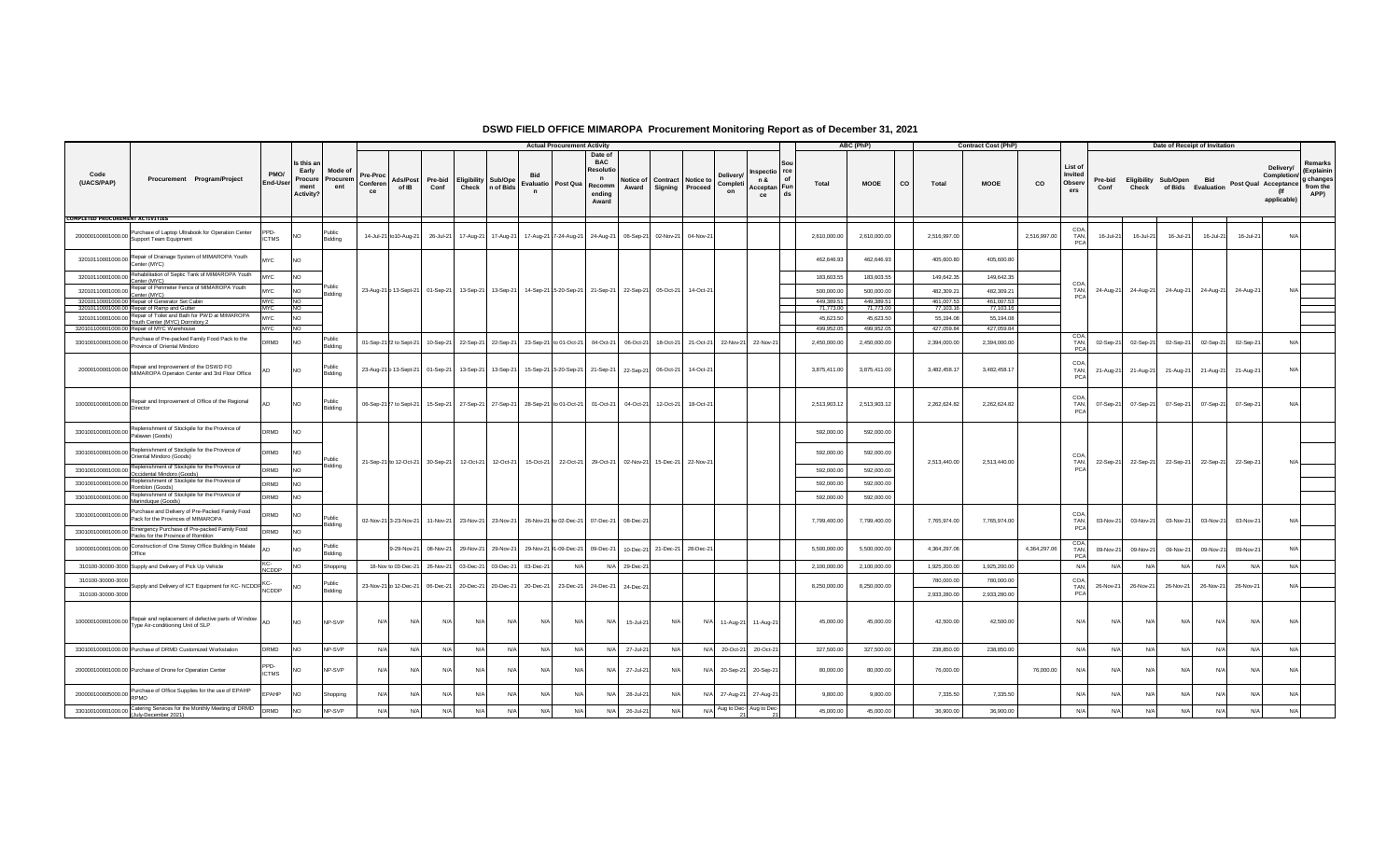|                                         |                                                                                                                                |                      |                                                     |                            |                            |                         |                                                   |       |                                                      |                                   | <b>Actual Procurement Activity</b>                                                                                                   |                                                                                       |                               |     |                                                     |                                   |                                                      |              | ABC (PhP)    |                    | <b>Contract Cost (PhP)</b> |              |                                     |                 |           | Date of Receipt of Invitation                  |           |                      |                                                |                                                        |
|-----------------------------------------|--------------------------------------------------------------------------------------------------------------------------------|----------------------|-----------------------------------------------------|----------------------------|----------------------------|-------------------------|---------------------------------------------------|-------|------------------------------------------------------|-----------------------------------|--------------------------------------------------------------------------------------------------------------------------------------|---------------------------------------------------------------------------------------|-------------------------------|-----|-----------------------------------------------------|-----------------------------------|------------------------------------------------------|--------------|--------------|--------------------|----------------------------|--------------|-------------------------------------|-----------------|-----------|------------------------------------------------|-----------|----------------------|------------------------------------------------|--------------------------------------------------------|
| Code<br>(UACS/PAP)                      | Procurement Program/Project                                                                                                    | PMO/<br>End-User     | Is this ar<br>Early<br>Procure<br>ment<br>Activity? | Mode of<br>Procurem<br>ent | Pre-Proc<br>Conferen<br>ce | Ads/Post<br>of IB       | Pre-bid<br>Conf                                   | Check | <b>Eligibility Sub/Ope</b><br>n of Bids              | Evaluatio Post Qua<br>$\mathbf n$ |                                                                                                                                      | Date of<br><b>BAC</b><br><b>Resolutio</b><br>$\mathbf n$<br>Recomm<br>ending<br>Award | Award                         |     | Notice of I Contract   Notice to<br>Signing Proceed | <b>Delivery</b><br>Completi<br>on | spectio rce<br>of<br>n &<br>Acceptan Fun<br>ds<br>ce | Total        | <b>MOOE</b>  | <b>CO</b><br>Total | <b>MOOE</b>                | co           | List of<br>Invited<br>Observ<br>ers | Pre-bid<br>Conf | Check     | Eligibility Sub/Open Bid<br>of Bids Evaluation |           | Post Qual Acceptance | Delivery/<br>Completion/<br>(lf<br>applicable) | Remarks<br>(Explainin<br>g changes<br>from the<br>APP) |
| <b>COMPLETED PROCUREMENT ACTIVITIES</b> |                                                                                                                                |                      |                                                     |                            |                            |                         |                                                   |       |                                                      |                                   |                                                                                                                                      |                                                                                       |                               |     |                                                     |                                   |                                                      |              |              |                    |                            |              |                                     |                 |           |                                                |           |                      |                                                |                                                        |
|                                         | 200000100001000.00 Purchase of Laptop Ultrabook for Operation Center<br>Support Team Equipment                                 | PPD-<br><b>ICTMS</b> | NO.                                                 | Public<br>Bidding          |                            | 14-Jul-21 to10-Aug-21   |                                                   |       | 26-Jul-21 17-Aug-21 17-Aug-21                        |                                   | 17-Aug-21 7-24-Aug-21 24-Aug-21 06-Sep-21 02-Nov-21 04-Nov-21                                                                        |                                                                                       |                               |     |                                                     |                                   |                                                      | 2,610,000.00 | 2,610,000.00 | 2,516,997.00       |                            | 2,516,997.00 | COA,<br>TAN.<br>PCA                 | 16-Jul-21       | 16-Jul-21 | 16-Jul-21                                      | 16-Jul-21 | 16-Jul-21            | N/A                                            |                                                        |
|                                         | 32010110001000.00 Repair of Drainage System of MIMAROPA Youth<br>Center (MYC)                                                  | <b>MYC</b>           | N <sub>O</sub>                                      |                            |                            |                         |                                                   |       |                                                      |                                   |                                                                                                                                      |                                                                                       |                               |     |                                                     |                                   |                                                      | 462,646.93   | 462,646.93   | 405,600.80         | 405,600.80                 |              |                                     |                 |           |                                                |           |                      |                                                |                                                        |
|                                         | 32010110001000.00 Rehabilitation of Septic Tank of MIMAROPA Youth<br>Center (MYC)                                              | <b>MYC</b>           | NO                                                  |                            |                            |                         |                                                   |       |                                                      |                                   |                                                                                                                                      |                                                                                       |                               |     |                                                     |                                   |                                                      | 183,603.55   | 183,603.55   | 149,642.35         | 149,642.35                 |              |                                     |                 |           |                                                |           |                      |                                                |                                                        |
| 32010110001000.00 Repair C. T.          | Repair of Perimeter Fence of MIMAROPA Youth                                                                                    | <b>MYC</b>           | <b>NO</b>                                           | Publi<br>Bidding           |                            |                         |                                                   |       |                                                      |                                   | 23-Aug-21 b 13-Sept-21   01-Sep-21   13-Sep-21   13-Sep-21   14-Sep-21   5-20-Sep-21   21-Sep-21   22-Sep-21   05-Oct-21   14-Oct-21 |                                                                                       |                               |     |                                                     |                                   |                                                      | 500,000,00   | 500,000.00   | 482,309.21         | 482,309.21                 |              | COA<br>TAN.                         | 24-Aug-21       |           | 24-Aug-21 24-Aug-21                            |           | 24-Aug-21 24-Aug-21  | N/A                                            |                                                        |
|                                         | 32010110001000.00 Repair of Generator Set Cabin                                                                                | MYC                  | <b>NO</b>                                           |                            |                            |                         |                                                   |       |                                                      |                                   |                                                                                                                                      |                                                                                       |                               |     |                                                     |                                   |                                                      | 449.389.51   | 449.389.51   | 461.007.53         | 461.007.53                 |              | PCA                                 |                 |           |                                                |           |                      |                                                |                                                        |
|                                         | 32010110001000.00 Repair of Ramp and Gutter<br>32010110001000.00 Repair of Toilet and Bath for PWD at MIMAROPA                 | <b>MYC</b>           | N <sub>O</sub>                                      |                            |                            |                         |                                                   |       |                                                      |                                   |                                                                                                                                      |                                                                                       |                               |     |                                                     |                                   |                                                      | 71,773,00    | 71,773.00    | 77,103.16          | 77,103.16                  |              |                                     |                 |           |                                                |           |                      |                                                |                                                        |
|                                         | Youth Center (MYC) Dormitory 2                                                                                                 | <b>MYC</b>           | <b>NO</b>                                           |                            |                            |                         |                                                   |       |                                                      |                                   |                                                                                                                                      |                                                                                       |                               |     |                                                     |                                   |                                                      | 45,623.50    | 45,623.50    | 55,194.08          | 55,194.08                  |              |                                     |                 |           |                                                |           |                      |                                                |                                                        |
|                                         | 320101100001000.00 Repair of MYC Warehouse                                                                                     | MYC                  | <b>INO</b>                                          |                            |                            |                         |                                                   |       |                                                      |                                   |                                                                                                                                      |                                                                                       |                               |     |                                                     |                                   |                                                      | 499.952.05   | 499.952.05   | 427.059.84         | 427,059.84                 |              |                                     |                 |           |                                                |           |                      |                                                |                                                        |
|                                         | 330100100001000.00 Purchase of Pre-packed Family Food Pack to the<br>Province of Oriental Mindoro                              | <b>DRMD</b>          | <b>NO</b>                                           | Public<br>Bidding          |                            | 01-Sep-21 22 to Sept-21 |                                                   |       | 10-Sep-21 22-Sep-21 22-Sep-21                        | 23-Sep-21 to 01-Oct-21            |                                                                                                                                      |                                                                                       | 04-Oct-21 06-Oct-21 18-Oct-21 |     | 21-Oct-21                                           | 22-Nov-21                         | 22-Nov-21                                            | 2,450,000.00 | 2,450,000.00 | 2,394,000.00       | 2,394,000.00               |              | TAN.<br>PCA                         | 02-Sep-21       | 02-Sep-21 | 02-Sep-21                                      | 02-Sep-21 | 02-Sep-21            | N/A                                            |                                                        |
|                                         | 20000100001000.00 Repair and Improvement of the DSWD FO<br>MIMAROPA Operaton Center and 3rd Floor Office                       |                      | <b>NO</b>                                           | Public.<br>Bidding         |                            |                         |                                                   |       |                                                      |                                   | 23-Aug-21 p 13-Sept-21   01-Sep-21   13-Sep-21   13-Sep-21   15-Sep-21   5-20-Sep-21   21-Sep-21   22-Sep-21   06-Oct-21   14-Oct-21 |                                                                                       |                               |     |                                                     |                                   |                                                      | 3,875,411.00 | 3,875,411.00 | 3,482,458.17       | 3,482,458.17               |              | COA<br>TAN,<br><b>PCA</b>           | 21-Aug-21       | 21-Aug-21 | 21-Aug-21                                      | 21-Aug-21 | 21-Aug-21            | N/A                                            |                                                        |
|                                         | 100000100001000.00 Repair and Improvement of Office of the Regional<br>Director                                                | ΔD                   | <b>NO</b>                                           | Public<br>Bidding          |                            | 06-Sep-21 27 to Sept-21 |                                                   |       |                                                      |                                   | 15-Sep-21 27-Sep-21 27-Sep-21 28-Sep-21 to 01-Oct-21 01-Oct-21 04-Oct-21 12-Oct-21 18-Oct-21                                         |                                                                                       |                               |     |                                                     |                                   |                                                      | 2,513,903.12 | 2,513,903.12 | 2,262,624.82       | 2,262,624.82               |              | COA<br>TAN.<br>PC/                  | 07-Sep-21       | 07-Sep-21 | 07-Sep-21                                      | 07-Sep-21 | 07-Sep-21            | N/A                                            |                                                        |
|                                         | 330100100001000.00 Replenishment of Stockpile for the Province of<br>Palawan (Goods)                                           | DRMD                 | NO.                                                 |                            |                            |                         |                                                   |       |                                                      |                                   |                                                                                                                                      |                                                                                       |                               |     |                                                     |                                   |                                                      | 592,000.00   | 592,000.00   |                    |                            |              |                                     |                 |           |                                                |           |                      |                                                |                                                        |
|                                         | Replenishment of Stockpile for the Province of<br>330100100001000.00 Replacements                                              | DRMD                 | NO.                                                 | Public                     |                            |                         |                                                   |       | 21-Sep-21 to 12-Oct-21 30-Sep-21 12-Oct-21 12-Oct-21 |                                   | 15-Oct-21 22-Oct-21 29-Oct-21 02-Nov-21 15-Dec-21 22-Nov-21                                                                          |                                                                                       |                               |     |                                                     |                                   |                                                      | 592,000.00   | 592,000.00   | 2,513,440.00       | 2,513,440.00               |              | COA<br>TAN.                         | 22-Sep-21       | 22-Sep-21 | 22-Sep-21                                      | 22-Sep-21 | 22-Sep-21            | $N/\Delta$                                     |                                                        |
|                                         | 330100100001000.00 Replenishment of Stockpile for the Province of<br>Occidental Mindoro (Goods)                                | DRMD                 | NO                                                  | Bidding                    |                            |                         |                                                   |       |                                                      |                                   |                                                                                                                                      |                                                                                       |                               |     |                                                     |                                   |                                                      | 592,000.00   | 592,000.00   |                    |                            |              | PCA                                 |                 |           |                                                |           |                      |                                                |                                                        |
|                                         | 330100100001000.00 Replenishment of Stockpile for the Province of                                                              | DRMD                 | NO.                                                 |                            |                            |                         |                                                   |       |                                                      |                                   |                                                                                                                                      |                                                                                       |                               |     |                                                     |                                   |                                                      | 592,000.00   | 592,000.00   |                    |                            |              |                                     |                 |           |                                                |           |                      |                                                |                                                        |
|                                         | Romblon (Goods)<br>330100100001000.00 Replenishment of Stockpile for the Province of                                           |                      |                                                     |                            |                            |                         |                                                   |       |                                                      |                                   |                                                                                                                                      |                                                                                       |                               |     |                                                     |                                   |                                                      |              |              |                    |                            |              |                                     |                 |           |                                                |           |                      |                                                |                                                        |
|                                         | Marinduque (Goods)<br>Purchase and Delivery of Pre-Packed Family Food<br>330100100001000.00 Pack for the Provinces of MIMAROPA | DRMD<br>DRMD         | NO <sub>1</sub>                                     | Public                     |                            |                         |                                                   |       |                                                      |                                   |                                                                                                                                      |                                                                                       |                               |     |                                                     |                                   |                                                      | 592,000.00   | 592,000.00   |                    |                            |              | COA                                 |                 |           |                                                |           |                      |                                                |                                                        |
|                                         | 330100100001000.00 Emergency Purchase of Pre-packed Family Food<br>Packs for the Province of Romblon                           | DRMD                 |                                                     | Bidding                    |                            | 02-Nov-21 3-23-Nov-21   |                                                   |       |                                                      |                                   | 11-Nov-21 23-Nov-21 23-Nov-21 26-Nov-21 to 02-Dec-21 07-Dec-21 08-Dec-21                                                             |                                                                                       |                               |     |                                                     |                                   |                                                      | 7,799,400.00 | 7,799,400.00 | 7,765,974.00       | 7,765,974.00               |              | TAN.<br>PCA                         | 03-Nov-21       | 03-Nov-21 | 03-Nov-21                                      | 03-Nov-21 | 03-Nov-21            | N/A                                            |                                                        |
|                                         | 100000100001000.00 Construction of One Storey Office Building in Malate<br>Office                                              | ۸n                   | <b>NO</b>                                           | Public<br>Bidding          |                            | 9-29-Nov-21             |                                                   |       | 08-Nov-21 29-Nov-21 29-Nov-21                        |                                   | 29-Nov-21 01-09-Dec-21                                                                                                               | 09-Dec-21                                                                             | 10-Dec-21 21-Dec-21           |     | 28-Dec-21                                           |                                   |                                                      | 5,500,000.00 | 5,500,000.00 | 4,364,297.06       |                            | 4,364,297.06 | COA<br>TAN,<br>PC.                  | 09-Nov-2        | 09-Nov-2  | 09-Nov-2                                       | 09-Nov-21 | 09-Nov-21            | N/A                                            |                                                        |
|                                         | 310100-30000-3000 Supply and Delivery of Pick Up Vehicle                                                                       | <b>NCDDP</b>         | N <sub>O</sub>                                      | Shopping                   |                            |                         | 18-Nov to 03-Dec-21 26-Nov-21 03-Dec-21 03-Dec-21 |       |                                                      | 03-Dec-21                         | N/A                                                                                                                                  |                                                                                       | N/A 29-Dec-21                 |     |                                                     |                                   |                                                      | 2,100,000.00 | 2,100,000.00 | 1,925,200.00       | 1,925,200.00               |              | N/A                                 | N/A             | N/A       | N/A                                            | N/A       | N/A                  | N/A                                            |                                                        |
| 310100-30000-3000                       | Supply and Delivery of ICT Equipment for KC-NCDDP NCDDP                                                                        |                      |                                                     | Public                     |                            | 23-Nov-21 to 12-Dec-21  |                                                   |       | 06-Dec-21 20-Dec-21 20-Dec-21                        |                                   | 20-Dec-21 23-Dec-21                                                                                                                  |                                                                                       | 24-Dec-21 24-Dec-21           |     |                                                     |                                   |                                                      | 8,250,000.00 | 8,250,000.00 | 780,000.00         | 780,000.00                 |              | COA<br>TAN,                         | 26-Nov-21       | 26-Nov-21 | 26-Nov-21                                      | 26-Nov-21 | 26-Nov-21            | N/A                                            |                                                        |
| 310100-30000-3000                       |                                                                                                                                |                      |                                                     | Bidding                    |                            |                         |                                                   |       |                                                      |                                   |                                                                                                                                      |                                                                                       |                               |     |                                                     |                                   |                                                      |              |              | 2,933,280.00       | 2,933,280.00               |              | PCA                                 |                 |           |                                                |           |                      |                                                |                                                        |
|                                         | 100000100001000.00 Repair and replacement of defective parts of Window<br>Type Air-conditioning Unit of SLP                    | <b>AD</b>            | <b>NO</b>                                           | NP-SVP                     | N/A                        | N/A                     | N/A                                               | N/A   | N/A                                                  | N/A                               | N/A                                                                                                                                  | N/A                                                                                   | 15-Jul-21                     | N/A | N/A                                                 |                                   | 11-Aug-21 11-Aug-21                                  | 45,000.00    | 45,000.00    | 42,500.00          | 42,500.00                  |              | N/A                                 | N/A             | N/A       | N/A                                            | N/A       | N/A                  | N/A                                            |                                                        |
|                                         | 330100100001000.00 Purchase of DRMD Customized Workstation                                                                     | <b>DRMD</b>          | <b>NO</b>                                           | NP-SVP                     | N/A                        | N/A                     | N/A                                               | N/A   | N/A                                                  | N/A                               | N/A                                                                                                                                  | N/A                                                                                   | 27-Jul-21                     | N/A | N/A                                                 | 20-Oct-21                         | 20-Oct-21                                            | 327,500.00   | 327,500.00   | 238,850.00         | 238,850.00                 |              | N/A                                 | N/A             | N/A       | N/A                                            | N/A       | N/A                  | N/A                                            |                                                        |
|                                         | 200000100001000.00 Purchase of Drone for Operation Center                                                                      | PPD-<br><b>ICTMS</b> | N <sub>O</sub>                                      | NP-SVP                     | N/A                        | N/A                     | N/A                                               | N/A   | N/A                                                  | N/A                               | N/A                                                                                                                                  | N/A                                                                                   | 27-Jul-21                     | N/A | N/A                                                 | 20-Sep-21                         | 20-Sep-21                                            | 80,000.00    | 80,000.00    | 76,000.00          |                            | 76,000.00    | N/A                                 | N/A             | N/A       | N/A                                            | N/A       | N/A                  | N/A                                            |                                                        |
|                                         | 200000100005000.00 Purchase of Office Supplies for the use of EPAHP<br><b>RPMO</b>                                             | EPAHP                |                                                     | Shopping                   | N/A                        | N/A                     | N/A                                               | N/A   | N/A                                                  | N/A                               | N/A                                                                                                                                  | N/A                                                                                   | 28-Jul-21                     | N/A | N/A                                                 | 27-Aug-21                         | 27-Aug-21                                            | 9,800.00     | 9,800.00     | 7,335.50           | 7,335.50                   |              | N/A                                 | N/l             | N/A       | N/A                                            | N/A       |                      | N/A                                            |                                                        |
|                                         | 330100100001000.00 Catering Services for the Monthly Meeting of DRMD<br>(July-December 2021)                                   | <b>DRMD</b>          | NO.                                                 | NP-SVP                     | N/A                        | N/A                     | N/A                                               | N/A   | N/A                                                  | N/A                               | N/A                                                                                                                                  | N/A                                                                                   | 26-Jul-21                     | N/A |                                                     |                                   | N/A Aug to Dec- Aug to Dec-                          | 45,000.00    | 45,000.00    | 36,900.00          | 36,900.00                  |              | N/A                                 | N/A             | N/A       | $N/\Delta$                                     | N/A       | N/A                  | N/A                                            |                                                        |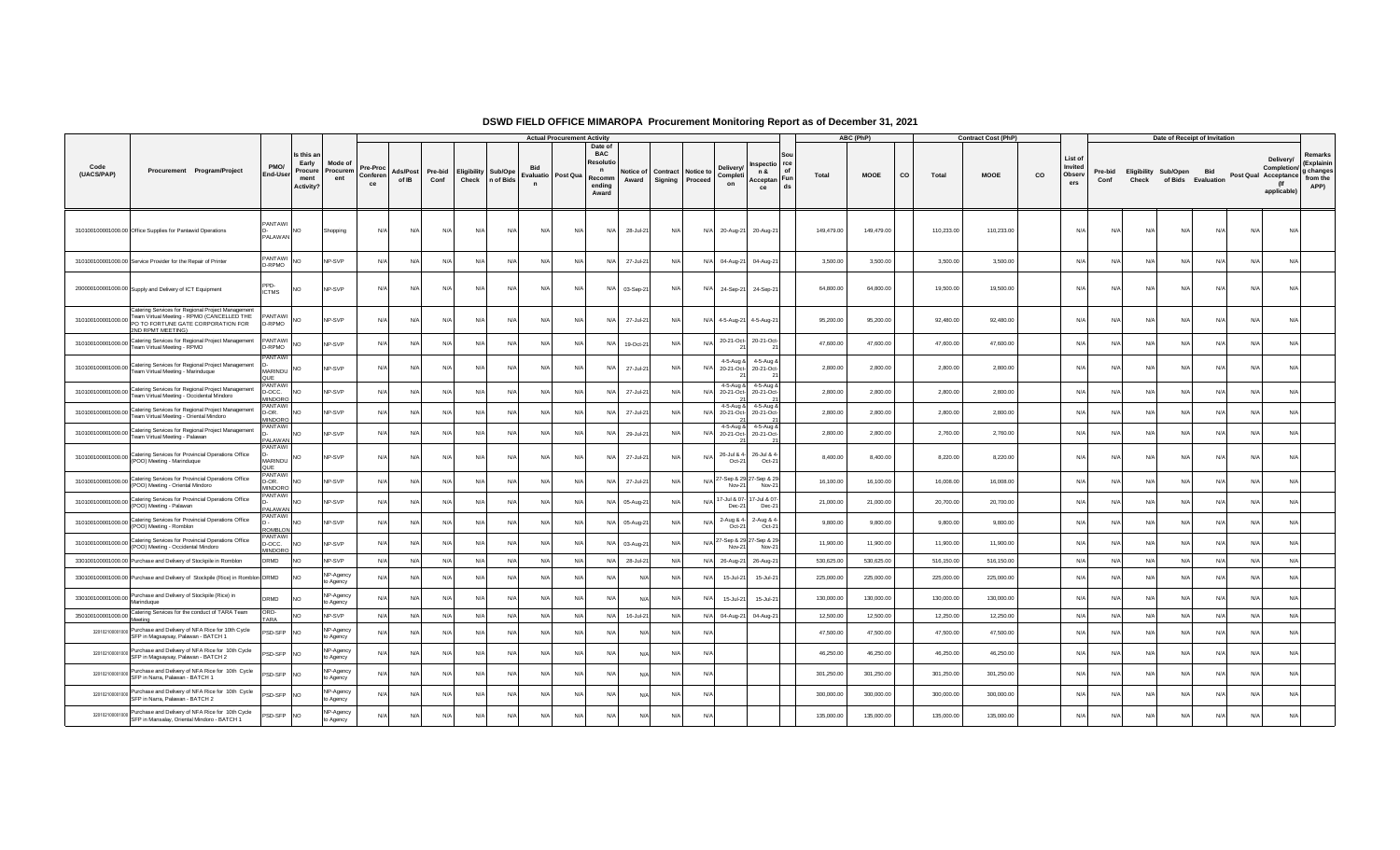|                    |                                                                                                                                                            |                                                 |                                                           |                           |                            |                   |                 |                                                 |          |                                   | <b>Actual Procurement Activity</b> |                                                                              |                    |                                              |            |                              |                                          |          |            | ABC (PhP)   |           |            | <b>Contract Cost (PhP)</b> |    |                                     |                 |       | Date of Receipt of Invitation              |            |     |                                                                 |                                                        |
|--------------------|------------------------------------------------------------------------------------------------------------------------------------------------------------|-------------------------------------------------|-----------------------------------------------------------|---------------------------|----------------------------|-------------------|-----------------|-------------------------------------------------|----------|-----------------------------------|------------------------------------|------------------------------------------------------------------------------|--------------------|----------------------------------------------|------------|------------------------------|------------------------------------------|----------|------------|-------------|-----------|------------|----------------------------|----|-------------------------------------|-----------------|-------|--------------------------------------------|------------|-----|-----------------------------------------------------------------|--------------------------------------------------------|
| Code<br>(UACS/PAP) | Procurement Program/Project                                                                                                                                | PMO/<br>End-User                                | Is this a<br>Early<br>Procure<br>ment<br><b>Activity?</b> | Mode o<br>Procurem<br>ent | Pre-Proc<br>Conferen<br>ce | Ads/Post<br>of IB | Pre-bid<br>Conf | <b>Eligibility Sub/Ope</b><br>Check   n of Bids |          | Evaluatio Post Qua<br>$\mathbf n$ |                                    | Date of<br><b>BAC</b><br>Resolu<br>$\mathsf{n}$<br>Recomm<br>endina<br>Award | Notice of<br>Award | <b>Contract Notice to</b><br>Signing Proceed |            | Delivery<br>Completi<br>on   | spectio rce<br>n &<br>Acceptan Fun<br>ce | of<br>ds | Total      | <b>MOOE</b> | <b>CO</b> | Total      | <b>MOOE</b>                | co | List of<br>Invited<br>Observ<br>ers | Pre-bid<br>Conf | Check | Eligibility Sub/Open<br>of Bids Evaluation | <b>Bid</b> |     | Delivery/<br>Completion/<br>Post Qual Acceptance<br>applicable) | Remarks<br>(Explainir<br>g changes<br>from the<br>APP) |
|                    | 310100100001000.00 Office Supplies for Pantawid Operations                                                                                                 | PANTAWI<br><b>PALAWAN</b>                       | <b>NO</b>                                                 | Shopping                  | N/L                        | N/A               | N/A             | N/A                                             | N/A      | N/A                               | N/L                                | N/A                                                                          | 28-Jul-21          | N/A                                          | $N/\Delta$ | 20-Aug-21                    | 20-Aug-21                                |          | 149,479.00 | 149,479.00  |           | 110,233.00 | 110,233.00                 |    | N                                   | N/f             | N/l   | N/A                                        | N/A        |     | N/A                                                             |                                                        |
|                    | 310100100001000.00 Service Provider for the Repair of Printer                                                                                              | PANTAWI<br>D-RPMO                               | N <sub>O</sub>                                            | NP-SVP                    | N/A                        | N/A               | N/              | N/A                                             | N/A      | N/f                               | N/f                                | N/A                                                                          | 27-Jul-21          | N/A                                          | N/         | 04-Aug-21                    | 04-Aug-21                                |          | 3,500.00   | 3,500.00    |           | 3,500.00   | 3,500.00                   |    | N                                   | N/4             | N/    | $N/\Delta$                                 | N/A        | Nl  | N/A                                                             |                                                        |
|                    | 200000100001000.00 Supply and Delivery of ICT Equipment                                                                                                    | PPD-<br><b>ICTMS</b>                            | <b>NO</b>                                                 | NP-SVP                    | N/A                        | N/A               | $N/\Delta$      | N/A                                             | N/A      | N/A                               | N/f                                | N/A                                                                          | 03-Sep-21          | N/A                                          | N/A        | 24-Sep-21                    | 24-Sep-21                                |          | 64,800.00  | 64,800.00   |           | 19,500.00  | 19,500.00                  |    | $N/\ell$                            | N/L             | N/l   | $N/\Delta$                                 | N/A        | N/A | N/A                                                             |                                                        |
| 310100100001000.00 | Catering Services for Regional Project Management<br>Team Virtual Meeting - RPMO (CANCELLED THE<br>PO TO FORTUNE GATE CORPORATION FOR<br>2ND RPMT MEETING) | <b>ANTAWI</b><br>-RPMO                          | <b>NO</b>                                                 | NP-SVP                    | N/A                        | N/A               | N/A             | N/A                                             | N/A      | N/f                               | N/f                                | N/A                                                                          | 27-Jul-21          | N/A                                          |            | N/A 4-5-Aug-21               | 4-5-Aug-21                               |          | 95,200.00  | 95,200.00   |           | 92,480.00  | 92,480.00                  |    | N/                                  | N               | N/    | N/A                                        | N/A        | N/A | N/A                                                             |                                                        |
|                    | 310100100001000.00 Catering Services for Regional Project Management<br>Team Virtual Meeting - RPMO                                                        | PANTAWI<br>D-RPMO                               | <b>NO</b>                                                 | NP-SVP                    | N/A                        | N/A               | $N/\ell$        | N/A                                             | $N$ /    | N/l                               | N/L                                | N/A                                                                          | 19-Oct-21          | N/A                                          | N/         | 20-21-Oct-                   | 20-21-Oct-<br>21                         |          | 47,600.00  | 47,600.00   |           | 47,600.00  | 47,600.00                  |    | $N/\ell$                            | N/              | $N$ / | N/A                                        | $N/\Delta$ | NI/ | N/A                                                             |                                                        |
|                    | 310100100001000.00 Catering Services for Regional Project Management<br>Team Virtual Meeting - Marinduque                                                  | PANTAWI<br>MARINDU                              | <b>NO</b>                                                 | NP-SVP                    | N/A                        | N/A               | $N/\Delta$      | N/A                                             | N/A      | N/l                               | N/f                                | N/A                                                                          | 27-Jul-21          | N/A                                          | $N$ /      | $4-5-$ Aug $8$<br>20-21-Oct- | $4 - 5 - A$ un $8$<br>20-21-Oct-         |          | 2,800.00   | 2,800.00    |           | 2,800.00   | 2,800.00                   |    | N                                   | N/L             | N/l   | $N/\Delta$                                 | N/A        | N/A | N/A                                                             |                                                        |
| 310100100001000.00 | Catering Services for Regional Project Management<br>Team Virtual Meeting - Occidental Mindoro                                                             | <b>PANTAW</b><br>D-OCC.<br><b><i>INDORC</i></b> | <b>NO</b>                                                 | NP-SVP                    | N/A                        | N/A               | $N/\ell$        | N/A                                             | N/A      | N/l                               | N/A                                | N/A                                                                          | 27-Jul-21          | N/A                                          | N/         | 4-5-Aug &<br>20-21-Oct-      | 4-5-Aug 8<br>20-21-Oct-                  |          | 2,800.00   | 2,800.00    |           | 2,800.00   | 2,800.00                   |    | N                                   | N               | N/    | $N/\Delta$                                 | N/A        | Nl  | N/A                                                             |                                                        |
| 310100100001000.00 | Catering Services for Regional Project Management<br>Team Virtual Meeting - Oriental Mindoro                                                               | <b>ANTAWI</b><br>D-OR.<br><b>MINDORO</b>        | <b>NO</b>                                                 | NP-SVP                    | N/A                        | N/A               | N/A             | N/A                                             | N/A      | N/A                               | $N/\ell$                           | N/A                                                                          | 27-Jul-21          | N/A                                          | N/         | 4-5-Aug &<br>20-21-Oct-      | 4-5-Aug 8<br>20-21-Oct-                  |          | 2,800.00   | 2,800.00    |           | 2,800.00   | 2,800.00                   |    | $N$ /                               | N/L             | N/l   | N/A                                        | N/A        | NI/ | N/A                                                             |                                                        |
|                    | 310100100001000.00 Catering Services for Regional Project Management<br>Team Virtual Meeting - Palawan                                                     | PANTAWI<br>PALAWAN                              | <b>NO</b>                                                 | NP-SVP                    | N/A                        | N/A               | N/L             | N/A                                             | N/A      | N/A                               | N/f                                | N/A                                                                          | 29-Jul-21          | N/A                                          | N/         | 4-5-Aug &<br>20-21-Oct-      | 4-5-Aug &<br>20-21-Oct-                  |          | 2,800.00   | 2,800.00    |           | 2,760.00   | 2,760.00                   |    | N                                   | N/L             | N/l   | $N/\Delta$                                 | $N/\Delta$ | Nl  | N/A                                                             |                                                        |
|                    | 310100100001000.00 Catering Services for Provincial Operations Office<br>(POO) Meeting - Marinduque                                                        | PANTAWI<br>MARINDU<br>OUF                       | <b>NO</b>                                                 | NP-SVP                    | N/A                        | N/A               | N/A             | N/A                                             | $N/\ell$ | N/f                               | N/f                                | N/A                                                                          | 27-Jul-21          | N/A                                          | N/         | 26-Jul & 4<br>Oct-2          | 26-Jul & 4<br>$Oct-21$                   |          | 8,400.00   | 8,400.00    |           | 8,220.00   | 8,220.00                   |    | N/                                  | N               | N/    | N/f                                        | N/A        | N/4 | N/A                                                             |                                                        |
| 310100100001000.00 | Catering Services for Provincial Operations Office<br>(POO) Meeting - Oriental Mindoro                                                                     | PANTAWI<br>D-OR.<br><b>MINDORO</b>              | <b>NO</b>                                                 | NP-SVP                    | N/A                        | N/A               | N/L             | N/A                                             | $N/\ell$ | N/l                               | N/A                                | N/A                                                                          | 27-Jul-21          | N/A                                          |            | Nov-21                       | 27-Sep & 29 27-Sep & 29<br>Nov-21        |          | 16,100.00  | 16,100.00   |           | 16,008.00  | 16,008.00                  |    | N/                                  | N               | N     | N/I                                        |            |     | N/A                                                             |                                                        |
| 310100100001000.00 | Catering Services for Provincial Operations Office<br>(POO) Meeting - Palawan                                                                              | <b>PANTAWI</b><br><b>PALAWAN</b>                | <b>NO</b>                                                 | NP-SVP                    | N/f                        | N/A               | N/L             | N/A                                             | N/A      | N/f                               | N/f                                | N/A                                                                          | 05-Aug-21          | N/A                                          | N/         | 17-Jul & 07<br>Dec-21        | -Jul & 07-<br>Dec-21                     |          | 21,000.00  | 21,000.00   |           | 20,700.00  | 20,700.00                  |    | N                                   | N               | N/    | $N/\Delta$                                 | N/A        |     | N/A                                                             |                                                        |
|                    | 310100100001000.00 Catering Services for Provincial Operations Office<br>(POO) Meeting - Romblon                                                           | PANTAWI<br><b>ROMBLON</b>                       | N <sub>O</sub>                                            | NP-SVP                    | N/A                        | N/A               | N/f             | N/A                                             | N/A      | N/f                               | N                                  | N/A                                                                          | 05-Aug-21          | N/A                                          | N/         | 2-Aug & 4<br>Oct-2           | 2-Aug & 4<br>Oct-21                      |          | 9,800.00   | 9,800.00    |           | 9,800.00   | 9,800.00                   |    | N                                   | N               | N/    | N/A                                        | N/A        | N/  | N/A                                                             |                                                        |
| 310100100001000.00 | Catering Services for Provincial Operations Office<br>(POO) Meeting - Occidental Mindoro                                                                   | ANTAWI<br>D-OCC.<br>MINDORO                     | <b>NO</b>                                                 | NP-SVP                    | N/A                        | N/A               | $N/\ell$        | N/A                                             | N/A      | N/A                               | N/f                                | N/A                                                                          | 03-Aug-21          | N/A                                          | N/l        | 27-Sep & 29<br>Nov-2         | -Sep & 29<br>Nov-21                      |          | 11,900.00  | 11,900.00   |           | 11,900.00  | 11,900.00                  |    | N                                   | N/L             | N/l   | N/A                                        | N/A        | Nl  | N/A                                                             |                                                        |
|                    | 330100100001000.00 Purchase and Delivery of Stockpile in Romblon                                                                                           | DRMD                                            | <b>NO</b>                                                 | NP-SVP                    | N/A                        | N/A               | N/A             | N/A                                             | N/A      | N/A                               | N/A                                | N/A                                                                          | 28-Jul-21          | N/A                                          | N/A        | 26-Aug-21                    | 26-Aug-21                                |          | 530,625.00 | 530,625.00  |           | 516,150.00 | 516,150.00                 |    | N/A                                 | N/A             | N/A   | N/A                                        | N/A        | N/l | N/A                                                             |                                                        |
|                    | 330100100001000.00 Purchase and Delivery of Stockpile (Rice) in Romblon DRMD                                                                               |                                                 | <b>NO</b>                                                 | NP-Agency<br>to Agency    | N/A                        | N/A               | $N/\ell$        | N/A                                             | N/A      | N/A                               | N/f                                | N/A                                                                          | N/A                | N/A                                          | N/         | 15-Jul-21                    | 15-Jul-21                                |          | 225,000.00 | 225,000.00  |           | 225,000.00 | 225,000.00                 |    | N                                   | N               | N/    | N/A                                        | N/A        |     | N/A                                                             |                                                        |
| 330100100001000.00 | Purchase and Delivery of Stockpile (Rice) in<br>Marinduque                                                                                                 | DRMD                                            | N <sub>O</sub>                                            | NP-Agency<br>to Agency    | N/A                        | N/A               | N/A             | N/A                                             | N/A      | N/A                               | N/L                                | N/A                                                                          | N/A                | N/A                                          | N/         | 15-Jul-21                    | 15-Jul-21                                |          | 130,000.00 | 130,000.00  |           | 130,000.00 | 130,000.00                 |    | N                                   | N/L             | N/l   | N/A                                        | $N/\Delta$ |     | N/A                                                             |                                                        |
| 350100100001000.00 | Catering Services for the conduct of TARA Team<br>Meeting                                                                                                  | ORD-<br>ARA                                     | N <sub>O</sub>                                            | NP-SVP                    | N/A                        | N/A               | N/A             | N/A                                             | N/A      | N/A                               | N/A                                | N/A                                                                          | 16-Jul-21          | N/A                                          | N/l        | 04-Aug-21                    | 04-Aug-21                                |          | 12,500.00  | 12,500.00   |           | 12,250.00  | 12,250.00                  |    | N/A                                 | N/L             | N/A   | N/A                                        | N/A        | N/L | N/A                                                             |                                                        |
| 320102100001       | Purchase and Delivery of NFA Rice for 10th Cycle<br>SFP in Magsaysay, Palawan - BATCH 1                                                                    | SD-SFP NO                                       |                                                           | NP-Agency<br>to Agency    | N/L                        | N/A               | $N/\ell$        | N/A                                             | N/A      | N/l                               | N/                                 | N/L                                                                          | N/A                | N/A                                          | N.         |                              |                                          |          | 47,500.00  | 47,500.00   |           | 47,500.00  | 47,500.00                  |    | N                                   | N               | N     | N/L                                        | $N/\Delta$ | Nl  | N/A                                                             |                                                        |
| 3201021000010      | Purchase and Delivery of NFA Rice for 10th Cycle<br>SFP in Magsaysay, Palawan - BATCH 2                                                                    | SD-SFP                                          | <b>NO</b>                                                 | NP-Agency<br>to Agency    | N/L                        | N/A               | N               | N/A                                             | N/A      | N/l                               | N                                  | N/A                                                                          | N/A                | N/A                                          | N.         |                              |                                          |          | 46,250.00  | 46,250.00   |           | 46,250.00  | 46,250.00                  |    | N                                   | N               | N/    | N/A                                        | N/A        |     | N/A                                                             |                                                        |
| 32010210000100     | Purchase and Delivery of NFA Rice for 10th Cycle<br>SFP in Narra, Palawan - BATCH 1                                                                        | SD-SFP                                          | <b>NO</b>                                                 | NP-Agency<br>to Agency    | N/A                        | N/A               | N/A             | N/A                                             | N/A      | N/A                               | N/f                                | N/A                                                                          | N/A                | N/A                                          | N/         |                              |                                          |          | 301,250.00 | 301,250.00  |           | 301,250.00 | 301,250.00                 |    | $N$ /                               | N/L             | N/A   | N/A                                        | $N/\Delta$ | NI/ | N/A                                                             |                                                        |
| 32010210000100     | Purchase and Delivery of NFA Rice for 10th Cycle<br>SFP in Narra, Palawan - BATCH 2                                                                        | SD-SFP                                          | <b>NO</b>                                                 | NP-Agency<br>o Agency     | N/                         | N/l               |                 | N/                                              | N        | N/                                | N                                  | N/L                                                                          | N/A                | N                                            | N.         |                              |                                          |          | 300,000.00 | 300,000.00  |           | 300,000.00 | 300,000.00                 |    | N                                   | N/              | N     |                                            |            |     | N/A                                                             |                                                        |
| 320102100001000    | Purchase and Delivery of NFA Rice for 10th Cycle<br>SFP in Mansalay, Oriental Mindoro - BATCH 1                                                            | <b>SD-SFP</b>                                   | <b>NO</b>                                                 | NP-Agency<br>Agency       | N/A                        | N/A               | $N/\Delta$      | N/A                                             | N/A      | N/A                               | N/L                                | N/A                                                                          | N/A                | N/A                                          | N/l        |                              |                                          |          | 135,000.00 | 135,000.00  |           | 135,000.00 | 135,000.00                 |    | N/A                                 | N               | N/    | N/A                                        | N/A        | N/A | N/A                                                             |                                                        |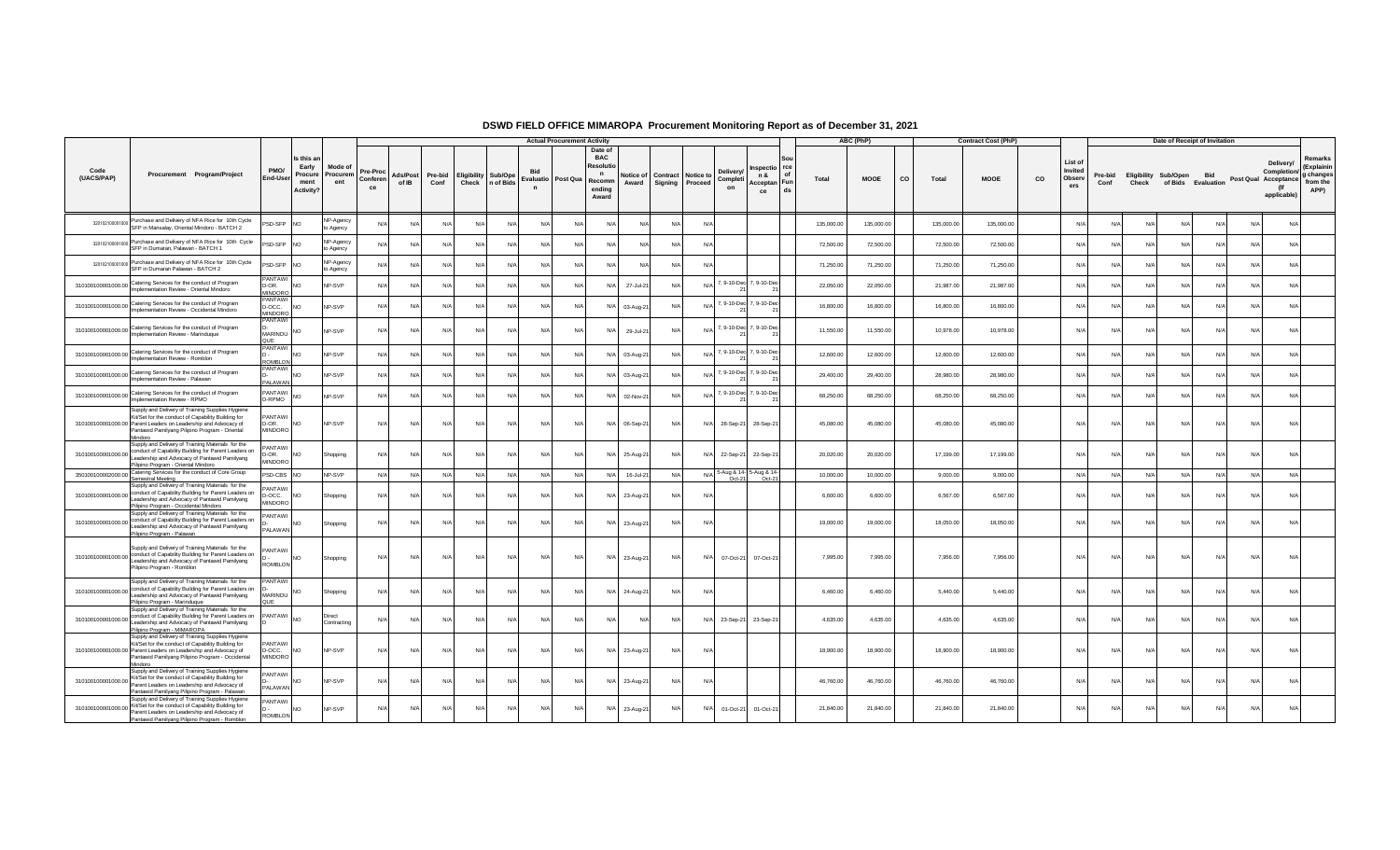|                    |                                                                                                                                                                                                                                          |                                          |                                                    |                            |                                   |                   |                 |                                     |           |                                                             | <b>Actual Procurement Activity</b>                                 |     |                    |         |                                                                           |                                                       |            | ABC (PhP)   |    |            | <b>Contract Cost (PhP)</b> |             |                                     |                 |       | Date of Receipt of Invitation                     |            |            |                                                                 |                                                        |
|--------------------|------------------------------------------------------------------------------------------------------------------------------------------------------------------------------------------------------------------------------------------|------------------------------------------|----------------------------------------------------|----------------------------|-----------------------------------|-------------------|-----------------|-------------------------------------|-----------|-------------------------------------------------------------|--------------------------------------------------------------------|-----|--------------------|---------|---------------------------------------------------------------------------|-------------------------------------------------------|------------|-------------|----|------------|----------------------------|-------------|-------------------------------------|-----------------|-------|---------------------------------------------------|------------|------------|-----------------------------------------------------------------|--------------------------------------------------------|
| Code<br>(UACS/PAP) | Procurement Program/Project                                                                                                                                                                                                              | PMO/<br>End-Use                          | Is this a<br>Early<br>Procure<br>ment<br>Activity? | Mode of<br>Procurem<br>ent | <b>Pre-Proc</b><br>Conferen<br>ce | Ads/Post<br>of IB | Pre-bid<br>Conf | <b>Eligibility Sub/Ope</b><br>Check | n of Bids | <b>Bid</b><br>Evaluatio   Post Qua   Recomm<br>$\mathsf{n}$ | Date o<br><b>BAC</b><br>Resoluti<br>$\mathbf n$<br>ending<br>Award |     | Notice of<br>Award | Signing | <b>Delivery</b><br><b>Contract Notice to</b><br>Completi<br>Proceed<br>on | nspectio rce<br>n &<br>of<br>Acceptan Fun<br>ds<br>ce | Total      | <b>MOOE</b> | CO | Total      | <b>MOOE</b>                | $_{\rm co}$ | List of<br>Invited<br>Observ<br>ers | Pre-bid<br>Conf | Check | <b>Eligibility Sub/Open</b><br>of Bids Evaluation | <b>Bid</b> |            | Delivery/<br>Completion/<br>Post Qual Acceptance<br>applicable) | Remarks<br>(Explainin<br>g changes<br>from the<br>APP) |
|                    | 320102100001000 Purchase and Delivery of NFA Rice for 10th Cycle<br>SFP in Mansalay, Oriental Mindoro - BATCH 2                                                                                                                          | <b>SD-SFP</b>                            | <b>NO</b>                                          | NP-Agency<br>o Agency      | N                                 | N/A               | N/A             | N/l                                 | N         | N/A                                                         | N/A                                                                | N/A |                    |         | N/A                                                                       |                                                       | 135,000.00 | 135,000.00  |    | 135,000.00 | 135,000.00                 |             | N/l                                 | N/l             | N/    | N/A                                               | N/A        |            | N/A<br>N/A                                                      |                                                        |
|                    | 320102100001000 Purchase and Delivery of NFA Rice for 10th Cycle<br>SFP in Dumaran, Palawan - BATCH 1                                                                                                                                    | <b>SD-SFP</b>                            | <b>INO</b>                                         | NP-Agency<br>o Agency      | N/L                               | N/l               | N/A             | N/                                  | N         | $N/\Delta$                                                  | $N/\Delta$                                                         | N/A | N/L                |         | $N/\Delta$                                                                |                                                       | 72,500.00  | 72,500.00   |    | 72,500.00  | 72,500.00                  |             | N                                   | N/              | N/    | $N/\Delta$                                        |            | $N/\Delta$ | N/A                                                             |                                                        |
|                    | 320102100001000 Purchase and Delivery of NFA Rice for 10th Cycle<br>SFP in Dumaran Palawan - BATCH 2                                                                                                                                     | PSD-SFP NO                               |                                                    | NP-Agency<br>o Agency      | N                                 | N/A               | N/A             | N/4                                 | N/        | N/A                                                         | N/A                                                                | N/A | N/A                |         | N/A                                                                       |                                                       | 71,250.00  | 71,250.00   |    | 71,250.00  | 71,250.00                  |             | N/l                                 | N/              | N     | N/A                                               | N/         | N/A        | N/A                                                             |                                                        |
|                    | 310100100001000.00 Catering Services for the conduct of Program<br>Implementation Review - Oriental Mindoro                                                                                                                              | PANTAW<br>D-OR.<br>MINDORC               | <b>NC</b>                                          | <b>NP-SVP</b>              | $N/\ell$                          | N/A               | N/A             | $N/\Delta$                          | N/4       | N/A                                                         | N/A                                                                | N/A | 27-Jul-21          | N/l     | N/A 7, 9-10-Dec 7, 9-10-Dec                                               |                                                       | 22,050.00  | 22,050.00   |    | 21,987.00  | 21,987.00                  |             | $N/\Delta$                          | N/l             | N/    | N/A                                               | N/L        | $N/\Delta$ | N/A                                                             |                                                        |
|                    | 310100100001000.00 Catering Services for the conduct of Program<br>Implementation Review - Occidental Mindoro                                                                                                                            | <b>PANTAW</b><br>D-OCC.<br><b>MINDOR</b> | <b>NO</b>                                          | NP-SVP                     | N                                 | N/A               | N/A             | N/                                  | N/        | N/A                                                         | N/A                                                                | N/A | 03-Aug-2           |         | N/A 7, 9-10-Dec 7, 9-10-Dec                                               |                                                       | 16,800.00  | 16,800.00   |    | 16,800.00  | 16,800.00                  |             | N                                   |                 | N.    | N/L                                               |            | N/A        | N/A                                                             |                                                        |
|                    | 310100100001000.00 Catering Services for the conduct of Program<br>Implementation Review - Marinduque                                                                                                                                    | <b>PANTAW</b><br><b>MARINDU</b><br>OUF   | N <sub>O</sub>                                     | NP-SVP                     | $N/\ell$                          | N/A               | N/A             | N/A                                 | N         | N/A                                                         | N/A                                                                | N/A | 29-Jul-21          | N/A     | N/A 7, 9-10-Dec 7, 9-10-Dec                                               |                                                       | 11,550.00  | 11,550.00   |    | 10,978.00  | 10,978.00                  |             | N/L                                 | N/A             | N/L   | N/A                                               | N/A        | N/A        | N/A                                                             |                                                        |
|                    | 310100100001000.00 Catering Services for the conduct of Program<br>Implementation Review - Romblon                                                                                                                                       | PANTAW<br><b>ROMBLON</b>                 | <b>NO</b>                                          | NP-SVP                     | N/L                               | N/l               | N/A             | N/                                  | N         | N/l                                                         | N/l                                                                | N/A | 03-Aug-2           |         | N/A 7, 9-10-Dec 7, 9-10-Dec                                               |                                                       | 12,600.00  | 12,600.00   |    | 12,600.00  | 12,600.00                  |             | N                                   |                 | N     | N/A                                               |            | $N/\Delta$ | N/A                                                             |                                                        |
|                    | 310100100001000.00 Catering Services for the conduct of Program<br>Implementation Review - Palawan                                                                                                                                       | PANTAWI<br>PALAWAN                       | <b>NO</b>                                          | <b>NP-SVP</b>              | N                                 | N/A               | N/A             | N/A                                 | N         | N/A                                                         | N/A                                                                | N/A | 03-Aug-21          | N/      | N/A                                                                       | 7, 9-10-Dec 7, 9-10-Dec                               | 29,400.00  | 29,400.00   |    | 28,980.00  | 28,980.00                  |             | N/l                                 | N/              | N/    | N/A                                               | N/         | N/A        | N/A                                                             |                                                        |
|                    | 310100100001000.00 Catering Services for the conduct of Program<br>Implementation Review - RPMO                                                                                                                                          | PANTAWI<br>D-RPMO                        | <b>NO</b>                                          | NP-SVP                     | N                                 | N/l               | N/A             |                                     | N         | N/A                                                         | N/A                                                                | N/A | 02-Nov-2           |         | N/A 7, 9-10-Dec 7, 9-10-Dec                                               |                                                       | 68,250.00  | 68,250.00   |    | 68,250.00  | 68,250.00                  |             | N/L                                 | N/              | N     | N/A                                               |            | $N/\Delta$ | N/A                                                             |                                                        |
|                    | Supply and Delivery of Training Supplies Hygiene<br>Kit/Set for the conduct of Capability Building for<br>310100100001000.00 Parent Leaders on Leadership and Advocacy of<br>Pantawid Pamilyang Pilipino Program - Oriental<br>Mindoro   | PANTAWI<br>D-OR.<br>MINDORO              | <b>NO</b>                                          | NP-SVP                     | N/f                               | N/A               | N/A             | N/A                                 | $N/\ell$  | N/A                                                         | N/A                                                                | N/A | 06-Sep-21          | N/A     | N/A                                                                       | 28-Sep-21 28-Sep-21                                   | 45,080.00  | 45,080.00   |    | 45,080.00  | 45,080.00                  |             | N/A                                 | N/A             | N/f   | N/A                                               | N/A        | N/A        | N/A                                                             |                                                        |
|                    | Supply and Delivery of Training Materials for the<br>310100100001000.00 conduct of Capability Building for Parent Leaders on<br>Leadership and Advocacy of Pantawid Pamilyang<br>Pilipino Program - Oriental Mindoro                     | PANTAWI<br>D-OR.<br><b>MINDORO</b>       | <b>NO</b>                                          | Shopping                   | N/                                | N/A               | N/A             | N/A                                 | N/4       | N/A                                                         | N/A                                                                | N/A | 25-Aug-21          | N/A     | N/A<br>22-Sep-21                                                          | 22-Sep-21                                             | 20,020.00  | 20,020.00   |    | 17,199.00  | 17,199.00                  |             | N/L                                 | $N/\Delta$      | $N$ / | N/A                                               | N/L        | $N/\Delta$ | N/A                                                             |                                                        |
|                    | 350100100002000.00 Catering Services for the conduct of Core Group<br>Semestral Meetino                                                                                                                                                  | <b>SD-CBS NO</b>                         |                                                    | NP-SVP                     | N/A                               | N/A               | N/A             | N/A                                 | N         | N/A                                                         | N/A                                                                | N/A | 16-Jul-21          | N/4     | N/A 5-Aug & 14- 5-Aug & 14-<br>Oct-21                                     | $Oct-21$                                              | 10,000.00  | 10,000.00   |    | 9,000.00   | 9,000.00                   |             | N/A                                 | N/A             | N     | N/A                                               | N/f        | N/A        | N/A                                                             |                                                        |
|                    | Supply and Delivery of Training Materials for the<br>310100100001000.00 conduct of Capability Building for Parent Leaders on<br>Leadership and Advocacy of Pantawid Pamilyang<br>Pilipino Program - Occidental Mindoro                   | PANTAWI<br>D-OCC.<br><b>MINDORO</b>      | <b>INO</b>                                         | Shopping                   | N/L                               | $N/\Delta$        | N/A             | $N/\Delta$                          | N         | $N/\Delta$                                                  | $N/\Delta$                                                         | N/A | 23-Aug-21          | N/l     | N/L                                                                       |                                                       | 6,600.00   | 6,600.00    |    | 6,567.00   | 6,567.00                   |             | N/L                                 | N/l             | N     | N/A                                               | N/L        | $N/\Delta$ | N/A                                                             |                                                        |
|                    | Supply and Delivery of Training Materials for the<br>310100100001000.00 conduct of Capability Building for Parent Leaders on<br>Leadership and Advocacy of Pantawid Pamilyang<br>Pilipino Program - Palawan                              | PANTAWI<br>PAI AWAN                      | <b>NO</b>                                          | Shopping                   | N                                 | N/A               | N/A             | N/A                                 | N         | N/A                                                         | $N/\Delta$                                                         | N/A | 23-Aug-21          | N/A     | $N/\Delta$                                                                |                                                       | 19,000.00  | 19,000.00   |    | 18,050.00  | 18,050.00                  |             | N/L                                 | N/l             | N/    | N/A                                               | N/L        | N/A        | N/A                                                             |                                                        |
|                    | Supply and Delivery of Training Materials for the<br>310100100001000.00 conduct of Capability Building for Parent Leaders on<br>Leadership and Advocacy of Pantawid Pamilyang<br>Pilipino Program - Romblon                              | PANTAWI<br><b>ROMBLON</b>                | <b>NO</b>                                          | Shopping                   | N                                 | N/A               | N/A             | N/A                                 | N         | N/A                                                         | N/A                                                                | N/A | 23-Aug-21          | N/A     | N/A<br>07-Oct-21                                                          | 07-Oct-21                                             | 7,995.00   | 7,995.00    |    | 7,956.00   | 7,956.00                   |             | N/l                                 | N/              | N/    | N/A                                               | N/L        | N/A        | N/A                                                             |                                                        |
|                    | Supply and Delivery of Training Materials for the<br>310100100001000.00 conduct of Capability Building for Parent Leaders on<br>Leadership and Advocacy of Pantawid Pamilyang<br>Pilipino Program - Marinduque                           | PANTAW<br>MARINDU                        | <b>NO</b>                                          | Shopping                   | N                                 | N/A               | N/A             | N/A                                 | N/        | N/A                                                         | N/A                                                                | N/A | 24-Aug-21          | N/A     | N/A                                                                       |                                                       | 6,460.00   | 6,460.00    |    | 5,440.00   | 5,440.00                   |             | N/A                                 | N/l             | N/    | N/A                                               | N/L        | N/A        | N/A                                                             |                                                        |
|                    | Supply and Delivery of Training Materials for the<br>310100100001000.00 conduct of Capability Building for Parent Leaders on<br>Pilipino Program - MIMAROPA                                                                              | PANTAWI                                  | <b>NO</b>                                          | Contracting                | N/                                | N/A               | N/A             | N/A                                 | N         | N/A                                                         | N/A                                                                | N/A | N/A                | N/A     | N/A<br>23-Sep-21                                                          | 23-Sep-21                                             | 4,635.00   | 4,635.00    |    | 4,635.00   | 4,635.00                   |             | N/A                                 | N/l             | N/    | N/A                                               | $N/\ell$   | N/A        | N/A                                                             |                                                        |
|                    | Supply and Delivery of Training Supplies Hygiene<br>Kit/Set for the conduct of Capability Building for<br>310100100001000.00 Parent Leaders on Leadership and Advocacy of<br>Pantawid Pamilyang Pilipino Program - Occidental<br>Mindoro | <b>PANTAWI</b><br>D-OCC.<br>MINDORO      | <b>NO</b>                                          | NP-SVP                     | N/L                               | N/A               | N/A             | N/A                                 | N         | N/A                                                         | N/A                                                                | N/A | 23-Aug-21          | N/A     | N/A                                                                       |                                                       | 18,900.00  | 18,900.00   |    | 18,900.00  | 18,900.00                  |             | N/A                                 | N/A             | N/L   | N/A                                               | N/A        | N/A        | N/A                                                             |                                                        |
|                    | Supply and Delivery of Training Supplies Hygiene<br>310100100001000.00 Kit/Set for the conduct of Capability Building for<br>Parent Leaders on Leadership and Advocacy of<br>Pantawid Pamilyang Pilipino Program - Palawan               | <b>PANTAWI</b><br><b>PALAWAN</b>         | <b>NO</b>                                          | NP-SVP                     | N                                 | N/A               | N/A             | N/A                                 | N         | N/A                                                         | N/A                                                                | N/A | 23-Aug-21          | N/A     | N/A                                                                       |                                                       | 46,760.00  | 46,760.00   |    | 46,760.00  | 46,760.00                  |             | N/l                                 |                 | N/    | N/A                                               | $N/\ell$   | N/A        | N/A                                                             |                                                        |
| 310100100001000.00 | Supply and Delivery of Training Supplies Hygiene<br>Kit/Set for the conduct of Capability Building for<br>Parent Leaders on Leadership and Advocacy of<br>Pantawid Pamilyang Pilipino Program - Romblon                                  | <b>PANTAWI</b><br><b>ROMBLON</b>         | <b>NO</b>                                          | NP-SVP                     | N/f                               | N/A               | N/A             | N/A                                 | N         | N/A                                                         | N/A                                                                | N/A | 23-Aug-21          | N/A     | N/A<br>01-Oct-21                                                          | 01-Oct-21                                             | 21,840.00  | 21,840.00   |    | 21,840.00  | 21,840.00                  |             | N/A                                 | N/l             | N/    | N/A                                               | $N/\ell$   | N/A        | N/A                                                             |                                                        |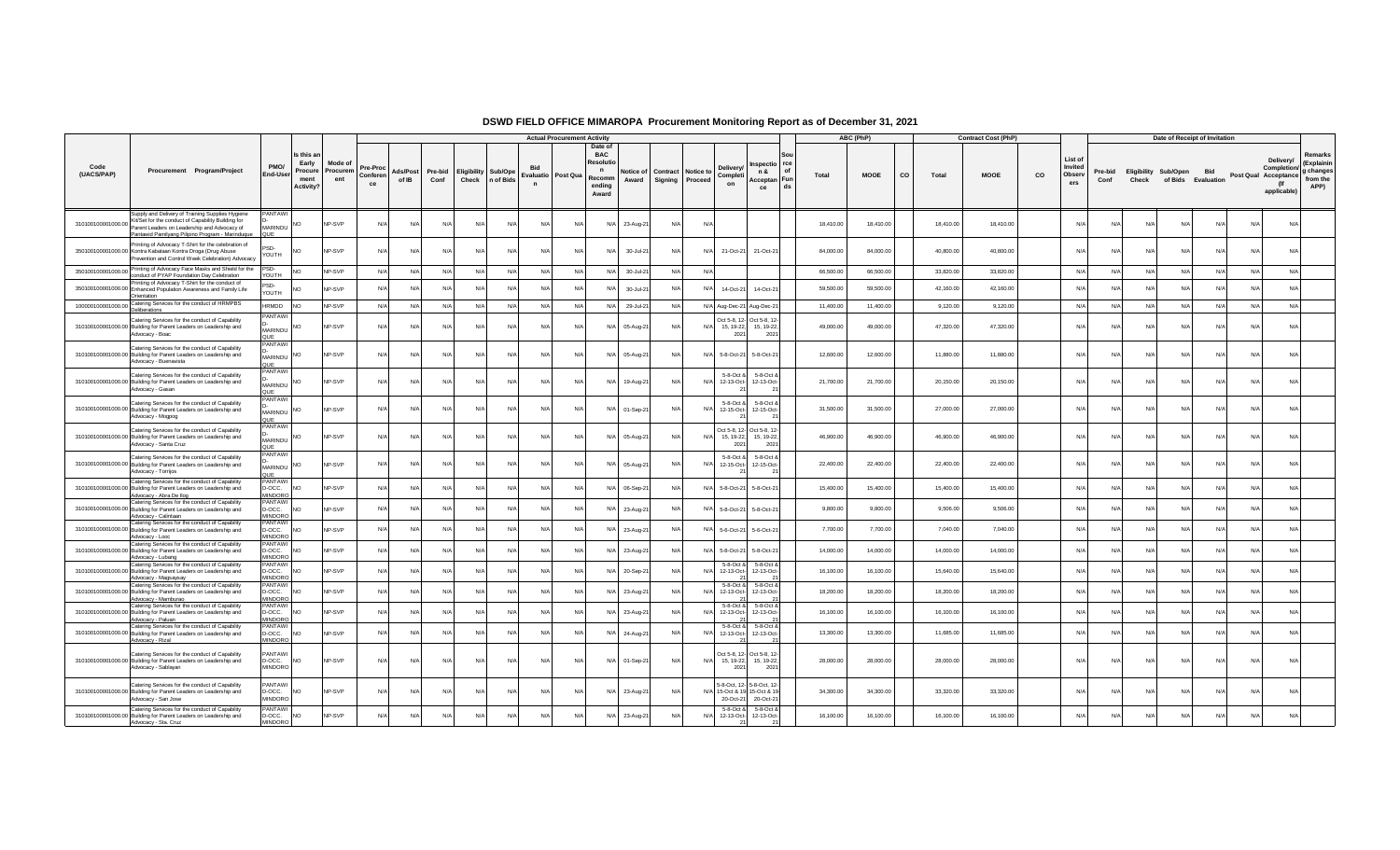|                    |                                                                                                                                                                                                            |                                           |                                                            |                            |                            |                   |                 |            |                                         |                          | <b>Actual Procurement Activity</b> |                                                                     |                    |            |                                                |                                    |                                                                       |           | ABC (PhP)   |    |           | <b>Contract Cost (PhP)</b> |    |                                     |                 |            | Date of Receipt of Invitation              |            |                      |                                                |                                                        |
|--------------------|------------------------------------------------------------------------------------------------------------------------------------------------------------------------------------------------------------|-------------------------------------------|------------------------------------------------------------|----------------------------|----------------------------|-------------------|-----------------|------------|-----------------------------------------|--------------------------|------------------------------------|---------------------------------------------------------------------|--------------------|------------|------------------------------------------------|------------------------------------|-----------------------------------------------------------------------|-----------|-------------|----|-----------|----------------------------|----|-------------------------------------|-----------------|------------|--------------------------------------------|------------|----------------------|------------------------------------------------|--------------------------------------------------------|
| Code<br>(UACS/PAP) | Procurement Program/Project                                                                                                                                                                                | PMO/<br>End-Use                           | Is this ar<br>Early<br>Procure<br>ment<br><b>Activity?</b> | Mode of<br>Procurem<br>ent | Pre-Proc<br>Conferen<br>ce | Ads/Post<br>of IB | Pre-bid<br>Conf | Check      | <b>Eligibility Sub/Ope</b><br>n of Bids | Evaluatio<br>$\mathbf n$ | Post Qua                           | Date of<br><b>BAC</b><br>Resoluti<br>n<br>Recomm<br>endina<br>Award | Notice of<br>Award |            | <b>Contract   Notice to</b><br>Signing Proceed | <b>Delivery</b><br>Completi<br>on  | 1spectio rce<br>of<br>n &<br>Acceptan Fun<br>ds<br>ce                 | Total     | <b>MOOE</b> | CO | Total     | <b>MOOE</b>                | CO | List of<br>Invited<br>Observ<br>ers | Pre-bid<br>Conf | Check      | Eligibility Sub/Open<br>of Bids Evaluation | <b>Bid</b> | Post Qual Acceptance | Delivery/<br>Completion/<br>(lf<br>applicable) | Remarks<br>(Explainin<br>g changes<br>from the<br>APP) |
| 310100100001000.00 | Supply and Delivery of Training Supplies Hygiene<br>Kit/Set for the conduct of Capability Building for<br>Parent Leaders on Leadership and Advocacy of<br>Pantawid Pamilyang Pilipino Program - Marinduque | PANTAWI<br>MARINDU                        | <b>NO</b>                                                  | NP-SVP                     | N/A                        | N/A               | N/A             | N/A        | N/A                                     | N/A                      | N/A                                | N/A                                                                 | 23-Aug-21          | N/A        | N/A                                            |                                    |                                                                       | 18,410.00 | 18,410.00   |    | 18,410.00 | 18,410.00                  |    | N/A                                 | N/A             | N/A        | N/A                                        | N/A        | N/A                  | N/A                                            |                                                        |
|                    | rinting of Advocacy T-Shirt for the celebration of<br>350100100001000.00 Kontra Kabataan Kontra Droga (Drug Abuse<br>Prevention and Control Week Celebration) Advocacy                                     | psn.<br>YOUTH                             | N <sub>O</sub>                                             | NP-SVP                     | N/A                        | N/A               | N/A             | $N/\Delta$ | N                                       | N/A                      | N/A                                | N/A                                                                 | 30-Jul-21          | N/A        | N/A                                            | 21-Oct-21                          | 21-Oct-21                                                             | 84,000.00 | 84,000.00   |    | 40,800.00 | 40,800.00                  |    | N/L                                 | N/A             | N/A        | N/A                                        | N/A        | N/A                  | N/A                                            |                                                        |
|                    | 350100100001000.00 Printing of Advocacy Face Masks and Shield for the<br>conduct of PYAP Foundation Day Celebration                                                                                        | PSD-<br>YOUTH                             | <b>NO</b>                                                  | NP-SVP                     | N/A                        | N/A               | N/A             | N/A        | N/A                                     | N/A                      | N/A                                | N/A                                                                 | 30-Jul-21          | N/A        | $N/\Delta$                                     |                                    |                                                                       | 66,500.00 | 66,500.00   |    | 33,820.00 | 33,820.00                  |    | N/L                                 | N/A             | N/A        | N/A                                        | N/A        | N/A                  | N/A                                            |                                                        |
|                    | Printing of Advocacy T-Shirt for the conduct of<br>350100100001000.00 Enhanced Population Awareness and Family Life<br>Orientation                                                                         | esn.<br>YOUTH                             | <b>NO</b>                                                  | NP-SVP                     | N/A                        | N/f               | N/A             | N/l        | N                                       | N/A                      | N/A                                | N/A                                                                 | 30-Jul-21          | $N/\ell$   | N/                                             | 14-Oct-21                          | 14-Oct-21                                                             | 59,500.00 | 59,500.00   |    | 42,160.00 | 42,160.00                  |    | N                                   |                 | N/         |                                            | N/A        | N/A                  | N/A                                            |                                                        |
| 100000100001000.00 | Catering Services for the conduct of HRMPBS<br>Deliberations                                                                                                                                               | <b>HRMDD</b>                              | NO <sub>1</sub>                                            | NP-SVP                     | N/A                        | N/A               | N/A             | N/A        | N/A                                     | N/A                      | N/A                                | N/A                                                                 | 29-Jul-21          | N/A        |                                                |                                    | N/A Aug-Dec-21 Aug-Dec-21                                             | 11,400.00 | 11,400.00   |    | 9,120.00  | 9,120.00                   |    | N/A                                 | N/A             | N/A        | N/A                                        | N/A        | N/A                  | N/A                                            |                                                        |
|                    | Catering Services for the conduct of Capability<br>310100100001000.00 Building for Parent Leaders on Leadership and<br>Advocacy - Boac                                                                     | PANTAWI<br>MARINDU                        | N <sub>O</sub>                                             | NP-SVP                     | N/A                        | N/A               | N/A             | $N/\Delta$ | $N$ /                                   | N/A                      | N/A                                | N/A                                                                 | 05-Aug-21          | N/A        | $N/\Delta$                                     | 15, 19-22.<br>2021                 | Oct 5-8, 12- Oct 5-8, 12-<br>15, 19-22<br>2021                        | 49,000.00 | 49,000.00   |    | 47,320.00 | 47,320.00                  |    | N/L                                 | N/A             | N/A        | N/A                                        | N/A        | N/A                  | N/A                                            |                                                        |
|                    | Catering Services for the conduct of Capability<br>310100100001000.00 Building for Parent Leaders on Leadership and<br>Advocacy - Buenavista                                                               | <b>ANTAWI</b><br>MARINDU                  | NO                                                         | NP-SVP                     | N/A                        | N/L               | N/A             | N/A        | N                                       | N/A                      | N/A                                | N/A                                                                 | 05-Aug-21          | N/A        |                                                | N/A 5-8-Oct-21                     | 5-8-Oct-21                                                            | 12,600.00 | 12,600.00   |    | 11,880.00 | 11,880.00                  |    | N/                                  | N/A             | N/A        | N/A                                        | N/A        | N/A                  | N/A                                            |                                                        |
|                    | Catering Services for the conduct of Capability<br>310100100001000.00 Building for Parent Leaders on Leadership and<br>Advocacy - Gasan                                                                    | PANTAWI<br>MARINDU                        | <b>NO</b>                                                  | NP-SVP                     | N/A                        | N/A               | N/A             | N/A        | N                                       | N/A                      | N/A                                | N/A                                                                 | 19-Aug-21          | N/A        | N/l                                            | 5-8-Oct &<br>12-13-Oct-<br>21      | 5-8-Oct &<br>12-13-Oct-<br>21                                         | 21,700.00 | 21,700.00   |    | 20,150.00 | 20,150.00                  |    | N/                                  | $N/\Delta$      | N/A        | N/A                                        | N/A        | N/A                  | N/A                                            |                                                        |
|                    | Catering Services for the conduct of Capability<br>310100100001000.00 Building for Parent Leaders on Leadership and<br>Advocacy - Mogpog                                                                   | PANTAWI<br><b>MARINDU</b><br>QUE          | <b>NO</b>                                                  | NP-SVP                     | N/A                        | N/A               | N/A             | N/A        | $N$ /                                   | N/A                      | N/A                                | N/A                                                                 | 01-Sep-21          | N/A        | $N/\rho$                                       | 5-8-Oct &<br>12-15-Oct-<br>21      | 5-8-Oct &<br>12-15-Oct-<br>21                                         | 31,500.00 | 31,500.00   |    | 27,000.00 | 27,000.00                  |    | N/4                                 | N/A             | N/A        | N/A                                        | N/A        | N/A                  | N/A                                            |                                                        |
|                    | Catering Services for the conduct of Capability<br>310100100001000.00 Building for Parent Leaders on Leadership and<br>Advocacy - Santa Cruz                                                               | <b>PANTAWI</b><br>MARINDU<br>QUE          | <b>NO</b>                                                  | NP-SVP                     | N/A                        | N/A               | N/A             | N/A        | N/A                                     | N/A                      | N/A                                | N/A                                                                 | 05-Aug-21          | N/A        | $N/\Delta$                                     | 2021                               | Oct 5-8, 12- Oct 5-8, 12-<br>15, 19-22, 15, 19-22,<br>2021            | 46,900.00 | 46,900.00   |    | 46,900.00 | 46,900.00                  |    | N/l                                 | $N/\Delta$      | N/A        | N/A                                        | N/A        | N/A                  | N/A                                            |                                                        |
|                    | Catering Services for the conduct of Capability<br>310100100001000.00 Building for Parent Leaders on Leadership and<br>Advocacy - Torrijos                                                                 | PANTAWI<br><b>MARINDU</b><br>QUE          | <b>NO</b>                                                  | NP-SVP                     | $N/\Delta$                 | N/A               | N/A             | $N/\Delta$ | N/I                                     | $N/\Delta$               | $N/\Delta$                         | N/A                                                                 | 05-Aug-21          | $N/\Delta$ | $N/\Delta$                                     | 5-8-Oct &<br>12-15-Oct-            | 5-8-Oct &<br>12-15-Oct-<br>21                                         | 22,400.00 | 22,400.00   |    | 22,400.00 | 22,400.00                  |    | N/L                                 | $N/\Delta$      | $N/\Delta$ | $N/\Delta$                                 | N/A        | N/A                  | $N/\Delta$                                     |                                                        |
|                    | Catering Services for the conduct of Capability<br>310100100001000.00 Building for Parent Leaders on Leadership and<br>Advocacy - Abra De Ilog                                                             | PANTAWI<br>D-OCC.<br><b>MINDORO</b>       | <b>NO</b>                                                  | NP-SVP                     | $N/\Delta$                 | $N/\ell$          | N/A             | $N/\Delta$ | N                                       | $N/\Delta$               | $N/\Delta$                         | N/A                                                                 | 06-Sep-2           | N/A        |                                                | N/A 5-8-Oct-2                      | 5-8-Oct-21                                                            | 15,400.00 | 15,400.00   |    | 15,400.00 | 15,400.00                  |    | N/L                                 | $N/\Delta$      | $N/\Delta$ | $N/\Delta$                                 | N/A        | N/A                  | $N/\Delta$                                     |                                                        |
|                    | Catering Services for the conduct of Capability<br>310100100001000.00 Building for Parent Leaders on Leadership and<br>Advocacy - Calintaan                                                                | PANTAWI<br>D-OCC.<br><b>MINDORO</b>       | N <sub>O</sub>                                             | NP-SVP                     | N/A                        | N/f               | N/A             | N/A        | N                                       | N/A                      | N/A                                | N/A                                                                 | 23-Aug-21          |            |                                                | N/A 5-8-Oct-21                     | 5-8-Oct-21                                                            | 9,800.00  | 9,800.00    |    | 9,506.00  | 9,506.00                   |    | N                                   |                 | N/L        |                                            | N/A        | N/L                  | N/A                                            |                                                        |
|                    | Catering Services for the conduct of Capability<br>310100100001000.00 Building for Parent Leaders on Leadership and<br>Advocacy - Looc                                                                     | PANTAWI<br>D-OCC.<br>MINDORO              | <b>NO</b>                                                  | NP-SVP                     | N/A                        | N/L               | N/A             | $N/\Delta$ | N                                       | N/A                      | N/A                                | N/A                                                                 | 23-Aug-21          | N/A        |                                                | N/A 5-6-Oct-21                     | 5-6-Oct-21                                                            | 7.700.00  | 7,700.00    |    | 7.040.00  | 7.040.00                   |    | N/L                                 | $N/\Delta$      | $N/\Delta$ | $N/\Delta$                                 | N/A        | N/A                  | N/A                                            |                                                        |
|                    | Catering Services for the conduct of Capability<br>310100100001000.00 Building for Parent Leaders on Leadership and<br>Advocacy - Lubang                                                                   | PANTAWI<br>D-OCC.<br><b>MINDORC</b>       | N <sub>O</sub>                                             | NP-SVP                     | N/A                        | N/A               | N/A             | N/A        | N/A                                     | N/A                      | N/A                                | N/A                                                                 | $23-Auq-2$         | $N/\ell$   | N/A                                            | 5-8-Oct-21                         | 5-8-Oct-21                                                            | 14,000.00 | 14,000.00   |    | 14,000.00 | 14,000.00                  |    | N/                                  | N/A             | N/A        | N/A                                        | N/A        | $N/\ell$             | N/A                                            |                                                        |
|                    | Catering Services for the conduct of Capability<br>310100100001000.00 Building for Parent Leaders on Leadership and<br>Advocacy - Magsaysay                                                                | PANTAWI<br>D-OCC.<br><b>MINDORC</b>       | <b>NO</b>                                                  | <b>VP-SVP</b>              | N/l                        | N/f               | N/A             | N/l        | N                                       | N/A                      | N/l                                | N/L                                                                 | 20-Sep-21          |            |                                                | 5-8-Oct &<br>12-13-Oct-            | 5-8-Oct 8<br>12-13-Oct                                                | 16,100.00 | 16,100.00   |    | 15,640.00 | 15,640.00                  |    | N                                   |                 | N/         |                                            | N/A        | $N/\ell$             | N/A                                            |                                                        |
|                    | Catering Services for the conduct of Capability<br>310100100001000.00 Building for Parent Leaders on Leadership and<br>Advocacy - Mamburao                                                                 | PANTAWI<br>D-OCC.<br>MINDORO              | <b>NO</b>                                                  | NP-SVP                     | N/A                        | N/L               | N/A             | N/A        | N                                       | N/A                      | N/A                                | N/A                                                                 | 23-Aug-21          |            | N/                                             | 5-8-Oct &<br>12-13-Oct-            | 5-8-Oct 8<br>12-13-Oct-                                               | 18,200.00 | 18,200.00   |    | 18,200.00 | 18,200.00                  |    | N                                   | N               | $N/\ell$   | $N/\Delta$                                 | N/A        | N/A                  | N/A                                            |                                                        |
|                    | Catering Services for the conduct of Capability<br>310100100001000.00 Building for Parent Leaders on Leadership and<br>Advocacy - Palua                                                                    | PANTAWI<br>D-OCC.<br><b>MINDORC</b>       | <b>NO</b>                                                  | NP-SVP                     | N/A                        | N/f               | N/A             | N/A        | N/                                      | N/A                      | N/A                                | N/A                                                                 | 23-Aug-21          |            | N/                                             | 5-8-Oct &<br>12-13-Oct-            | 5-8-Oct &<br>12-13-Oct-                                               | 16,100.00 | 16,100.00   |    | 16,100.00 | 16,100.00                  |    | N/                                  | $N/\Delta$      | N/A        | N/l                                        | N/A        | N/A                  | N/A                                            |                                                        |
|                    | Catering Services for the conduct of Capability<br>310100100001000.00 Building for Parent Leaders on Leadership and<br>Advocacy - Rizal                                                                    | <b>ANTAWI</b><br>D-OCC.<br><b>MINDORO</b> | <b>NO</b>                                                  | NP-SVP                     | N/A                        | N/L               | N/A             | $N/\Delta$ | N                                       | N/A                      | N/A                                | N/A                                                                 | 24-Aug-21          | N/A        | N/A                                            | 5-8-Oct &<br>12-13-Oct-            | $5-8-Oct$<br>12-13-Oct-                                               | 13,300.00 | 13,300.00   |    | 11,685,00 | 11,685.00                  |    | N/                                  | $N/\Delta$      | N/A        | N/A                                        | N/A        | N/A                  | N/A                                            |                                                        |
|                    | Catering Services for the conduct of Capability<br>310100100001000.00 Building for Parent Leaders on Leadership and<br>Advocacy - Sablayan                                                                 | PANTAWI<br>D-OCC.<br>MINDORO              | <b>NO</b>                                                  | NP-SVP                     | N/A                        | N/A               | N/A             | N/A        | N/A                                     | N/A                      | N/A                                | N/A                                                                 | 01-Sep-21          | N/A        | N/A                                            | Oct 5-8, 12-<br>15, 19-22.<br>2021 | Oct 5-8, 12<br>15, 19-22,<br>2021                                     | 28,000.00 | 28,000.00   |    | 28,000.00 | 28,000.00                  |    | N/l                                 | N/A             | N/A        | N/A                                        | N/A        | N/A                  | N/A                                            |                                                        |
|                    | Catering Services for the conduct of Capability<br>310100100001000.00 Building for Parent Leaders on Leadership and<br>Advocacy - San Jose                                                                 | PANTAWI<br>D-OCC.<br>MINDORO              | <b>NO</b>                                                  | NP-SVP                     | N/A                        | N/f               | N/A             | N/A        | N/A                                     | N/A                      | N/A                                | N/A                                                                 | 23-Aug-21          | N/A        |                                                | 20-Oct-21                          | 5-8-Oct, 12- 5-8-Oct, 12-<br>N/A 15-Oct & 19 15-Oct & 19<br>20-Oct-21 | 34,300.00 | 34,300.00   |    | 33,320.00 | 33,320.00                  |    | N/l                                 | N/A             | N/A        | N/A                                        | N/A        | N/A                  | N/A                                            |                                                        |
|                    | Catering Services for the conduct of Capability<br>310100100001000.00 Building for Parent Leaders on Leadership and<br>Advocacy - Sta. Cruz                                                                | PANTAWI<br>D-OCC.<br><b>MINDORO</b>       | <b>NO</b>                                                  | NP-SVP                     | N/A                        | N/f               | N/A             | N/A        | N                                       | N/A                      | $N/\Delta$                         | N/A                                                                 | 23-Aug-21          |            | N/l                                            | 5-8-Oct &<br>12-13-Oct-            | 5-8-Oct 8<br>12-13-Oct-                                               | 16,100.00 | 16,100.00   |    | 16,100.00 | 16,100.00                  |    | N/                                  | $N/\Delta$      | N/A        |                                            | N/A        | N/A                  | N/A                                            |                                                        |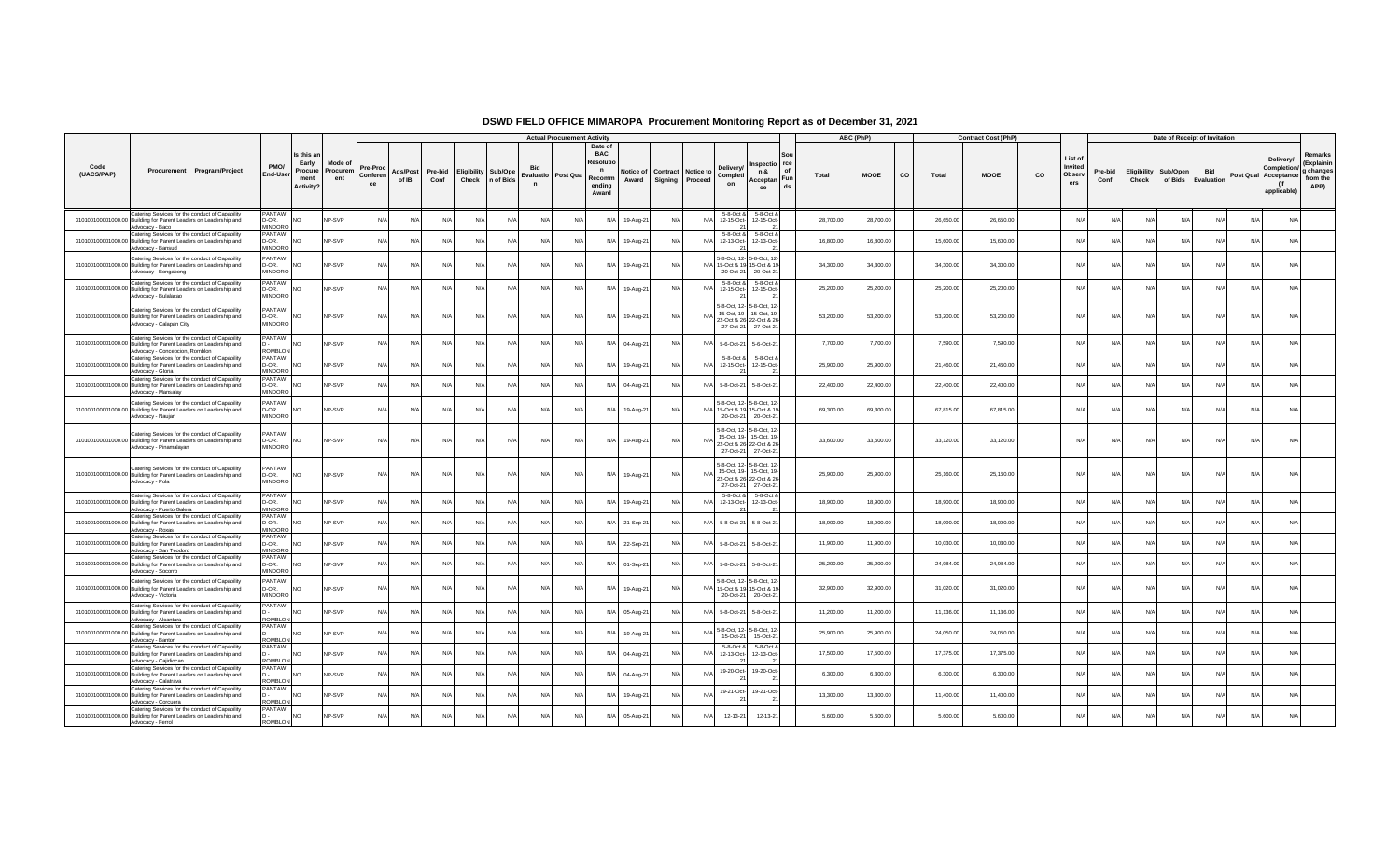|                    |                                                                                                                                                       |                                           |                                                           |                            |                            |                   |                 |                            |                 |             | <b>Actual Procurement Activity</b> |                                                                              |                    |                                       |     |                            |                                                                                                       |          |           | ABC (PhP)   |    |           | <b>Contract Cost (PhP)</b> |    |                                     |                 |       | Date of Receipt of Invitation              |            |            |                                                                        |                                                        |
|--------------------|-------------------------------------------------------------------------------------------------------------------------------------------------------|-------------------------------------------|-----------------------------------------------------------|----------------------------|----------------------------|-------------------|-----------------|----------------------------|-----------------|-------------|------------------------------------|------------------------------------------------------------------------------|--------------------|---------------------------------------|-----|----------------------------|-------------------------------------------------------------------------------------------------------|----------|-----------|-------------|----|-----------|----------------------------|----|-------------------------------------|-----------------|-------|--------------------------------------------|------------|------------|------------------------------------------------------------------------|--------------------------------------------------------|
| Code<br>(UACS/PAP) | Procurement Program/Project                                                                                                                           | PMO/<br>End-Use                           | Is this a<br>Early<br>Procure<br>ment<br><b>Activity?</b> | Mode of<br>Procurem<br>ent | Pre-Proc<br>Conferen<br>ce | Ads/Post<br>of IB | Pre-bid<br>Conf | <b>Eligibility Sub/Ope</b> | Check n of Bids | $\mathbf n$ | Evaluatio Post Qua                 | Date of<br><b>BAC</b><br>Resolut<br>$\mathbf n$<br>Recomm<br>endina<br>Award | Notice of<br>Award | Contract Notice to<br>Signing Proceed |     | Deliverv<br>Completi<br>on | Inspectio rce<br>n &<br>Acceptan Fun<br>ce                                                            | of<br>ds | Total     | <b>MOOE</b> | CO | Total     | <b>MOOE</b>                | co | List of<br>Invited<br>Obsery<br>ers | Pre-bid<br>Conf | Check | Eligibility Sub/Open<br>of Bids Evaluation | <b>Bid</b> |            | Delivery/<br>Completion/<br>Post Qual Acceptance<br>(If<br>applicable) | Remarks<br>(Explainin<br>g changes<br>from the<br>APP) |
|                    | Catering Services for the conduct of Capability<br>310100100001000.00 Building for Parent Leaders on Leadership and<br>Advocacy - Baco                | <b>ANTAWI</b><br>D-OR.<br><b>MINDORO</b>  | NO                                                        | <b>VP-SVP</b>              | N/A                        | N/f               | N/A             | N/A                        | N/A             | N/A         | N                                  | N/A                                                                          | 19-Aug-2           | $N/\Delta$                            | N.  | 5-8-Oct &<br>12-15-Oct-    | 5-8-Oct &<br>12-15-Oct-                                                                               |          | 28,700.00 | 28,700.00   |    | 26,650.00 | 26,650.00                  |    | N/                                  | N/              | N/l   | $N/\Delta$                                 | $N/\Delta$ | $N/\Delta$ | N/A                                                                    |                                                        |
|                    | Catering Services for the conduct of Capability<br>310100100001000.00 Building for Parent Leaders on Leadership and<br>Advocacy - Bansud              | <b>PANTAWI</b><br>D-OR.<br>MINDORO        | <b>NO</b>                                                 | NP-SVP                     | N/l                        | N                 | N/A             | N/A                        | N/              | N/4         | N/                                 | N/A                                                                          | 19-Aug-21          | N/A                                   | N/  | 5-8-Oct &<br>12-13-Oct-    | 5-8-Oct &<br>12-13-Oct-                                                                               |          | 16,800.00 | 16,800.00   |    | 15,600.00 | 15,600.00                  |    | N/                                  | N/              | N     | N/I                                        |            |            | N/A                                                                    |                                                        |
|                    | Catering Services for the conduct of Capability<br>310100100001000.00 Building for Parent Leaders on Leadership and<br>Advocacy - Bongabong           | PANTAWI<br>D-OR.<br>MINDORO               | <b>NO</b>                                                 | NP-SVP                     | N/A                        | N/A               | N/A             | N/A                        | N/l             | N/4         | N                                  | N/A                                                                          | 19-Aug-21          | N/A                                   | N/  | 20-Oct-21                  | 5-8-Oct, 12- 5-8-Oct, 12-<br>15-Oct & 19 15-Oct & 19<br>20-Oct-21                                     |          | 34,300.00 | 34,300.00   |    | 34,300.00 | 34,300.00                  |    | N/                                  | N               | N/    | N/A                                        | N/A        | N/A        | N/A                                                                    |                                                        |
|                    | Catering Services for the conduct of Capability<br>310100100001000.00 Building for Parent Leaders on Leadership and<br>Advocacy - Bulalacac           | PANTAWI<br>D-OR.<br>MINDORO               | <b>NO</b>                                                 | NP-SVP                     | N/A                        | N/f               | N/A             | N/A                        | N/              | N/4         | N/                                 | N/A                                                                          | 19-Aug-2           | N/A                                   | N/  | 5-8-Oct &<br>12-15-Oct-    | 5-8-Oct &<br>12-15-Oct-                                                                               |          | 25,200.00 | 25,200.00   |    | 25,200.00 | 25,200.00                  |    | N/                                  |                 | N     | N/                                         | N/A        |            | N/A                                                                    |                                                        |
|                    | Catering Services for the conduct of Capability<br>310100100001000.00 Building for Parent Leaders on Leadership and<br>Advocacy - Calapan City        | <b>PANTAWI</b><br>D-OR.<br>MINDORO        | <b>NO</b>                                                 | NP-SVP                     | N/A                        | N/A               | N/A             | N/A                        | N/A             | N/A         | N                                  | N/A                                                                          | 19-Aug-21          | N/A                                   | N/  |                            | 5-8-Oct, 12- 5-8-Oct, 12-<br>15-Oct. 19-15-Oct. 19-<br>22-Oct & 26 22-Oct & 26<br>27-Oct-21 27-Oct-21 |          | 53,200.00 | 53,200.00   |    | 53,200.00 | 53,200.00                  |    | N/                                  | N               | N/    | N/A                                        | N/A        | N/A        | N/A                                                                    |                                                        |
|                    | Catering Services for the conduct of Capability<br>310100100001000.00 Building for Parent Leaders on Leadership and<br>Advocacy - Concepcion, Romblon | <b>PANTAWI</b><br><b>ROMBLOI</b>          | <b>NO</b>                                                 | <b>VP-SVP</b>              | N/A                        | N/f               | N/A             | N/A                        | N/A             | N/A         | N                                  | N/A                                                                          | 04-Aug-21          | N/A                                   | N/  | 5-6-Oct-21                 | 5-6-Oct-21                                                                                            |          | 7,700.00  | 7,700.00    |    | 7,590.00  | 7,590.00                   |    | N/                                  | N               | N/    | N/I                                        | N/A        |            | N/A                                                                    |                                                        |
|                    | Catering Services for the conduct of Capability<br>310100100001000.00 Building for Parent Leaders on Leadership and<br>Advocacy - Gloria              | PANTAWI<br>D-OR.<br>MINDORC               | <b>NO</b>                                                 | <b>VP-SVP</b>              | N/l                        | N                 | N/A             | N/A                        | N/              | N/4         | N/                                 | N/A                                                                          | 19-Aug-21          | N/L                                   | N/  | 5-8-Oct &                  | 5-8-Oct &<br>12-15-Oct- 12-15-Oct-                                                                    |          | 25,900.00 | 25,900.00   |    | 21,460.00 | 21,460.00                  |    | N/                                  |                 |       |                                            |            |            | N/A                                                                    |                                                        |
|                    | Catering Services for the conduct of Capability<br>310100100001000.00 Building for Parent Leaders on Leadership and<br>Advocacy - Mansalay            | <b>PANTAWI</b><br>D-OR.<br>MINDORO        | <b>NO</b>                                                 | NP-SVP                     | N/A                        | N                 | $N/\Delta$      | N/A                        | $N$ /           | N/f         | N/                                 | N/A                                                                          | 04-Aug-21          | N/A                                   | N/  | 5-8-Oct-21                 | 5-8-Oct-21                                                                                            |          | 22,400.00 | 22,400.00   |    | 22,400.00 | 22,400.00                  |    | N/                                  | N               | N/L   | N/L                                        | $N/\Delta$ |            | N/A                                                                    |                                                        |
|                    | Catering Services for the conduct of Capability<br>310100100001000.00 Building for Parent Leaders on Leadership and<br>Advocacy - Naujan              | <b>PANTAWI</b><br>D-OR.<br><b>MINDORO</b> | <b>NO</b>                                                 | NP-SVP                     | N/A                        | N/L               | N/A             | N/A                        | N/l             | N/l         |                                    | N/A                                                                          | 19-Aug-21          | N/A                                   | N/l |                            | 5-8-Oct. 12- 5-8-Oct. 12-<br>15-Oct & 19 15-Oct & 19<br>20-Oct-21 20-Oct-21                           |          | 69,300.00 | 69,300.00   |    | 67,815.00 | 67,815.00                  |    | N/                                  | N               | N/    | N/A                                        | N/A        | N/I        | N/A                                                                    |                                                        |
|                    | Catering Services for the conduct of Capability<br>310100100001000.00 Building for Parent Leaders on Leadership and<br>Advocacy - Pinamalayan         | <b>PANTAWI</b><br>D-OR.<br>MINDORO        | <b>NO</b>                                                 | NP-SVP                     | N/A                        | N/A               | N/A             | N/A                        | N/A             | N/A         | N/                                 | N/A                                                                          | 19-Aug-21          | N/A                                   | N/  | 27-Oct-21                  | 5-8-Oct, 12- 5-8-Oct, 12-<br>15-Oct, 19-15-Oct, 19-<br>22-Oct & 26 22-Oct & 26<br>27-Oct-21           |          | 33,600.00 | 33,600.00   |    | 33,120.00 | 33,120.00                  |    | N/A                                 | N/f             | N/A   | N/A                                        | N/A        | N/A        | N/A                                                                    |                                                        |
|                    | Catering Services for the conduct of Capability<br>310100100001000.00 Building for Parent Leaders on Leadership and<br>Advocacy - Pola                | PANTAWI<br>D-OR.<br><b>MINDORO</b>        | <b>NO</b>                                                 | NP-SVP                     | N/A                        | N/A               | N/A             | N/A                        | N/A             | N/A         | N                                  | N/A                                                                          | 19-Aug-21          | N/A                                   | N/l |                            | 5-8-Oct, 12- 5-8-Oct, 12-<br>15-Oct, 19-15-Oct, 19-<br>22-Oct & 26 22-Oct & 26<br>27-Oct-21 27-Oct-21 |          | 25,900.00 | 25,900.00   |    | 25,160.00 | 25,160.00                  |    | N/A                                 | N               | N/l   | N/A                                        | N/A        | N/A        | N/A                                                                    |                                                        |
|                    | Catering Services for the conduct of Capability<br>310100100001000.00 Building for Parent Leaders on Leadership and<br>Advocacy - Puerto Galera       | <b>PANTAWI</b><br>D-OR.<br>MINDORO        | <b>NO</b>                                                 | NP-SVP                     | N/A                        | N/A               | N/A             | N/A                        | N/A             | N/A         | N                                  | N/A                                                                          | 19-Aug-21          | N/A                                   | N/  | 5-8-Oct &<br>12-13-Oct-    | 5-8-Oct 8<br>12-13-Oct-                                                                               |          | 18,900.00 | 18,900.00   |    | 18,900.00 | 18,900.00                  |    | N/                                  | N/f             | N/l   | N/A                                        | N/A        | N/I        | N/A                                                                    |                                                        |
|                    | Catering Services for the conduct of Capability<br>310100100001000.00 Building for Parent Leaders on Leadership and<br>Advocacy - Roxas               | <b>PANTAWI</b><br>D-OR.<br><b>MINDORC</b> | <b>NO</b>                                                 | <b>VP-SVP</b>              | N/A                        | N/f               | N/A             | N/A                        | N/l             | N/4         | N                                  | N/A                                                                          | 21-Sep-21          | N/A                                   | N/  | 5-8-Oct-21                 | 5-8-Oct-21                                                                                            |          | 18,900.00 | 18,900.00   |    | 18,090.00 | 18,090.00                  |    | N/                                  | N/              | N     | N/I                                        | $N/\Delta$ | <b>N1/</b> | N/A                                                                    |                                                        |
|                    | Catering Services for the conduct of Capability<br>310100100001000.00 Building for Parent Leaders on Leadership and<br>Advocacy - San Teodoro         | PANTAWI<br>D-OR.<br><b>MINDORO</b>        | <b>NO</b>                                                 | NP-SVP                     | N/l                        | $N/\ell$          | N/A             | N/A                        | N/l             | N/f         | N/                                 | N/A                                                                          | 22-Sep-2           | N/A                                   | N/  | 5-8-Oct-21                 | 5-8-Oct-21                                                                                            |          | 11,900.00 | 11,900.00   |    | 10.030.00 | 10,030.00                  |    | N/                                  |                 |       | N/L                                        |            |            | N/A                                                                    |                                                        |
|                    | Catering Services for the conduct of Capability<br>310100100001000.00 Building for Parent Leaders on Leadership and<br>Advocacy - Socorro             | PANTAWI<br>D-OR.<br>MINDORO               | <b>NO</b>                                                 | NP-SVP                     | N/A                        | N/f               | N/A             | N/A                        | N/l             | N/f         | N/                                 | N/A                                                                          | 01-Sep-21          | N/A                                   | N/  | 5-8-Oct-21                 | 5-8-Oct-21                                                                                            |          | 25,200.00 | 25,200.00   |    | 24,984.00 | 24,984.00                  |    | N/                                  | N/4             | N/    | $N/\Delta$                                 | $N/\Delta$ |            | N/A                                                                    |                                                        |
|                    | Catering Services for the conduct of Capability<br>310100100001000.00 Building for Parent Leaders on Leadership and<br>Advocacy - Victoria            | <b>PANTAWI</b><br>D-OR.<br><b>MINDORO</b> | NO                                                        | NP-SVP                     | N/A                        | N/A               | N/A             | N/A                        | N/A             | N/A         | N                                  | N/A                                                                          | 19-Aug-21          | N/A                                   | N/l |                            | 5-8-Oct, 12- 5-8-Oct, 12-<br>15-Oct & 19 15-Oct & 19<br>20-Oct-21 20-Oct-21                           |          | 32,900.00 | 32,900.00   |    | 31,020.00 | 31,020.00                  |    | N/A                                 | N               | N/l   | N/A                                        | N/A        | N/A        | N/A                                                                    |                                                        |
|                    | Catering Services for the conduct of Capability<br>310100100001000.00 Building for Parent Leaders on Leadership and<br>Advocacy - Alcantara           | PANTAWI<br>ROMBI ON                       | NO                                                        | NP-SVP                     | N/A                        | N/f               | N/A             | N/A                        | N/A             | N/A         | N                                  | N/A                                                                          | 05-Aug-21          | N/A                                   | N/  | 5-8-Oct-21                 | 5-8-Oct-21                                                                                            |          | 11,200.00 | 11,200.00   |    | 11,136.00 | 11,136.00                  |    | N/                                  | N               | N/    | N/A                                        |            |            | N/A                                                                    |                                                        |
|                    | Catering Services for the conduct of Capability<br>310100100001000.00 Building for Parent Leaders on Leadership and<br>Advocacy - Banton              | PANTAWI<br>ROMBLON                        | <b>NO</b>                                                 | NP-SVP                     | N/A                        | N/A               | N/A             | N/A                        | N/A             | N/A         | N/                                 | N/A                                                                          | 19-Aug-21          | N/A                                   | N.  | 15-Oct-21                  | 5-8-Oct, 12- 5-8-Oct, 12-<br>15-Oct-21                                                                |          | 25,900.00 | 25,900.00   |    | 24,050.00 | 24,050.00                  |    | N/                                  | N/L             | N/l   | N/A                                        | N/A        | N/I        | N/A                                                                    |                                                        |
|                    | Catering Services for the conduct of Capability<br>310100100001000.00 Building for Parent Leaders on Leadership and<br>Advocacy - Cajidiocan          | <b>PANTAWI</b><br><b>ROMBLON</b>          | <b>NO</b>                                                 | NP-SVP                     | N/A                        | N/A               | N/A             | N/A                        | N/A             | N/A         | N/                                 | N/A                                                                          | 04-Aug-2           | N/A                                   | N/  | 5-8-Oct &<br>12-13-Oct-    | 5-8-Oct 8<br>12-13-Oct-                                                                               |          | 17,500.00 | 17,500.00   |    | 17,375.00 | 17,375.00                  |    | N/                                  | N/f             | N/l   | N/A                                        | $N/\Delta$ | N/I        | N/A                                                                    |                                                        |
|                    | Catering Services for the conduct of Capability<br>310100100001000.00 Building for Parent Leaders on Leadership and<br>Advocacy - Calatrava           | PANTAWI<br>ROMBI ON                       | <b>NO</b>                                                 | <b>VP-SVP</b>              | N/                         | N/                | N/A             | N/A                        | N/              | N/4         | N                                  | N/A                                                                          | 04-Aug-21          | N/L                                   |     | 19-20-Oct-                 | 19-20-Oct-                                                                                            |          | 6,300.00  | 6,300.00    |    | 6,300.00  | 6,300.00                   |    | N/                                  | N               |       |                                            |            |            | N/A                                                                    |                                                        |
|                    | Catering Services for the conduct of Capability<br>310100100001000.00 Building for Parent Leaders on Leadership and<br>Advocacy - Corcuera            | <b>PANTAWI</b><br>ROMBI ON                | <b>NO</b>                                                 | NP-SVP                     | N/l                        | $N/\ell$          | $N/\Delta$      | N/A                        | N/L             | N/L         | N/L                                | $N/\Delta$                                                                   | 19-Aug-21          | $N/\Delta$                            | N.  | 19-21-Oct-                 | 19-21-Oct-<br>21                                                                                      |          | 13,300.00 | 13,300.00   |    | 11,400.00 | 11,400.00                  |    | $N$ /                               | N/I             | N/L   | $N/\Delta$                                 | $N/\Delta$ |            | N/A                                                                    |                                                        |
|                    | Catering Services for the conduct of Capability<br>310100100001000.00 Building for Parent Leaders on Leadership and<br>Advocacy - Ferrol              | <b>PANTAWI</b><br>n.<br><b>ROMBLON</b>    | <b>NO</b>                                                 | <b>VP-SVP</b>              | N/A                        | N/A               | N/A             | N/A                        | N/l             | N/f         | N/L                                | N/A                                                                          | 05-Aug-21          | N/A                                   | N/  | 12-13-21                   | 12-13-21                                                                                              |          | 5,600.00  | 5,600.00    |    | 5,600.00  | 5,600.00                   |    | N/                                  | N/4             | N/    | $N/\Delta$                                 |            |            | N/A                                                                    |                                                        |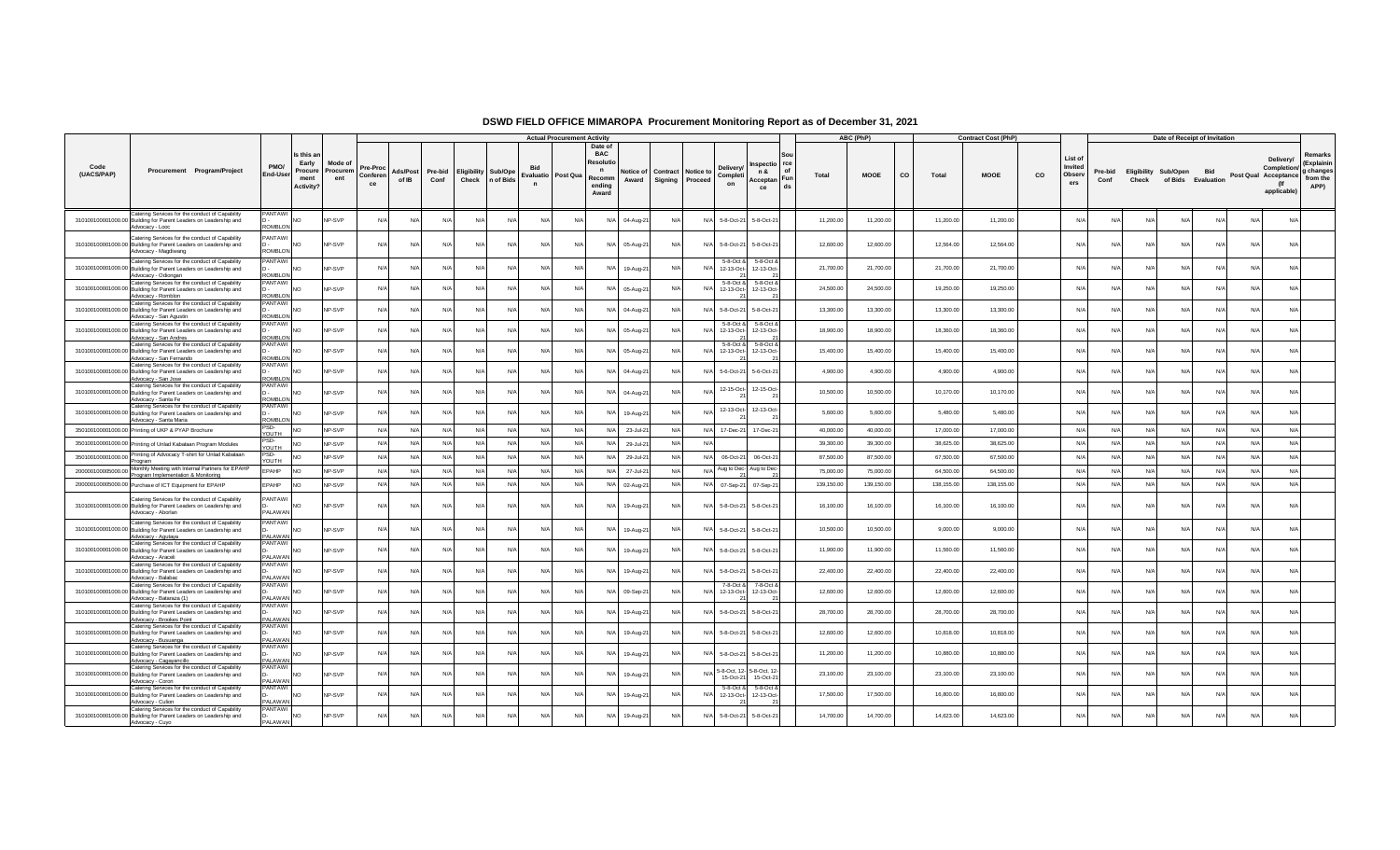|                    |                                                                                                                                                 |                                   |                                                    |                           |                            |                   |                 |       |                                         |                                                  | <b>Actual Procurement Activity</b> |                                                                             |                    |                                      |            |                                   |                                           |          |            | ABC (PhP)   |    |            | <b>Contract Cost (PhP)</b> |    |                                     |                 |       | Date of Receipt of Invitation              |            |     |                                                                        |                                                        |
|--------------------|-------------------------------------------------------------------------------------------------------------------------------------------------|-----------------------------------|----------------------------------------------------|---------------------------|----------------------------|-------------------|-----------------|-------|-----------------------------------------|--------------------------------------------------|------------------------------------|-----------------------------------------------------------------------------|--------------------|--------------------------------------|------------|-----------------------------------|-------------------------------------------|----------|------------|-------------|----|------------|----------------------------|----|-------------------------------------|-----------------|-------|--------------------------------------------|------------|-----|------------------------------------------------------------------------|--------------------------------------------------------|
| Code<br>(UACS/PAP) | Procurement Program/Project                                                                                                                     | PMO/<br>End-Use                   | Is this a<br>Early<br>Procure<br>ment<br>Activity? | Mode o<br>Procurem<br>ent | Pre-Proc<br>Conferen<br>ce | Ads/Post<br>of IB | Pre-bid<br>Conf | Check | <b>Eligibility Sub/Ope</b><br>n of Bids | <b>Bid</b><br>Evaluatio Post Qua<br>$\mathbf{r}$ |                                    | Date of<br><b>BAC</b><br>Resolu<br>$\mathbf n$<br>Recomm<br>ending<br>Award | lotice of<br>Award | <b>Contract Notice to</b><br>Signing | Proceed    | <b>Delivery</b><br>Completi<br>on | nspectio rce<br>n &<br>Acceptan Fun<br>ce | of<br>ds | Total      | <b>MOOE</b> | co | Total      | <b>MOOE</b>                | co | List of<br>Invited<br>Observ<br>ers | Pre-bid<br>Conf | Check | Eligibility Sub/Open<br>of Bids Evaluation | <b>Bid</b> |     | Delivery/<br>Completion/<br>Post Qual Acceptance<br>(If<br>applicable) | Remarks<br>(Explainin<br>g changes<br>from the<br>APP) |
|                    | Catering Services for the conduct of Capability<br>310100100001000.00 Building for Parent Leaders on Leadership and<br>Advocacy - Looc          | PANTAWI<br>ROMBLON                | <b>NO</b>                                          | NP-SVP                    | N/A                        | N/A               | N/A             |       | N/A<br>N/A                              | N/A                                              | N/f                                | N/A                                                                         | 04-Aug-21          | N/A                                  | N/A        | 5-8-Oct-21                        | 5-8-Oct-21                                |          | 11,200.00  | 11,200.00   |    | 11,200.00  | 11,200.00                  |    | N/                                  | N/L             | N/A   | N/A                                        | N/A        | N/A | N/A                                                                    |                                                        |
|                    | Catering Services for the conduct of Capability<br>310100100001000.00 Building for Parent Leaders on Leadership and<br>Advocacy - Magdiwang     | <b>PANTAWI</b><br><b>ROMBLON</b>  | <b>NO</b>                                          | NP-SVP                    | N/A                        | N/A               | $N/\ell$        |       | N/A<br>$N/\beta$                        | N/A                                              | N                                  | N/A                                                                         | 05-Aug-21          | N/A                                  | N/A        | 5-8-Oct-21                        | 5-8-Oct-21                                |          | 12,600.00  | 12,600.00   |    | 12,564.00  | 12,564.00                  |    | $N$ /                               | N/              | N/    | N/A                                        | N/A        | N/L | N/A                                                                    |                                                        |
|                    | Catering Services for the conduct of Capability<br>310100100001000.00 Building for Parent Leaders on Leadership and<br>Advocacy - Odiongan      | PANTAWI<br>ROMBLON                | N <sub>O</sub>                                     | NP-SVP                    | N/A                        | N/A               | N/L             |       | N/A<br>N/A                              | N/A                                              | $N/\ell$                           | $N/\Delta$                                                                  | 19-Aug-21          | $N/\Delta$                           | N          | 5-8-Oct &<br>12-13-Oct-           | 5-8-Oct 8<br>12-13-Oct-                   |          | 21,700.00  | 21,700.00   |    | 21,700.00  | 21,700.00                  |    | N                                   | N/L             | N/I   | $N/\Delta$                                 | $N/\Delta$ | N/L | N/A                                                                    |                                                        |
|                    | Catering Services for the conduct of Capability<br>310100100001000.00 Building for Parent Leaders on Leadership and<br>Advocacy - Romblon       | PANTAWI<br><b>NO IRMOS</b>        | <b>NO</b>                                          | NP-SVP                    | N/L                        | N/l               | N               |       | N/A<br>N                                | N/l                                              | N                                  | N/A                                                                         | 05-Aug-21          | N                                    | N/         | 5-8-Oct &<br>12-13-Oct-           | 5-8-Oct &<br>12-13-Oct-                   |          | 24,500.00  | 24,500.00   |    | 19,250.00  | 19,250.00                  |    | N                                   | N/              | N     | Nl                                         |            |     | N/A                                                                    |                                                        |
|                    | Catering Services for the conduct of Capability<br>310100100001000.00 Building for Parent Leaders on Leadership and<br>Advocacy - San Agustin   | PANTAWI<br>ROMBLON                | <b>NO</b>                                          | NP-SVP                    | N/L                        | $N/\Delta$        | N/L             |       | N/L<br>$N/\Delta$                       | N/L                                              | N/L                                | $N/\Delta$                                                                  | 04-Aug-21          | $N/\Delta$                           | N          | 5-8-Oct-21                        | 5-8-Oct-21                                |          | 13,300.00  | 13,300.00   |    | 13,300.00  | 13,300.00                  |    | N/I                                 | N/4             | N     | N/L                                        | $N/\Delta$ |     | $N/\Delta$                                                             |                                                        |
|                    | Catering Services for the conduct of Capability<br>310100100001000.00 Building for Parent Leaders on Leadership and<br>Advocacy - San Andres    | PANTAWI<br>ROMBI ON               | N <sub>O</sub>                                     | NP-SVP                    | N/L                        | N/A               | N               |       | N/A<br>N/A                              | N/l                                              | N                                  | N/A                                                                         | 05-Aug-21          | N/A                                  | N/         | 5-8-Oct i<br>12-13-Oct-           | 5-8-Oct 8<br>12-13-Oct-                   |          | 18,900.00  | 18,900.00   |    | 18,360.00  | 18,360.00                  |    | N                                   | N               | N     | N/A                                        |            |     | N/A                                                                    |                                                        |
|                    | Catering Services for the conduct of Capability<br>310100100001000.00 Building for Parent Leaders on Leadership and<br>Advocacy - San Fernando  | PANTAWI<br><b>ROMBLON</b>         | <b>NO</b>                                          | NP-SVP                    | N/A                        | N/A               | N/F             |       | N/A<br>N/A                              | N/A                                              | N                                  | N/A                                                                         | 05-Aug-21          | N/A                                  | N/         | 5-8-Oct &<br>12-13-Oct-           | 5-8-Oct &<br>12-13-Oct-                   |          | 15,400.00  | 15,400.00   |    | 15,400.00  | 15,400.00                  |    | N/                                  | N/L             | N/l   | N/A                                        | N/A        |     | N/A                                                                    |                                                        |
|                    | Catering Services for the conduct of Capability<br>310100100001000.00 Building for Parent Leaders on Leadership and<br>Advocacy - San Jose      | PANTAWI<br>ROMBI ON               | <b>NO</b>                                          | <b>NP-SVP</b>             | N/f                        | N/A               | $N/\ell$        |       | N/A<br>N/A                              | N/f                                              | N/A                                | N/A                                                                         | 04-Aug-21          | N/A                                  | N/         | 5-6-Oct-21                        | 5-6-Oct-21                                |          | 4,900.00   | 4,900.00    |    | 4,900.00   | 4,900.00                   |    | N                                   | N               | N/    | $N/\Delta$                                 | $N/\Delta$ |     | N/A                                                                    |                                                        |
|                    | Catering Services for the conduct of Capability<br>310100100001000.00 Building for Parent Leaders on Leadership and<br>Advocacy - Santa Fe      | PANTAWI<br><b>COMBI ON</b>        | <b>NO</b>                                          | NP-SVP                    | N/A                        | N/A               | N/L             |       | N/A<br>N/A                              | N/f                                              | N                                  | N/A                                                                         | 04-Aug-21          | N/L                                  | N.         | 12-15-Oct-                        | 12-15-Oct-                                |          | 10,500.00  | 10,500.00   |    | 10,170.00  | 10,170.00                  |    | N/                                  | N               | N     | N/I                                        | N/l        |     | N/A                                                                    |                                                        |
|                    | Catering Services for the conduct of Capability<br>310100100001000.00 Building for Parent Leaders on Leadership and<br>Advocacy - Santa Maria   | <b>PANTAWI</b><br>ROMBLON         | <b>NO</b>                                          | NP-SVP                    | N/L                        | N/A               | $N/\ell$        |       | N/A<br>N/A                              | N/l                                              | N/                                 | N/A                                                                         | 19-Aug-21          | N/A                                  |            | 12-13-Oct-                        | 12-13-Oct-                                |          | 5,600.00   | 5,600.00    |    | 5,480.00   | 5,480.00                   |    | N                                   | N/              |       |                                            |            |     | N/A                                                                    |                                                        |
|                    | 350100100001000.00 Printing of UKP & PYAP Brochure                                                                                              | PSD-<br>YOUTH                     | N <sub>O</sub>                                     | NP-SVP                    | N/A                        | N/A               | N/A             |       | N/A<br>N/A                              | N/A                                              | N/                                 | N/A                                                                         | 23-Jul-21          | N/A                                  | $N/\Delta$ | 17-Dec-21                         | 17-Dec-21                                 |          | 40,000.00  | 40,000.00   |    | 17,000.00  | 17,000.00                  |    | N                                   | N/A             | N/l   | N/A                                        | N/A        | N/l | N/A                                                                    |                                                        |
|                    | 350100100001000.00 Printing of Unlad Kabataan Program Modules                                                                                   | PSD-<br>YOUTH                     | N <sub>O</sub>                                     | NP-SVP                    | N/A                        | N/A               | N/A             |       | N/A<br>N/A                              | N/A                                              | N/f                                | N/A                                                                         | 29-Jul-21          | N/A                                  | N/l        |                                   |                                           |          | 39,300.00  | 39,300.00   |    | 38,625.00  | 38,625.00                  |    | N/A                                 | N/A             | N/A   | N/A                                        | N/A        | N/A | N/A                                                                    |                                                        |
| 350100100001000.00 | Printing of Advocacy T-shirt for Unlad Kabataan<br>Program                                                                                      | PSD-<br><b>HTUOY</b>              | <b>NO</b>                                          | NP-SVP                    | N/f                        | N/A               | N/f             |       | N/A<br>N/A                              | N/f                                              | N                                  | N/A                                                                         | 29-Jul-21          | N/A                                  | $N/\rho$   | 06-Oct-21                         | 06-Oct-21                                 |          | 87,500.00  | 87,500.00   |    | 67,500.00  | 67,500.00                  |    | N                                   | N/              | N/    | N/A                                        | N/A        | N/4 | N/A                                                                    |                                                        |
|                    | Monthly Meeting with Internal Partners for EPAHP                                                                                                | PAHP:                             | N <sub>O</sub>                                     | NP-SVP                    | N/A                        | N/A               | N/f             |       | N/A<br>N/A                              | N/A                                              | N/f                                | $N/\ell$                                                                    | 27-Jul-21          | N/A                                  | N/         | Aug to Dec-                       | Aug to Dec                                |          | 75,000.00  | 75,000.00   |    | 64,500.00  | 64,500.00                  |    | N                                   | N/A             | N/A   | N/A                                        | N/A        | N/L | N/A                                                                    |                                                        |
|                    | 200000100005000.00 Purchase of ICT Equipment for EPAHP                                                                                          | EPAHP                             | <b>NO</b>                                          | NP-SVP                    | N/A                        | N/A               | N/A             |       | N/A<br>N/A                              | N/A                                              | N/A                                | N/A                                                                         | 02-Aug-21          | N/A                                  | N/A        | 07-Sep-21                         | 07-Sep-21                                 |          | 139,150.00 | 139,150.00  |    | 138,155.00 | 138,155,00                 |    | $N$ /                               | N/A             | N/A   | N/A                                        | N/A        | N/A | N/A                                                                    |                                                        |
|                    | Catering Services for the conduct of Capability<br>310100100001000.00 Building for Parent Leaders on Leadership and<br>Advocacy - Aborlan       | PANTAWI<br><b>PALAWAN</b>         | <b>NO</b>                                          | NP-SVP                    | N/A                        | N/A               | N/L             |       | N/A<br>$N/\ell$                         | N/A                                              | N/L                                | N/A                                                                         | 19-Aug-21          | N/A                                  | N/A        | 5-8-Oct-21                        | 5-8-Oct-21                                |          | 16,100.00  | 16,100.00   |    | 16,100.00  | 16,100.00                  |    | N                                   | N               | N/    | N/A                                        | N/A        |     | N/A                                                                    |                                                        |
|                    | Catering Services for the conduct of Capability<br>310100100001000.00 Building for Parent Leaders on Leadership and<br>Advocacy - Agutaya       | <b>PANTAWI</b><br><b>PAI AWAN</b> | N <sub>O</sub>                                     | NP-SVF                    | N/L                        | N/A               | N               |       | N/A<br>N/A                              | N/l                                              | N/f                                | N/A                                                                         | 19-Aug-21          | N/A                                  | N/         | 5-8-Oct-21                        | 5-8-Oct-21                                |          | 10,500.00  | 10,500.00   |    | 9,000.00   | 9,000.00                   |    | N/                                  | N               | N/    | N/A                                        | N/A        |     | N/A                                                                    |                                                        |
|                    | Catering Services for the conduct of Capability<br>310100100001000.00 Building for Parent Leaders on Leadership and<br>Advocacy - Araceli       | PANTAWI<br>PAI AWAN               | N <sub>O</sub>                                     | NP-SVP                    | N/A                        | N/A               | N/A             |       | N/A<br>N/A                              | N/A                                              | N/A                                | N/A                                                                         | 19-Aug-21          | N/A                                  | $N$ /      | 5-8-Oct-21                        | 5-8-Oct-21                                |          | 11,900.00  | 11,900.00   |    | 11,560.00  | 11,560.00                  |    | N                                   | N/L             | N/l   | N/A                                        | N/A        |     | N/A                                                                    |                                                        |
|                    | Catering Services for the conduct of Capability<br>310100100001000.00 Building for Parent Leaders on Leadership and<br>Advocacy - Balabac       | PANTAWI<br>AI AWAN                | <b>NO</b>                                          | <b>NP-SVP</b>             | N/A                        | N/A               | N/f             | N/A   | N/A                                     | N/f                                              | N                                  | N/A                                                                         | 19-Aug-21          | N                                    |            | 5-8-Oct-21                        | 5-8-Oct-21                                |          | 22,400.00  | 22,400.00   |    | 22,400.00  | 22,400.00                  |    | N/                                  | N/4             | N     | N/I                                        |            |     | N/A                                                                    |                                                        |
|                    | Catering Services for the conduct of Capability<br>310100100001000.00 Building for Parent Leaders on Leadership and<br>Advocacy - Bataraza (1)  | PANTAWI<br>PALAWAN                | <b>NO</b>                                          | NP-SVP                    | N/L                        | N/A               | N/              |       | N/A<br>$N$ /                            | N/f                                              | N/                                 | N/A                                                                         | 09-Sep-21          | N/A                                  | N/         | 7-8-Oct &<br>12-13-Oct-           | 7-8-Oct 8<br>12-13-Oct-                   |          | 12,600.00  | 12,600.00   |    | 12,600.00  | 12,600.00                  |    | N                                   | N               | N     | N/L                                        |            |     | N/A                                                                    |                                                        |
|                    | Catering Services for the conduct of Capability<br>310100100001000.00 Building for Parent Leaders on Leadership and<br>Advocacy - Brookes Point | PANTAWI<br>ALAWAN                 | <b>NO</b>                                          | NP-SVP                    | N/A                        | N/A               | N               |       | N/A<br>N/A                              | N/f                                              | N                                  | N/L                                                                         | 19-Aug-21          | N/A                                  | N/         | 5-8-Oct-21                        | 5-8-Oct-21                                |          | 28,700.00  | 28,700.00   |    | 28,700.00  | 28,700.00                  |    | N/                                  | N               | N/    | N/I                                        | N/A        |     | N/A                                                                    |                                                        |
|                    | Catering Services for the conduct of Capability<br>310100100001000.00 Building for Parent Leaders on Leadership and<br>Advocacy - Busuanga      | PANTAWI<br>AI AWAN                | <b>NO</b>                                          | NP-SVP                    | N/L                        | N/A               | N               |       | N/A<br>N/A                              | N/l                                              | N                                  | N/L                                                                         | 19-Aug-21          | N/A                                  | N/         | 5-8-Oct-21                        | 5-8-Oct-21                                |          | 12,600.00  | 12,600.00   |    | 10,818.00  | 10,818.00                  |    | N                                   | N               |       |                                            |            |     | N/A                                                                    |                                                        |
|                    | Catering Services for the conduct of Capability<br>310100100001000.00 Building for Parent Leaders on Leadership and<br>Advocacy - Cagayancillo  | PANTAWI<br>ALAWAN                 | <b>NO</b>                                          | NP-SVP                    | N/A                        | N/A               | N/A             |       | N/A<br>N/A                              | N/A                                              | N                                  | N/A                                                                         | 19-Aug-21          | N/A                                  | N/         | 5-8-Oct-2                         | 5-8-Oct-21                                |          | 11,200.00  | 11,200.00   |    | 10,880.00  | 10,880.00                  |    | $N$ /                               | $N/\ell$        | N/l   | $N/\Delta$                                 | $N/\Delta$ | Nl  | N/A                                                                    |                                                        |
|                    | Catering Services for the conduct of Capability<br>310100100001000.00 Building for Parent Leaders on Leadership and<br>Advocacy - Coron         | PANTAWI<br><b>ALAWAN</b>          | N <sub>O</sub>                                     | <b>NP-SVP</b>             | N/                         | N/l               | N/              | N/l   | $N$ /                                   | N/l                                              | N                                  | N/A                                                                         | 19-Aug-21          | N                                    |            | 5-8-Oct. 12<br>15-Oct-21          | 5-8-Oct, 12-<br>15-Oct-21                 |          | 23,100.00  | 23,100.00   |    | 23,100.00  | 23,100.00                  |    | N                                   | N/              |       | Nl                                         |            |     | N/A                                                                    |                                                        |
|                    | Catering Services for the conduct of Capability<br>310100100001000.00 Building for Parent Leaders on Leadership and<br>Advocacy - Culion        | PANTAWI<br><b>PALAWAN</b>         | <b>NO</b>                                          | NP-SVP                    | $N/\ell$                   | N/A               | N/L             |       | N/A<br>N                                | N/f                                              | N/                                 | N/L                                                                         | 19-Aug-21          | N/A                                  | N.         | 5-8-Oct 8<br>12-13-Oct-           | 5-8-Oct 8<br>12-13-Oct-                   |          | 17,500.00  | 17,500.00   |    | 16,800.00  | 16,800.00                  |    | N/I                                 | N/              | N     | N/L                                        | $N/\Delta$ |     | N/A                                                                    |                                                        |
|                    | Catering Services for the conduct of Capability<br>310100100001000.00 Building for Parent Leaders on Leadership and<br>Advocacy - Cuvo          | PANTAWI<br>PALAWAN                | N <sub>O</sub>                                     | <b>NP-SVP</b>             | N/f                        | N/A               |                 |       | N/A<br>$N$ /                            | N/f                                              | N/                                 | N/L                                                                         | 19-Aug-21          | N/A                                  | N/         | 5-8-Oct-21                        | 5-8-Oct-21                                |          | 14,700.00  | 14,700.00   |    | 14,623.00  | 14,623.00                  |    | N                                   | N/4             | N/    | NII                                        |            |     | N/A                                                                    |                                                        |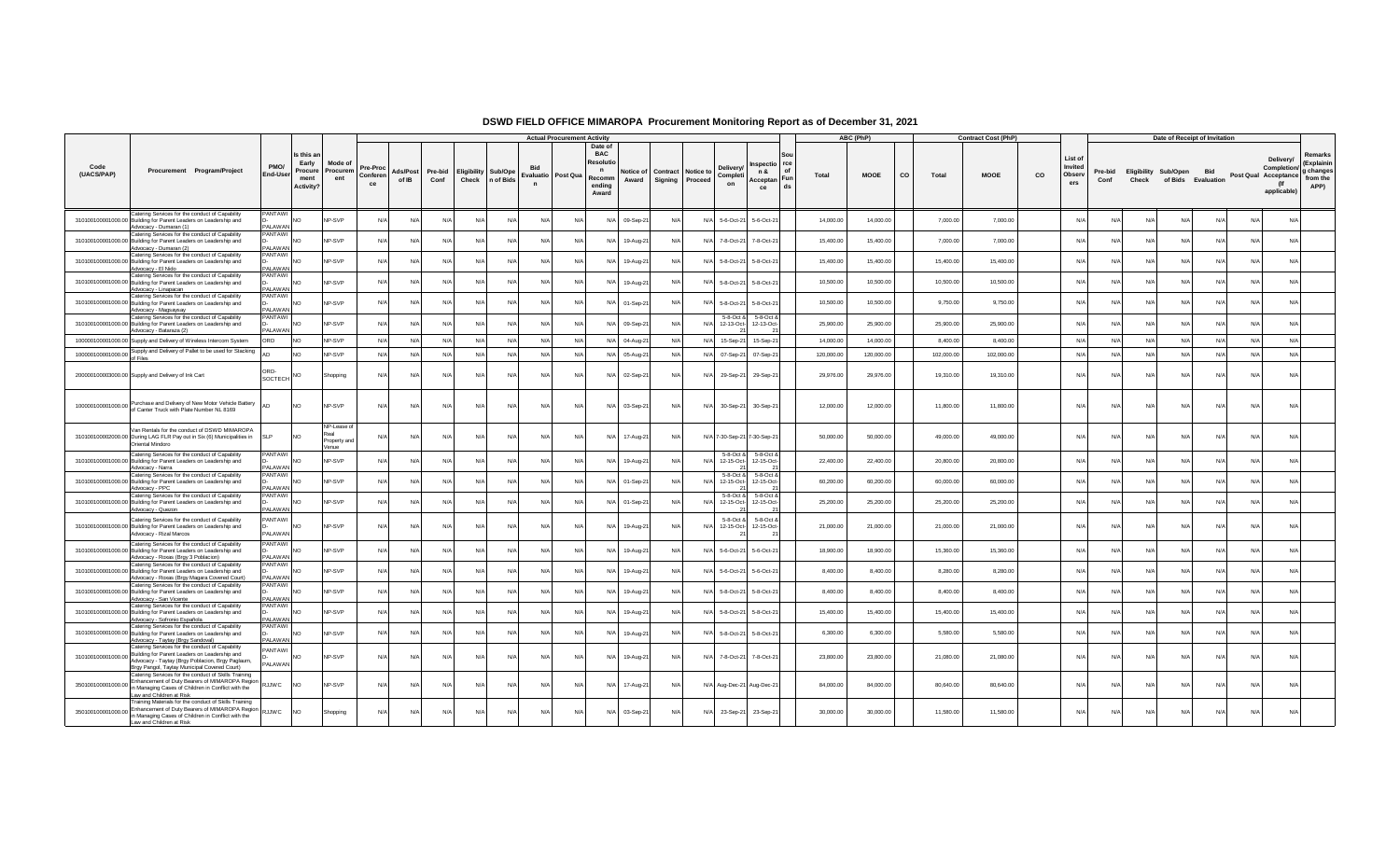|                    |                                                                                                                                                                                                      |                                             |                                                    |                                              |                            |                   |                 |            |                                               |                                   | <b>Actual Procurement Activity</b> |                                                                              |                    |                                       |       |                            |                                           |                 |            | ABC (PhP)   |           |            | <b>Contract Cost (PhP)</b> |    |                                     |                 |       | Date of Receipt of Invitation              |            |            |                                                                        |                                                        |
|--------------------|------------------------------------------------------------------------------------------------------------------------------------------------------------------------------------------------------|---------------------------------------------|----------------------------------------------------|----------------------------------------------|----------------------------|-------------------|-----------------|------------|-----------------------------------------------|-----------------------------------|------------------------------------|------------------------------------------------------------------------------|--------------------|---------------------------------------|-------|----------------------------|-------------------------------------------|-----------------|------------|-------------|-----------|------------|----------------------------|----|-------------------------------------|-----------------|-------|--------------------------------------------|------------|------------|------------------------------------------------------------------------|--------------------------------------------------------|
| Code<br>(UACS/PAP) | Procurement Program/Project                                                                                                                                                                          | PMO/<br>End-Use                             | Is this a<br>Early<br>Procure<br>ment<br>Activity? | Mode of<br>Procurem<br>ent                   | Pre-Proc<br>Conferen<br>ce | Ads/Post<br>of IB | Pre-bid<br>Conf |            | <b>Eligibility Sub/Ope</b><br>Check n of Bids | Evaluatio Post Qua<br>$\mathbf n$ |                                    | Date of<br><b>BAC</b><br>Resolut<br>$\mathbf n$<br>Recomm<br>endina<br>Award | Notice of<br>Award | Contract Notice to<br>Signing Proceed |       | Delivery<br>Completi<br>on | nspectio rce<br>n &<br>Acceptan Fun<br>ce | Sou<br>of<br>ds | Total      | <b>MOOE</b> | <b>CO</b> | Total      | <b>MOOE</b>                | co | List of<br>Invited<br>Observ<br>ers | Pre-bid<br>Conf | Check | Eligibility Sub/Open<br>of Bids Evaluation | <b>Bid</b> |            | Delivery/<br>Completion/<br>Post Qual Acceptance<br>(If<br>applicable) | Remarks<br>(Explainin<br>g changes<br>from the<br>APP) |
|                    | Catering Services for the conduct of Capability<br>310100100001000.00 Building for Parent Leaders on Leadership and                                                                                  | PANTAWI                                     | <b>NO</b>                                          | NP-SVP                                       | N/A                        | N/A               | N/L             | N/A        | N/A                                           | N/A                               | N/A                                | N/A                                                                          | 09-Sep-21          | N/A                                   | N/    | 5-6-Oct-21                 | 5-6-Oct-21                                |                 | 14,000.00  | 14,000.00   |           | 7,000.00   | 7,000.00                   |    | N/                                  | N/L             | N/l   | $N/\Delta$                                 | $N/\Delta$ | $N/\Delta$ | N/A                                                                    |                                                        |
|                    | Advocacy - Dumaran (1)<br>Catering Services for the conduct of Capability<br>310100100001000.00 Building for Parent Leaders on Leadership and                                                        | ALAWAN<br>PANTAWI<br><b>IAAWA IAS</b>       | N <sub>O</sub>                                     | NP-SVP                                       | N/A                        | N/A               | N/L             | N/A        | N                                             | N/l                               | N                                  | N/f                                                                          | 19-Aug-21          | N/A                                   | N/    | 7-8-Oct-21                 | 7-8-Oct-21                                |                 | 15,400.00  | 15,400.00   |           | 7,000.00   | 7,000.00                   |    | N                                   | N/              | N     | N/L                                        | N/l        |            | N/A                                                                    |                                                        |
|                    | Advocacy - Dumaran (2)<br>Catering Services for the conduct of Capability<br>310100100001000.00 Building for Parent Leaders on Leadership and                                                        | PANTAWI                                     | <b>NO</b>                                          | NP-SVP                                       | N/L                        | N/A               | N/L             | N/A        | N/A                                           | N/l                               | N/L                                | N/A                                                                          | 19-Aug-21          | N/A                                   | N/    | 5-8-Oct-21                 | 5-8-Oct-21                                |                 | 15,400.00  | 15,400.00   |           | 15,400.00  | 15,400.00                  |    | $N/\ell$                            | N/4             | N     | N/I                                        | $N/\Delta$ |            | N/A                                                                    |                                                        |
|                    | Advocacy - El Nido<br>Catering Services for the conduct of Capability<br>310100100001000.00 Building for Parent Leaders on Leadership and                                                            | <b>PALAWAN</b><br>PANTAWI<br><b>AI AWAN</b> | N <sub>O</sub>                                     | NP-SVP                                       | N/A                        | N/A               | N/              | N/A        | N/A                                           | N/f                               | N/F                                | N/L                                                                          | 19-Aug-21          | N/A                                   | N/    | 5-8-Oct-21                 | 5-8-Oct-21                                |                 | 10,500.00  | 10,500.00   |           | 10,500.00  | 10,500.00                  |    | N                                   | N               | N/    | $N/\Delta$                                 | $N/\Delta$ |            | N/A                                                                    |                                                        |
|                    | Advocacy - Linapacan<br>Catering Services for the conduct of Capability<br>310100100001000.00 Building for Parent Leaders on Leadership and                                                          | <b>PANTAWI</b><br><b>IAAWA IAS</b>          | N <sub>O</sub>                                     | NP-SVP                                       | N/A                        | N/A               | N/A             | N/A        | N/A                                           | N/A                               | $N/\ell$                           | N/A                                                                          | 01-Sep-21          | N/A                                   | N/l   | 5-8-Oct-21                 | 5-8-Oct-21                                |                 | 10.500.00  | 10,500.00   |           | 9,750.00   | 9,750.00                   |    | $N/\ell$                            | N/A             | N/l   | N/A                                        | N/A        | NI/        | N/A                                                                    |                                                        |
|                    | Advocacy - Magsaysay<br>Catering Services for the conduct of Capability<br>310100100001000.00 Building for Parent Leaders on Leadership and                                                          | PANTAWI<br><b>PALAWAN</b>                   | <b>NO</b>                                          | NP-SVP                                       | N/A                        | $N/\Delta$        | $N/\Delta$      | $N/\Delta$ | $N/\Delta$                                    | N/A                               | N/L                                | $N/\Delta$                                                                   | 09-Sep-21          | $N/\Delta$                            | N     | 5-8-Oct &<br>12-13-Oct-    | 5-8-Oct 8<br>12-13-Oct-                   |                 | 25,900.00  | 25,900.00   |           | 25,900.00  | 25,900.00                  |    | N/I                                 | N/L             | N/l   | $N/\Delta$                                 | $N/\Delta$ | Nl         | $N/\Delta$                                                             |                                                        |
|                    | Advocacy - Bataraza (2)<br>100000100001000.00 Supply and Delivery of Wireless Intercom System                                                                                                        | ORD                                         | N <sub>O</sub>                                     | NP-SVP                                       | N/A                        | N/A               | N/A             | N/A        | N/A                                           | N/A                               | N/f                                | N/A                                                                          | 04-Aug-21          | N/A                                   | N     | 15-Sep-21                  | 15-Sep-21                                 |                 | 14,000.00  | 14,000.00   |           | 8,400.00   | 8,400.00                   |    | N/A                                 | N/A             | N/A   | N/A                                        | N/A        | N/l        | N/A                                                                    |                                                        |
|                    | 100000100001000.00 Supply and Delivery of Pallet to be used for Stacking<br>of Files                                                                                                                 |                                             | <b>NO</b>                                          | NP-SVP                                       | N/A                        | N/A               | N/A             | N/A        | N/A                                           | N/A                               | N/f                                | N/A                                                                          | 05-Aug-21          | N/A                                   | N/A   | 07-Sep-21                  | 07-Sep-21                                 |                 | 120,000.00 | 120,000.00  |           | 102,000.00 | 102,000.00                 |    | N/                                  | N/A             | N/A   | N/A                                        | N/A        | N/A        | N/A                                                                    |                                                        |
|                    | 200000100003000.00 Supply and Delivery of Ink Cart                                                                                                                                                   | SOCTECH NO                                  |                                                    | Shopping                                     | N/A                        | N/A               | N/A             | N/A        | N/A                                           | N/A                               | $N/\ell$                           | N/A                                                                          | 02-Sep-21          | N/A                                   | N/4   | 29-Sep-21                  | 29-Sep-21                                 |                 | 29,976.00  | 29,976.00   |           | 19,310.00  | 19,310.00                  |    | N                                   | N/A             | N/A   | N/A                                        | N/A        | N/A        | N/A                                                                    |                                                        |
|                    | 100000100001000.00 Purchase and Delivery of New Motor Vehicle Battery<br>of Canter Truck with Plate Number NL 8169                                                                                   |                                             | <b>NO</b>                                          | NP-SVP                                       | N/A                        | N/A               | N/A             | N/A        | N/A                                           | N/A                               | N/A                                | N/A                                                                          | 03-Sep-21          | N/A                                   | $N$ / | 30-Sep-21                  | 30-Sep-21                                 |                 | 12,000.00  | 12,000.00   |           | 11,800.00  | 11,800.00                  |    | N/A                                 | N/A             | N/l   | N/A                                        | N/A        | N/A        | N/A                                                                    |                                                        |
|                    | Van Rentals for the conduct of DSWD MIMAROPA<br>310100100002000.00 During LAG FLR Pay out in Six (6) Municipalities in<br>Oriental Mindoro                                                           | <b>SLP</b>                                  | N <sub>O</sub>                                     | NP-Lease of<br>leal<br>Property and<br>/enue | N/f                        | N/A               | N/A             | N/A        | N/A                                           | N/A                               | N/L                                | N/A                                                                          | 17-Aug-21          | N/A                                   |       |                            | N/A 7-30-Sep-21 7-30-Sep-21               |                 | 50,000.00  | 50,000.00   |           | 49,000.00  | 49,000.00                  |    | N                                   | N/4             | N/l   | $N/\Delta$                                 | $N/\Delta$ | $N/\Delta$ | N/A                                                                    |                                                        |
|                    | Catering Services for the conduct of Capability<br>310100100001000.00 Building for Parent Leaders on Leadership and<br>Advocacy - Narra                                                              | PANTAWI<br><b>PALAWAN</b>                   | <b>NO</b>                                          | NP-SVP                                       | N/A                        | N/A               | N/A             | N/A        | N/A                                           | N/f                               | N/f                                | N/A                                                                          | 19-Aug-21          | N/A                                   | N/    | 5-8-Oct &<br>12-15-Oct-    | 5-8-Oct 8<br>12-15-Oct-                   |                 | 22,400.00  | 22,400.00   |           | 20,800.00  | 20,800.00                  |    | N                                   | N               | N/    | N/I                                        | N/A        | Nl         | N/A                                                                    |                                                        |
|                    | Catering Services for the conduct of Capability<br>310100100001000.00 Building for Parent Leaders on Leadership and<br>Advocacy - PPC                                                                | <b>PANTAWI</b><br>ALAWAN                    | N <sub>O</sub>                                     | <b>NP-SVP</b>                                | N/A                        | N/A               | N/L             | N/A        | N/A                                           | N/A                               | N/f                                | N/A                                                                          | 01-Sep-21          | N/A                                   | N.    | 5-8-Oct 8<br>12-15-Oct-    | 5-8-Oct &<br>12-15-Oct-                   |                 | 60,200.00  | 60,200.00   |           | 60,000.00  | 60,000.00                  |    | N/                                  | N/              | N/    | N/A                                        | N/A        |            | N/A                                                                    |                                                        |
|                    | Catering Services for the conduct of Capability<br>310100100001000.00 Building for Parent Leaders on Leadership and<br>Advocacy - Quezon                                                             | <b>PANTAWI</b><br>PALAWAN                   | <b>NO</b>                                          | NP-SVP                                       | N/A                        | N/A               | N/A             | N/A        | N/A                                           | N/A                               | N/f                                | N/A                                                                          | 01-Sep-21          | N/A                                   | N/    | 5-8-Oct &<br>12-15-Oct-    | 5-8-Oct &<br>12-15-Oct-                   |                 | 25,200.00  | 25,200.00   |           | 25,200.00  | 25,200.00                  |    | N                                   | N/f             | N/l   | N/A                                        | N/A        | Nl         | N/A                                                                    |                                                        |
|                    | Catering Services for the conduct of Capability<br>310100100001000.00 Building for Parent Leaders on Leadership and<br>Advocacy - Rizal Marcos                                                       | PANTAWI<br>PALAWAN                          | <b>NO</b>                                          | NP-SVP                                       | N/A                        | N/A               | N/A             | N/A        | N/A                                           | N/A                               | N/f                                | N/A                                                                          | 19-Aug-21          | N/A                                   | N/    | 5-8-Oct &<br>12-15-Oct-    | 5-8-Oct &<br>12-15-Oct-                   |                 | 21,000.00  | 21,000.00   |           | 21,000.00  | 21,000.00                  |    | N                                   | N/L             | N/l   | N/A                                        | N/A        | N/L        | N/A                                                                    |                                                        |
|                    | Catering Services for the conduct of Capability<br>310100100001000.00 Building for Parent Leaders on Leadership and<br>Advocacy - Roxas (Brgy 3 Poblacion)                                           | <b>PANTAWI</b><br><b>PALAWAN</b>            | NO <sub>1</sub>                                    | NP-SVP                                       | N/A                        | N/A               | N/A             | N/A        | N/A                                           | N/A                               | N/A                                | N/A                                                                          | 19-Aug-21          | N/A                                   | $N$ / | 5-6-Oct-21                 | 5-6-Oct-21                                |                 | 18,900.00  | 18,900.00   |           | 15,360.00  | 15,360.00                  |    | $N$ /                               | N/f             | N/l   | N/A                                        | N/A        | N/L        | N/A                                                                    |                                                        |
|                    | Catering Services for the conduct of Capability<br>310100100001000.00 Building for Parent Leaders on Leadership and<br>Advocacy - Roxas (Brgy Magara Covered Court)                                  | PANTAWI<br>ALAWAN                           | <b>NO</b>                                          | <b>NP-SVP</b>                                | N/A                        | N/A               | N/L             | N/A        | N/A                                           | N/f                               | N                                  | N/L                                                                          | 19-Aug-21          | N/L                                   | N/    | 5-6-Oct-21                 | 5-6-Oct-21                                |                 | 8,400.00   | 8,400.00    |           | 8,280.00   | 8,280.00                   |    | N/A                                 | N/              |       |                                            |            |            | N/A                                                                    |                                                        |
|                    | Catering Services for the conduct of Capability<br>310100100001000.00 Building for Parent Leaders on Leadership and<br>Advocacy - San Vicente                                                        | PANTAWI<br>AI AWAN                          | <b>NO</b>                                          | NP-SVP                                       | N/f                        | N/A               | $N/\ell$        | N/A        | N/A                                           | N/f                               | N/                                 | N/A                                                                          | 19-Aug-21          | N/A                                   | N/    | 5-8-Oct-21                 | 5-8-Oct-21                                |                 | 8,400.00   | 8,400.00    |           | 8,400.00   | 8,400.00                   |    | N                                   | N/              | N/L   | N/I                                        | $N/\Delta$ |            | N/A                                                                    |                                                        |
|                    | Catering Services for the conduct of Capability<br>310100100001000.00 Building for Parent Leaders on Leadership and<br>Advocacy - Sofronio Española                                                  | PANTAWI<br><b>PAI AWAN</b>                  | <b>NO</b>                                          | NP-SVP                                       | N/A                        | N/A               | N/f             | N/A        | N/A                                           | N/f                               | N                                  | N/A                                                                          | 19-Aug-21          | N/A                                   | N/    | 5-8-Oct-21                 | 5-8-Oct-21                                |                 | 15,400.00  | 15,400.00   |           | 15,400.00  | 15,400.00                  |    | N/                                  | N/              | N/    | N/A                                        | N/A        |            | N/A                                                                    |                                                        |
|                    | Catering Services for the conduct of Capability<br>310100100001000.00 Building for Parent Leaders on Leadership and<br>Advocacy - Taytay (Brgy Sandoval)                                             | PANTAWI<br><b>PALAWAN</b>                   | <b>NO</b>                                          | NP-SVP                                       | N/A                        | N/A               | N/A             | N/A        | N/A                                           | N/A                               | N/f                                | N/A                                                                          | 19-Aug-21          | N/A                                   |       | N/A 5-8-Oct-21             | 5-8-Oct-21                                |                 | 6,300.00   | 6,300.00    |           | 5,580.00   | 5,580.00                   |    | N                                   | N/L             | N/A   | N/A                                        | N/A        | N/L        | N/A                                                                    |                                                        |
| 310100100001000.00 | Catering Services for the conduct of Capability<br>Building for Parent Leaders on Leadership and<br>Advocacy - Taytay (Brgy Poblacion, Brgy Paglaum,<br>Brgy Pangol, Taytay Municipal Covered Court) | <b>ANTAWI</b><br><b>PALAWAN</b>             | <b>NO</b>                                          | NP-SVP                                       | N/A                        | N/A               | N/A             | N/A        | N/A                                           | N/A                               | $N/\ell$                           | N/A                                                                          | 19-Aug-21          | N/A                                   | N/A   | 7-8-Oct-21                 | 7-8-Oct-21                                |                 | 23,800.00  | 23,800.00   |           | 21,080.00  | 21,080.00                  |    | N                                   | N/L             | N/l   | N/A                                        | N/A        | N/A        | N/A                                                                    |                                                        |
| 350100100001000.00 | Catering Services for the conduct of Skills Training<br>Enhancement of Duty Bearers of MIMAROPA Region<br>in Managing Cases of Children in Conflict with the<br>Law and Children at Risk             | <b>SJJWC</b>                                | <b>NO</b>                                          | NP-SVP                                       | N/A                        | N/A               | N/A             | N/A        | N/A                                           | N/A                               | N/L                                | N/A                                                                          | 17-Aug-21          | N/A                                   |       |                            | N/A Aug-Dec-21 Aug-Dec-21                 |                 | 84,000.00  | 84,000.00   |           | 80,640.00  | 80,640.00                  |    | N                                   | N/L             | N/l   | N/A                                        | N/A        | N/L        | N/A                                                                    |                                                        |
| 350100100001000.00 | Training Materials for the conduct of Skills Training.<br>Enhancement of Duty Bearers of MIMAROPA Region RJJWC<br>in Managing Cases of Children in Conflict with the<br>I aw and Children at Risk    |                                             | <b>NO</b>                                          | Shopping                                     | N/A                        | N/A               | N/A             | N/A        | N/A                                           | N/A                               | N/f                                | N/A                                                                          | 03-Sep-21          | N/A                                   | N/A   | 23-Sep-21                  | 23-Sep-21                                 |                 | 30,000.00  | 30,000.00   |           | 11,580.00  | 11,580.00                  |    | N/A                                 | N/L             | N/l   | N/A                                        | N/A        |            | N/A                                                                    |                                                        |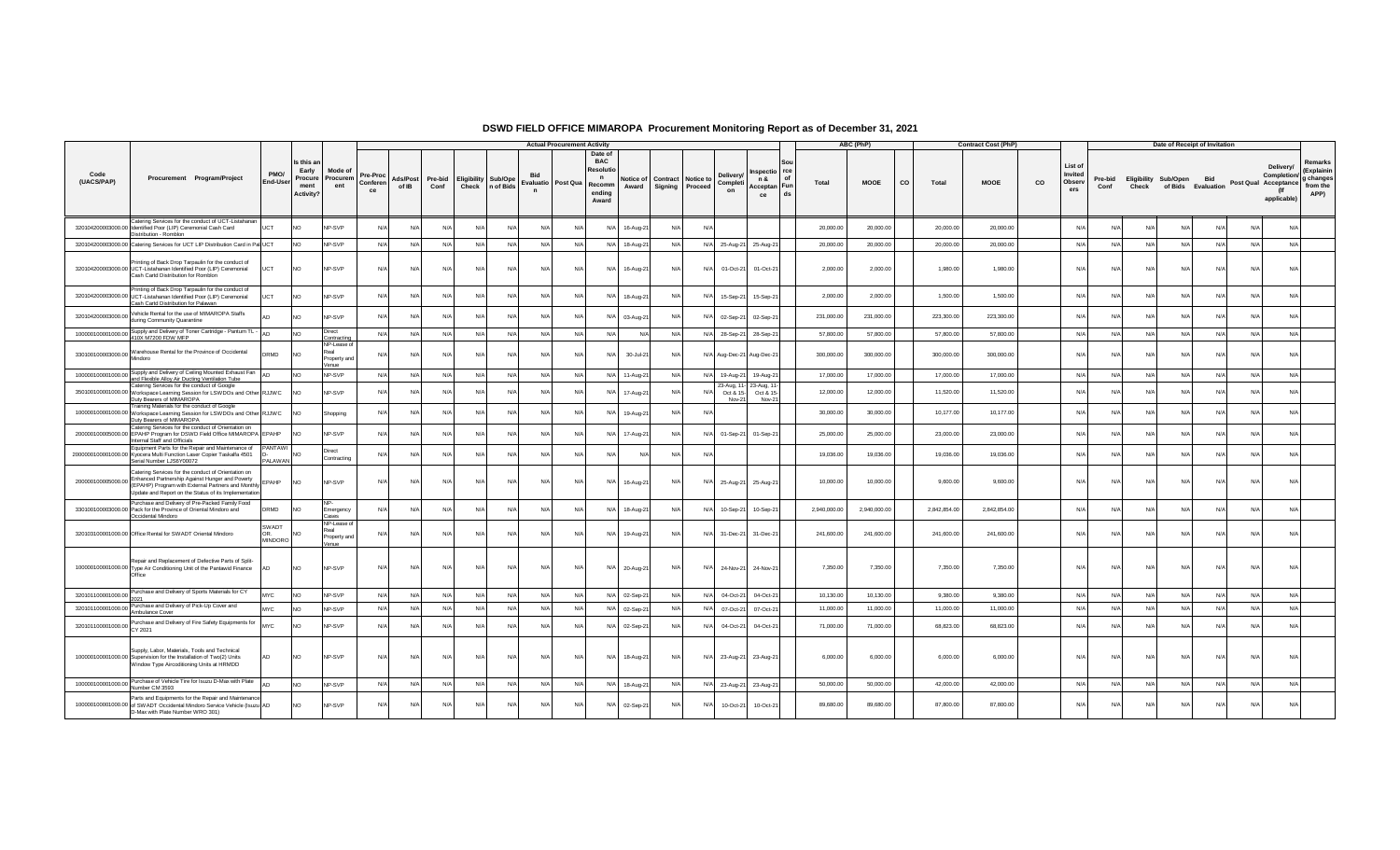|                    |                                                                                                                                                                                                                                          |                                  |                                                          |                                             |                            |                   |                 |            |                                          |              | <b>Actual Procurement Activity</b> |                                                                                        |                    |                                              |       |                                 |                                            |                   | ABC (PhP)    |           |              | <b>Contract Cost (PhP)</b> |           |                                     |                 |            | Date of Receipt of Invitation              |            |           |                                                                 |                                                        |
|--------------------|------------------------------------------------------------------------------------------------------------------------------------------------------------------------------------------------------------------------------------------|----------------------------------|----------------------------------------------------------|---------------------------------------------|----------------------------|-------------------|-----------------|------------|------------------------------------------|--------------|------------------------------------|----------------------------------------------------------------------------------------|--------------------|----------------------------------------------|-------|---------------------------------|--------------------------------------------|-------------------|--------------|-----------|--------------|----------------------------|-----------|-------------------------------------|-----------------|------------|--------------------------------------------|------------|-----------|-----------------------------------------------------------------|--------------------------------------------------------|
| Code<br>(UACS/PAP) | Procurement Program/Project                                                                                                                                                                                                              | PMO/<br>End-User                 | Is this a<br>Early<br>Procure<br>ment<br><b>Activity</b> | Mode of<br>Procurem<br>ent                  | Pre-Proc<br>Conferen<br>ce | Ads/Post<br>of IB | Pre-bid<br>Conf |            | Eligibility Sub/Ope<br>Check   n of Bids | $\mathbf{r}$ | Evaluatio Post Qua                 | Date of<br><b>BAC</b><br><b>Resolutio</b><br>$\mathbf{n}$<br>Recomm<br>ending<br>Award | Notice of<br>Award | <b>Contract</b> Notice to<br>Signing Proceed |       | Delivery<br>Completi<br>on      | Inspectio rce<br>n &<br>Acceptan Fun<br>ce | of<br>Total<br>ds | <b>MOOE</b>  | <b>CO</b> | Total        | <b>MOOE</b>                | <b>CO</b> | List of<br>Invited<br>Observ<br>ers | Pre-bid<br>Conf | Check      | Eligibility Sub/Open<br>of Bids Evaluation | Bid        |           | Delivery/<br>Completion/<br>Post Qual Acceptance<br>applicable) | Remarks<br>(Explainin<br>g changes<br>from the<br>APP) |
|                    | Catering Services for the conduct of UCT-Listahanan<br>320104200003000.00 Identified Poor (LIP) Ceremonial Cash Card<br>Distribution - Romblon                                                                                           | UCT                              | N <sub>O</sub>                                           | NP-SVP                                      | N/A                        | N/A               | N/A             | N/A        | N/A                                      | N/A          |                                    | N/A                                                                                    | 16-Aug-21          | N/A                                          | N.    |                                 |                                            | 20,000.00         | 20,000.00    |           | 20,000.00    | 20,000.00                  |           | N                                   | N/l             | N          | N                                          | N/A        |           | N/                                                              |                                                        |
|                    | 320104200003000.00 Catering Services for UCT LIP Distribution Card in Pal UCT                                                                                                                                                            |                                  | NO.                                                      | NP-SVP                                      | N/A                        | N/A               | N/A             | N/A        | N/A                                      | N/A          | N                                  | N/A 18-Aug-21                                                                          |                    | N/A                                          | N/A   | 25-Aug-21                       | 25-Aug-21                                  | 20,000.00         | 20,000.00    |           | 20,000.00    | 20,000.00                  |           | N/A                                 | N/A             | $N/\ell$   | N/A                                        | N/A        | N/L       | N/A                                                             |                                                        |
|                    | Printing of Back Drop Tarpaulin for the conduct of<br>320104200003000.00 UCT-Listahanan Identified Poor (LIP) Ceremonial<br>Cash Cartd Distribution for Romblon                                                                          | <b>UCT</b>                       | NO                                                       | NP-SVP                                      | N/A                        | N/A               | N/A             | N/A        | N/A                                      | N/A          | $N/\ell$                           | N/A                                                                                    | 16-Aug-21          | N/A                                          | $N$ / | 01-Oct-21                       | 01-Oct-21                                  | 2,000.00          | 2,000.00     |           | 1,980.00     | 1,980.00                   |           | $N/\ell$                            | N/A             | N/A        | N/A                                        | N/A        | N/A       | N/A                                                             |                                                        |
|                    | Printing of Back Drop Tarpaulin for the conduct of<br>320104200003000.00 UCT-Listahanan Identified Poor (LIP) Ceremonial<br>Cash Cartd Distribution for Palawan                                                                          | UCT                              | <b>NO</b>                                                | <b>IP-SVP</b>                               | N/A                        | N/f               | N/A             | N/A        | N/A                                      | N/l          | N                                  | N/A                                                                                    | 18-Aug-21          | N/A                                          | N/    | 15-Sep-21                       | 15-Sep-21                                  | 2,000.00          | 2,000.00     |           | 1,500.00     | 1,500.00                   |           | N                                   | N/l             | N/         | N                                          | N/A        | N/4       | N                                                               |                                                        |
| 320104200003000.00 | Vehicle Rental for the use of MIMAROPA Staffs<br>during Community Quarantine                                                                                                                                                             |                                  | <b>NO</b>                                                | <b>NP-SVP</b>                               | N/A                        | N/L               | $N/\Delta$      | $N/\Delta$ | $N/\Delta$                               | $N/\Delta$   | N/L                                | N/A 03-Aug-21                                                                          |                    | $N/\Delta$                                   | N/    | 02-Sep-21                       | 02-Sep-21                                  | 231,000.00        | 231,000.00   |           | 223,300.00   | 223,300.00                 |           | N                                   | $N/\Delta$      | N/L        | Nl                                         | $N/\Delta$ |           | N/A                                                             |                                                        |
|                    | 100000100001000.00 Supply and Delivery of Toner Cartridge - Pantum TL -<br>410X M7200 FDW MFP                                                                                                                                            | <b>AD</b>                        | N <sub>O</sub>                                           | Direct<br>Contracting                       | N/A                        | N/A               | N/A             | N/A        | N/A                                      | N/A          | $N/\ell$                           | N/A                                                                                    | N/A                | N/A                                          | N/l   | 28-Sep-21                       | 28-Sep-21                                  | 57,800.00         | 57,800.00    |           | 57,800.00    | 57,800.00                  |           | N/A                                 | N/A             | N/A        | N/A                                        | N/A        | N/A       | N/A                                                             |                                                        |
|                    | 330100100003000.00 Warehouse Rental for the Province of Occidental<br>Mindoro                                                                                                                                                            | DRMD                             | <b>NO</b>                                                | NP-Lease o<br>Real<br>Property and<br>Venue | N/A                        | N/f               | N/A             | N/A        | N/A                                      | N/A          | N                                  | N/A                                                                                    | 30-Jul-21          | N/A                                          |       | N/A Aug-Dec-21 Aug-Dec-21       |                                            | 300,000.00        | 300,000.00   |           | 300,000.00   | 300,000.00                 |           | N                                   | N/A             | N          | N/I                                        | N/A        | N/L       | N/A                                                             |                                                        |
|                    | 100000100001000.00 Supply and Delivery of Ceiling Mounted Exhaust Fan<br>and Flexible Alloy Air Ducting Ventilation Tube                                                                                                                 |                                  | N <sub>O</sub>                                           | NP-SVP                                      | N/A                        | N/A               | N/A             | N/A        | N/A                                      | N/A          | N/                                 | N/A 11-Aug-21                                                                          |                    | N/A                                          | N/    | 19-Aug-21                       | 19-Aug-21                                  | 17,000.00         | 17,000.00    |           | 17,000.00    | 17,000.00                  |           | N/A                                 | N/A             | N/A        | N/4                                        | N/A        | $N/\ell$  | $N/\ell$                                                        |                                                        |
|                    | Catering Services for the conduct of Google<br>350100100001000.00 Workspace Learning Session for LSWDOs and Other RJJWC<br>Duty Bearers of MIMAROPA                                                                                      |                                  | <b>NO</b>                                                | NP-SVP                                      | N/A                        | N/L               | $N/\Delta$      | N/A        | $N/\Delta$                               | N/l          | N/L                                | $N/\Delta$                                                                             | 17-Aug-21          | N/A                                          | N/    | 23-Aug. 1<br>Oct & 15-<br>Nov-2 | 23-Aug. 1<br>Oct & 15-<br>Nov-2            | 12,000.00         | 12,000.00    |           | 11,520.00    | 11,520.00                  |           | N                                   | N/l             | N/4        | N                                          | $N/\Delta$ |           | N                                                               |                                                        |
|                    | Training Materials for the conduct of Google<br>100000100001000.00 Workspace Learning Session for LSWDOs and Other RJJWC<br>Duty Bearers of MIMAROPA                                                                                     |                                  | N <sub>O</sub>                                           | Shopping                                    | N/A                        | N/f               | N/A             | N/A        | N/A                                      | $N/\Delta$   |                                    | N/A                                                                                    | 19-Aug-21          | N/A                                          | N.    |                                 |                                            | 30,000.00         | 30,000.00    |           | 10,177.00    | 10,177.00                  |           | N                                   | N/l             | N          | N                                          | N/A        | N/4       | N/                                                              |                                                        |
|                    | Catering Services for the conduct of Orientation on<br>200000100005000.00 EPAHP Program for DSWD Field Office MIMAROPA EPAHP<br>Internal Staff and Officials                                                                             |                                  | <b>NC</b>                                                | <b>IP-SVP</b>                               | N/A                        | N/L               | N/A             | N/A        | N/I                                      | N/l          | N                                  | N/A                                                                                    | 17-Aug-21          | N/A                                          | N/    | 01-Sep-21                       | 01-Sep-21                                  | 25,000.00         | 25,000.00    |           | 23,000.00    | 23,000.00                  |           | N/A                                 | $N/\Delta$      | N/4        | N                                          | N/L        |           | N                                                               |                                                        |
| 2000000100001000.0 | Equipment Parts for the Repair and Maintenance of<br>I Kyocera Multi Function Laser Copier Taskalfa 4501<br>Serial Number LJS6Y00072                                                                                                     | <b>PANTAWI</b><br><b>PALAWAN</b> | <b>NO</b>                                                | Direct<br>Contracting                       | N/A                        | N/f               | $N/\Delta$      | $N/\Delta$ | N/L                                      | N/l          | N/L                                | $N/\Delta$                                                                             | $N/\Delta$         | $N/\Delta$                                   | N/    |                                 |                                            | 19,036,00         | 19,036.00    |           | 19,036.00    | 19,036.00                  |           | N                                   | N/l             | N/         | N                                          | N/A        | <b>N/</b> | N/A                                                             |                                                        |
|                    | Catering Services for the conduct of Orientation on<br>200000100005000.00 Enhanced Partnership Against Hunger and Poverty<br>(EPAHP) Program with External Partners and Monthly<br>Update and Report on the Status of its Implementation | EPAHP                            | <b>NO</b>                                                | NP-SVP                                      | N/A                        | N/A               | N/A             | N/A        | N/A                                      | N/A          | $N/\ell$                           | N/A                                                                                    | 16-Aug-21          | N/A                                          | $N$ / | 25-Aug-21                       | 25-Aug-21                                  | 10,000.00         | 10,000.00    |           | 9,600.00     | 9,600.00                   |           | N/A                                 | N/A             | N/A        | N/A                                        | N/A        | N/A       | N/A                                                             |                                                        |
|                    | Purchase and Delivery of Pre-Packed Family Food<br>330100100003000.00 Pack for the Province of Oriental Mindoro and<br>Occidental Mindoro                                                                                                | DRMD                             | <b>NO</b>                                                | NID.<br>Emergency<br>Cases                  | N/A                        | N/                | N/A             | N/A        | N/                                       | N/l          | N/                                 | N/A                                                                                    | 18-Aug-21          | N/A                                          | N/    | 10-Sep-21                       | 10-Sep-21                                  | 2,940,000.00      | 2,940,000.00 |           | 2,842,854.00 | 2,842,854.00               |           | N                                   | N/l             | N          | N                                          | N/A        | N/        | N/A                                                             |                                                        |
|                    | 320103100001000.00 Office Rental for SWADT Oriental Mindoro                                                                                                                                                                              | SWADT<br>∩R<br><b>MINDORO</b>    | <b>NO</b>                                                | NP-Lease o<br>Property and<br>Venue         | N/A                        | N/L               | $N/\Delta$      | $N/\Delta$ | $N/\Delta$                               | $N/\Delta$   | N/L                                | $N/\Delta$                                                                             | 19-Aug-21          | N/A                                          | N/4   | 31-Dec-21 31-Dec-21             |                                            | 241,600.00        | 241,600.00   |           | 241,600.00   | 241,600.00                 |           | N                                   | $N/\Delta$      | $N/\Delta$ | N/L                                        | $N/\Delta$ | N/L       | N/A                                                             |                                                        |
|                    | Repair and Replacement of Defective Parts of Split-<br>100000100001000.00 Type Air Conditioning Unit of the Pantawid Finance<br>Office                                                                                                   | <b>AD</b>                        | N <sub>O</sub>                                           | NP-SVP                                      | N/A                        | N/A               | N/A             | N/A        | N/A                                      | N/A          | $N/\ell$                           | N/A 20-Aug-21                                                                          |                    | N/A                                          | N/A   | 24-Nov-21                       | 24-Nov-21                                  | 7,350.00          | 7,350.00     |           | 7,350.00     | 7,350.00                   |           | N/L                                 | N/A             | N/A        | N/A                                        | N/A        | N/A       | N/A                                                             |                                                        |
|                    | 320101100001000.00 Purchase and Delivery of Sports Materials for CY                                                                                                                                                                      | <b>MYC</b>                       | N <sub>O</sub>                                           | NP-SVP                                      | N/A                        | N/A               | N/A             | N/A        | N/A                                      | N/A          | $N/\ell$                           | N/A 02-Sep-21                                                                          |                    | N/A                                          | N/4   | 04-Oct-21                       | 04-Oct-21                                  | 10,130.00         | 10,130.00    |           | 9,380.00     | 9.380.00                   |           | N                                   | N/A             | N/A        | N/A                                        | N/A        | $N/\beta$ | N/A                                                             |                                                        |
|                    | 320101100001000.00 Purchase and Delivery of Pick-Up Cover and<br>Ambulance Cover                                                                                                                                                         | <b>MYC</b>                       | <b>NO</b>                                                | NP-SVP                                      | N/A                        | N/A               | N/A             | N/A        | N/A                                      | N/A          | $N/\ell$                           | N/A 02-Sep-21                                                                          |                    | N/A                                          | N/4   | 07-Oct-21                       | 07-Oct-21                                  | 11,000.00         | 11,000.00    |           | 11,000.00    | 11,000.00                  |           | N/A                                 | N/A             | N/A        | N/A                                        | N/A        | N/A       | N/A                                                             |                                                        |
|                    | 320101100001000.00 Purchase and Delivery of Fire Safety Equipments for<br>CY 2021                                                                                                                                                        | <b>MYC</b>                       | N <sub>O</sub>                                           | <b>NP-SVP</b>                               | N/A                        | N/A               | N/A             | N/A        | N/L                                      | N/A          | N                                  | N/A 02-Sep-21                                                                          |                    | N/A                                          | N/    | 04-Oct-21                       | 04-Oct-21                                  | 71,000.00         | 71,000.00    |           | 68,823.00    | 68,823.00                  |           | N                                   | N/A             | N/L        | N/                                         | N/A        | N         | N/A                                                             |                                                        |
|                    | Supply, Labor, Materials, Tools and Technical<br>100000100001000.00 Supervision for the Installation of Two(2) Units<br>Window Type Aircoditioning Units at HRMDD                                                                        | AD                               | <b>NO</b>                                                | NP-SVP                                      | N/A                        | N/A               | N/A             | $N/\Delta$ | N/A                                      | N/A          | N/                                 | N/A                                                                                    | 18-Aug-21          | N/A                                          | N/A   | 23-Aug-21 23-Aug-21             |                                            | 6.000.00          | 6,000.00     |           | 6,000.00     | 6,000.00                   |           | N/A                                 | N/A             | N/A        | N/A                                        | N/A        | N/A       | N/A                                                             |                                                        |
|                    | 100000100001000.00 Purchase of Vehicle Tire for Isuzu D-Max with Plate<br>Number CM 3593                                                                                                                                                 | ΔD                               | <b>NO</b>                                                | NP-SVP                                      | N/A                        | N/A               | N/A             | N/A        | N/A                                      | N/A          | $N/\ell$                           | N/A 18-Aug-21                                                                          |                    | N/A                                          | N/A   | 23-Aug-21                       | 23-Aug-21                                  | 50,000.00         | 50,000.00    |           | 42,000.00    | 42,000.00                  |           | N/A                                 | N/A             | N/A        | N/A                                        | N/A        | N/A       | N/A                                                             |                                                        |
|                    | Parts and Equipments for the Repair and Maintenance<br>100000100001000.00 of SWADT Occidental Mindoro Service Vehicle (Isuzu AD<br>D-Max with Plate Number WRO 301)                                                                      |                                  | <b>NO</b>                                                | NP-SVP                                      | N/A                        | N/A               | N/A             | N/A        | N/I                                      | N/l          | N/                                 | N/A                                                                                    | 02-Sep-21          | N/A                                          | N/    | 10-Oct-21                       | 10-Oct-21                                  | 89,680.00         | 89,680.00    |           | 87,800.00    | 87,800.00                  |           | N                                   | N/l             | N          | N                                          | N/L        |           | N                                                               |                                                        |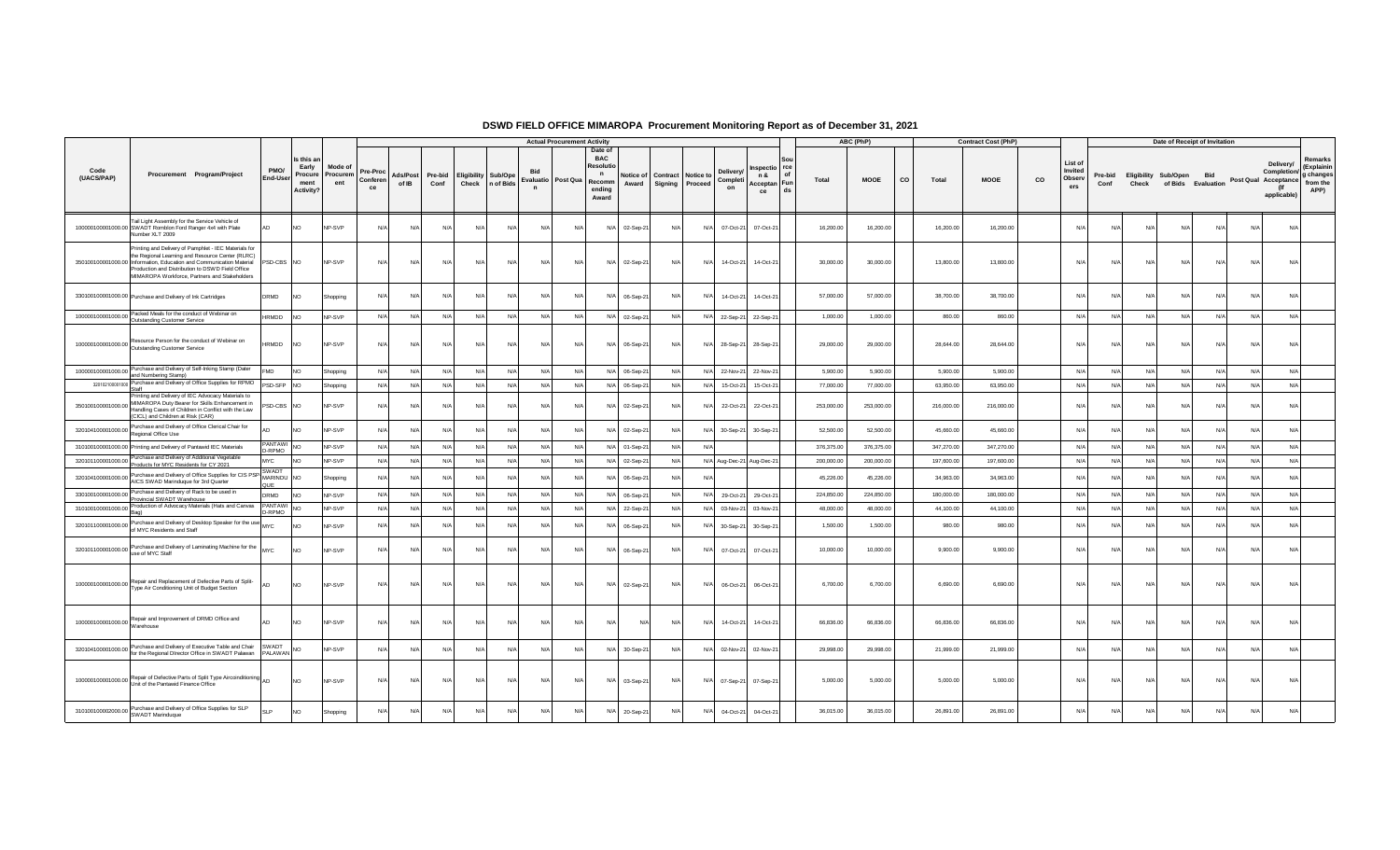|                                           |                                                                                                                                                                                                                                                                                        |                                    |                                                    |                            |                            |                   |                 |                                     |            |                                    | <b>Actual Procurement Activity</b> |                                                                                |                    |     |                                                                            |                                                          |            | ABC (PhP)   |                    | <b>Contract Cost (PhP)</b> |    |                                     |                 |                               | Date of Receipt of Invitation |            |                      |                                                |                                                        |
|-------------------------------------------|----------------------------------------------------------------------------------------------------------------------------------------------------------------------------------------------------------------------------------------------------------------------------------------|------------------------------------|----------------------------------------------------|----------------------------|----------------------------|-------------------|-----------------|-------------------------------------|------------|------------------------------------|------------------------------------|--------------------------------------------------------------------------------|--------------------|-----|----------------------------------------------------------------------------|----------------------------------------------------------|------------|-------------|--------------------|----------------------------|----|-------------------------------------|-----------------|-------------------------------|-------------------------------|------------|----------------------|------------------------------------------------|--------------------------------------------------------|
| Code<br>(UACS/PAP)                        | Procurement Program/Project                                                                                                                                                                                                                                                            | PMO/<br>End-User                   | Is this a<br>Early<br>Procure<br>ment<br>Activity? | Mode of<br>Procurem<br>ent | Pre-Proc<br>Conferen<br>ce | Ads/Post<br>of IB | Pre-bid<br>Conf | <b>Eligibility Sub/Ope</b><br>Check | n of Bids  | Evaluatio Post Qua<br>$\mathsf{n}$ |                                    | Date of<br><b>BAC</b><br>Resoluti<br>$\mathsf{n}$<br>Recomm<br>ending<br>Award | Notice of<br>Award |     | <b>Deliverv</b><br>Contract Notice to<br>Completi<br>Signing Proceed<br>on | rce<br>nspectio<br>οf<br>n &<br>Acceptan Fun<br>ds<br>ce | Total      | <b>MOOE</b> | <b>CO</b><br>Total | <b>MOOE</b>                | co | List of<br>Invited<br>Observ<br>ers | Pre-bid<br>Conf | Eligibility Sub/Open<br>Check | of Bids Evaluation            | <b>Bid</b> | Post Qual Acceptance | Delivery/<br>Completion/<br>(lf<br>applicable) | Remarks<br>(Explainin<br>g changes<br>from the<br>APP) |
|                                           | Tail Light Assembly for the Service Vehicle of<br>100000100001000.00 SWADT Romblon Ford Ranger 4x4 with Plate<br>Number XLT 2009                                                                                                                                                       |                                    | <b>NO</b>                                          | NP-SVP                     | N/A                        | N/A               | N/A             | N/A                                 | N/A        | N/A                                | N/A                                | N/A                                                                            | 02-Sep-21          | N/A | N/A<br>07-Oct-21                                                           | 07-Oct-21                                                | 16,200.00  | 16,200.00   | 16,200.00          | 16,200.00                  |    | N/A                                 | N               | N/A                           | N                             | N/A        | N/A                  | N/A                                            |                                                        |
|                                           | Printing and Delivery of Pamphlet - IEC Materials for<br>the Regional Learning and Resource Center (RLRC)<br>350100100001000.00 Information, Education and Communication Material<br>Production and Distribution to DSWD Field Office<br>MIMAROPA Workforce, Partners and Stakeholders | PSD-CBS NO                         |                                                    | NP-SVP                     | N/A                        | $N/\Delta$        | $N/\Delta$      | $N/\Delta$                          | $N/\Delta$ | N/A                                | N/A                                |                                                                                | N/A 02-Sep-21      | N/A | N/A<br>14-Oct-21                                                           | 14-Oct-21                                                | 30,000.00  | 30,000.00   | 13,800.00          | 13,800.00                  |    | N/A                                 | N/L             | $N/\Delta$                    | N/A                           | $N/\Delta$ | N/A                  | N/A                                            |                                                        |
|                                           | 330100100001000.00 Purchase and Delivery of Ink Cartridges                                                                                                                                                                                                                             | DRMD                               | NO <sub>1</sub>                                    | Shopping                   | N/A                        | N/A               | N/A             | N/A                                 | N/A        | N/l                                | N/A                                | N/A                                                                            | 06-Sep-21          | N/A | N/A<br>14-Oct-21                                                           | 14-Oct-21                                                | 57,000.00  | 57,000.00   | 38,700.00          | 38,700.00                  |    | N/I                                 | N/              | N/A                           | N                             | N/A        | N/A                  | N/A                                            |                                                        |
|                                           | 100000100001000.00 Packed Meals for the conduct of Webinar on<br>Outstanding Customer Service                                                                                                                                                                                          | HRMDD                              | <b>NO</b>                                          | NP-SVP                     | N/A                        | N/A               | N/A             | N/A                                 | N/A        | N/A                                | N/A                                |                                                                                | N/A 02-Sep-2       | N/A | N/A<br>22-Sep-21 22-Sep-21                                                 |                                                          | 1,000.00   | 1,000.00    | 860.00             | 860.00                     |    | N/A                                 | N               | N/A                           | N                             | N/A        | N/A                  | N/A                                            |                                                        |
|                                           | 100000100001000.00 Resource Person for the conduct of Webinar on<br>Outstanding Customer Service                                                                                                                                                                                       | HRMDD                              | <b>NO</b>                                          | NP-SVP                     | N/A                        | N/A               | N/A             | N/A                                 | N/A        | N/A                                | N/A                                | N/A                                                                            | 06-Sep-21          | N/A | N/A<br>28-Sep-21                                                           | 28-Sep-21                                                | 29,000.00  | 29,000.00   | 28,644.00          | 28,644.00                  |    | N/A                                 | N/f             | N/A                           | N/A                           | N/A        | N/A                  | N/A                                            |                                                        |
|                                           | 100000100001000.00 Purchase and Delivery of Self-Inking Stamp (Dater<br>and Numbering Stamp)                                                                                                                                                                                           | <b>FMD</b>                         | NO                                                 | Shopping                   | N/A                        | N/A               | N/A             | N/A                                 | N/A        | N/A                                | N/A                                | N/A                                                                            | 06-Sep-2           | N/A | N/A<br>22-Nov-21                                                           | 22-Nov-2                                                 | 5,900.00   | 5,900.00    | 5,900.00           | 5,900.00                   |    | N/A                                 | N               | N/A                           | N/A                           | N/A        | N/A                  | N/A                                            |                                                        |
| 320102100001000                           | Purchase and Delivery of Office Supplies for RPMO<br><b>Staff</b>                                                                                                                                                                                                                      | PSD-SFP NO                         |                                                    | Shopping                   | N/A                        | N/A               | N/A             | N/A                                 | N/A        | N/A                                | N/A                                |                                                                                | N/A 06-Sep-2       | N/A | N/A<br>15-Oct-21                                                           | 15-Oct-21                                                | 77,000.00  | 77,000.00   | 63,950.00          | 63,950.00                  |    | N/A                                 | N/L             | N/A                           | N/A                           | N/A        | N/A                  | N/A                                            |                                                        |
| 350100100001000.00                        | Printing and Delivery of IEC Advocacy Materials to<br>MIMAROPA Duty Bearer for Skills Enhancement in<br>Handling Cases of Children in Conflict with the Law<br>(CICL) and Children at Risk (CAR)                                                                                       | SD-CBS NO                          |                                                    | NP-SVP                     | N/A                        | N/A               | N/A             | N/A                                 | N/A        | N/A                                | N/A                                | N/A                                                                            | 02-Sep-21          | N/A | 22-Oct-21<br>N/A                                                           | 22-Oct-21                                                | 253,000.00 | 253,000.00  | 216,000.00         | 216,000.00                 |    | N/A                                 | N/4             | N/A                           | $N$ /                         | N/A        | N/A                  | N/A                                            |                                                        |
|                                           | 320104100001000.00 Purchase and Delivery of Office Clerical Chair for<br>Regional Office Use                                                                                                                                                                                           |                                    | NO <sub>1</sub>                                    | NP-SVP                     | N/A                        | N/A               | N/A             | N/A                                 | N/A        | $N$ /                              | N/A                                | N/A                                                                            | 02-Sep-2           | N/A | N/A<br>30-Sep-21                                                           | 30-Sep-2                                                 | 52,500.00  | 52,500.00   | 45,660.00          | 45,660.00                  |    | N/A                                 | N/4             | $N/\Delta$                    | $N$ /                         | $N/\Delta$ | N/A                  | N/A                                            |                                                        |
|                                           | 310100100001000.00 Printing and Delivery of Pantawid IEC Materials                                                                                                                                                                                                                     | <b>ANTAWI</b><br>-RPMO             | <b>NO</b>                                          | NP-SVP                     | N/A                        | N/A               | N/A             | N/A                                 | N/A        | N/A                                | N/A                                |                                                                                | N/A 01-Sep-21      | N/A | N/A                                                                        |                                                          | 376,375.00 | 376,375.00  | 347,270.00         | 347,270.00                 |    | N/A                                 | N/f             | N/A                           | N/A                           | N/A        | N/A                  | N/A                                            |                                                        |
| 320101100001000.00                        | Purchase and Delivery of Additional Vegetable<br>Products for MYC Residents for CY 2021                                                                                                                                                                                                | <b>MYC</b>                         | N <sub>O</sub>                                     | NP-SVP                     | N/A                        | N/A               | N/A             | N/A                                 | N/A        | N                                  | N/A                                |                                                                                | N/A 02-Sep-21      | N/A | N/A Aug-Dec-21 Aug-Dec-21                                                  |                                                          | 200,000.00 | 200,000.00  | 197,600.00         | 197,600.00                 |    | N/A                                 | N               | N/A                           | N                             | N/A        | N/A                  | N/A                                            |                                                        |
| 320104100001000.00                        | Purchase and Delivery of Office Supplies for CIS PSP-<br>AICS SWAD Marinduque for 3rd Quarter                                                                                                                                                                                          | SWADT<br>MARINDU NO<br><b>ILIF</b> |                                                    | Shopping                   | N/A                        | N/A               | N/l             | N/A                                 | N/A        | N                                  | N/A                                | N/A                                                                            | 06-Sep-2           | N.  | N/                                                                         |                                                          | 45,226.00  | 45,226.00   | 34,963.00          | 34,963.00                  |    | N/A                                 | N/4             | N/l                           | N                             | N/l        | N/I                  | N/A                                            |                                                        |
| 330100100001000.00                        | Purchase and Delivery of Rack to be used in<br>Provincial SWADT Warehouse                                                                                                                                                                                                              | DRMD                               | N <sub>O</sub>                                     | NP-SVP                     | N/A                        | N/A               | N/A             | N/A                                 | N/A        | N/A                                | N/A                                |                                                                                | N/A 06-Sep-2       | N/A | N/A<br>29-Oct-21                                                           | 29-Oct-21                                                | 224,850.00 | 224,850.00  | 180,000.00         | 180,000.00                 |    | N/A                                 | N/f             | N/A                           | N/A                           | N/A        | N/A                  | N/A                                            |                                                        |
| 310100100001000.00                        | Production of Advocacy Materials (Hats and Canvas                                                                                                                                                                                                                                      | PANTAWI<br>-RPMO                   | NO                                                 | NP-SVP                     | N/A                        | N/A               | N/A             | N/A                                 | N/A        | N/4                                | N/A                                | N/A                                                                            | 22-Sep-2           | N/A | N/A<br>03-Nov-21                                                           | 03-Nov-2                                                 | 48,000.00  | 48,000.00   | 44,100.00          | 44,100.00                  |    | N/A                                 | N               | N/A                           | $N$ /                         | N/A        | N/A                  | N/A                                            |                                                        |
| 320101100001000.00                        | Purchase and Delivery of Desktop Speaker for the use MYC<br>of MYC Residents and Staff                                                                                                                                                                                                 |                                    | <b>NO</b>                                          | NP-SVP                     | N/A                        | N/A               | N/l             | N/A                                 | N/L        | N/l                                | N/A                                | N/A                                                                            | 06-Sep-2           | N/A | N/A<br>30-Sep-21                                                           | 30-Sep-2                                                 | 1.500.00   | 1,500.00    | 980.0              | 980.00                     |    | N/A                                 | N/              | N/l                           | N                             | N/A        | N/A                  | N/A                                            |                                                        |
|                                           | 320101100001000.00 Purchase and Delivery of Laminating Machine for the MYC                                                                                                                                                                                                             |                                    | <b>NO</b>                                          | NP-SVP                     | N/A                        | N/A               | N/A             | N/A                                 | N/A        | N/l                                | N/A                                | N/A                                                                            | 06-Sep-21          | N/A | 07-Oct-21<br>N/A                                                           | 07-Oct-21                                                | 10,000.00  | 10,000.00   | 9,900.00           | 9,900.00                   |    | N/A                                 | N               | N/A                           | N                             | N/A        | N/A                  | N/A                                            |                                                        |
|                                           | 100000100001000.00 Repair and Replacement of Defective Parts of Split-<br>Type Air Conditioning Unit of Budget Section                                                                                                                                                                 | AD                                 | <b>NO</b>                                          | NP-SVP                     | N/A                        | N/A               | N/A             | N/A                                 | N/A        | N/A                                | N/A                                |                                                                                | N/A 02-Sep-21      | N/A | 06-Oct-21<br>N/A                                                           | 06-Oct-21                                                | 6,700.00   | 6,700.00    | 6,690.00           | 6,690.00                   |    | N/A                                 | N/4             | $N/\Delta$                    | N/A                           | $N/\Delta$ | N/A                  | N/A                                            |                                                        |
| 100000100001000.00 Nepal and<br>Warehouse | Repair and Improvement of DRMD Office and                                                                                                                                                                                                                                              |                                    | NO.                                                | NP-SVP                     | N/A                        | N/A               | N/A             | N/A                                 | N/A        | N/A                                | N/A                                | N/A                                                                            | $N/\Delta$         | N/A | N/A<br>14-Oct-21                                                           | 14-Oct-21                                                | 66,836.00  | 66,836.00   | 66,836.00          | 66,836.00                  |    | N/A                                 | N/              | N/A                           | N                             | N/A        | N/A                  | N/A                                            |                                                        |
|                                           | Purchase and Delivery of Executive Table and Chair<br>320104100001000.00 furchase also Delivery or Executive Text Director Palawan PALAWAN                                                                                                                                             | SWADT                              | NO                                                 | NP-SVP                     | N/A                        | N/A               | N/l             | N/A                                 | N/A        | $N$ /                              | N/A                                | N/A                                                                            | 30-Sep-2           | N/A | N/A<br>02-Nov-21                                                           | 02-Nov-2                                                 | 29,998.00  | 29,998.00   | 21,999.00          | 21,999.00                  |    | N/A                                 | N/              | N/A                           | N                             | N/A        | N/A                  | N/A                                            |                                                        |
|                                           | 100000100001000.00 Repair of Defective Parts of Split Type Aircoinditioning<br>Unit of the Pantawid Finance Office                                                                                                                                                                     |                                    | <b>NO</b>                                          | NP-SVP                     | N/A                        | N/A               | $N/\Delta$      | N/A                                 | N/A        | N/A                                | N/A                                |                                                                                | N/A 03-Sep-21      | N/A | N/A<br>07-Sep-21 07-Sep-21                                                 |                                                          | 5,000.00   | 5,000.00    | 5,000.00           | 5,000.00                   |    | N/A                                 | N/4             | $N/\Delta$                    | $N$ /                         | $N/\Delta$ | N/A                  | N/A                                            |                                                        |
|                                           | 310100100002000.00 Purchase and Delivery of Office Supplies for SLP<br>SWADT Marinduque                                                                                                                                                                                                | SI P                               | NO                                                 | Shopping                   | N/A                        | N/A               | $N/\Delta$      | N/A                                 | N/A        | N/l                                | N/A                                | N/A                                                                            | 20-Sep-21          | N/A | N/A<br>04-Oct-21                                                           | 04-Oct-21                                                | 36,015.00  | 36,015.00   | 26,891.00          | 26,891.00                  |    | N/A                                 | N               | N/A                           | $N$ /                         | N/A        | N/A                  | N/A                                            |                                                        |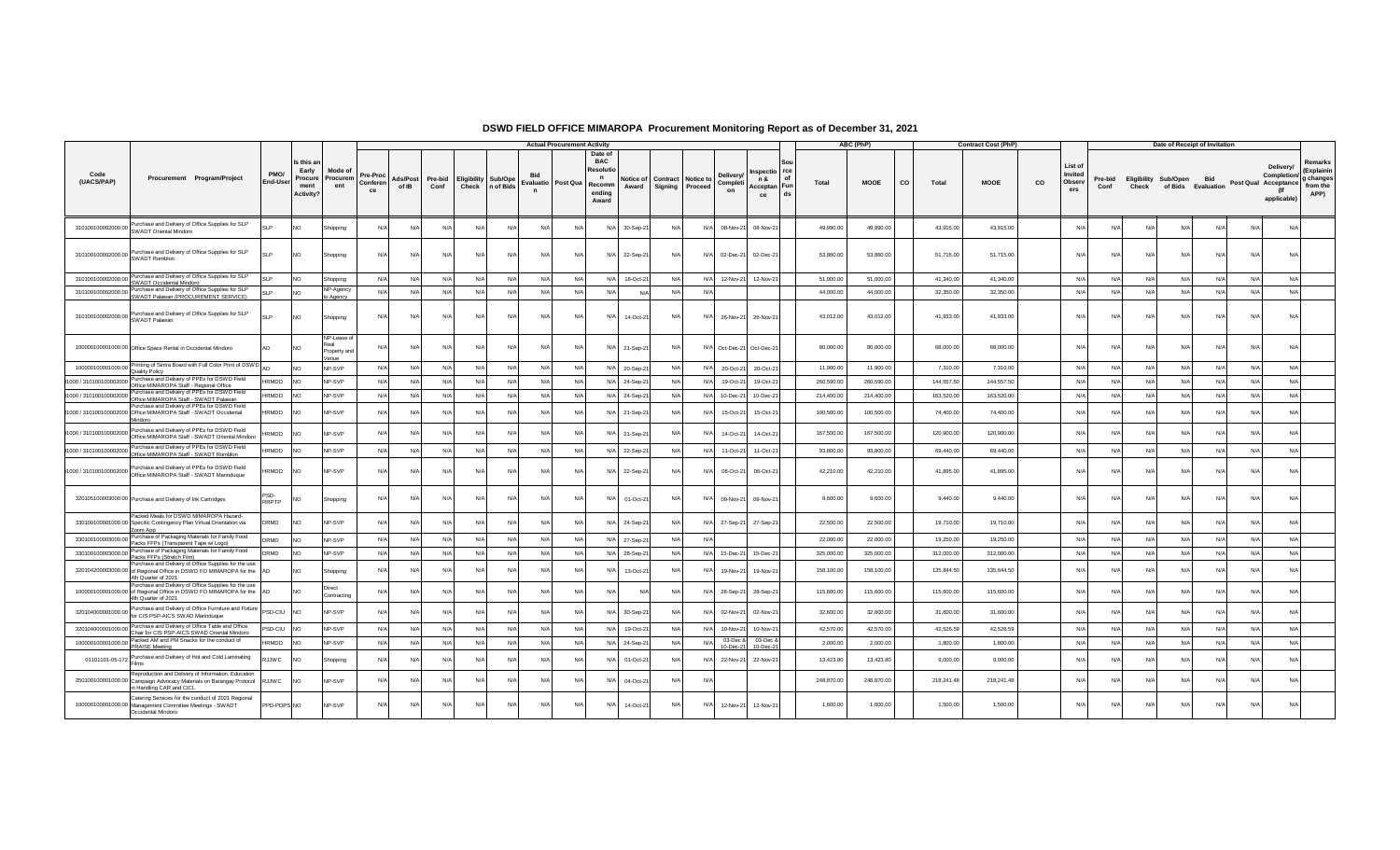|                        |                                                                                                                                                        |                  |                                                     |                                      |                            |                          |                 |                                     |            |                                           | <b>Actual Procurement Activity</b> |                                                                    |               |                              |                 |                                   |                            |                          |            | ABC (PhP)  |           |            | <b>Contract Cost (PhP)</b> |    |                                     |                 |                               | Date of Receipt of Invitation |            |                      |                                         |                                                        |
|------------------------|--------------------------------------------------------------------------------------------------------------------------------------------------------|------------------|-----------------------------------------------------|--------------------------------------|----------------------------|--------------------------|-----------------|-------------------------------------|------------|-------------------------------------------|------------------------------------|--------------------------------------------------------------------|---------------|------------------------------|-----------------|-----------------------------------|----------------------------|--------------------------|------------|------------|-----------|------------|----------------------------|----|-------------------------------------|-----------------|-------------------------------|-------------------------------|------------|----------------------|-----------------------------------------|--------------------------------------------------------|
| Code<br>(UACS/PAP)     | Procurement Program/Project                                                                                                                            | PMO/<br>End-User | Is this an<br>Early<br>Procure<br>ment<br>Activity? | Mode of<br>Procurem<br>ent           | Pre-Proc<br>Conferen<br>ce | <b>Ads/Post</b><br>of IB | Pre-bid<br>Conf | <b>Eligibility Sub/Ope</b><br>Check | n of Bids  | <b>Evaluatio</b> Post Qua<br>$\mathsf{n}$ |                                    | Date of<br><b>BAC</b><br>Resolut<br>n<br>Recomm<br>ending<br>Award | Award         | Notice of Contract Notice to | Signing Proceed | <b>Deliverv</b><br>Completi<br>on | Inspectio rce<br>n &<br>ce | of<br>Acceptan Fun<br>ds | Total      | MOOE       | <b>CO</b> | Total      | <b>MOOE</b>                | co | List of<br>Invited<br>Observ<br>ers | Pre-bid<br>Conf | Eligibility Sub/Open<br>Check | of Bids Evaluation            | Bid        | Post Qual Acceptance | Delivery/<br>Completion/<br>applicable) | Remarks<br>(Explainin<br>g changes<br>from the<br>APP) |
| 310100100002000.00     | Purchase and Delivery of Office Supplies for SLP<br>SWADT Oriental Mindoro                                                                             |                  | NO.                                                 | Shopping                             | $N/\Delta$                 | N                        | N/A             | N/A                                 | N/A        | N/A                                       | N                                  | N/A                                                                | 30-Sep-21     | N/                           | N/A             | 08-Nov-21                         | 08-Nov-21                  |                          | 49,990.00  | 49,990.00  |           | 43,915.00  | 43,915.00                  |    | N/A                                 | N/A             | N/A                           | N/A                           | N/A        | N/A                  | N/L                                     |                                                        |
|                        | 310100100002000.00 Purchase and Delivery of Office Supplies for SLP<br>SWADT Romblon                                                                   | SI <sub>P</sub>  | NO.                                                 | Shopping                             | N/A                        | N/l                      | N/A             | N/A                                 | N/A        | N/A                                       | $N/\ell$                           |                                                                    | N/A 22-Sep-21 | N/A                          |                 | N/A 02-Dec-21                     | 02-Dec-21                  |                          | 53,860.00  | 53,860.00  |           | 51,715.00  | 51,715.00                  |    | N/A                                 | N/A             | N/A                           | N/A                           | N/A        | N/A                  | N/L                                     |                                                        |
| 310100100002000.00     | Purchase and Delivery of Office Supplies for SLP<br>SWADT Occidental Mindoro                                                                           |                  | NO.                                                 | Shopping                             | N/A                        | N/A                      | N/A             | N/A                                 | N/A        | N/A                                       | N/A                                | N/A                                                                | 18-Oct-21     | N/A                          | N/A             | 12-Nov-21                         | 12-Nov-21                  |                          | 51,000.00  | 51,000.00  |           | 41,340.00  | 41,340.00                  |    | N/A                                 | N/A             | N/A                           | N/A                           | N/A        | N/A                  | N/A                                     |                                                        |
| 310100100002000.00     | Purchase and Delivery of Office Supplies for SLP<br>SWADT Palawan (PROCUREMENT SERVICE)                                                                | SI <sub>P</sub>  | NO.                                                 | NP-Agency<br>o Agency                | N/A                        | N/A                      | N/A             | N/A                                 | N/A        | N/A                                       | N/A                                | N/A                                                                | N/L           | N/A                          | N/A             |                                   |                            |                          | 44,000.00  | 44,000.00  |           | 32,350.00  | 32,350.00                  |    | N/A                                 | N/A             | N/A                           | N/A                           | N/A        | N/A                  | N/A                                     |                                                        |
|                        | 310100100002000.00 Purchase and Delivery of Office Supplies for SLP<br>SWADT Palawan                                                                   | SI <sub>P</sub>  | <b>NO</b>                                           | Shopping                             | $N/\Delta$                 | N/A                      | N/A             | N/A                                 | $N/\Delta$ | N/A                                       | $N/\ell$                           | N/A                                                                | 14-Oct-21     | N/A                          |                 | N/A 26-Nov-21                     | 26-Nov-21                  |                          | 43,012.00  | 43,012.00  |           | 41,933.00  | 41,933.00                  |    | N/A                                 | N/A             | N/A                           | N/A                           | N/A        | N/A                  | N/A                                     |                                                        |
|                        | 100000100001000.00 Office Space Rental in Occidental Mindoro                                                                                           |                  | <b>NO</b>                                           | NP-Lease of<br>Property and<br>/enue | N/A                        | N/                       | N/A             | N/A                                 | $N/\Delta$ | N/A                                       | $N/\ell$                           |                                                                    | N/A 21-Sep-21 | N/A                          |                 |                                   | N/A Oct-Dec-21 Oct-Dec-21  |                          | 80,000.00  | 80,000.00  |           | 68,000.00  | 68,000.00                  |    | N/A                                 | N/A             | N/A                           | N/A                           | N/A        | N/A                  | N/A                                     |                                                        |
| 100000100001000.00     | Printing of Sintra Board with Full Color Print of DSWD<br><b>Quality Policy</b>                                                                        |                  | <b>NO</b>                                           | NP-SVP                               | N/A                        | N/A                      | N/A             | N/A                                 | N/A        | N/A                                       | N/L                                | N/A                                                                | 20-Sep-21     | N/A                          |                 | N/A 20-Oct-21                     | 20-Oct-21                  |                          | 11,900.00  | 11,900.00  |           | 7.310.00   | 7.310.00                   |    | N/A                                 | N/A             | N/A                           | N/A                           | N/A        | N/A                  | N/A                                     |                                                        |
| 000 / 310100100002000  | Purchase and Delivery of PPEs for DSWD Field<br>Office MIMAROPA Staff - Regional Office                                                                | HRMDD            | NO.                                                 | NP-SVP                               | N/A                        | N/A                      | N/A             | N/A                                 | N/A        | N/A                                       | $N/\ell$                           |                                                                    | N/A 24-Sep-21 | N/A                          | N/A             | 19-Oct-21                         | 19-Oct-21                  |                          | 260,590.00 | 260,590.00 |           | 144,557.50 | 144,557.50                 |    | N/A                                 | N/A             | N/A                           | N/A                           | N/A        | N/A                  | N/A                                     |                                                        |
| 000 / 310100100002000  | Purchase and Delivery of PPEs for DSWD Field<br>Office MIMAROPA Staff - SWADT Palawan                                                                  | HRMDD            | NO.                                                 | NP-SVP                               | N/A                        | N/A                      | N/A             | N/A                                 | N/A        | N/A                                       | $N/\ell$                           | N/A                                                                | 24-Sep-21     | N/l                          | N/A             | 10-Dec-21                         | 10-Dec-21                  |                          | 214,400.00 | 214,400.00 |           | 163,520.00 | 163,520.00                 |    | N/A                                 | N/A             | N/A                           | N/A                           | N/A        | N/A                  | N/A                                     |                                                        |
|                        | Purchase and Delivery of PPEs for DSWD Field<br>1000 / 310100100002000 Office MIMAROPA Staff - SWADT Occidental<br>Mindoro                             | <b>HRMDD</b>     | NO.                                                 | NP-SVP                               | $N/\Delta$                 | N                        | $N/\Delta$      | $N/\Delta$                          | N/L        | N/L                                       | N/L                                | $N/\Delta$                                                         | 21-Sep-21     | N                            | $N/\Delta$      | 15-Oct-21                         | 15-Oct-21                  |                          | 100,500.00 | 100,500.00 |           | 74,400.00  | 74,400.00                  |    | N/L                                 | N/L             | $N/\Delta$                    | N/L                           | $N/\Delta$ | $N/\Delta$           | $N$ /                                   |                                                        |
|                        | 1000 / 310100100002000 Purchase and Delivery of PPEs for DSWD Field<br>Office MIMAROPA Staff - SWADT Oriental Mindoro                                  | RMDD             | NO.                                                 | NP-SVP                               |                            |                          | N/L             | N/A                                 | N/L        | N/l                                       |                                    |                                                                    | 21-Sep-21     | N/                           | N/A             | 14-Oct-21                         | 14-Oct-21                  |                          | 167,500.00 | 167,500.00 |           | 120,900.00 | 120,900.00                 |    | N/L                                 | N/L             | N/A                           | N/L                           | N/l        | N/A                  | $N$ /                                   |                                                        |
|                        | 000 / 310100100002000 Purchase and Delivery of PPEs for DSWD Field<br>Office MIMAROPA Staff - SWADT Romblon                                            | RMDD             | NO.                                                 | NP-SVP                               | N/A                        | N/l                      | N/A             | N/A                                 | N/A        | N/A                                       | N/f                                | N/A                                                                | 22-Sep-21     | N/A                          | N/A             | 11-Oct-21                         | 11-Oct-21                  |                          | 93,800.00  | 93,800.00  |           | 69,440.00  | 69,440.00                  |    | $N/\ell$                            | N/A             | N/A                           | N/A                           | N/A        | N/A                  | N/A                                     |                                                        |
|                        | 1000 / 310100100002000 Purchase and Delivery of PPEs for DSWD Field<br>Office MIMAROPA Staff - SWADT Marinduque                                        | <b>HRMDD</b>     | NO.                                                 | NP-SVP                               | N/A                        | N/l                      | N/A             | N/A                                 | N/A        | N/A                                       | N/                                 | N/A                                                                | 22-Sep-21     | N/A                          | N/A             | 06-Oct-21                         | 06-Oct-21                  |                          | 42,210.00  | 42,210.00  |           | 41,895.00  | 41,895.00                  |    | N/A                                 | N/A             | N/A                           | N/A                           | N/A        | N/A                  | $N/\ell$                                |                                                        |
|                        | 320105100003000.00 Purchase and Delivery of Ink Cartridges                                                                                             | RRPTP            | NO.                                                 | Shopping                             | N/A                        | N/                       | N/A             | N/A                                 | N/A        | N/A                                       | $N/\ell$                           | N/A                                                                | 01-Oct-21     | N/A                          | N/A             | 09-Nov-21                         | 09-Nov-21                  |                          | 9,600.00   | 9,600.00   |           | 9,440.00   | 9,440.00                   |    | N/L                                 | N/A             | N/A                           | N/A                           | N/A        | N/A                  | N/L                                     |                                                        |
|                        | Packed Meals for DSWD MIMAROPA Hazard-<br>330100100001000.00 Specific Contingency Plan Virtual Orientation via<br>Zoom App                             | DRMD             | NO                                                  | NP-SVP                               | N/A                        | N/l                      | N/A             | N/A                                 | N/A        | N/A                                       | N/L                                |                                                                    | N/A 24-Sep-21 | N/l                          | N/A             | 27-Sep-21                         | 27-Sep-21                  |                          | 22,500.00  | 22,500.00  |           | 19,710.00  | 19,710.00                  |    | N/L                                 | N/A             | N/A                           | N/A                           | N/A        | N/A                  | $N/\ell$                                |                                                        |
| 330100100003000.00     | Purchase of Packaging Materials for Family Food<br>Packs FFPs (Transparent Tape w/ Logo)                                                               | DRMD             | NO                                                  | NP-SVP                               | N/A                        | N/A                      | N/A             | N/A                                 | N/A        | N/A                                       | $N/\ell$                           |                                                                    | N/A 27-Sep-21 | N/A                          | N/A             |                                   |                            |                          | 22,000.00  | 22,000.00  |           | 19,250.00  | 19,250.00                  |    | N/A                                 | N/A             | N/A                           | N/A                           | N/A        | N/A                  | N/A                                     |                                                        |
| 330100100003000.00     | Purchase of Packaging Materials for Family Food<br>Packs FFPs (Stretch Film)                                                                           | DRMD             | NO.                                                 | NP-SVP                               | N/A                        | N/A                      | N/A             | N/A                                 | N/A        | N/A                                       | N/                                 |                                                                    | N/A 28-Sep-21 | N/A                          |                 | N/A 15-Dec-21                     | 15-Dec-21                  |                          | 325,000.00 | 325,000.00 |           | 312,000.00 | 312,000.00                 |    | N/A                                 | N/A             | N/A                           | N/A                           | N/A        | N/A                  | N/A                                     |                                                        |
|                        | Purchase and Delivery of Office Supplies for the use<br>320104200003000.00 of Regional Office in DSWD FO MIMAROPA for the AD<br>4th Quarter of 2021    |                  | NO                                                  | Shopping                             | N/A                        |                          | N/A             | N/A                                 | N/L        | N/l                                       |                                    | N/A                                                                | 13-Oct-21     | N/                           | N/A             | 19-Nov-21                         | 19-Nov-21                  |                          | 158,100.00 | 158,100.00 |           | 135,844.50 | 135,844.50                 |    | N/L                                 | N/L             | N/A                           | N/A                           | N/A        | N/A                  | $N$ /                                   |                                                        |
|                        | Purchase and Delivery of Office Supplies for the use<br>100000100001000.00 of Regional Office in DSWD FO MIMAROPA for the AD<br>4th Quarter of 2021    |                  | NO.                                                 | Direct<br>Contracting                | N/A                        | N/                       | N/A             | N/A                                 | N/A        | N/A                                       |                                    | N/A                                                                |               | N/                           | N/A             | 28-Sep-21                         | 28-Sep-21                  |                          | 115,600.00 | 115,600.00 |           | 115,600.00 | 115,600.00                 |    | N/L                                 | N/L             | N/A                           | N/L                           | N/A        | N/A                  | N                                       |                                                        |
|                        | 320104000001000.00 Purchase and Delivery of Office Furniture and Fixture<br>for CIS PSP-AICS SWAD Marinduque                                           | PSD-CIU          | NO.                                                 | NP-SVP                               | $N/\Delta$                 | N/L                      | N/A             | $N/\Delta$                          | $N/\Delta$ | $N/\Delta$                                | N/L                                | $N/\Delta$                                                         | 30-Sep-21     | N/l                          | N/A             | 02-Nov-21                         | 02-Nov-21                  |                          | 32,600.00  | 32,600.00  |           | 31,600.00  | 31,600.00                  |    | N/A                                 | N/A             | N/A                           | N/A                           | N/A        | $N/\Delta$           | N/L                                     |                                                        |
|                        | 320104000001000.00 Purchase and Delivery of Office Table and Office<br>Chair for CIS PSP-AICS SWAD Oriental Mindoro                                    | PSD-CIU          | NO.                                                 | NP-SVP                               | N/A                        | N/A                      | N/A             | N/A                                 | N/A        | N/A                                       | $N/\ell$                           | N/A                                                                | 19-Oct-21     | N/A                          | N/A             | 10-Nov-21                         | 10-Nov-21                  |                          | 42,570.00  | 42,570.00  |           | 42,526.59  | 42,526.59                  |    | N/A                                 | N/A             | N/A                           | N/A                           | N/A        | N/A                  | N/A                                     |                                                        |
|                        | 100000100001000.00 Packed AM and PM Snacks for the conduct of<br>PRAISE Meeting                                                                        | <b>HRMDD</b>     | NO.                                                 | NP-SVP                               | N/A                        | N/l                      | N/A             | N/A                                 | N/A        | N/A                                       | $N/\ell$                           | N/A                                                                | 24-Sep-2      | N/A                          | N/A             | 03-Dec &<br>10-Dec-21             | 03-Dec &<br>10-Dec-21      |                          | 2,000.00   | 2,000.00   |           | 1,800.00   | 1,800.00                   |    | N/A                                 | N/A             | N/A                           | N/A                           | N/A        | N/A                  | N/A                                     |                                                        |
| 01101101-05-172 Future | Purchase and Delivery of Hot and Cold Laminating                                                                                                       | <b>SAMC</b>      | NO.                                                 | Shopping                             |                            |                          | N/A             | N/A                                 | N/L        | N/l                                       | N/L                                | N/A                                                                | 01-Oct-21     | N/                           | N/A             | 22-Nov-21                         | 22-Nov-21                  |                          | 13,423.80  | 13,423.80  |           | 9,000.00   | 9,000.00                   |    | $N/\ell$                            | N/L             | N/A                           | N/L                           | N/l        | $N/\Delta$           | N                                       |                                                        |
|                        | Reproduction and Delivery of Information, Education<br>350100100001000.00 Campaign Advocacy Materials on Barangay Protocol<br>in Handling CAR and CICL | RJJWC            | NO.                                                 | NP-SVP                               | N/A                        | N/                       | N/A             | N/A                                 | N          | N/f                                       |                                    | N/A                                                                | 04-Oct-21     | N/                           | N/l             |                                   |                            |                          | 248,870.00 | 248,870.00 |           | 218,241.48 | 218,241.48                 |    | $N/\ell$                            | N/f             | N/A                           | $N/\beta$                     | N/A        | N/A                  | N                                       |                                                        |
|                        | Catering Services for the conduct of 2021 Regional<br>100000100001000.00 Management Committee Meetings - SWADT<br>Occidental Mindoro                   | PPD-PDPS NO      |                                                     | NP-SVP                               | N/A                        | N/l                      | N/A             | N/A                                 | N/A        | N/A                                       | $N/\ell$                           | N/A                                                                | 14-Oct-21     | N/A                          | N/A             | 12-Nov-21                         | 12-Nov-21                  |                          | 1,600.00   | 1,600.00   |           | 1,500.00   | 1,500.00                   |    | N/A                                 | N/A             | N/A                           | N/A                           | N/A        | N/A                  | N                                       |                                                        |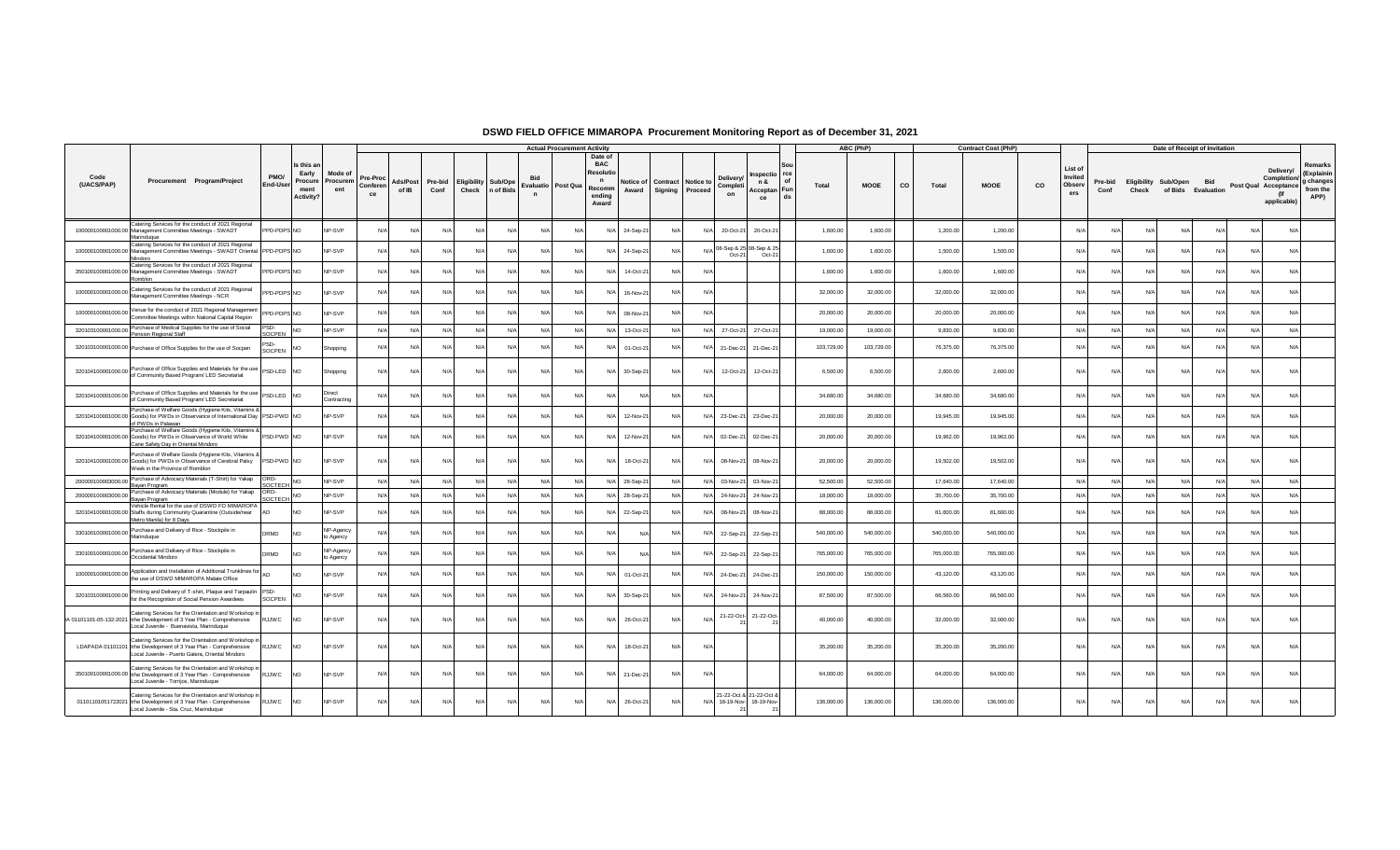|                    |                                                                                                                                                                               |                       |                                                          |                            |                            |                   |                 |             |                            |                            | <b>Actual Procurement Activity</b> |                                                                    |                    |                                      |            |                                   |                                    |                          | ABC (PhP)  |             | <b>Contract Cost (PhP</b> |    |                                     |                          |                      |                    | Date of Receipt of Invitation |                                                                  |                                                        |
|--------------------|-------------------------------------------------------------------------------------------------------------------------------------------------------------------------------|-----------------------|----------------------------------------------------------|----------------------------|----------------------------|-------------------|-----------------|-------------|----------------------------|----------------------------|------------------------------------|--------------------------------------------------------------------|--------------------|--------------------------------------|------------|-----------------------------------|------------------------------------|--------------------------|------------|-------------|---------------------------|----|-------------------------------------|--------------------------|----------------------|--------------------|-------------------------------|------------------------------------------------------------------|--------------------------------------------------------|
| Code<br>(UACS/PAP) | Procurement Program/Project                                                                                                                                                   | PMO/<br>End-User      | s this ar<br>Early<br>Procure<br>ment<br><b>Activity</b> | Mode of<br>Procuren<br>ent | Pre-Proc<br>Conferen<br>ce | Ads/Post<br>of IB | Pre-bid<br>Conf | Eligibility | Sub/Ope<br>Check n of Bids | <b>Bid</b><br>$\mathsf{n}$ | Evaluatio Post Qua                 | Date of<br><b>BAC</b><br>Resolut<br>n<br>Recomm<br>ending<br>Award | Notice of<br>Award | <b>Contract Notice to</b><br>Signing | Proceed    | Deliverv<br>Complet<br>on         | Inspectic<br>n &<br>Acceptan<br>ce | of<br>Total<br>Fun<br>ds | MOOE       | CO<br>Total | <b>MOOE</b>               | co | List of<br>Invited<br>Observ<br>ers | Pre-bid<br>Conf<br>Check | Eligibility Sub/Open | of Bids Evaluation | <b>Bid</b>                    | Delivery/<br>Post Qual Acceptance from the<br>(If<br>applicable) | Remarks<br>(Explainin<br>Completion/ g changes<br>APP) |
|                    | Catering Services for the conduct of 2021 Regional<br>100000100001000.00 Management Committee Meetings - SWADT<br>Marinduque                                                  | PPD-PDPS NO           |                                                          | NP-SVP                     | N/a                        | N/L               | N/A             | N/A         | N/                         | $N/\rho$                   | N/L                                |                                                                    | 24-Sep-2           | N                                    | N/A        | 20-Oct-21                         | 20-Oct-2                           | 1,600.00                 | 1,600.00   | 1,200.00    | 1,200.00                  |    | N/A                                 |                          | N/l                  | N                  | N/l<br>N/L                    | N/A                                                              |                                                        |
|                    | Catering Services for the conduct of 2021 Regional<br>100000100001000.00 Management Committee Meetings - SWADT Oriental PPD-PDPS NO<br>Mindoro                                |                       |                                                          | NP-SVP                     | N/L                        | N/A               | N/A             | N/A         | N/L                        | N/A                        | N/A                                |                                                                    | 24-Sep-2           | N/F                                  | N/A        | 08-Sep & 25 08-Sep & 25<br>Oct-21 | $Oct-21$                           | 1,600.00                 | 1,600.00   | 1,500.00    | 1,500.00                  |    | N/A                                 | N/A                      | N/A                  | N/I                | $N/\Delta$<br>$N/\beta$       | N/A                                                              |                                                        |
|                    | Catering Services for the conduct of 2021 Regional<br>350100100001000.00 Management Committee Meetings - SWADT<br>Romblon                                                     | PPD-PDPS NO           |                                                          | NP-SVP                     | N/L                        | N/A               | $N/\Delta$      | $N/\Delta$  | N/l                        | N/A                        | N/A                                | N/L                                                                | 14-Oct-2           | N/L                                  | N/A        |                                   |                                    | 1,600.00                 | 1,600.00   | 1,600.00    | 1,600.00                  |    | N/A                                 | N/A                      | N/A                  | N/A                | $N/\Delta$<br>N/A             | N/A                                                              |                                                        |
|                    | 100000100001000.00 Catering Services for the conduct of 2021 Regional<br>Management Committee Meetings - NCR                                                                  | PPD-PDPS NO           |                                                          | NP-SVP                     | N/L                        | N/A               | N/A             | N/A         | N/                         | N/A                        | N/A                                |                                                                    | 16-Nov-2           | N                                    | $N/\rho$   |                                   |                                    | 32,000.00                | 32,000.00  | 32,000.00   | 32,000.00                 |    | N/A                                 | N/A                      | N/A                  | $N$ /              | $N/\ell$<br>N/A               | N/A                                                              |                                                        |
|                    | 100000100001000.00 Venue for the conduct of 2021 Regional Management                                                                                                          | PPD-PDPS NO           |                                                          | NP-SVP                     | N/L                        | N/A               | N/A             | N/A         | N/                         | N/A                        | N/A                                |                                                                    | 08-Nov-2           | N/                                   | $N/\rho$   |                                   |                                    | 20,000.00                | 20,000.00  | 20,000.00   | 20,000.00                 |    | N/L                                 | N/A                      | N/A                  | N//                | N/A<br>N/A                    | N/A                                                              |                                                        |
|                    | 320103100001000.00 Purchase of Medical Supplies for the use of Social<br>Pension Regional Staff                                                                               | PSD-<br>SOCPEN        |                                                          | NP-SVP                     | $N/\ell$                   | N/A               | N/A             | N/A         | N/l                        | N/A                        | N/A                                |                                                                    | 13-Oct-2           | N/A                                  | N/A        | 27-Oct-21                         | 27-Oct-21                          | 19,000.00                | 19,000.00  | 9,830.00    | 9,830.00                  |    | N/A                                 | N/A                      | N/A                  | N/A                | N/A                           | N/A<br>N/A                                                       |                                                        |
|                    | 320103100001000.00 Purchase of Office Supplies for the use of Socpen                                                                                                          | PSD.<br><b>SOCPEN</b> |                                                          | Shopping                   |                            | N/L               | N/A             | N/A         | N/                         | $N/\Delta$                 | N/L                                |                                                                    | 01-Oct-2           | N/                                   | N/A        | 21-Dec-21                         | 21-Dec-2                           | 103,729.00               | 103,729.00 | 76,375.00   | 76,375.00                 |    | N/A                                 | N/A                      | N/A                  | N                  | N/A                           | N/A                                                              | N/A                                                    |
|                    | 320104100001000.00 Purchase of Office Supplies and Materials for the use PSD-LED NO                                                                                           |                       |                                                          | Shopping                   | N/L                        | N/L               | N/A             | N/A         | N/                         | N/A                        | N/A                                |                                                                    | 30-Sep-2           | $N$ /                                | N/A        | 12-Oct-21                         | 12-Oct-21                          | 6,500.00                 | 6,500.00   | 2,600.00    | 2,600.00                  |    | N/A                                 | N/A                      | N/A                  | $N$ /              | N<br>N/l                      | N/A                                                              |                                                        |
| 320104100001000.00 | Purchase of Office Supplies and Materials for the use PSD-LED NO<br>of Community Based Program/ LED Secretariat                                                               |                       |                                                          | Direct<br>Contracting      |                            | N/A               | N/A             | N/A         | N/l                        | N/A                        | N/A                                | N/L                                                                | N.                 | N                                    | $N/\Delta$ |                                   |                                    | 34,680.00                | 34,680.00  | 34,680.00   | 34,680.00                 |    | N/A                                 | N/A                      | N/A                  | $N$ /              | N/A<br>N/A                    | N/A                                                              |                                                        |
|                    | Purchase of Welfare Goods (Hygiene Kits, Vitamins &<br>320104100001000.00 Goods) for PWDs in Observance of International Day  PSD-PWD   NO<br>of PWDs in Palawan              |                       |                                                          | NP-SVP                     | N/L                        | N/A               | N/A             | N/A         | N/                         | N/A                        | N/A                                |                                                                    | 12-Nov-21          | N                                    | N/A        | 23-Dec-21                         | 23-Dec-2                           | 20,000.00                | 20,000.00  | 19,945.00   | 19,945.00                 |    | N/A                                 | N/A                      | N/A                  | N                  | N/A<br>N/A                    | N/A                                                              |                                                        |
|                    | Purchase of Welfare Goods (Hygiene Kits, Vitamins &<br>320104100001000.00 Goods) for PWDs in Observance of World White<br>Cane Safety Day in Oriental Mindoro                 | PSD-PWD NO            |                                                          | NP-SVP                     | N                          | N/A               | N/A             | N/A         | N/                         | N/A                        | N/A                                |                                                                    | 12-Nov-2           | N/A                                  | N/A        | 02-Dec-21                         | 02-Dec-2                           | 20,000.00                | 20,000.00  | 19,962.00   | 19,962.00                 |    | N/A                                 | N/A                      | N/A                  | N                  | N/A                           | N/A<br>N/A                                                       |                                                        |
|                    | Purchase of Welfare Goods (Hygiene Kits, Vitamins &<br>320104100001000.00 Goods) for PWDs in Observance of Cerebral Palsy<br>Week in the Province of Romblon                  | PSD-PWD NO            |                                                          | NP-SVP                     | N/L                        | N/A               | N/A             | N/A         | N/l                        | N/A                        | N/A                                | N/L                                                                | 18-Oct-2           | N/L                                  | N/A        | 08-Nov-21                         | 08-Nov-2                           | 20,000.00                | 20,000.00  | 19,502.00   | 19,502.00                 |    | N/A                                 | N/A                      | N/A                  | $N$ /              | N/A<br>$N/\Delta$             | N/A                                                              |                                                        |
|                    | 200000100003000.00 Purchase of Advocacy Materials (T-Shirt) for Yakap<br>Bayan Program                                                                                        | ORD<br>SOCTECH        | <b>NO</b>                                                | NP-SVP                     | N/                         | N/A               | N/A             | N/A         | N/l                        | N/A                        | N/A                                | $N/\Delta$                                                         | 28-Sep-2           | N/                                   | N/A        | 03-Nov-21                         | 03-Nov-2                           | 52,500.00                | 52,500.00  | 17,640.00   | 17,640.00                 |    | N/A                                 | N/A                      | N/A                  | $N/\beta$          | N/A                           | N/A<br>N/A                                                       |                                                        |
|                    | 200000100003000.00 Purchase of Advocacy Materials (Module) for Yakap<br>Bayan Program                                                                                         | ORD-<br>SOCTECH       | NO.                                                      | NP-SVP                     | N                          | N/A               | N/A             | N/A         | N/4                        | N/A                        | N/A                                | $N/\Delta$                                                         | 28-Sep-2           | N/                                   | N/A        | 24-Nov-21                         | 24-Nov-2                           | 18,000.00                | 18,000.00  | 35,700.00   | 35,700.00                 |    | N/A                                 | N/A                      | N/A                  | N/A                | N/A                           | N/A<br>N/A                                                       |                                                        |
|                    | Vehicle Rental for the use of DSWD FO MIMAROPA<br>320104100001000.00 Staffs during Community Quarantine (Outside/near<br>Metro Manila) for 8 Days                             | AD                    | <b>NO</b>                                                | NP-SVP                     | N/                         | N/A               | N/A             | N/A         | N/L                        | N/A                        | N/A                                |                                                                    | 22-Sep-2           | N/                                   | N/A        | 08-Nov-21                         | 08-Nov-2                           | 88,000.00                | 88,000.00  | 81,600.00   | 81,600.00                 |    | N/A                                 | N/A                      | N/A                  | $N$ /              | N/A<br>N/A                    | N/A                                                              |                                                        |
| 330100100001000.00 | Purchase and Delivery of Rice - Stockpile in<br>Marinduque                                                                                                                    | DRMD                  | NO.                                                      | NP-Agency<br>o Agency      |                            | N/A               | $N/\Delta$      | $N/\Delta$  | N/                         | N/A                        | N/A                                |                                                                    | NH                 | N                                    | N/A        | 22-Sep-21                         | 22-Sep-2                           | 540,000.00               | 540,000.00 | 540,000.00  | 540,000.00                |    | N/A                                 | N/l                      | N/l                  | N                  | $N/\ell$<br>N/l               | N/A                                                              |                                                        |
|                    | 330100100001000.00 Purchase and Delivery of Rice - Stockpile in                                                                                                               | DRMD                  |                                                          | NP-Agency<br>to Agency     | N                          | N/A               | N/A             | N/A         | N/                         | N/A                        | N/A                                |                                                                    |                    | N                                    | N/A        | 22-Sep-21                         | 22-Sep-2                           | 765,000.00               | 765,000.00 | 765,000.00  | 765,000.00                |    | N/A                                 | N/A                      | N/A                  | N                  | N/A                           | N/A<br>N/A                                                       |                                                        |
|                    | 100000100001000.00 Application and Installation of Additional Trunklines for AD<br>the use of DSWD MIMAROPA Malate Office                                                     |                       | NO.                                                      | NP-SVP                     | N/                         | N/A               | N/A             | N/A         | N/L                        | N/A                        | N/A                                |                                                                    | 01-Oct-2           | N/f                                  | N/A        | 24-Dec-21                         | 24-Dec-2                           | 150,000.00               | 150,000.00 | 43,120.00   | 43,120.00                 |    | N/A                                 | N/A                      | N/A                  | $N$ /              | N/A                           | N/A<br>N/A                                                       |                                                        |
| 320103100001000.00 | Printing and Delivery of T-shirt, Plaque and Tarpaulin   PSD-<br>for the Recognition of Social Pension Awardees                                                               | SOCPEN                |                                                          | NP-SVP                     | N/L                        | N/L               | N/A             | $N/\Delta$  | $N$ /                      | N/A                        | N/A                                |                                                                    | 30-Sep-2           | N                                    | N/A        | 24-Nov-21                         | 24-Nov-2                           | 87,500.00                | 87,500.00  | 66,560.00   | 66,560.00                 |    | N/A                                 | $N/\Delta$               | N/A                  | N/I                | N/L<br>N/l                    | N/A                                                              |                                                        |
|                    | Catering Services for the Orientation and Workshop in<br>A 01101101-05-132-2021 trhe Development of 3 Year Plan - Comprehensive<br>Local Juvenile - Buenavista, Marinduque    | <b>RJJWC</b>          | <b>NO</b>                                                | NP-SVP                     | N/L                        | N/A               | N/A             | N/A         | N/I                        | N/A                        | N/A                                | $N/\Delta$                                                         | 26-Oct-21          | N/L                                  | $N/\Delta$ |                                   | 21-22-Oct- 21-22-Oct-              | 40,000.00                | 40,000.00  | 32,000.00   | 32,000.00                 |    | N/A                                 | $N/\Delta$               | N/A                  | N/I                | N/A<br>$N/\Delta$             | N/A                                                              |                                                        |
|                    | Catering Services for the Orientation and Workshop in<br>LDAPADA 01101101 trhe Development of 3 Year Plan - Comprehensive<br>Local Juvenile - Puerto Galera, Oriental Mindoro | RJJWC                 |                                                          | NP-SVP                     | N/L                        | N/L               | N/A             | N/A         | N/                         | N/A                        | N/A                                |                                                                    | 18-Oct-21          | N                                    | $N/\Delta$ |                                   |                                    | 35,200.00                | 35,200.00  | 35,200.00   | 35,200.00                 |    | N/A                                 | N/A                      | N/l                  | N                  | N<br>N/l                      | N/A                                                              |                                                        |
|                    | Catering Services for the Orientation and Workshop in<br>350100100001000.00 trhe Development of 3 Year Plan - Comprehensive<br>Local Juvenile - Torrijos, Marinduque          | <b>RJJWC</b>          | NO.                                                      | NP-SVP                     |                            | N/A               | N/A             | N/A         | N/                         | N/A                        | N/A                                | N/A                                                                | 21-Dec-21          | N/                                   | $N/\rho$   |                                   |                                    | 64,000.00                | 64,000.00  | 64,000.00   | 64,000.00                 |    | N/A                                 | N/A                      | N/A                  | N                  | N/A                           | N/A<br>N/A                                                       |                                                        |
|                    | Catering Services for the Orientation and Workshop in<br>01101101051722021 trhe Development of 3 Year Plan - Comprehensive<br>Local Juvenile - Sta. Cruz, Marinduque          | <b>RJJWC</b>          | NO.                                                      | NP-SVP                     | N/L                        | N/A               | N/A             | N/A         | N/L                        | N/A                        | N/A                                | $N/\Delta$                                                         | 26-Oct-21          | $N/\ell$                             |            | N/A 18-19-Nov- 18-19-Nov-         | 21-22-Oct & 21-22-Oct &            | 136,000.00               | 136,000.00 | 136,000.00  | 136,000.00                |    | N/A                                 | N/A                      | N/A                  | $N$ /              | N/A                           | N/A<br>N/A                                                       |                                                        |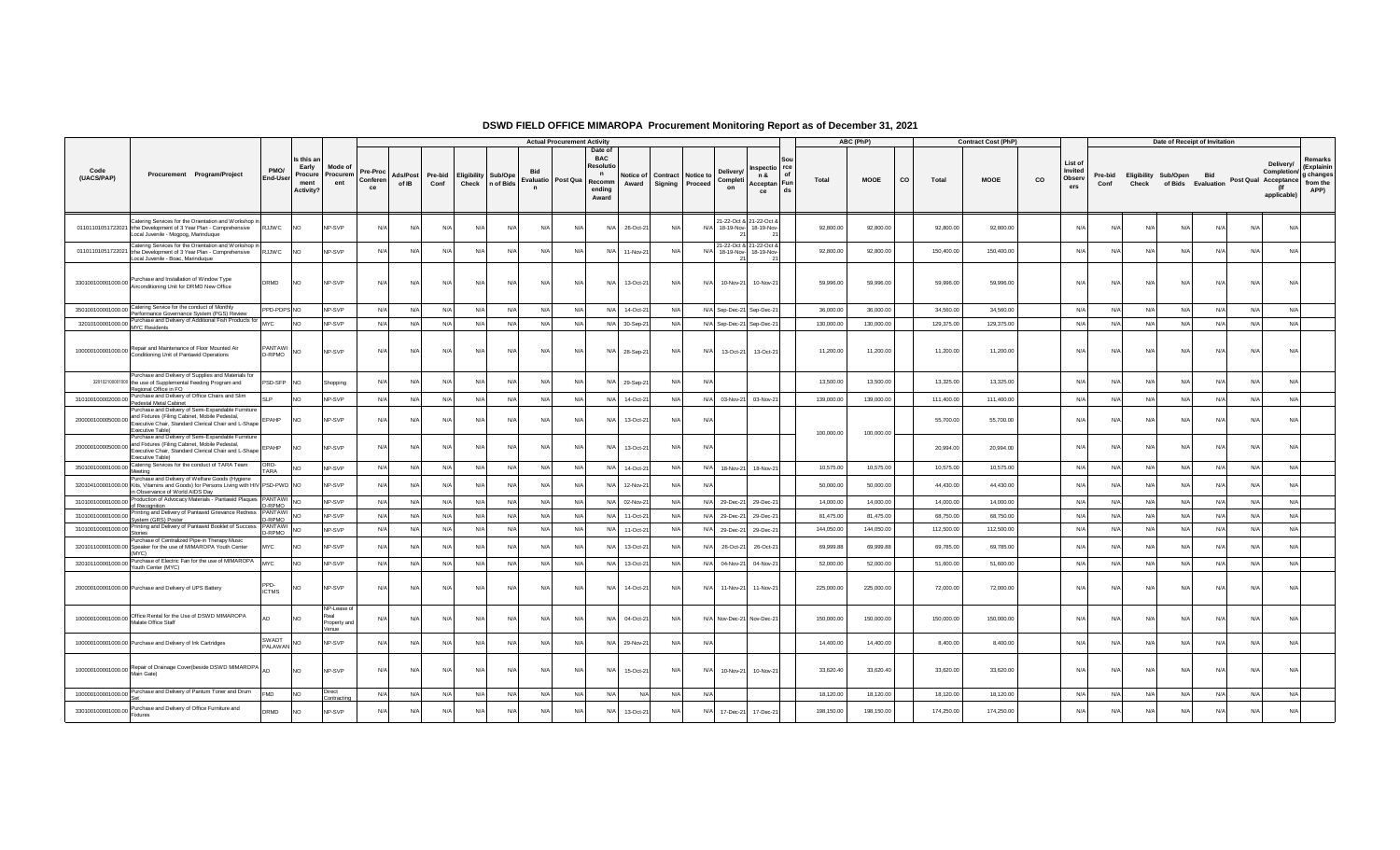|                                 |                                                                                                                                                                                  |                     |                                                            |                                              |                            |                   |                 |                                                 |          |                            | <b>Actual Procurement Activity</b> |                                                                                        |                                                 |       |                                   |                                           |          |            | ABC (PhP)   |    |            | <b>Contract Cost (PhP)</b> |    |                                     |                 |       | Date of Receipt of Invitation                     |            |     |                                                                        |                                                        |
|---------------------------------|----------------------------------------------------------------------------------------------------------------------------------------------------------------------------------|---------------------|------------------------------------------------------------|----------------------------------------------|----------------------------|-------------------|-----------------|-------------------------------------------------|----------|----------------------------|------------------------------------|----------------------------------------------------------------------------------------|-------------------------------------------------|-------|-----------------------------------|-------------------------------------------|----------|------------|-------------|----|------------|----------------------------|----|-------------------------------------|-----------------|-------|---------------------------------------------------|------------|-----|------------------------------------------------------------------------|--------------------------------------------------------|
| Code<br>(UACS/PAP)              | Procurement Program/Project                                                                                                                                                      | PMO/<br>End-User    | Is this ar<br>Early<br>Procure<br>ment<br><b>Activity?</b> | Mode of<br>Procurem<br>ent                   | Pre-Proc<br>Conferen<br>ce | Ads/Post<br>of IB | Pre-bid<br>Conf | <b>Eligibility Sub/Ope</b><br>Check   n of Bids |          | <b>Bid</b><br>$\mathsf{n}$ | Evaluatio Post Qua                 | Date of<br><b>BAC</b><br>Resolut<br>$\mathbf{r}$<br>Recomm<br>Award<br>ending<br>Award | Notice of Contract Notice to<br>Signing Proceed |       | <b>Delivery</b><br>Completi<br>on | nspectio rce<br>n &<br>Acceptan Fun<br>ce | of<br>ds | Total      | <b>MOOE</b> | co | Total      | <b>MOOE</b>                | co | List of<br>Invited<br>Observ<br>ers | Pre-bid<br>Conf | Check | <b>Eligibility Sub/Open</b><br>of Bids Evaluation | Bid        |     | Delivery/<br>Completion/<br>Post Qual Acceptance<br>(lf<br>applicable) | Remarks<br>(Explainin<br>g changes<br>from the<br>APP) |
|                                 | Catering Services for the Orientation and Workshop in<br>01101101051722021 trhe Development of 3 Year Plan - Comprehensive<br>Local Juvenile - Mogpog, Marinduque                | <b>RJJWC</b>        | <b>NO</b>                                                  | NP-SVP                                       | N/A                        | N/A               | N/A             | N/A                                             | N/A      | N/A                        | N/f                                | N/A<br>26-Oct-21                                                                       | N/A                                             | N/    | 18-19-Nov-                        | 21-22-Oct & 21-22-Oct &<br>18-19-Nov-     |          | 92,800.00  | 92,800.00   |    | 92,800.00  | 92,800.00                  |    | N/A                                 | N               | N/    | N/A                                               | N/A        | N/A | N/A                                                                    |                                                        |
|                                 | Catering Services for the Orientation and Workshop in<br>01101101051722021 trhe Development of 3 Year Plan - Comprehensive<br>Local Juvenile - Boac, Marinduque                  | <b>RJJWC</b>        | <b>NO</b>                                                  | NP-SVP                                       | N/A                        | N/A               | N/A             | N/A                                             | N/A      | N/A                        | N/A                                | N/A<br>11-Nov-21                                                                       | N/A                                             | N/A   | 18-19-Nov-                        | 21-22-Oct & 21-22-Oct &<br>18-19-Nov-     |          | 92,800.00  | 92,800.00   |    | 150,400.00 | 150,400.00                 |    | N/A                                 | N               | N/    | N/A                                               | N/A        | N/  | N/A                                                                    |                                                        |
|                                 | 330100100001000.00 Purchase and Installation of Window Type<br>Airconditioning Unit for DRMD New Office                                                                          | DRMD                | <b>NO</b>                                                  | NP-SVP                                       | N/A                        | N/A               | N/A             | N/A                                             | N/A      | N/A                        | N/A                                | N/A<br>13-Oct-21                                                                       | N/A                                             | N/A   | 10-Nov-21                         | 10-Nov-21                                 |          | 59,996.00  | 59,996.00   |    | 59,996.00  | 59,996.00                  |    | N/A                                 | N               | N/    | N/A                                               | N/A        | N/A | N/A                                                                    |                                                        |
|                                 | 350100100001000.00 Catering Service for the conduct of Monthly<br>Performance Governance System (PGS) Review                                                                     | PPD-PDPS NO         |                                                            | NP-SVP                                       | N/A                        | N/A               | N/A             | N/A                                             | N/A      | N/A                        | N/A                                | N/A<br>14-Oct-21                                                                       | N/A                                             |       |                                   | N/A Sep-Dec-21 Sep-Dec-21                 |          | 36,000.00  | 36,000.00   |    | 34,560.00  | 34,560.00                  |    | N/A                                 | N/A             | N/A   | N/A                                               | N/A        | N/l | N/A                                                                    |                                                        |
| 32010100001000.00 MYC Residents | Purchase and Delivery of Additional Fish Products for MYC                                                                                                                        |                     | <b>NO</b>                                                  | NP-SVP                                       | N/A                        | N/A               | N/A             | N/A                                             | N/A      | N/A                        | N/A                                | N/A<br>30-Sep-21                                                                       | N/A                                             |       | N/A Sep-Dec-21                    | Sep-Dec-21                                |          | 130,000.00 | 130,000.00  |    | 129,375.00 | 129,375.00                 |    | N/                                  | N/A             | N/A   | N/A                                               | N/A        | N/A | N/A                                                                    |                                                        |
|                                 | 100000100001000.00 Repair and Maintenance of Floor Mounted Air<br>Conditioning Unit of Pantawid Operations                                                                       | PANTAWI<br>D-RPMO   | <b>NO</b>                                                  | NP-SVP                                       | N/A                        | N/A               | N/A             | N/A                                             | N/A      | N/A                        | N/A                                | N/A<br>28-Sep-21                                                                       | N/A                                             | N/A   | 13-Oct-21                         | 13-Oct-21                                 |          | 11,200.00  | 11,200.00   |    | 11,200.00  | 11,200.00                  |    | N/A                                 | N/A             | N/A   | N/A                                               | N/A        | N/A | N/A                                                                    |                                                        |
|                                 | Purchase and Delivery of Supplies and Materials for<br>320102100001000 the use of Supplemental Feeding Program and<br>Regional Office in FO                                      | PSD-SFP NO          |                                                            | Shopping                                     | N/A                        | N/A               | N/f             | N/A                                             | N/A      | N/A                        | N/f                                | N/A<br>29-Sep-21                                                                       | N/A                                             | N/    |                                   |                                           |          | 13,500.00  | 13,500.00   |    | 13,325.00  | 13,325.00                  |    | N/                                  | N               | N/    | N/A                                               | N/A        | N/l | N/A                                                                    |                                                        |
|                                 | 310100100002000.00 Purchase and Delivery of Office Chairs and Slim<br>Pedestal Metal Cabinet                                                                                     | SI P                | <b>NO</b>                                                  | NP-SVP                                       | N/A                        | N/A               | N/A             | N/A                                             | N/A      | N/A                        | N/A                                | N/A<br>14-Oct-21                                                                       | N/A                                             | N/A   | 03-Nov-21                         | 03-Nov-21                                 |          | 139,000.00 | 139,000.00  |    | 111,400.00 | 111,400.00                 |    | N/A                                 | N/A             | N/A   | N/A                                               | N/A        | N/l | N/A                                                                    |                                                        |
| 200000100005000.00              | Purchase and Delivery of Semi-Expandable Furniture<br>and Fixtures (Filing Cabinet, Mobile Pedestal,<br>Executive Chair, Standard Clerical Chair and L-Shape<br>Executive Table) | EPAHP               | <b>NO</b>                                                  | NP-SVP                                       | N/A                        | N/A               | N/A             | N/A                                             | $N/\ell$ | N/A                        | N/L                                | N/A<br>13-Oct-21                                                                       | N/A                                             | N.    |                                   |                                           |          |            |             |    | 55,700.00  | 55,700.00                  |    | N                                   | N/4             | N/    | N/A                                               | N/A        |     | N/A                                                                    |                                                        |
| 200000100005000.00              | Purchase and Delivery of Semi-Expandable Furniture<br>and Fixtures (Filing Cabinet, Mobile Pedestal,<br>Executive Chair, Standard Clerical Chair and L-Shape<br>Executive Table) | EPAHP               | <b>NO</b>                                                  | NP-SVP                                       | N/A                        | N/A               | N/A             | N/A                                             | N/A      | N/A                        | N/A                                | N/A<br>13-Oct-21                                                                       | N/A                                             | N     |                                   |                                           |          | 100,000.00 | 100,000.00  |    | 20.994.00  | 20,994.00                  |    | N/                                  | N/              | N/    | N/A                                               | N/A        | N/A | N/A                                                                    |                                                        |
| 350100100001000.00              | Catering Services for the conduct of TARA Team<br>Meeting                                                                                                                        | ORD-<br><b>TARA</b> | <b>NO</b>                                                  | NP-SVP                                       | N/A                        | N/A               | N/A             | N/A                                             | N/A      | N/A                        | N/A                                | N/A<br>14-Oct-21                                                                       | N/A                                             | N/A   | 18-Nov-21                         | 18-Nov-21                                 |          | 10,575.00  | 10,575.00   |    | 10,575.00  | 10,575.00                  |    | N/A                                 | N/A             | N/A   | N/A                                               | N/A        | N/A | N/A                                                                    |                                                        |
|                                 | Purchase and Delivery of Welfare Goods (Hygiene<br>320104100001000.00 Kits, Vitamins and Goods) for Persons Living with HIV PSD-PWD NO<br>in Observance of World AIDS Day        |                     |                                                            | NP-SVP                                       | N/A                        | N/A               | N/A             | N/A                                             | N/A      | N/A                        | $N/\ell$                           | N/A<br>12-Nov-21                                                                       | N/A                                             | N/    |                                   |                                           |          | 50,000.00  | 50,000.00   |    | 44,430.00  | 44,430.00                  |    | $N$ /                               | N/A             | N/A   | $N/\Delta$                                        | $N/\Delta$ | N/I | N/A                                                                    |                                                        |
| 310100100001000.00              | Production of Advocacy Materials - Pantawid Plaques   PANTAWI<br>of Recognition                                                                                                  | -RPMO               | NO <sub>1</sub>                                            | NP-SVP                                       | N/A                        | N/A               | N/A             | N/A                                             | N/A      | N/A                        | N/A                                | 02-Nov-21<br>N/A                                                                       | N/A                                             |       | N/A 29-Dec-21                     | 29-Dec-21                                 |          | 14,000.00  | 14,000.00   |    | 14,000.00  | 14,000.00                  |    | N/A                                 | N/A             | N/A   | N/A                                               | N/A        | N/I | N/A                                                                    |                                                        |
|                                 | Printing and Delivery of Pantawid Grievance Redress<br>310100100001000.00 PThung and System (GRS) Poster                                                                         | PANTAWI NO<br>-RPMO |                                                            | NP-SVP                                       | N/A                        | N/A               | N/A             | N/A                                             | N/A      | N/A                        | N/L                                | N/A<br>11-Oct-21                                                                       | N/A                                             |       | N/A 29-Dec-21                     | 29-Dec-21                                 |          | 81,475.00  | 81,475.00   |    | 68,750.00  | 68,750.00                  |    | $N/\ell$                            | N/A             | N/A   | N/A                                               | N/A        | N/A | N/A                                                                    |                                                        |
| 310100100001000.00              | Printing and Delivery of Pantawid Booklet of Success<br>Stories                                                                                                                  | PANTAWI<br>-RPMO    | <b>NO</b>                                                  | NP-SVP                                       | N/A                        | N/A               | N/A             | N/A                                             | N/A      | N/A                        | N/A                                | N/A<br>11-Oct-21                                                                       | N/A                                             | N/A   | 29-Dec-21                         | 29-Dec-21                                 |          | 144,050.00 | 144,050.00  |    | 112,500.00 | 112,500.00                 |    | N/A                                 | N/A             | N/A   | N/A                                               | N/A        | N/A | N/A                                                                    |                                                        |
|                                 | Purchase of Centralized Pipe-in Therapy Music<br>320101100001000.00 Speaker for the use of MIMAROPA Youth Center<br>(MYC)                                                        | <b>MYC</b>          | NO <sub>1</sub>                                            | NP-SVP                                       | N/A                        | N/A               | N/f             | N/A                                             | N/A      | N/A                        | N/f                                | N/L<br>13-Oct-21                                                                       | N/A                                             | N/    | 26-Oct-21                         | 26-Oct-21                                 |          | 69,999.88  | 69,999.88   |    | 69,785.00  | 69,785.00                  |    | N/                                  | N               | N/    | N/A                                               | N/A        |     | N/A                                                                    |                                                        |
| 320101100001000.00              | Purchase of Electric Fan for the use of MIMAROPA<br>Youth Center (MYC)                                                                                                           | MYC                 | N <sub>O</sub>                                             | NP-SVP                                       | N/A                        | N/A               | N/A             | N/A                                             | N/A      | N/A                        | N/A                                | N/A<br>13-Oct-21                                                                       | N/A                                             | N/A   | 04-Nov-21                         | 04-Nov-21                                 |          | 52,000.00  | 52,000.00   |    | 51,600.00  | 51,600.00                  |    | N/A                                 | N/A             | N/A   | N/A                                               | N/A        | N/L | N/A                                                                    |                                                        |
|                                 | 200000100001000.00 Purchase and Delivery of UPS Battery                                                                                                                          | <b>ICTMS</b>        | <b>NO</b>                                                  | NP-SVP                                       | N/A                        | N/A               | N/A             | N/A                                             | N/A      | N/A                        | N/f                                | N/A<br>14-Oct-21                                                                       | N/A                                             | $N$ / | 11-Nov-21                         | 11-Nov-21                                 |          | 225,000.00 | 225,000.00  |    | 72,000.00  | 72,000.00                  |    | N/                                  | N               | N/    | N/A                                               | N/A        | N/A | N/A                                                                    |                                                        |
| 100000100001000.00              | Office Rental for the Use of DSWD MIMAROPA<br>Malate Office Staff                                                                                                                |                     | <b>NO</b>                                                  | NP-Lease of<br>Real<br>Property and<br>/enue | N/A                        | N/A               | N/A             | N/A                                             | N/A      | N/f                        | N/f                                | N/A<br>04-Oct-21                                                                       | N/A                                             |       | N/A Nov-Dec-21                    | Nov-Dec-21                                |          | 150,000.00 | 150,000.00  |    | 150,000.00 | 150,000.00                 |    | N/                                  | N/              | N/    | N/A                                               | N/A        | N/4 | N/A                                                                    |                                                        |
|                                 | 100000100001000.00 Purchase and Delivery of Ink Cartridges                                                                                                                       | SWADT<br>PALAWAN    | <b>NO</b>                                                  | NP-SVP                                       | N/A                        | N/A               | N/A             | N/A                                             | N/A      | N/A                        | N/A                                | N/A<br>29-Nov-21                                                                       | N/A                                             | N/    |                                   |                                           |          | 14,400.00  | 14,400.00   |    | 8,400.00   | 8,400.00                   |    | N/A                                 | N/              | N/    | N/A                                               | N/A        | N/  | N/A                                                                    |                                                        |
|                                 | 100000100001000.00 Repair of Drainage Cover(beside DSWD MIMAROPA AD                                                                                                              |                     | <b>NO</b>                                                  | NP-SVP                                       | N/A                        | N/A               | N/A             | N/A                                             | N/A      | N/A                        | N/f                                | N/A<br>15-Oct-21                                                                       | N/A                                             | N     | 10-Nov-21                         | 10-Nov-21                                 |          | 33,620.40  | 33,620.40   |    | 33,620.00  | 33,620.00                  |    | N/A                                 | N               | N/    | N/A                                               | N/A        | N/A | N/A                                                                    |                                                        |
|                                 | 100000100001000.00 Purchase and Delivery of Pantum Toner and Drum                                                                                                                | -MD                 | <b>NO</b>                                                  | Direct<br>Contracting                        | N/A                        | N/A               | N/A             | N/A                                             | N/A      | N/A                        | N/L                                | N/A<br>N/A                                                                             | N/A                                             | N/A   |                                   |                                           |          | 18,120.00  | 18,120.00   |    | 18,120.00  | 18,120.00                  |    | N/A                                 | N/A             | N/A   | N/A                                               | N/A        | N/A | N/A                                                                    |                                                        |
|                                 | 330100100001000.00 Purchase and Delivery of Office Furniture and<br>Fixtures                                                                                                     | <b>ORMD</b>         | NO <sub>1</sub>                                            | NP-SVP                                       | N/L                        | N/A               | N/L             | N/A                                             | N/A      | N/A                        | N                                  | N/A<br>13-Oct-21                                                                       | N/A                                             | N/l   | 17-Dec-21                         | 17-Dec-21                                 |          | 198,150.00 | 198,150.00  |    | 174,250.00 | 174,250.00                 |    | N                                   | N/              | N/    | N/A                                               |            |     | N/A                                                                    |                                                        |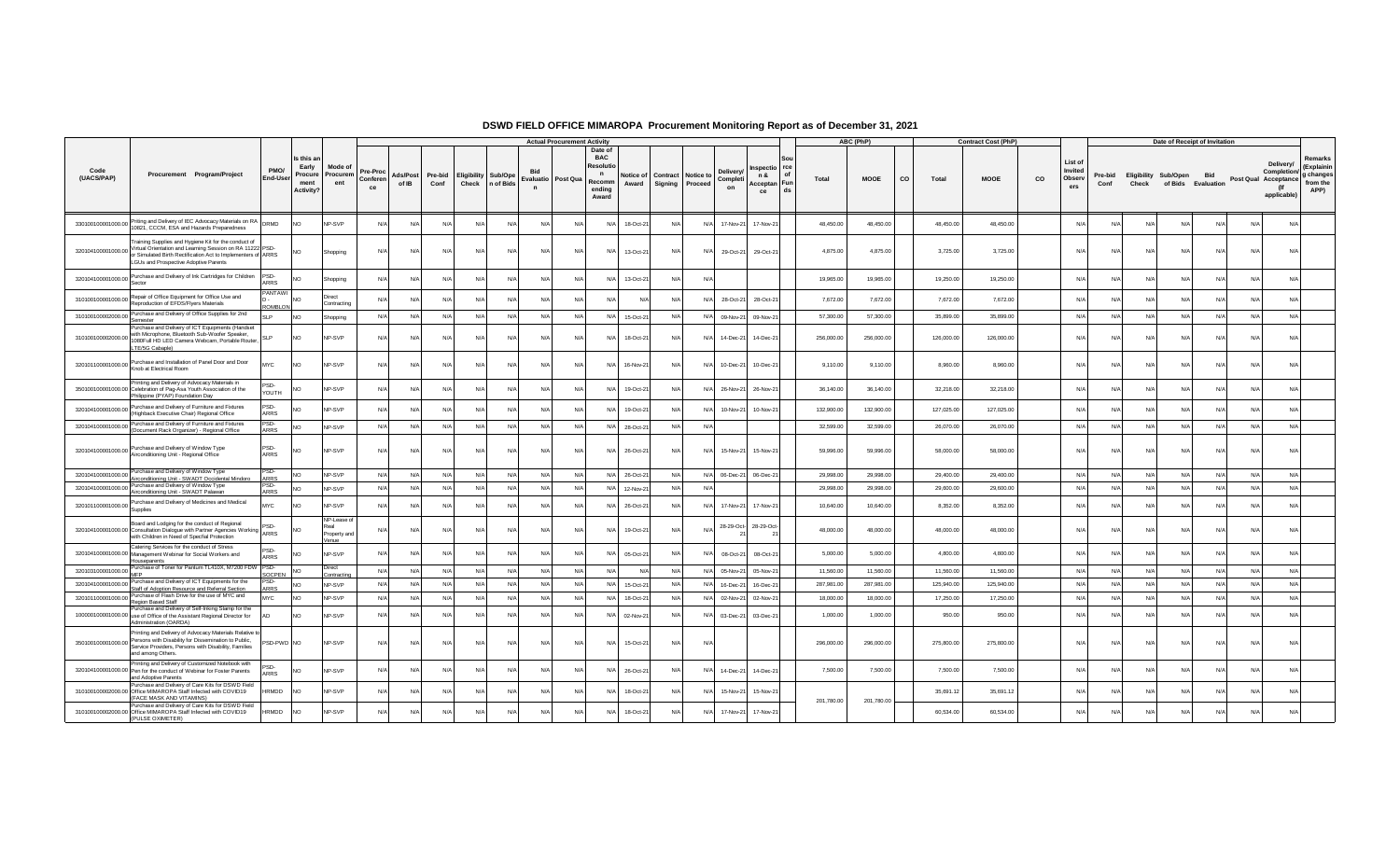|                    |                                                                                                                                                                                                                            |                         |                                                    |                                             |                            |                          |                 |                                                 |            |                                   | <b>Actual Procurement Activity</b> |                                                                                |                    |            |                                              |                                   |                                                    |            | ABC (PhP)   |                    | <b>Contract Cost (PhP)</b> |    |                                     |                 |                               | Date of Receipt of Invitation |            |                      |                                                |                                                        |
|--------------------|----------------------------------------------------------------------------------------------------------------------------------------------------------------------------------------------------------------------------|-------------------------|----------------------------------------------------|---------------------------------------------|----------------------------|--------------------------|-----------------|-------------------------------------------------|------------|-----------------------------------|------------------------------------|--------------------------------------------------------------------------------|--------------------|------------|----------------------------------------------|-----------------------------------|----------------------------------------------------|------------|-------------|--------------------|----------------------------|----|-------------------------------------|-----------------|-------------------------------|-------------------------------|------------|----------------------|------------------------------------------------|--------------------------------------------------------|
| Code<br>(UACS/PAP) | Procurement Program/Project                                                                                                                                                                                                | PMO/<br><b>End-User</b> | Is this a<br>Early<br>Procure<br>ment<br>Activity? | Mode o<br>Procurem<br>ent                   | Pre-Proc<br>Conferen<br>ce | <b>Ads/Post</b><br>of IB | Pre-bid<br>Conf | <b>Eligibility Sub/Ope</b><br>Check   n of Bids |            | Evaluatio Post Qua<br>$\mathbf n$ |                                    | Date of<br><b>BAC</b><br>Resoluti<br>$\mathbf{r}$<br>Recomm<br>ending<br>Award | Notice of<br>Award |            | <b>Contract Notice to</b><br>Signing Proceed | <b>Delivery</b><br>Completi<br>on | rce<br>nspectio<br>n &<br>Acceptan Fun<br>ds<br>ce | Total      | <b>MOOE</b> | <b>CO</b><br>Total | <b>MOOE</b>                | co | List of<br>Invited<br>Observ<br>ers | Pre-bid<br>Conf | Eligibility Sub/Open<br>Check | of Bids Evaluation            | <b>Bid</b> | Post Qual Acceptance | Delivery/<br>Completion/<br>(lf<br>applicable) | Remarks<br>(Explainin<br>g changes<br>from the<br>APP) |
| 330100100001000.00 | Priting and Delivery of IEC Advocacy Materials on RA DRMD<br>10821, CCCM, ESA and Hazards Preparedness                                                                                                                     |                         | NO.                                                | NP-SVP                                      | N/A                        | N/A                      | N/              | N/A                                             | N/A        | N/                                | N/A                                | N/A                                                                            | 18-Oct-2           | N/         | N/l                                          | 17-Nov-21                         | 17-Nov-21                                          | 48,450.00  | 48,450.00   | 48,450.00          | 48,450.00                  |    | N/A                                 |                 | N/A                           | N                             | N/A        | N/A                  | N/A                                            |                                                        |
| 320104100001000.00 | Training Supplies and Hygiene Kit for the conduct of<br>Virtual Orientation and Learning Session on RA 11222 PSD-<br>or Simulated Birth Rectification Act to Implementers of ARRS<br>LGUs and Prospective Adoptive Parents |                         | <b>NO</b>                                          | Shopping                                    | N/A                        | N/A                      | N/A             | N/A                                             | N/A        | N/A                               | N/A                                | N/A                                                                            | 13-Oct-21          | N/A        | N/A                                          | 29-Oct-21                         | 29-Oct-21                                          | 4,875.00   | 4,875.00    | 3,725.00           | 3,725.00                   |    | N/A                                 | N               | N/A                           | N                             | N/A        | N/A                  | N/A                                            |                                                        |
| 320104100001000.00 | Purchase and Delivery of Ink Cartridges for Children<br>Sector                                                                                                                                                             | PSD-<br><b>ARRS</b>     | NO                                                 | Shopping                                    | N/f                        | N/A                      |                 | N/l                                             | N/l        | N                                 | N/A                                | N/A                                                                            | 13-Oct-21          | N/         | N/                                           |                                   |                                                    | 19,965.00  | 19,965.00   | 19,250.00          | 19,250.00                  |    | N/4                                 |                 |                               | N.                            |            | N/I                  | N/A                                            |                                                        |
| 310100100001000.00 | Repair of Office Equipment for Office Use and<br>Reproduction of EFDS/Flyers Materials                                                                                                                                     | PANTAW<br>ROMBLON       | N <sub>O</sub>                                     | Direct<br>Contracting                       | N/A                        | N/A                      | N/              | N/A                                             | N/L        | N/l                               | N/A                                | N/A                                                                            |                    | N/A        | N/f                                          | 28-Oct-21                         | 28-Oct-2                                           | 7,672.00   | 7,672.00    | 7,672.00           | 7,672.00                   |    | N/l                                 | N/4             | N/l                           | N                             | $N/\Delta$ | N/A                  | N/A                                            |                                                        |
|                    | 310100100002000.00 Purchase and Delivery of Office Supplies for 2nd<br>Semester                                                                                                                                            | SLP.                    | NO <sub>1</sub>                                    | Shopping                                    | N/A                        | N/A                      | N/A             | N/A                                             | N/A        | N/A                               | N/A                                | N/A                                                                            | 15-Oct-21          | N/A        |                                              | N/A 09-Nov-21                     | 09-Nov-2                                           | 57,300.00  | 57,300.00   | 35,899.00          | 35,899.00                  |    | N/A                                 | N/f             | N/A                           | N/A                           | N/A        | N/A                  | N/A                                            |                                                        |
| 310100100002000.   | Purchase and Delivery of ICT Equipments (Handset<br>with Microphone. Bluetooth Sub-Woofer Speaker.<br>1080Full HD LED Camera Webcam, Portable Router,<br>LTE/5G Cabaple)                                                   | SLP                     | <b>NO</b>                                          | NP-SVP                                      | N/A                        | N/A                      | N/l             | N/A                                             | N/A        | N                                 | N/A                                | N/A                                                                            | 18-Oct-21          | N/l        | N/f                                          | 14-Dec-21                         | 14-Dec-2                                           | 256,000.00 | 256,000.00  | 126,000.00         | 126,000.00                 |    | N/A                                 | N/4             | N/A                           | N/                            | N/A        | N/A                  | N/A                                            |                                                        |
| 320101100001000.00 | Purchase and Installation of Panel Door and Door<br>Knob at Electrical Room                                                                                                                                                | MYC                     | <b>NO</b>                                          | NP-SVP                                      | N/A                        | N/A                      | N/l             | N/l                                             | N/l        | N                                 | N/A                                | N/A                                                                            | 16-Nov-21          | N/A        | N/f                                          | 10-Dec-21                         | 10-Dec-21                                          | 9,110.00   | 9,110.00    | 8,960.00           | 8,960.00                   |    | N/A                                 |                 | N/A                           | N/                            | N/A        | N/A                  | N/A                                            |                                                        |
|                    | Printing and Delivery of Advocacy Materials in<br>350100100001000.00 Celebration of Pag-Asa Youth Association of the<br>Philippine (PYAP) Foundation Day                                                                   | PSD.<br>YOUTH           | NO                                                 | <b>NP-SVP</b>                               | N/f                        | N/A                      | N/l             | N/l                                             | N/l        | N/                                | N/A                                | N/A                                                                            | 19-Oct-21          | N/l        | N/l                                          | 26-Nov-21                         | 26-Nov-21                                          | 36,140.00  | 36,140.00   | 32,218.00          | 32,218.00                  |    | N/A                                 |                 |                               | N.                            | N/         | N/L                  | N/A                                            |                                                        |
| 320104100001000.00 | Purchase and Delivery of Furniture and Fixtures<br>(Highback Executive Chair) Regional Office                                                                                                                              | PSD-<br>ARRS            |                                                    | NP-SVP                                      | N/A                        | N/A                      | N/              | $N/\Delta$                                      | N/L        | N/l                               | N/A                                | N/A                                                                            | 19-Oct-2           | $N/\Delta$ | N/f                                          | 10-Nov-21                         | 10-Nov-2                                           | 132,900.00 | 132,900.00  | 127,025.00         | 127,025.00                 |    | N/A                                 | N/4             | N/l                           | N                             | $N/\Delta$ | $N/\Delta$           | N/A                                            |                                                        |
|                    | 320104100001000.00 Purchase and Delivery of Furniture and Fixtures<br>(Document Rack Organizer) - Regional Office                                                                                                          | PSD-<br>ARRS            | NO <sub>1</sub>                                    | NP-SVP                                      | N/A                        | N/A                      | N/A             | N/A                                             | N/A        | N/A                               | N/A                                | N/A                                                                            | 28-Oct-21          | N/A        | N/A                                          |                                   |                                                    | 32,599.00  | 32,599.00   | 26,070.00          | 26,070.00                  |    | N/A                                 | N/L             | N/A                           | N/A                           | $N/\Delta$ | N/A                  | N/A                                            |                                                        |
|                    | 320104100001000.00 Purchase and Delivery of Window Type<br>Airconditioning Unit - Regional Office                                                                                                                          | PSD-<br><b>ARRS</b>     | N <sub>O</sub>                                     | NP-SVP                                      | N/A                        | N/A                      | N/A             | N/A                                             | N/A        | N/A                               | N/A                                | N/A                                                                            | 26-Oct-21          | N/A        | N/A                                          | 15-Nov-21                         | 15-Nov-2                                           | 59,996.00  | 59,996.00   | 58,000.00          | 58,000.00                  |    | N/A                                 | N/              | N/A                           | N                             | N/A        | N/A                  | N/A                                            |                                                        |
| 320104100001000.00 | Purchase and Delivery of Window Type<br>Airconditioning Unit - SWADT Occidental Mindoro                                                                                                                                    | PSD-<br>ARRS            | NO <sub>1</sub>                                    | NP-SVP                                      | N/A                        | N/A                      | N/A             | N/A                                             | N/A        | N                                 | N/A                                | N/A                                                                            | 26-Oct-2           | N/A        | N/A                                          |                                   | 06-Dec-21 06-Dec-21                                | 29,998.00  | 29,998.00   | 29,400.00          | 29,400.00                  |    | N/A                                 | N               | N/A                           | N                             | N/A        | N/A                  | N/A                                            |                                                        |
|                    | 320104100001000.00 Purchase and Delivery of Window Type<br>Airconditioning Unit - SWADT Palawan                                                                                                                            | PSD-<br>ARRS            | N <sub>O</sub>                                     | NP-SVP                                      | N/A                        | N/A                      | N/A             | N/A                                             | N/A        | N/A                               | N/A                                | N/A                                                                            | 12-Nov-2           | N/A        | N/A                                          |                                   |                                                    | 29,998.00  | 29,998.00   | 29,600.00          | 29,600.00                  |    | N/A                                 | N/f             | N/A                           | N/A                           | N/A        | N/A                  | N/A                                            |                                                        |
|                    | 320101100001000.00 Purchase and Delivery of Medicines and Medical<br>Supplies                                                                                                                                              | MYC                     | NO                                                 | NP-SVP                                      | N/A                        | N/A                      | $N/\Delta$      | $N/\Delta$                                      | $N/\Delta$ | $N$ /                             | N/A                                | N/A                                                                            | 26-Oct-2           | N/A        | N/A                                          | 17-Nov-21                         | 17-Nov-21                                          | 10,640.00  | 10,640.00   | 8,352.00           | 8,352.00                   |    | N/A                                 | N/4             | $N/\Delta$                    | N                             | $N/\Delta$ | $N/\Delta$           | N/A                                            |                                                        |
|                    | Board and Lodging for the conduct of Regional<br>320104100001000.00 Consultation Dialogue with Partner Agencies Working  Pou-<br>with Children in Need of Specfial Protection                                              |                         | NO                                                 | NP-Lease o<br>'eal<br>Property and<br>/enue | N/f                        | N/A                      | N/A             | N/A                                             | N/L        | $N$ /                             | N/A                                | N/A                                                                            | 19-Oct-21          | N/A        | N/                                           | 28-29-Oct-                        | 28-29-Oct-                                         | 48,000.00  | 48,000.00   | 48,000.00          | 48,000.00                  |    | N/I                                 |                 | N/l                           | N                             | N/A        | N/A                  | N/A                                            |                                                        |
|                    | Catering Services for the conduct of Stress<br>320104100001000.00 Management Webinar for Social Workers and<br>Houseparents                                                                                                | PSD-<br>ARRS            | <b>NO</b>                                          | <b>NP-SVP</b>                               | N/A                        | N/A                      | $N/\Delta$      | $N/\Delta$                                      | N/A        | N/l                               | N/A                                | N/A                                                                            | 05-Oct-2           | N/l        | N/L                                          | 08-Oct-21                         | $08-Ort-2$                                         | 5,000.00   | 5,000.00    | 4,800.00           | 4.800.00                   |    | N/A                                 | N               | N                             | N.                            |            | N/L                  | N/A                                            |                                                        |
| 320103100001000.00 | Purchase of Toner for Pantum TL410X, M7200 FDW PSD-<br>MED                                                                                                                                                                 | SOCPEN                  | N <sub>O</sub>                                     | Direct<br>Contracting                       | N/A                        | N/A                      | N/A             | N/A                                             | N/A        | N/l                               | N/A                                | N/A                                                                            |                    | N/A        | N/A                                          | 05-Nov-21                         | 05-Nov-2                                           | 11,560.00  | 11,560.00   | 11,560.00          | 11,560.00                  |    | N/A                                 | N               | N/A                           | N                             | N/A        | N/A                  | N/A                                            |                                                        |
| 320104100001000.00 | Purchase and Delivery of ICT Equipments for the<br>Staff of Adoption Resource and Referral Section                                                                                                                         | PSD-<br><b>ARRS</b>     | NO <sub>1</sub>                                    | <b>NP-SVP</b>                               | N/A                        | N/A                      | N/A             | N/A                                             | N/A        | N/A                               | N/A                                | N/A                                                                            | 15-Oct-21          | N/A        | N/A                                          | 16-Dec-21                         | 16-Dec-21                                          | 287,981.00 | 287,981.00  | 125,940.00         | 125,940.00                 |    | N/A                                 | N               | N/A                           | N                             | N/A        | N/A                  | N/A                                            |                                                        |
| 320101100001000.00 | Purchase of Flash Drive for the use of MYC and                                                                                                                                                                             | <b>MYC</b>              | NO <sub>1</sub>                                    | <b>NP-SVP</b>                               | N/A                        | N/A                      | N/A             | N/A                                             | N/A        | N/A                               | N/A                                | N/A                                                                            | 18-Oct-2           | N/A        | N/A                                          | 02-Nov-21                         | 02-Nov-21                                          | 18,000.00  | 18,000.00   | 17,250.00          | 17,250.00                  |    | N/A                                 | N               | N/A                           | N                             | N/A        | N/A                  | N/A                                            |                                                        |
|                    | Region Based Staff<br>Purchase and Delivery of Self-Inking Stamp for the<br>100000100001000.00 use of Office of the Assistant Regional Director for<br>Administration (OARDA)                                              |                         | NO <sub>1</sub>                                    | NP-SVP                                      | N/A                        | N/A                      | $N/\Delta$      | $N/\Delta$                                      | $N/\Delta$ | $N$ /                             | N/A                                | N/A                                                                            | 02-Nov-2           | N/A        | N/A                                          | 03-Dec-21                         | 03-Dec-2                                           | 1,000.00   | 1,000.00    | 950.00             | 950.00                     |    | N/A                                 | N/4             | $N/\Delta$                    | N                             | $N/\Delta$ | $N/\Delta$           | N/A                                            |                                                        |
|                    | Printing and Delivery of Advocacy Materials Relative to<br>350100100001000.00 Persons with Disability for Dissemination to Public,<br>Service Providers, Persons with Disability, Families<br>and among Others.            | PSD-PWD NO              |                                                    | NP-SVP                                      | N/A                        | N/A                      | N/A             | N/A                                             | N/A        | N/A                               | N/A                                | N/A                                                                            | 15-Oct-21          | N/A        | N/A                                          |                                   |                                                    | 296,000.00 | 296,000.00  | 275,800.00         | 275,800.00                 |    | N/A                                 | N/f             | N/A                           | N/A                           | N/A        | N/A                  | N/A                                            |                                                        |
|                    | Printing and Delivery of Customized Notebook with<br>320104100001000.00 Pen for the conduct of Webinar for Foster Parents<br>and Adoptive Parents                                                                          | SD-<br><b>ARRS</b>      |                                                    | NP-SVP                                      | N/A                        | N/A                      | N/              | $N/\Delta$                                      | N/A        | $N$ /                             | N/A                                | N/A                                                                            | 26-Oct-2           | N/A        | N/f                                          | 14-Dec-21                         | 14-Dec-2                                           | 7,500.00   | 7,500.00    | 7,500.00           | 7,500.00                   |    | N/A                                 | N/4             | $N/\Delta$                    | N                             | $N/\Delta$ | N/A                  | N/A                                            |                                                        |
|                    | Purchase and Delivery of Care Kits for DSWD Field<br>310100100002000.00 Office MIMAROPA Staff Infected with COVID19<br>(FACE MASK AND VITAMINS)                                                                            | <b>IRMDD</b>            | NO <sub>1</sub>                                    | NP-SVP                                      | N/A                        | N/A                      | N/l             | N/A                                             | N/l        | $N$ /                             | N/A                                | N/A                                                                            | 18-Oct-2           | N/l        | N/l                                          | 15-Nov-21                         | 15-Nov-2                                           | 201,780.00 | 201,780.00  | 35,691.12          | 35,691.12                  |    | N/A                                 |                 | N/l                           | N                             | N/l        | N/A                  | N/A                                            |                                                        |
|                    | Purchase and Delivery of Care Kits for DSWD Field<br>310100100002000.00 Office MIMAROPA Staff Infected with COVID19<br>(PULSE OXIMETER)                                                                                    | <b>IRMDD</b>            | NO <sub>1</sub>                                    | NP-SVP                                      | N/A                        | N/A                      |                 | N/A                                             | N/l        | N/                                | N/l                                | N/A                                                                            | 18-Oct-21          | N/A        | N/A                                          | 17-Nov-21                         | 17-Nov-21                                          |            |             | 60,534.00          | 60,534.00                  |    | N/A                                 | N/4             | N/l                           | N                             | N/I        | N/A                  | N/A                                            |                                                        |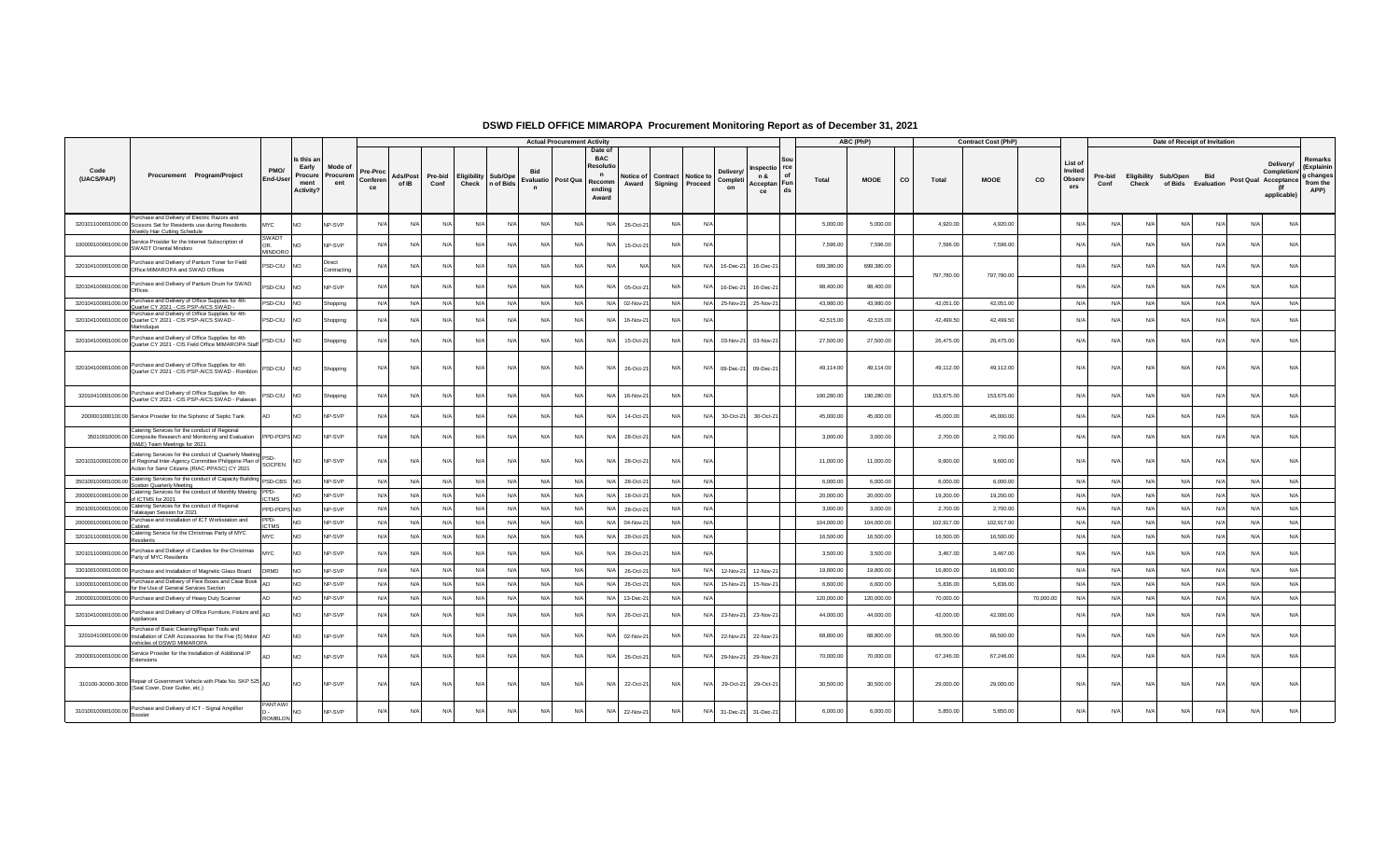|                    |                                                                                                                                                                                            |                               |                                                     |                           |                |                   |                 |                                     |            |                           | <b>Actual Procurement Activity</b> |                                                                                |                   |            |                                                 |                                                            |            | ABC (PhP)   |    |            | <b>Contract Cost (PhP)</b> |             |                                     |                 |                               | Date of Receipt of Invitation |            |           |                                                                |                                                        |
|--------------------|--------------------------------------------------------------------------------------------------------------------------------------------------------------------------------------------|-------------------------------|-----------------------------------------------------|---------------------------|----------------|-------------------|-----------------|-------------------------------------|------------|---------------------------|------------------------------------|--------------------------------------------------------------------------------|-------------------|------------|-------------------------------------------------|------------------------------------------------------------|------------|-------------|----|------------|----------------------------|-------------|-------------------------------------|-----------------|-------------------------------|-------------------------------|------------|-----------|----------------------------------------------------------------|--------------------------------------------------------|
| Code<br>(UACS/PAP) | Procurement Program/Project                                                                                                                                                                | PMO/<br>End-User              | Is this an<br>Early<br>Procure<br>ment<br>Activity? | Mode o<br>Procurem<br>ent | Conferen<br>ce | Ads/Post<br>of IB | Pre-bid<br>Conf | <b>Eligibility Sub/Ope</b><br>Check | n of Bids  | Evaluatio<br>$\mathsf{n}$ | Post Qua                           | Date of<br><b>BAC</b><br>Resoluti<br>$\mathsf{n}$<br>Recomm<br>ending<br>Award | Notice o<br>Award | Signing    | Contract Notice to<br>Completi<br>Proceed<br>on | rce<br>nspectio<br>Ωf<br>n &<br>Acceptan   Fun<br>ds<br>ce | Total      | <b>MOOE</b> | co | Total      | <b>MOOE</b>                | $_{\rm co}$ | List of<br>Invited<br>Observ<br>ers | Pre-bid<br>Conf | Eligibility Sub/Open<br>Check | of Bids Evaluation            | Bid        |           | Delivery/<br>Completion<br>Post Qual Acceptance<br>applicable) | Remarks<br>(Explainin<br>g changes<br>from the<br>APP) |
|                    | Purchase and Delivery of Electric Razors and<br>320101100001000.00 Scissors Set for Residents use during Residents<br>Weekly Hair Cutting Schedule                                         | MYC.                          | N <sub>O</sub>                                      | NP-SVP                    | N/A            | N/A               | N/A             | $N/\Delta$                          | N/L        | N                         | N/L                                | N/A                                                                            | 26-Oct-2          |            | N/6                                             |                                                            | 5,000.00   | 5,000.00    |    | 4,920.00   | 4,920.00                   |             | N                                   |                 | N                             | N/L                           | $N/\Delta$ |           | N/A                                                            |                                                        |
| 100000100001000.00 | Service Provider for the Internet Subscription of<br>SWADT Oriental Mindoro                                                                                                                | SWADT<br><b>OR</b><br>MINDORO | NO <sub>1</sub>                                     | NP-SVP                    | N/A            | N/A               | N/A             | N/A                                 | N/l        | $N$ /                     | N/A                                | N/A                                                                            | 15-Oct-2          | N/A        | N/f                                             |                                                            | 7,596.00   | 7,596.00    |    | 7,596.00   | 7,596.00                   |             | N                                   | N/              | N                             | N/A                           | N/A        |           | N/A                                                            |                                                        |
| 320104100001000.00 | Purchase and Delivery of Pantum Toner for Field<br>Office MIMAROPA and SWAD Offices                                                                                                        | PSD-CIU                       | <b>INO</b>                                          | Direct<br>Contracting     | N/A            | N/A               | N/A             | N/A                                 | N/A        | N/A                       | N/A                                | N/A                                                                            |                   | N/A        | 16-Dec-21<br>N/A                                | 16-Dec-21                                                  | 699,380.00 | 699,380.00  |    | 797,780.00 | 797,780.00                 |             | $N$ /                               | $N/\ell$        | N/f                           | N/A                           | N/A        |           | N/A                                                            |                                                        |
| 320104100001000.00 | Purchase and Delivery of Pantum Drum for SWAD<br>Offices                                                                                                                                   | <b>SD-CIU</b>                 | <b>NO</b>                                           | NP-SVP                    | N/A            | N/A               | N/A             | N/A                                 | N/l        | N/4                       | N/L                                | N/A                                                                            | 05-Oct-21         | N/         | N/<br>16-Dec-21                                 | 16-Dec-21                                                  | 98,400.00  | 98,400.00   |    |            |                            |             | N                                   | N               | N/                            |                               |            |           | N/l                                                            |                                                        |
| 320104100001000.00 | Purchase and Delivery of Office Supplies for 4th<br>Quarter CY 2021 - CIS PSP-AICS SWAD -                                                                                                  | <b>SD-CIU</b>                 | NO <sub>1</sub>                                     | Shopping                  | N/A            | N/A               | N/A             | N/A                                 | N/A        | N/A                       | N/A                                |                                                                                | N/A 02-Nov-2      | N/A        | N/A<br>25-Nov-21                                | 25-Nov-2                                                   | 43,980.00  | 43,980.00   |    | 42,051.00  | 42,051.00                  |             | $N/\ell$                            | N/A             | N/A                           | N/A                           | N/A        | N/A       | N/A                                                            |                                                        |
|                    | Purchase and Delivery of Office Supplies for 4th<br>320104100001000.00 Quarter CY 2021 - CIS PSP-AICS SWAD -<br>Marinduque                                                                 | PSD-CIU                       | NO <sub>1</sub>                                     | Shopping                  | N/A            | N/A               | N/A             | N/A                                 | N/A        | $N$ /                     | N/L                                | N/A                                                                            | 16-Nov-2          | N/A        | N/l                                             |                                                            | 42,515.00  | 42,515.00   |    | 42,499.50  | 42.499.50                  |             | N/A                                 | N/A             | N                             | N/A                           | N/A        |           | N/A                                                            |                                                        |
| 320104100001000.00 | Purchase and Delivery of Office Supplies for 4th<br>Quarter CY 2021 - CIS Field Office MIMAROPA Staff                                                                                      | PSD-CIU                       | <b>NO</b>                                           | Shopping                  | N/A            | $N/\Delta$        | $N/\Delta$      | $N/\Delta$                          | $N/\Delta$ | N/A                       | N/A                                | N/A                                                                            | 15-Oct-2          | N/A        | N/A<br>03-Nov-21                                | 03-Nov-21                                                  | 27,500.00  | 27,500.00   |    | 26,475.00  | 26,475.00                  |             | N                                   | N/L             | N/L                           | $N/\Delta$                    | $N/\Delta$ |           | N/A                                                            |                                                        |
| 320104100001000.00 | Purchase and Delivery of Office Supplies for 4th<br>Quarter CY 2021 - CIS PSP-AICS SWAD - Romblon                                                                                          | <b>SD-CIU</b>                 | NO <sub>1</sub>                                     | Shopping                  | N/A            | N/A               | N/A             | N/A                                 | N/A        | N/A                       | N/A                                | N/A                                                                            | 26-Oct-21         | N/A        | N/A<br>09-Dec-21                                | 09-Dec-21                                                  | 49,114.00  | 49,114.00   |    | 49,112.00  | 49,112.00                  |             | $N/\ell$                            | N/A             | N/A                           | N/A                           | N/A        | N/A       | N/A                                                            |                                                        |
| 32010410001000.00  | Purchase and Delivery of Office Supplies for 4th<br>Quarter CY 2021 - CIS PSP-AICS SWAD - Palawan                                                                                          | SD-CIU                        | <b>NO</b>                                           | Shopping                  | N/A            | N/A               | N/A             | N/A                                 | N/A        | N/A                       | N/A                                | N/A                                                                            | 16-Nov-2          | N/A        | N/A                                             |                                                            | 190,280.00 | 190,280.00  |    | 153,675.00 | 153,675.00                 |             | N/A                                 | N/f             | N/f                           | N/A                           | N/A        | N/I       | N/A                                                            |                                                        |
|                    | 2000001000100.00 Service Provider for the Siphonic of Septic Tank                                                                                                                          |                               | N <sub>O</sub>                                      | NP-SVP                    | N/A            | N/A               | N/A             | N/A                                 | N/L        | N/4                       | $N/\ell$                           | N/A                                                                            | 14-Oct-2          | N/l        | 30-Oct-21<br>N/f                                | 30-Oct-2                                                   | 45,000.0   | 45,000.00   |    | 45,000.00  | 45,000.00                  |             | N                                   | N/              | N/L                           | N/I                           | N/l        |           | N/A                                                            |                                                        |
|                    | Catering Services for the conduct of Regional<br>35010010000.00 Composite Research and Monitoring and Evaluation<br>(M&E) Team Meetings for 2021                                           | PPD-PDPS NO                   |                                                     | NP-SVP                    | N/A            | N/A               | N/A             | N/A                                 | N/l        | N/4                       | N/A                                | N/A                                                                            | 28-Oct-2          | N/A        | N                                               |                                                            | 3,000.00   | 3,000.00    |    | 2,700.00   | 2,700.00                   |             | N/A                                 | N               | N                             | N/A                           | N/A        |           | N/A                                                            |                                                        |
|                    | Catering Services for the conduct of Quarterly Meeting<br>320103100001000.00 of Regional Inter-Agency Committee Philippine Plan of Pour-<br>Action for Senir Citizens (RIAC-PPASC) CY 2021 |                               | NO                                                  | NP-SVP                    | N/A            | N/A               | N/A             | N/A                                 | N/A        | N/A                       | N/A                                | N/A                                                                            | 28-Oct-21         | N/A        | N/A                                             |                                                            | 11,000.00  | 11,000.00   |    | 9,600.00   | 9,600.00                   |             | N/A                                 | N/A             | N/A                           | N/A                           | N/A        | N/A       | N/A                                                            |                                                        |
| 350100100001000.00 | Catering Services for the conduct of Capacity Building<br><b>Scetion Quarterly Meeting</b>                                                                                                 | PSD-CBS                       | <b>NO</b>                                           | NP-SVP                    | N/A            | N/A               | N/A             | N/A                                 | N/A        | N/A                       | N/A                                |                                                                                | N/A 28-Oct-2      | N/A        | N/A                                             |                                                            | 6,000.00   | 6,000.00    |    | 6,000.00   | 6,000.00                   |             | N                                   | N/A             | N/A                           | N/A                           | N/A        | N/L       | N/A                                                            |                                                        |
| 200000100001000.00 | Catering Services for the conduct of Monthly Meeting<br>of ICTMS for 2021                                                                                                                  | PPD-<br>CTMS                  | <b>NO</b>                                           | NP-SVP                    | N/A            | N/A               | N/A             | N/A                                 | N/A        | $N/\rho$                  | N/A                                | N/A                                                                            | 18-Oct-2          | N/A        | N/A                                             |                                                            | 20,000.00  | 20,000.00   |    | 19,200.00  | 19,200.00                  |             | N                                   | N/A             | N/A                           | N/A                           | N/A        | $N/\beta$ | N/A                                                            |                                                        |
| 350100100001000.0  | Catering Services for the conduct of Regional<br>Talakayan Session for 2021                                                                                                                | PPD-PDPS NO                   |                                                     | NP-SVP                    | N/A            | N/A               | N/A             | N/A                                 | N/A        | $N$ /                     | N/A                                |                                                                                | N/A 28-Oct-2      | N/A        | N/A                                             |                                                            | 3,000.00   | 3,000.00    |    | 2,700.00   | 2,700.00                   |             | N                                   | N/f             | N/f                           | N/A                           | N/A        | N/I       | N/A                                                            |                                                        |
| 200000100001000.0  | Purchase and Installation of ICT Workstation and<br>Cabinet                                                                                                                                | PD-<br>TMS                    | <b>NO</b>                                           | NP-SVP                    | $N/\Delta$     | N/A               | N/A             | $N/\Delta$                          | N/A        | N/A                       | $N/\Delta$                         |                                                                                | N/A 04-Nov-2      | $N/\Delta$ | N/A                                             |                                                            | 104,000.00 | 104,000.00  |    | 102.917.00 | 102.917.0                  |             | N                                   | N/A             | N/L                           | $N/\Delta$                    | $N/\Delta$ | N/L       | N/A                                                            |                                                        |
| 320101100001000.00 | Catering Service for the Christmas Party of MYC<br>Residents                                                                                                                               | MYC                           | <b>NO</b>                                           | NP-SVP                    | N/A            | N/A               | N/A             | N/A                                 | N/A        | $N/\rho$                  | N/A                                |                                                                                | N/A 28-Oct-2      | N/A        | N/A                                             |                                                            | 16,500.00  | 16,500.00   |    | 16,500.00  | 16,500.0                   |             | N                                   | N/A             | N/A                           | N/A                           | N/A        | $N/\beta$ | N/A                                                            |                                                        |
| 320101100001000.00 | Purchase and Deliveyr of Candies for the Christmas<br>Party of MYC Residents                                                                                                               | MYC.                          | N <sub>O</sub>                                      | NP-SVP                    | N/A            | N/A               | N/A             | N/A                                 | N/l        | $N$ /                     | N/f                                | N/A                                                                            | 28-Oct-2          | N/l        | N/                                              |                                                            | 3,500.00   | 3,500.00    |    | 3.467.00   | 3,467.00                   |             | $N/\ell$                            | N               | N/                            | $N$ /                         |            |           | N/A                                                            |                                                        |
|                    | 330100100001000.00 Purchase and Installation of Magnetic Glass Board                                                                                                                       | <b>ORMD</b>                   | <b>NO</b>                                           | NP-SVP                    | N/A            | N/A               | N/A             | N/A                                 | N/A        | N/l                       | N/L                                | N/A                                                                            | 26-Oct-2          | N/A        | N/A<br>12-Nov-21                                | 12-Nov-2                                                   | 19,800.00  | 19,800.00   |    | 16,800.00  | 16,800.00                  |             | N                                   | N/A             | N/A                           | N/A                           | N/A        | N/A       | N/A                                                            |                                                        |
| 100000100001000.00 | Purchase and Delivery of Flexi Boxes and Clear Book<br>for the Use of General Services Section                                                                                             |                               | <b>NO</b>                                           | NP-SVP                    | N/A            | N/A               | N/A             | N/A                                 | N/A        | $N/\rho$                  | N/A                                |                                                                                | N/A 26-Oct-2      | N/A        | N/A<br>15-Nov-21                                | 15-Nov-21                                                  | 6,600.00   | 6,600.00    |    | 5,836.00   | 5,836.00                   |             | N                                   | N/A             | N/A                           | N/A                           | N/A        | N/A       | N/A                                                            |                                                        |
|                    | 200000100001000.00 Purchase and Delivery of Heavy Duty Scanner                                                                                                                             |                               | NO <sub>1</sub>                                     | NP-SVP                    | N/A            | N/A               | N/A             | N/A                                 | N/A        | N/A                       | N/A                                |                                                                                | N/A 13-Dec-2      | N/A        | N/f                                             |                                                            | 120,000.00 | 120,000.00  |    | 70,000.00  |                            | 70,000.00   | N/A                                 | N/A             | N/A                           | N/A                           | N/A        | N         | N/A                                                            |                                                        |
| 320104100001000.00 | Purchase and Delivery of Office Furniture, Fixture and  AD<br>Appliances                                                                                                                   |                               | <b>NO</b>                                           | NP-SVP                    | N/A            | N/A               | N/A             | N/A                                 | N/A        | N/A                       | N/A                                | N/A                                                                            | 26-Oct-2          | N/l        | 23-Nov-21<br>N/f                                | 23-Nov-2                                                   | 44,000.00  | 44,000.00   |    | 42,000.00  | 42,000.00                  |             | N/A                                 | N/4             | N                             | $N/\Delta$                    | $N/\Delta$ |           | N/A                                                            |                                                        |
|                    | Purchase of Basic Cleaning/Repair Tools and<br>32010410001000.00 Installation of CAR Accessories for the Five (5) Motor   AD<br>Vehicles of DSWD MIMAROPA                                  |                               | <b>NO</b>                                           | NP-SVP                    | N/A            | N/A               | N/A             | N/A                                 | N/l        | $N$ /                     | N/f                                | N/A                                                                            | 02-Nov-2          | N/l        | N/f<br>22-Nov-21                                | 22-Nov-2                                                   | 68,800.00  | 68,800.00   |    | 66,500.00  | 66,500.00                  |             | N                                   | N/              | N/                            | N/                            | N/         |           | N/A                                                            |                                                        |
| 200000100001000.00 | Service Provider for the Installation of Additional IP<br>Extensions                                                                                                                       |                               | <b>NO</b>                                           | NP-SVP                    | N/A            | N/A               | N/A             | N/A                                 | N/L        | $N$ /                     | N/A                                | N/A                                                                            | 26-Oct-21         | N/A        | N/A<br>29-Nov-21                                | 29-Nov-21                                                  | 70,000.00  | 70,000.00   |    | 67,246.00  | 67,246.00                  |             | N/A                                 | N               | N/f                           | N/A                           | N/A        |           | N/A                                                            |                                                        |
| 310100-30000-3000  | Repair of Government Vehicle with Plate No. SKP 525 AD<br>(Seat Cover, Door Gutter, etc.)                                                                                                  |                               | <b>NO</b>                                           | NP-SVP                    | N/A            | N/A               | N/A             | N/A                                 | N/A        | $N$ /                     | N/A                                | N/A                                                                            | 22-Oct-21         | N/A        | N/A<br>29-Oct-21                                | 29-Oct-21                                                  | 30,500.00  | 30,500.00   |    | 29,000.00  | 29,000.00                  |             | N                                   | N/L             | N                             | N/A                           | N/A        |           | N/A                                                            |                                                        |
| 310100100001000.00 | Purchase and Delivery of ICT - Signal Amplifier<br>Booster                                                                                                                                 | PANTAWI<br><b>ROMBLON</b>     | <b>NO</b>                                           | NP-SVP                    | N/A            | N/A               | N/A             | N/A                                 | N/l        | $N$ /                     | N/f                                | N/A                                                                            | 22-Nov-21         | N/A        | N/A<br>31-Dec-21                                | 31-Dec-21                                                  | 6,000.00   | 6,000.00    |    | 5,850.00   | 5,850.00                   |             | N                                   | N               | N                             | N/A                           | N/A        |           | N/A                                                            |                                                        |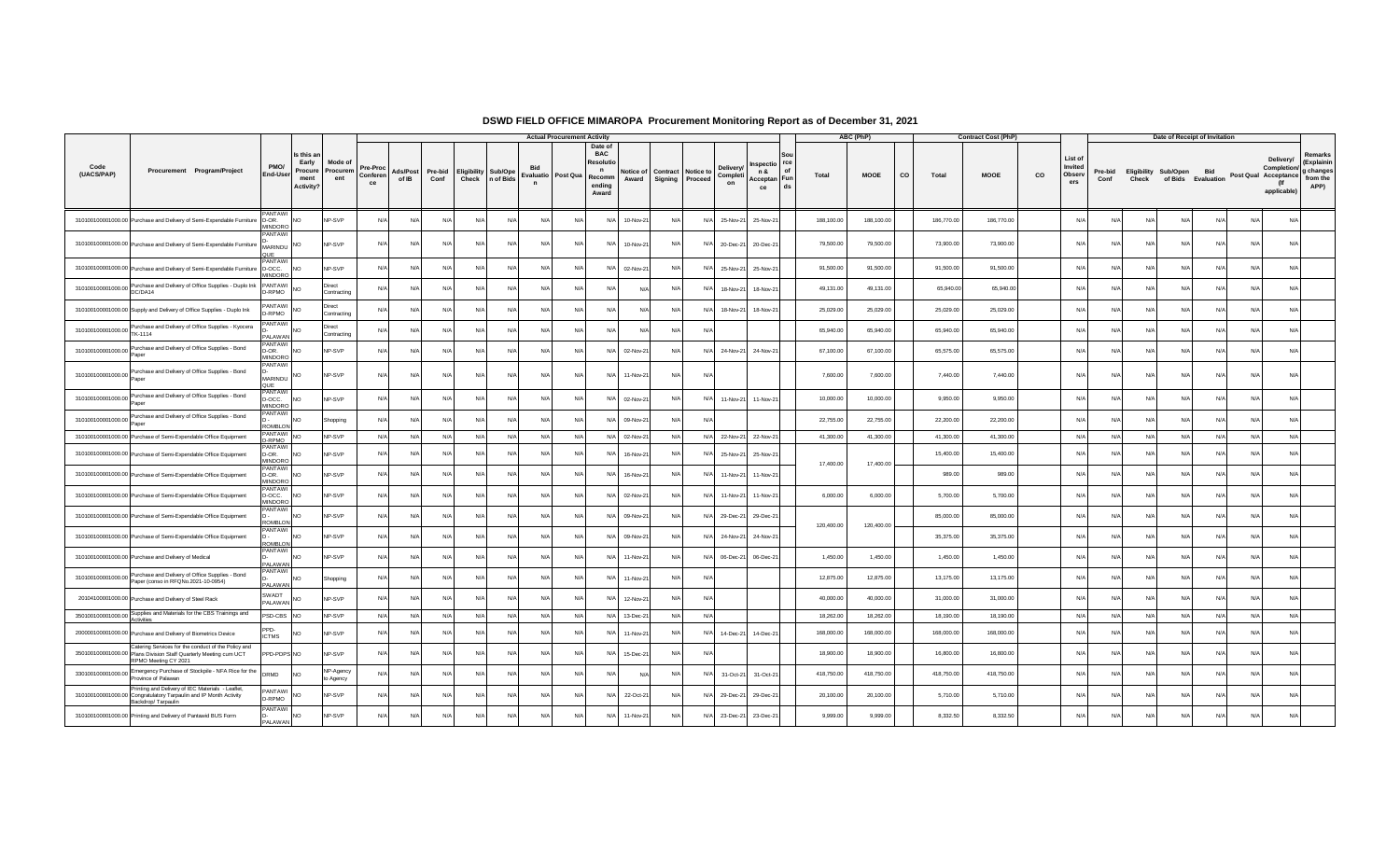|                             |                                                                                                                                                  |                                     |                                                            |                            |                            |                   |                 |     |                                               |                          | <b>Actual Procurement Activity</b> |                                                                    |                    |         |                                      |                                   |                                                 |              | ABC (PhP)   |             | <b>Contract Cost (PhP)</b> |    |                                     |                 |            | Date of Receipt of Invitation |                    |     |                                                                 |                                                        |
|-----------------------------|--------------------------------------------------------------------------------------------------------------------------------------------------|-------------------------------------|------------------------------------------------------------|----------------------------|----------------------------|-------------------|-----------------|-----|-----------------------------------------------|--------------------------|------------------------------------|--------------------------------------------------------------------|--------------------|---------|--------------------------------------|-----------------------------------|-------------------------------------------------|--------------|-------------|-------------|----------------------------|----|-------------------------------------|-----------------|------------|-------------------------------|--------------------|-----|-----------------------------------------------------------------|--------------------------------------------------------|
| Code<br>(UACS/PAP)          | Procurement Program/Project                                                                                                                      | PMO/<br>End-User                    | Is this ar<br>Early<br>Procure<br>ment<br><b>Activity?</b> | Mode of<br>Procurem<br>ent | Pre-Proc<br>Conferen<br>ce | Ads/Post<br>of IB | Pre-bid<br>Conf |     | <b>Eligibility Sub/Ope</b><br>Check n of Bids | Evaluatio<br>$\mathbf n$ | Post Qua                           | Date o<br><b>BAC</b><br>Resoluti<br>n<br>Recomm<br>endina<br>Award | Notice of<br>Award | Signing | <b>Contract Notice to</b><br>Proceed | <b>Delivery</b><br>Completi<br>on | 1spectio rce<br>n &<br>Acceptan Fun<br>ds<br>ce | <b>Total</b> | <b>MOOE</b> | co<br>Total | <b>MOOE</b>                | co | List of<br>Invited<br>Obsery<br>ers | Pre-bid<br>Conf | Check      | Eligibility Sub/Open Bid      | of Bids Evaluation |     | Delivery/<br>Completion/<br>Post Qual Acceptance<br>applicable) | Remarks<br>(Explainin<br>g changes<br>from the<br>APP) |
|                             | 310100100001000.00 Purchase and Delivery of Semi-Expendable Furniture                                                                            | <b>ANTAWI</b><br>D-OR.<br>MINDORO   | <b>NO</b>                                                  | NP-SVP                     | N/A                        | N/f               | N/A             | N/A | N/A                                           | N/A                      | N/A                                | N/A                                                                | 10-Nov-21          | N/l     | N/A                                  | 25-Nov-21                         | 25-Nov-21                                       | 188,100.00   | 188,100.00  | 186,770.00  | 186,770.00                 |    | N/4                                 | N               | N/A        | N/A                           | N/A                | N/A | N/                                                              |                                                        |
|                             | 310100100001000.00 Purchase and Delivery of Semi-Expendable Furniture                                                                            | PANTAWI<br><b>MARINDU</b><br>QUE    | <b>NO</b>                                                  | NP-SVP                     | N/A                        | N/A               | N/A             | N/A | N/A                                           | $N/\rho$                 | N/A                                | N/A                                                                | 10-Nov-21          | N/A     | N/A                                  | 20-Dec-21                         | 20-Dec-21                                       | 79,500.00    | 79,500.00   | 73,900.00   | 73,900.00                  |    | N/4                                 | N               | N/A        | $N/\ell$                      | N/A                | N/A | N/                                                              |                                                        |
|                             | 310100100001000.00 Purchase and Delivery of Semi-Expendable Furniture D-OCC.                                                                     | PANTAWI<br>MINDORO                  | <b>NO</b>                                                  | NP-SVP                     | N/A                        | N/A               | N/A             | N/A | N/A                                           | N/A                      | N/A                                | N/A                                                                | 02-Nov-21          | N/A     | N/A                                  | 25-Nov-21                         | 25-Nov-21                                       | 91,500.00    | 91,500.00   | 91,500.00   | 91,500.00                  |    | N/4                                 | N               | N/A        | $N/\beta$                     | N/A                | N/A | N/A                                                             |                                                        |
| 310100100001000.00 Pulutase | Purchase and Delivery of Office Supplies - Duplo Ink                                                                                             | PANTAWI<br>D-RPMO                   | <b>NO</b>                                                  | Direct<br>Contracting      | N/A                        | N/f               | N/A             | N/A | N/4                                           | N/A                      | N/l                                | N/f                                                                | N/l                | N/      | N/f                                  | 18-Nov-21                         | 18-Nov-2                                        | 49,131.00    | 49,131.00   | 65,940.00   | 65,940.00                  |    | N/                                  |                 | N/l        | N/                            | N/A                | N/A | $N$ /                                                           |                                                        |
|                             | 310100100001000.00 Supply and Delivery of Office Supplies - Duplo Ink                                                                            | <b>PANTAWI</b><br>D-RPMO            | <b>NO</b>                                                  | Direct<br>Contracting      | N/A                        | N/f               | N/A             | N/A | N/A                                           | N/A                      | N/A                                | N/A                                                                | $N/\Delta$         | N/      | N/A                                  | 18-Nov-21                         | 18-Nov-21                                       | 25,029.00    | 25,029.00   | 25,029.00   | 25,029.00                  |    | N                                   | N               | $N/\Delta$ | N/                            | N/A                | N/A | $N$ /                                                           |                                                        |
| 310100100001000.00          | Purchase and Delivery of Office Supplies - Kyocera<br>TK-1114                                                                                    | PANTAWI<br><b>JAMA IA</b>           | NO <sub>1</sub>                                            | Direct<br>Contracting      | N/A                        | N/f               | N/A             | N/A | N/A                                           | N/A                      | N/A                                | N/A                                                                | $N/\Delta$         |         | N/A                                  |                                   |                                                 | 65,940.00    | 65,940.00   | 65,940.00   | 65,940.00                  |    | N/                                  | N               | N/A        | N                             | N/A                | N/A | N                                                               |                                                        |
| 310100100001000.00          | Purchase and Delivery of Office Supplies - Bond<br>Paper                                                                                         | ANTAWI<br>D-OR.<br>MINDORO          | <b>NO</b>                                                  | NP-SVP                     | N/A                        | N/A               | N/A             | N/A | N/A                                           | N/A                      | N/A                                | N/A                                                                | 02-Nov-21          | N/l     | N/A                                  | 24-Nov-21                         | 24-Nov-21                                       | 67,100.00    | 67,100.00   | 65,575.00   | 65,575.00                  |    | N/A                                 | N               | N/A        | N/A                           | N/A                | N/A | N/A                                                             |                                                        |
|                             | 310100100001000.00 Purchase and Delivery of Office Supplies - Bond<br>Paper                                                                      | PANTAWI<br>MARINDU<br>QUE           | <b>NO</b>                                                  | NP-SVP                     | N/A                        | N/A               | N/A             | N/A | N/A                                           | N/A                      | N/A                                | N/A                                                                | 11-Nov-21          | N/A     | N/A                                  |                                   |                                                 | 7.600.00     | 7,600.00    | 7,440.00    | 7,440.00                   |    | N/A                                 | N/L             | N/A        | N/A                           | N/A                | N/A | N/A                                                             |                                                        |
|                             | 310100100001000.00 Purchase and Delivery of Office Supplies - Bond<br>Paper                                                                      | PANTAWI<br>D-OCC.<br>MINDORO        | <b>NO</b>                                                  | NP-SVP                     | N/A                        | N/A               | N/A             | N/A | N/A                                           | N/A                      | N/A                                | N/A                                                                | 02-Nov-21          | N/l     | N/A                                  | 11-Nov-21                         | 11-Nov-21                                       | 10,000.00    | 10,000.00   | 9,950.00    | 9,950.00                   |    | N/A                                 | N/              | N/A        | N/A                           | N/A                | N/A | N/A                                                             |                                                        |
| 310100100001000.00          | Purchase and Delivery of Office Supplies - Bond<br>Paper                                                                                         | PANTAWI<br><b>ROMBLON</b>           | <b>NO</b>                                                  | Shopping                   | N/l                        | N/f               | N/A             | N/A | N/A                                           | N/A                      | N/A                                | N/A                                                                | 09-Nov-21          |         | $N/\Delta$                           |                                   |                                                 | 22,755.00    | 22,755.00   | 22,200.00   | 22,200.00                  |    | N/I                                 | N/              | N/A        |                               | N/A                | N/A | N/                                                              |                                                        |
|                             | 310100100001000.00 Purchase of Semi-Expendable Office Equipment                                                                                  | PANTAWI NO<br>-RPMO                 |                                                            | NP-SVP                     | N/A                        | N/A               | N/A             | N/A | N/A                                           | N/A                      | N/A                                | N/A                                                                | 02-Nov-21          | N/A     |                                      | N/A 22-Nov-21                     | 22-Nov-21                                       | 41,300.00    | 41,300.00   | 41,300.00   | 41,300.00                  |    | N/A                                 | N               | N/A        | N/L                           | N/A                | N/A | N/A                                                             |                                                        |
|                             | 310100100001000.00 Purchase of Semi-Expendable Office Equipment                                                                                  | <b>ANTAWI</b><br>D-OR.<br>MINDORO   | <b>NO</b>                                                  | NP-SVP                     | N/A                        | N/A               | N/A             | N/A | N/A                                           | N/A                      | N/A                                | N/A                                                                | 16-Nov-21          | N/A     | N/A                                  | 25-Nov-21                         | 25-Nov-21                                       | 17,400.00    | 17,400.00   | 15,400.00   | 15,400.00                  |    | N/A                                 | N               | N/A        | N/A                           | N/A                | N/A | N/L                                                             |                                                        |
|                             | 310100100001000.00 Purchase of Semi-Expendable Office Equipment                                                                                  | <b>ANTAWI</b><br>D-OR.<br>MINDORO   | <b>NO</b>                                                  | NP-SVP                     | N/A                        | N/A               | N/A             | N/A | N/A                                           | N/A                      | N/A                                | N/A                                                                | 16-Nov-21          | N/      | N/A                                  | 11-Nov-21                         | 11-Nov-21                                       |              |             |             | 989.00<br>989.00           |    | N/I                                 | N               | N/A        | N/4                           | N/A                | N/A | N                                                               |                                                        |
|                             | 310100100001000.00 Purchase of Semi-Expendable Office Equipment                                                                                  | PANTAWI<br>D-OCC.<br><b>MINDORC</b> | <b>NO</b>                                                  | NP-SVP                     | N/l                        | N                 | N/A             | N/A | N/f                                           | $N$ /                    | N/l                                | N/f                                                                | 02-Nov-2           |         | N/f                                  | 11-Nov-21                         | 11-Nov-2                                        | 6,000.00     | 6,000.00    | 5,700.00    | 5,700.00                   |    | N/                                  | N.              | N/l        |                               | N/A                | N/A | $N$ /                                                           |                                                        |
|                             | 310100100001000.00 Purchase of Semi-Expendable Office Equipment                                                                                  | PANTAWI<br>ROMBLON                  | <b>NO</b>                                                  | NP-SVP                     | N/A                        | N/A               | N/A             | N/A | N/A                                           | N/A                      | N/A                                | N/A                                                                | 09-Nov-21          | N.      | N/A                                  | 29-Dec-21                         | 29-Dec-21                                       |              |             | 85,000.00   | 85,000.00                  |    | N/                                  | N.              | N/I        | N.                            | N/A                | N/A | N                                                               |                                                        |
|                             | 310100100001000.00 Purchase of Semi-Expendable Office Equipment                                                                                  | PANTAWI<br><b>COMBLON</b>           | <b>NO</b>                                                  | NP-SVP                     | N/A                        | N/f               | N/A             | N/A | N/A                                           | N/A                      | N/l                                | N/A                                                                | 09-Nov-21          |         | N/f                                  | 24-Nov-21                         | 24-Nov-21                                       | 120,400.00   | 120,400.00  | 35,375.00   | 35,375.00                  |    | N/                                  | N               | N/A        |                               | N/A                | N/A | N                                                               |                                                        |
|                             | 310100100001000.00 Purchase and Delivery of Medical                                                                                              | PANTAWI<br>PAI AWAN                 | <b>NO</b>                                                  | NP-SVP                     | N/A                        | N/A               | N/A             | N/A | N/A                                           | N/A                      | N/l                                | N/A                                                                | 11-Nov-21          | N/l     | N/A                                  | 06-Dec-21                         | 06-Dec-21                                       | 1,450.00     | 1,450.00    | 1,450.00    | 1,450.00                   |    | N/l                                 | N               | N/A        | N                             | N/A                | N/A | $N$ /                                                           |                                                        |
|                             | 310100100001000.00 Purchase and Delivery of Office Supplies - Bond<br>Paper (conso in RFQNo.2021-10-0954)                                        | PANTAWI<br>PALAWAN                  | <b>NO</b>                                                  | Shopping                   | N/A                        | N/A               | N/A             | N/A | N/A                                           | N/A                      | N/A                                | N/A                                                                | 11-Nov-21          | N/l     | N/A                                  |                                   |                                                 | 12,875.00    | 12,875.00   | 13,175.00   | 13,175.00                  |    | N/A                                 | N               | $N/\Delta$ | N/I                           | N/A                | N/A | N                                                               |                                                        |
|                             | 20104100001000.00 Purchase and Delivery of Steel Rack                                                                                            | SWADT<br>PALAWAN                    | <b>NO</b>                                                  | NP-SVP                     | N/4                        | N/f               | N/A             | N/A | N/l                                           | N/A                      | N/l                                | N/A                                                                | 12-Nov-21          |         | N/L                                  |                                   |                                                 | 40,000.00    | 40,000.00   | 31,000.00   | 31,000.00                  |    | N/                                  |                 | N/l        |                               | N/A                | N/A | N                                                               |                                                        |
|                             | 350100100001000.00 Supplies and Materials for the CBS Trainings and<br>Activities                                                                | PSD-CBS NO                          |                                                            | NP-SVP                     | N/A                        | N/A               | N/A             | N/A | N/A                                           | N/A                      | N/A                                | N/A                                                                | 13-Dec-21          | N/A     | N/A                                  |                                   |                                                 | 18,262.00    | 18,262.00   | 18,190.00   | 18,190.00                  |    | N/A                                 | N/L             | N/A        | N/A                           | N/A                | N/A | N/A                                                             |                                                        |
|                             | 200000100001000.00 Purchase and Delivery of Biometrics Device                                                                                    | PPD-<br><b>ICTMS</b>                | N <sub>O</sub>                                             | NP-SVP                     | N/A                        | N/A               | N/A             | N/A | N/A                                           | N/A                      | N/A                                | N/A                                                                | 11-Nov-21          | N/l     | N/A                                  | 14-Dec-21                         | 14-Dec-21                                       | 168,000.00   | 168,000.00  | 168,000.00  | 168,000.00                 |    | N/A                                 | N               | N/A        | N/A                           | N/A                | N/A | N/A                                                             |                                                        |
|                             | Catering Services for the conduct of the Policy and<br>350100100001000.00 Plans Division Staff Quarterly Meeting cum UCT<br>RPMO Meeting CY 2021 | PPD-PDPS NO                         |                                                            | NP-SVP                     | N/A                        | N/A               | N/A             | N/A | N/A                                           | N/A                      | N/A                                | N/A                                                                | 15-Dec-2           | N/      | N/A                                  |                                   |                                                 | 18,900.00    | 18,900.00   | 16,800.00   | 16,800.00                  |    | N/I                                 | N               | N/A        | N                             | N/A                | N/A | N/A                                                             |                                                        |
| 330100100001000.00          | Emergency Purchase of Stockpile - NFA Rice for the<br>Province of Palawan                                                                        | DRMD                                | <b>NO</b>                                                  | NP-Agency<br>to Agency     | N/                         | N/                | N/A             | N/A | N/                                            | N                        | N/l                                | N/A                                                                | $N/\Delta$         |         |                                      | 31-Oct-21                         | 31-Oct-21                                       | 418,750.00   | 418,750.00  | 418,750.00  | 418,750.00                 |    | N/4                                 | N.              | N          |                               | N/A                | N/A | N                                                               |                                                        |
|                             | Printing and Delivery of IEC Materials - Leaflet<br>310100100001000.00 Congratulatory Tarpaulin and IP Month Activity<br>Backdrop/Tarpaulin      | <b>PANTAWI</b><br>D-RPMO            | <b>NO</b>                                                  | NP-SVP                     | N/A                        | N/f               | N/A             | N/A | N/L                                           | $N$ /                    | N/l                                | N/A                                                                | 22-Oct-21          | N/      | $N/\Delta$                           | 29-Dec-21                         | 29-Dec-21                                       | 20,100.00    | 20,100.00   | 5,710.00    | 5,710.00                   |    | N/                                  | N               | $N/\Delta$ | N                             | N/A                | N/A | N                                                               |                                                        |
|                             | 310100100001000.00 Printing and Delivery of Pantawid BUS Form                                                                                    | PANTAWI<br>PALAWAN                  | <b>NO</b>                                                  | NP-SVP                     | N/A                        | N/f               | N/A             | N/A | N/I                                           | N/l                      | N/l                                | N/A                                                                | 11-Nov-21          |         | N/A                                  | 23-Dec-21                         | 23-Dec-21                                       | 9,999.00     | 9,999.00    | 8,332.50    | 8,332.50                   |    | N/l                                 | N1              | $N/\Delta$ |                               | N/A                | N/A | N                                                               |                                                        |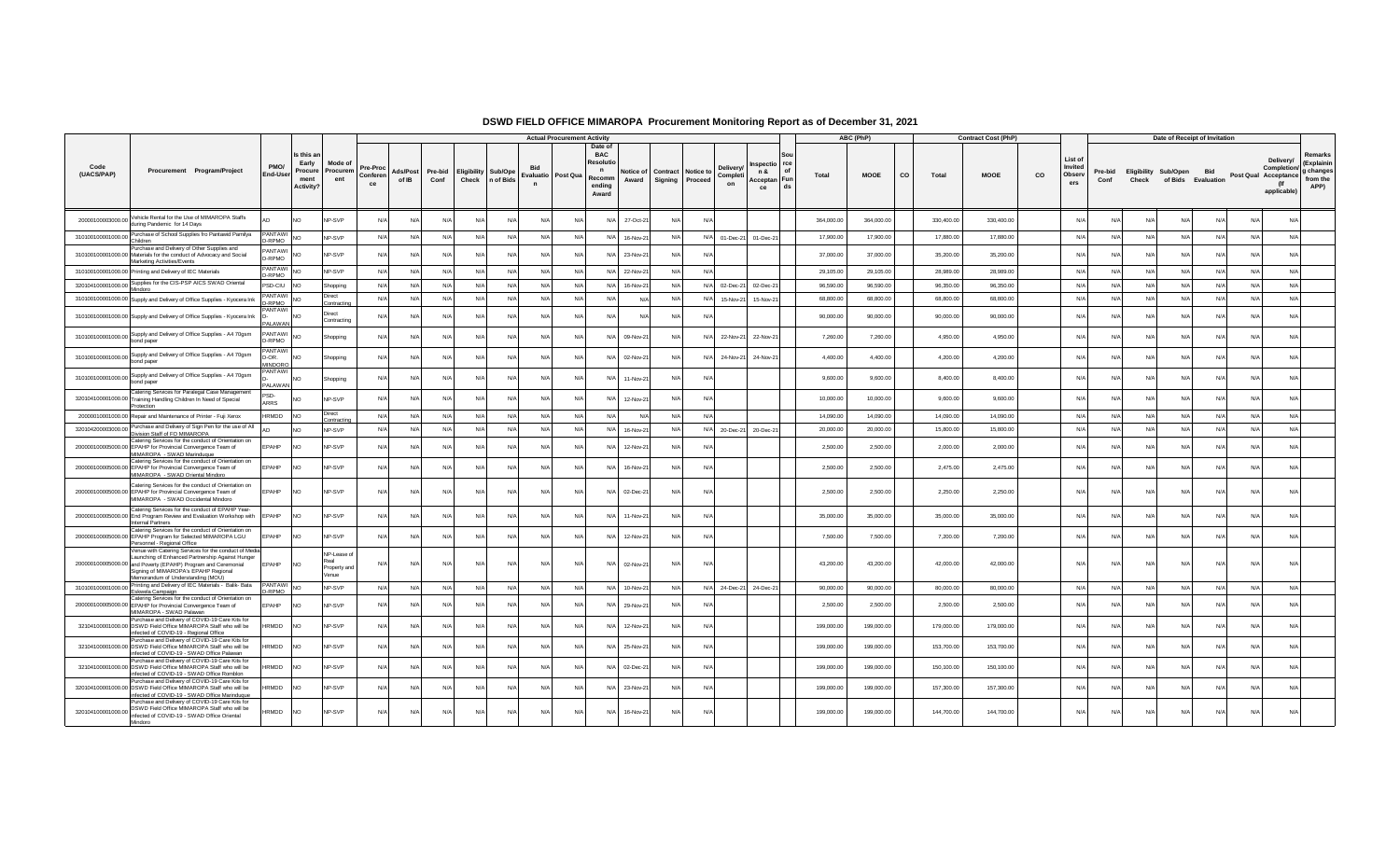|                    |                                                                                                                                                                                                                                                         |                                   |                                                    |                                                     |                            |                   |                 |                                                 |     |              | <b>Actual Procurement Activity</b> |                                                                               |                    |            |                                        |                                   |                                                       |            | ABC (PhP)   |    |            | <b>Contract Cost (PhP)</b> |    |                                     |                 |            | Date of Receipt of Invitation                  |     |                               |                                                |                                            |
|--------------------|---------------------------------------------------------------------------------------------------------------------------------------------------------------------------------------------------------------------------------------------------------|-----------------------------------|----------------------------------------------------|-----------------------------------------------------|----------------------------|-------------------|-----------------|-------------------------------------------------|-----|--------------|------------------------------------|-------------------------------------------------------------------------------|--------------------|------------|----------------------------------------|-----------------------------------|-------------------------------------------------------|------------|-------------|----|------------|----------------------------|----|-------------------------------------|-----------------|------------|------------------------------------------------|-----|-------------------------------|------------------------------------------------|--------------------------------------------|
| Code<br>(UACS/PAP) | Procurement Program/Project                                                                                                                                                                                                                             | PMO/<br><b>End-User</b>           | Is this a<br>Early<br>Procure<br>ment<br>Activity? | Mode of<br>Procurem<br>ent                          | Pre-Proc<br>Conferen<br>ce | Ads/Post<br>of IB | Pre-bid<br>Conf | <b>Eligibility Sub/Ope</b><br>Check   n of Bids |     | $\mathbf{r}$ | Evaluatio Post Qua                 | Date of<br><b>BAC</b><br>Resoluti<br>$\mathbf n$<br>Recomm<br>endina<br>Award | Notice of<br>Award | Signing    | <b>Contract   Notice to</b><br>Proceed | <b>Delivery</b><br>Completi<br>on | 1spectio rce<br>of<br>n &<br>Acceptan Fun<br>ds<br>ce | Total      | <b>MOOE</b> | CO | Total      | <b>MOOE</b>                | CO | List of<br>Invited<br>Observ<br>ers | Pre-bid<br>Conf | Check      | Eligibility Sub/Open Bid<br>of Bids Evaluation |     | Post Qual Acceptance from the | Delivery/<br>Completion/<br>(If<br>applicable) | Remarks<br>(Explainin<br>g changes<br>APP) |
| 20000100003000.00  | Vehicle Rental for the Use of MIMAROPA Staffs<br>during Pandemic for 14 Days                                                                                                                                                                            |                                   | NO <sub>1</sub>                                    | NP-SVP                                              | N/A                        | N/A               | N/A             | N/A                                             | N/A | N/A          | $N/\ell$                           | N/A                                                                           | 27-Oct-21          |            | N/A                                    |                                   |                                                       | 364,000.00 | 364,000.00  |    | 330,400.00 | 330,400.00                 |    | N                                   | $N/\Delta$      | $N/\Delta$ | N/A                                            | N/A | N/A                           | N/A                                            |                                            |
| 310100100001000.00 | Purchase of School Supplies fro Pantawid Pamilya                                                                                                                                                                                                        | PANTAWI                           | NO <sub>1</sub>                                    | NP-SVP                                              | N/A                        | N/A               | N/A             | N/A                                             | N/A | N/A          | $N/\ell$                           | N/A                                                                           | 16-Nov-21          | N/A        |                                        | N/A 01-Dec-21                     | 01-Dec-21                                             | 17,900.00  | 17,900.00   |    | 17,880.00  | 17,880.00                  |    | $N/\ell$                            | N/A             | N/A        | N/A                                            | N/A | N/A                           | N/A                                            |                                            |
|                    | Children<br>Purchase and Delivery of Other Supplies and<br>310100100001000.00 Materials for the conduct of Advocacy and Social<br>Marketing Activities/Events                                                                                           | -RPMO<br>PANTAWI<br>D-RPMO        | NO                                                 | NP-SVP                                              | N/A                        | N/A               | N/A             | N/A                                             | N/A | N/A          | N                                  | N/A                                                                           | 23-Nov-21          |            | $N/\Delta$                             |                                   |                                                       | 37,000.00  | 37,000.00   |    | 35,200.00  | 35,200.00                  |    | N/                                  | N/L             | N/A        | N/A                                            | N/A | N/A                           | N/A                                            |                                            |
|                    | 310100100001000.00 Printing and Delivery of IEC Materials                                                                                                                                                                                               | <b>ANTAWI</b><br>D-RPMO           | NO <sub>1</sub>                                    | NP-SVP                                              | N/A                        | N/A               | N/A             | N/A                                             | N/A | N/A          | N/4                                | N/A                                                                           | 22-Nov-21          | N/l        | $N/\Delta$                             |                                   |                                                       | 29,105.00  | 29,105.00   |    | 28,989.00  | 28,989.00                  |    | N/                                  | $N/\Delta$      | N/A        | N/A                                            | N/A | N/A                           | N/A                                            |                                            |
| 320104100001000.00 | Supplies for the CIS-PSP AICS SWAD Oriental<br>Mindorc                                                                                                                                                                                                  | PSD-CIU                           | N <sub>O</sub>                                     | Shopping                                            | N/A                        | N/A               | N/A             | N/A                                             | N/A | N/A          | $N/\ell$                           | N/A                                                                           | 16-Nov-21          | N/A        |                                        | N/A 02-Dec-21                     | 02-Dec-21                                             | 96,590.00  | 96,590.00   |    | 96,350.00  | 96,350.00                  |    | N                                   | N/A             | N/A        | N/A                                            | N/A | N/A                           | N/A                                            |                                            |
|                    | 310100100001000.00 Supply and Delivery of Office Supplies - Kyocera Ink                                                                                                                                                                                 | PANTAWI<br>D-RPMO                 | NO <sub>1</sub>                                    | Direct<br>Contracting                               | N/A                        | N/A               | N/A             | N/A                                             | N/A | N/A          | $N/\ell$                           | N/A                                                                           | N/A                | N/l        | N/A                                    | 15-Nov-21                         | 15-Nov-21                                             | 68,800.00  | 68,800.00   |    | 68,800.00  | 68,800.00                  |    | N                                   | N/A             | N/A        | N/A                                            | N/A | N/A                           | N/A                                            |                                            |
|                    | 310100100001000.00 Supply and Delivery of Office Supplies - Kyocera Ink                                                                                                                                                                                 | PANTAWI<br>PALAWAN                | NO <sub>1</sub>                                    | Direct<br>Contracting                               | N/f                        | N/l               | N/A             | N/A                                             | N/  | N            | N                                  | N/A                                                                           |                    |            |                                        |                                   |                                                       | 90,000.00  | 90,000.00   |    | 90,000.00  | 90,000.00                  |    | N.                                  |                 | N          | N/A                                            | N/A | N/A                           | N/A                                            |                                            |
| 310100100001000.00 | Supply and Delivery of Office Supplies - A4 70gsm<br>bond paper                                                                                                                                                                                         | <b>PANTAWI</b><br>D-RPMO          | NO <sub>1</sub>                                    | Shopping                                            | N/A                        | N/A               | N/A             | N/A                                             | N/l | N/l          | N/                                 | N/A                                                                           | 09-Nov-21          |            | N/A                                    | 22-Nov-21                         | 22-Nov-21                                             | 7,260,00   | 7,260.00    |    | 4,950.00   | 4,950.00                   |    | N.                                  | N/              | N/A        | N/A                                            | N/A | N/A                           | N/A                                            |                                            |
| 310100100001000.00 | Supply and Delivery of Office Supplies - A4 70gsm<br>bond paper                                                                                                                                                                                         | PANTAW<br>D-OR.<br><b>MINDORC</b> | NO <sub>1</sub>                                    | Shopping                                            | N/A                        | N/A               | N/A             | N/A                                             | N/I | N/l          | N/L                                | N/A                                                                           | 02-Nov-21          | N/         | N/A                                    | 24-Nov-21                         | 24-Nov-21                                             | 4,400.00   | 4,400.00    |    | 4,200.00   | 4,200.00                   |    | N                                   | N/L             | N/A        | $N/\Delta$                                     | N/A | N/A                           | N/A                                            |                                            |
| 310100100001000.00 | Supply and Delivery of Office Supplies - A4 70gsm<br>bond paper                                                                                                                                                                                         | PANTAW<br>PALAWAN                 | NO.                                                | Shopping                                            | N/A                        | N/A               | N/A             | N/A                                             | N/A | N/A          | N/L                                | N/A                                                                           | 11-Nov-21          | N/A        | N/A                                    |                                   |                                                       | 9,600.00   | 9,600.00    |    | 8,400.00   | 8,400.00                   |    | N                                   | N/A             | N/A        | N/A                                            | N/A | N/A                           | N/A                                            |                                            |
|                    | Catering Services for Paralegal Case Management<br>320104100001000.00 Training Handling Children In Need of Special<br>Protection                                                                                                                       | PSD-<br>ARRS                      | NO <sub>1</sub>                                    | NP-SVP                                              | N/A                        | N/A               | N/A             | N/A                                             | N/A | N/A          | N/                                 | N/A                                                                           | 12-Nov-21          |            | N/A                                    |                                   |                                                       | 10,000.00  | 10,000.00   |    | 9,600.00   | 9,600.00                   |    | N                                   | N/A             | N/A        | N/A                                            | N/A | N/A                           | N/A                                            |                                            |
|                    | 20000010001000.00 Repair and Maintenance of Printer - Fuji Xerox                                                                                                                                                                                        | HRMDD                             | N <sub>O</sub>                                     | Direct<br>Contracting                               | N/A                        | N/A               | N/A             | N/A                                             | N/A | N/A          | N                                  | N/A                                                                           | N/A                | N/l        | N/A                                    |                                   |                                                       | 14,090.00  | 14,090.00   |    | 14,090.00  | 14,090.00                  |    | N                                   | N/L             | N/A        | N/A                                            | N/A | N/A                           | N/A                                            |                                            |
| 320104200003000.00 | Purchase and Delivery of Sign Pen for the use of All<br>Division Staff of FO MIMAROPA<br>Catering Services for the conduct of Orientation on                                                                                                            |                                   | NO <sub>1</sub>                                    | NP-SVP                                              | N/A                        | N/A               | N/A             | N/A                                             | N/A | N/A          | N                                  | N/A                                                                           | 16-Nov-21          | N/t        |                                        | N/A 20-Dec-21                     | 20-Dec-21                                             | 20,000.00  | 20,000.00   |    | 15,800.00  | 15,800.00                  |    | N                                   | N/A             | N/A        | N/A                                            | N/A | N/A                           | N/A                                            |                                            |
|                    | 200000100005000.00 EPAHP for Provincial Convergence Team of<br>MIMAROPA - SWAD Marinduque<br>Catering Services for the conduct of Orientation on                                                                                                        | EPAHP                             | NO                                                 | NP-SVP                                              | N/A                        | N/A               | N/A             | N/A                                             | N/A | N/A          | N                                  | N/A                                                                           | 12-Nov-21          | N/l        | N/A                                    |                                   |                                                       | 2,500.00   | 2,500.00    |    | 2,000.00   | 2,000.00                   |    | N                                   | N/L             | N/l        | N/A                                            | N/A | N/A                           | N/A                                            |                                            |
|                    | 200000100005000.00 EPAHP for Provincial Convergence Team of<br>MIMAROPA - SWAD Oriental Mindoro                                                                                                                                                         | <b>EPAHP</b>                      | NO <sub>1</sub>                                    | <b>NP-SVP</b>                                       | N/L                        | N/A               | N/L             | N/L                                             | N/  | N/l          | N                                  | N/A                                                                           | 16-Nov-21          |            | $N$ /                                  |                                   |                                                       | 2,500.00   | 2,500.00    |    | 2,475.00   | 2,475.00                   |    | N.                                  | N.              |            | N/A                                            | N/A | N/A                           | $N$ /                                          |                                            |
|                    | Catering Services for the conduct of Orientation on<br>200000100005000.00 EPAHP for Provincial Convergence Team of<br>MIMAROPA - SWAD Occidental Mindoro                                                                                                | EPAHP                             | NO <sub>1</sub>                                    | NP-SVP                                              | N/A                        | N/A               | N/A             | N/A                                             | N/A | N/A          | N/                                 | N/A                                                                           | 02-Dec-21          | N/A        | N/A                                    |                                   |                                                       | 2,500.00   | 2,500.00    |    | 2.250.00   | 2,250.00                   |    | N                                   | N/A             | N/A        | N/A                                            | N/A | N/A                           | N/A                                            |                                            |
|                    | Catering Services for the conduct of EPAHP Year-<br>200000100005000.00 End Program Review and Evaluation Workshop with EPAHP<br><b>Internal Partners</b>                                                                                                |                                   | NO <sub>1</sub>                                    | NP-SVP                                              | N/A                        | N/A               | N/A             | N/A                                             | N/A | N            | N                                  | N/A                                                                           | 11-Nov-21          | N/l        | N/A                                    |                                   |                                                       | 35,000.00  | 35,000.00   |    | 35,000.00  | 35,000.00                  |    | N                                   | $N/\ell$        | N/A        | N/A                                            | N/A | N/A                           | N/A                                            |                                            |
|                    | Catering Services for the conduct of Orientation on<br>200000100005000.00 EPAHP Program for Selected MIMAROPA LGU<br>Personnel - Regional Office                                                                                                        | EPAHP                             | NO                                                 | NP-SVP                                              | N/A                        | N/A               | N/L             | N/A                                             | N/I | N/l          | N                                  | N/A                                                                           | 12-Nov-21          | N/l        | N/A                                    |                                   |                                                       | 7,500.00   | 7,500.00    |    | 7,200.00   | 7,200.00                   |    | N                                   | $N/\Delta$      | N/A        | N/A                                            | N/A | N/A                           | N/A                                            |                                            |
|                    | Venue with Catering Services for the conduct of Media<br>Launching of Enhanced Partnership Against Hunger<br>200000100005000.00 and Poverty (EPAHP) Program and Ceremonial<br>Signing of MIMAROPA's EPAHP Regional<br>Memorandum of Understanding (MOU) | EPAHP                             | NO <sub>1</sub>                                    | NP-Lease of<br><b>Real</b><br>Property and<br>Venue | N/A                        | N/A               | N/A             | N/A                                             | N/A | N/A          | N/L                                | N/A                                                                           | 02-Nov-21          | $N/\Delta$ | $N/\Delta$                             |                                   |                                                       | 43,200.00  | 43,200.00   |    | 42,000.00  | 42,000.00                  |    | N                                   | $N/\Delta$      | N/A        | N/A                                            | N/A | N/A                           | N/A                                            |                                            |
|                    | 310100100001000.00 Printing and Delivery of IEC Materials - Balik- Bata<br>Eskwela Campaign                                                                                                                                                             | <b>PANTAWI</b><br>-RPMO           | <b>NO</b>                                          | NP-SVP                                              | N/A                        | N/A               | N/A             | N/A                                             | N/A | N/A          | N/L                                | N/A                                                                           | 10-Nov-21          | $N/\Delta$ |                                        | N/A 24-Dec-21                     | 24-Dec-21                                             | 90,000,00  | 90,000.00   |    | 80,000.00  | 80,000,00                  |    | N/A                                 | N/A             | N/A        | N/A                                            | N/A | N/A                           | N/A                                            |                                            |
|                    | Catering Services for the conduct of Orientation on<br>200000100005000.00 EPAHP for Provincial Convergence Team of<br>MIMAROPA - SWAD Palawan                                                                                                           | EPAHP                             | <b>NO</b>                                          | NP-SVP                                              | N/A                        | N/A               | N/A             | N/A                                             | N/A | N/A          |                                    | N/A                                                                           | 29-Nov-21          | N/l        | N/A                                    |                                   |                                                       | 2.500.00   | 2,500.00    |    | 2,500.00   | 2.500.00                   |    | N                                   | N/A             | N/A        | N/A                                            | N/A | N/A                           | N/A                                            |                                            |
|                    | Purchase and Delivery of COVID-19 Care Kits for<br>32104100001000.00 DSWD Field Office MIMAROPA Staff who will be<br>infected of COVID-19 - Regional Office                                                                                             | HRMDD                             | NO <sub>1</sub>                                    | <b>NP-SVP</b>                                       | N/A                        | N/A               | N/A             | N/A                                             | N/A | N/A          | N                                  | N/A                                                                           | 12-Nov-21          | N/l        | N/A                                    |                                   |                                                       | 199,000.00 | 199,000.00  |    | 179,000.00 | 179,000.00                 |    | N/                                  | N/L             | N/A        | N/A                                            | N/A | N/A                           | N/A                                            |                                            |
|                    | Purchase and Delivery of COVID-19 Care Kits for<br>32104100001000.00 DSWD Field Office MIMAROPA Staff who will be<br>infected of COVID-19 - SWAD Office Palawan                                                                                         | HRMDD                             |                                                    | <b>NP-SVP</b>                                       | N/A                        | N/A               | N/A             | N/A                                             | N/A | N/A          | N/                                 | N/A                                                                           | 25-Nov-2           |            | N/L                                    |                                   |                                                       | 199,000.00 | 199,000.00  |    | 153,700.00 | 153,700.00                 |    | N.                                  | N               | N/l        | N/A                                            | N/A | N/A                           | N/A                                            |                                            |
|                    | Purchase and Delivery of COVID-19 Care Kits for<br>32104100001000.00 DSWD Field Office MIMAROPA Staff who will be<br>infected of COVID-19 - SWAD Office Romblon                                                                                         | HRMDD                             | <b>NO</b>                                          | NP-SVP                                              | N/f                        | N/A               | N/A             | N/A                                             | N/I | N/l          | N/                                 | N/A                                                                           | 02-Dec-21          |            | N/L                                    |                                   |                                                       | 199,000.00 | 199,000.00  |    | 150,100.00 | 150,100.00                 |    | N                                   | N/I             | N/l        | N/A                                            | N/A | N/A                           | N/A                                            |                                            |
|                    | Purchase and Delivery of COVID-19 Care Kits for<br>320104100001000.00 DSWD Field Office MIMAROPA Staff who will be<br>infected of COVID-19 - SWAD Office Marinduque                                                                                     | HRMDD                             | NO <sub>1</sub>                                    | <b>NP-SVP</b>                                       | N/A                        | N/A               | N               | N/A                                             | N/  | N/A          | N                                  | N/A                                                                           | 23-Nov-21          |            | N/L                                    |                                   |                                                       | 199,000.00 | 199,000.00  |    | 157,300.00 | 157,300.00                 |    | N                                   | N/L             | N/A        | N/A                                            | N/A | N/A                           | N/A                                            |                                            |
|                    | Purchase and Delivery of COVID-19 Care Kits for<br>320104100001000.00 BSWD Field Office MIMAROPA Staff who will be<br>infected of COVID-19 - SWAD Office Oriental<br>Mindoro                                                                            | HRMDD                             | <b>NO</b>                                          | NP-SVP                                              | N/A                        | N/A               | N/A             | N/A                                             | N/4 | N/A          | N/f                                | N/A                                                                           | 16-Nov-21          | N/A        | N/A                                    |                                   |                                                       | 199,000.00 | 199,000.00  |    | 144,700.00 | 144,700.00                 |    | N/                                  | N/A             | N/A        | N/A                                            | N/A | N/A                           | N/A                                            |                                            |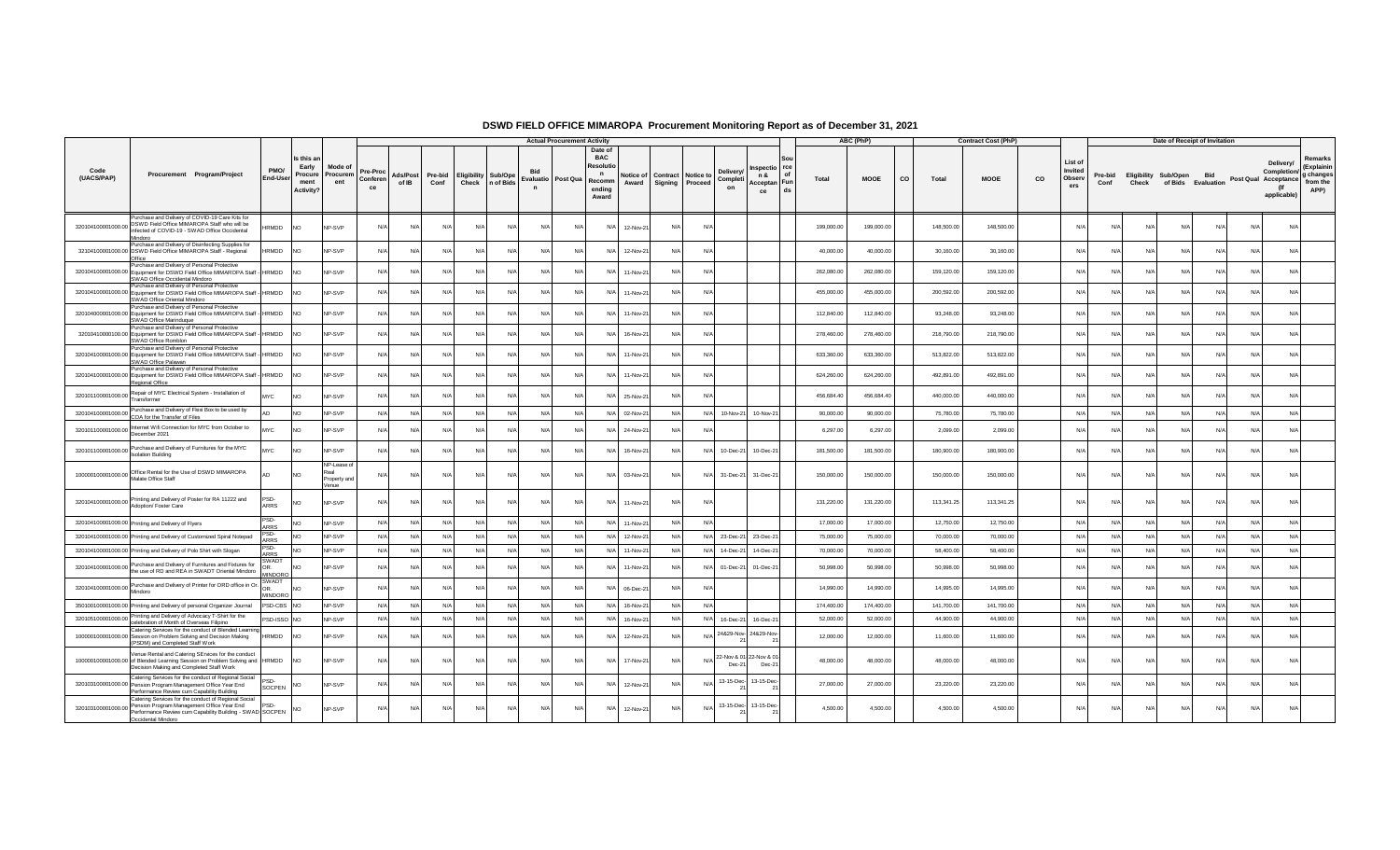|                    |                                                                                                                                                                                                                    |                                           |                                                           |                                              |                                   |                   |                 |                                                 |                 | <b>Actual Procurement Activity</b> |                                                                                      |                                                 |            |                                                                                |          |            | ABC (PhP)   |           |            | <b>Contract Cost (PhP)</b> |    |                                     |                 |            | Date of Receipt of Invitation                  |            |            |                                                                        |                                                        |
|--------------------|--------------------------------------------------------------------------------------------------------------------------------------------------------------------------------------------------------------------|-------------------------------------------|-----------------------------------------------------------|----------------------------------------------|-----------------------------------|-------------------|-----------------|-------------------------------------------------|-----------------|------------------------------------|--------------------------------------------------------------------------------------|-------------------------------------------------|------------|--------------------------------------------------------------------------------|----------|------------|-------------|-----------|------------|----------------------------|----|-------------------------------------|-----------------|------------|------------------------------------------------|------------|------------|------------------------------------------------------------------------|--------------------------------------------------------|
| Code<br>(UACS/PAP) | Procurement Program/Project                                                                                                                                                                                        | PMO/<br>End-User                          | Is this a<br>Early<br>Procure<br>ment<br><b>Activity?</b> | Mode of<br>Procurem<br>ent                   | <b>Pre-Proc</b><br>Conferen<br>ce | Ads/Post<br>of IB | Pre-bid<br>Conf | <b>Eligibility Sub/Ope</b><br>Check   n of Bids | $\mathbf n$     | Evaluatio Post Qua                 | Date of<br><b>BAC</b><br>Resolu<br>$\mathbf n$<br>Recomm<br>Award<br>ending<br>Award | Notice of Contract Notice to<br>Signing Proceed |            | nspectio rce<br><b>Delivery</b><br>n &<br>Completi<br>Acceptan Fun<br>on<br>ce | of<br>ds | Total      | <b>MOOE</b> | <b>CO</b> | Total      | <b>MOOE</b>                | co | List of<br>Invited<br>Observ<br>ers | Pre-bid<br>Conf | Check      | Eligibility Sub/Open Bid<br>of Bids Evaluation |            |            | Delivery/<br>Completion/<br>Post Qual Acceptance<br>(If<br>applicable) | Remarks<br>(Explainir<br>g changes<br>from the<br>APP) |
| 320104100001000.00 | Purchase and Delivery of COVID-19 Care Kits for<br>DSWD Field Office MIMAROPA Staff who will be<br>infected of COVID-19 - SWAD Office Occidental<br>Mindoro                                                        | <b>IRMDD</b>                              | <b>NO</b>                                                 | NP-SVP                                       | N/A                               | N/A               | N/A             | N/A                                             | N/A<br>N/A      | N/A                                | N/A<br>12-Nov-21                                                                     | N/A                                             | N/         |                                                                                |          | 199,000.00 | 199,000.00  |           | 148,500.00 | 148,500.00                 |    | N/A                                 | N/L             | N/l        | N/A                                            | N/A        | N/A        | N/A                                                                    |                                                        |
|                    | Purchase and Delivery of Disinfecting Supplies for<br>32104100001000.00 DSWD Field Office MIMAROPA Staff - Regional                                                                                                | <b>IRMDD</b>                              | <b>NO</b>                                                 | NP-SVP                                       | N/A                               | N/A               | N/L             | N/A                                             | N/A<br>N/l      | N/A                                | 12-Nov-21<br>N/A                                                                     | N/A                                             | N          |                                                                                |          | 40,000.00  | 40,000.00   |           | 30,160.00  | 30,160.00                  |    | N                                   | N               | N/         | N/A                                            | N/l        |            | N/A                                                                    |                                                        |
|                    | Purchase and Delivery of Personal Protective<br>320104100001000.00 Equipment for DSWD Field Office MIMAROPA Staff - HRMDD<br>SWAD Office Occidental Mindoro                                                        |                                           | <b>NO</b>                                                 | NP-SVP                                       | N/L                               | N/A               | N/A             | N/A                                             | N/A<br>N/l      | N                                  | N/A<br>11-Nov-21                                                                     | N/A                                             | N/         |                                                                                |          | 262,080.00 | 262,080.00  |           | 159,120.00 | 159,120.00                 |    | N                                   | N/4             | $N$ /      | N/L                                            | $N/\Delta$ |            | N/A                                                                    |                                                        |
|                    | Purchase and Delivery of Personal Protective<br>320104100001000.00 Equipment for DSWD Field Office MIMAROPA Staff - HRMDD<br>SWAD Office Oriental Mindoro                                                          |                                           | <b>NO</b>                                                 | NP-SVP                                       | N/L                               | N/A               | N               | N/A                                             | N/A<br>N/l      | N                                  | N/A<br>11-Nov-21                                                                     | N/A                                             | N.         |                                                                                |          | 455,000.00 | 455,000.00  |           | 200,592.00 | 200,592.00                 |    | N                                   | N               | N/         | $N/\Delta$                                     |            |            | N/A                                                                    |                                                        |
|                    | Purchase and Delivery of Personal Protective<br>320104000001000.00 Equipment for DSWD Field Office MIMAROPA Staff -<br>SWAD Office Marinduque                                                                      | HRMDD                                     | <b>NO</b>                                                 | NP-SVP                                       | N/A                               | N/A               | N/A             | N/A                                             | N/A<br>N/A      | N/f                                | N/A<br>11-Nov-21                                                                     | N/A                                             | N/         |                                                                                |          | 112,840.00 | 112,840.00  |           | 93,248.00  | 93,248.00                  |    | $N$ /                               | N/L             | N/l        | $N/\Delta$                                     | $N/\Delta$ |            | N/A                                                                    |                                                        |
|                    | Purchase and Delivery of Personal Protective<br>32010410000100.00 Equipment for DSWD Field Office MIMAROPA Staff - HRMDD<br>SWAD Office Romblon                                                                    |                                           | <b>NO</b>                                                 | NP-SVP                                       | N/A                               | N/A               | N/A             | N/A                                             | N/A<br>N/l      | N                                  | 16-Nov-21<br>N/A                                                                     | $N/\Delta$                                      | N.         |                                                                                |          | 278,460.00 | 278,460.00  |           | 218,790.00 | 218,790.00                 |    | $N/\ell$                            | N/              | N          | Nl                                             |            |            | N/A                                                                    |                                                        |
|                    | Purchase and Delivery of Personal Protective<br>320104100001000.00 Equipment for DSWD Field Office MIMAROPA Staff - HRMDD<br>SWAD Office Palawan                                                                   |                                           | <b>NO</b>                                                 | NP-SVP                                       | N/A                               | N/A               | N/L             | N/A                                             | N/A<br>N/l      | N/f                                | N/A<br>11-Nov-21                                                                     | N/A                                             | N/         |                                                                                |          | 633,360.00 | 633,360.00  |           | 513,822.00 | 513,822.00                 |    | N                                   | N/4             | N          | $N/\Delta$                                     | $N/\Delta$ |            | N/A                                                                    |                                                        |
|                    | Purchase and Delivery of Personal Protective<br>320104100001000.00 Equipment for DSWD Field Office MIMAROPA Staff - HRMDD<br>Regional Office                                                                       |                                           | <b>NO</b>                                                 | NP-SVP                                       | N/A                               | N/A               | N/A             | N/A                                             | N/A<br>N/A      | N/F                                | N/A<br>11-Nov-21                                                                     | N/A                                             | N/         |                                                                                |          | 624,260.00 | 624,260.00  |           | 492,891.00 | 492,891.00                 |    | N/                                  | N/A             | N/A        | N/A                                            | N/A        |            | N/A                                                                    |                                                        |
| 320101100001000.00 | Repair of MYC Electrical System - Installation of<br>Transformer                                                                                                                                                   | MYC                                       | N <sub>O</sub>                                            | NP-SVP                                       | N/A                               | N/A               | N/A             | N/A                                             | N/A<br>N/A      | N/A                                | N/A<br>25-Nov-21                                                                     | N/A                                             | N/         |                                                                                |          | 456,684.40 | 456,684.40  |           | 440,000.00 | 440,000.00                 |    | N/A                                 | N/4             | N/         | $N/\Delta$                                     | N/A        |            | N/A                                                                    |                                                        |
| 320104100001000.00 | Purchase and Delivery of Flexi Box to be used by<br>COA for the Transfer of Files                                                                                                                                  |                                           | N <sub>O</sub>                                            | NP-SVP                                       | N/A                               | N/A               | N/A             | N/A                                             | N/A<br>N/A      | N/L                                | 02-Nov-21<br>$N/\Delta$                                                              | N/A                                             | N/A        | 10-Nov-21<br>10-Nov-21                                                         |          | 90,000.00  | 90,000.00   |           | 75,780.00  | 75,780.00                  |    | $N$ /                               | N/A             | N/l        | $N/\Delta$                                     | $N/\Delta$ | N/I        | N/A                                                                    |                                                        |
| 320101100001000.00 | Internet Wifi Connection for MYC from October to<br>December 2021                                                                                                                                                  | <b>IYC</b>                                | N <sub>O</sub>                                            | NP-SVP                                       | N/A                               | N/A               | N/A             | N/A                                             | N/A<br>N/A      | $N/\ell$                           | 24-Nov-21<br>N/A                                                                     | N/A                                             | N/         |                                                                                |          | 6,297.00   | 6,297.00    |           | 2,099.00   | 2,099.00                   |    | N                                   | N/L             | N/l        | N/A                                            | N/A        |            | N/A                                                                    |                                                        |
|                    | 320101100001000.00 Purchase and Delivery of Furnitures for the MYC<br><b>Isolation Building</b>                                                                                                                    | <b>MYC</b>                                | N <sub>O</sub>                                            | <b>NP-SVP</b>                                | N/A                               | N/A               | $N/\ell$        | N/A                                             | N/A<br>N/f      | N/A                                | N/A<br>16-Nov-21                                                                     | N/A                                             | N/         | 10-Dec-21<br>10-Dec-21                                                         |          | 181,500.00 | 181,500.00  |           | 180,900.00 | 180,900.00                 |    | N                                   | N/L             | N/         | $N/\Delta$                                     | $N/\Delta$ |            | N/A                                                                    |                                                        |
|                    | 100000100001000.00 Office Rental for the Use of DSWD MIMAROPA<br>Malate Office Staff                                                                                                                               |                                           | <b>NO</b>                                                 | NP-Lease of<br>Real<br>Property and<br>Venue | N/A                               | N/A               | N/A             | N/A                                             | N/A<br>N/A      | N/f                                | N/A<br>03-Nov-21                                                                     | N/A                                             | $N/\Delta$ | 31-Dec-21<br>31-Dec-21                                                         |          | 150,000.00 | 150,000.00  |           | 150,000.00 | 150,000.00                 |    | N/A                                 | N               | N/         | N/A                                            | N/A        | N/L        | N/A                                                                    |                                                        |
| 320104100001000.00 | Printing and Delivery of Poster for RA 11222 and<br>Adoption/ Foster Care                                                                                                                                          | PSD-<br>ARRS                              | N <sub>O</sub>                                            | NP-SVP                                       | N/A                               | N/A               | N/A             | N/A                                             | N/A<br>N/A      | N/A                                | N/A<br>11-Nov-21                                                                     | N/A                                             | N          |                                                                                |          | 131,220.00 | 131,220.00  |           | 113,341.25 | 113,341.25                 |    | N                                   | N               | N/         | N/A                                            | N/A        | N/l        | N/A                                                                    |                                                        |
|                    | 320104100001000.00 Printing and Delivery of Flyers                                                                                                                                                                 | PSD-<br><b>ARRS</b>                       | N <sub>O</sub>                                            | NP-SVP                                       | N/A                               | N/A               | N/A             | N/A                                             | N/A<br>N/A      | N/f                                | N/A<br>11-Nov-21                                                                     | N/A                                             | $N/\rho$   |                                                                                |          | 17,000.00  | 17,000.00   |           | 12,750.00  | 12,750.00                  |    | N                                   | N/A             | N/A        | N/A                                            | N/A        | N/L        | N/A                                                                    |                                                        |
|                    | 320104100001000.00 Printing and Delivery of Customized Spiral Notepad                                                                                                                                              | 'SD-<br>ARRS                              | <b>NO</b>                                                 | NP-SVP                                       | N/A                               | N/A               | N/A             | N/A                                             | N/A<br>N/A      | N/A                                | $N/\Delta$<br>12-Nov-21                                                              | N/A                                             | N/A        | 23-Dec-21<br>23-Dec-21                                                         |          | 75,000.00  | 75,000.00   |           | 70,000.00  | 70,000.00                  |    | N/I                                 | $N/\Delta$      | $N/\Delta$ | $N/\Delta$                                     | $N/\Delta$ | $N/\Delta$ | N/A                                                                    |                                                        |
|                    | 320104100001000.00 Printing and Delivery of Polo Shirt with Slogan                                                                                                                                                 | PSD-<br><b>ARRS</b>                       | <b>NO</b>                                                 | NP-SVP                                       | N/A                               | N/A               | N/A             | N/A                                             | N/A<br>N/A      | N/A                                | N/A<br>11-Nov-21                                                                     | N/A                                             | N/A        | 14-Dec-21<br>14-Dec-21                                                         |          | 70,000.00  | 70,000.00   |           | 58,400.00  | 58,400.00                  |    | N/A                                 | N/A             | N/A        | N/A                                            | N/A        | N/A        | N/A                                                                    |                                                        |
|                    | 320104100001000.00 Purchase and Delivery of Furnitures and Fixtures for<br>the use of RD and REA in SWADT Oriental Mindoro                                                                                         | SWADT<br>OR.<br><b>MINDORO</b>            | <b>NO</b>                                                 | NP-SVP                                       | N/A                               | N/A               | N/L             | N/A                                             | N/A<br>N/A      | N/f                                | N/A<br>11-Nov-21                                                                     | N/A                                             | N/         | 01-Dec-21<br>01-Dec-21                                                         |          | 50,998.00  | 50,998.00   |           | 50,998.00  | 50,998.00                  |    | N/                                  | N/              | N/         | N/I                                            | N/A        |            | N/A                                                                    |                                                        |
|                    | 320104100001000.00 Purchase and Delivery of Printer for ORD office in Or.<br>Mindoro                                                                                                                               | SWAD <sup>®</sup><br>OR<br><b>MINDORO</b> | <b>NO</b>                                                 | NP-SVP                                       | N/A                               | N/A               | N/A             | N/A                                             | N/A<br>N/A      | N/A                                | N/A<br>06-Dec-21                                                                     | N/A                                             | N          |                                                                                |          | 14,990.00  | 14,990.00   |           | 14,995.00  | 14,995.00                  |    | N                                   | N               | N/         | $N/\Delta$                                     | N/A        | NL.        | N/A                                                                    |                                                        |
|                    | 350100100001000.00 Printing and Delivery of personal Organizer Journal                                                                                                                                             | PSD-CBS NO                                |                                                           | NP-SVP                                       | N/A                               | N/A               | N/A             | N/A                                             | N/A<br>N/A      | N/A                                | N/A<br>16-Nov-21                                                                     | N/A                                             | N/A        |                                                                                |          | 174,400.00 | 174,400.00  |           | 141,700.00 | 141,700.00                 |    | N/A                                 | N/A             | N/A        | N/A                                            | N/A        | $N/\Delta$ | N/A                                                                    |                                                        |
| 320105100001000.00 | Printing and Delivery of Advocacy T-Shirt for the<br>celebration of Month of Overseas Filipino                                                                                                                     | PSD-ISSO NO                               |                                                           | NP-SVP                                       | N/A                               | N/A               | N/A             | N/A                                             | N/A<br>N/A      | N/F                                | N/A<br>16-Nov-21                                                                     | N/A                                             | N/A        | 16-Dec-21<br>16-Dec-21                                                         |          | 52,000.00  | 52,000.00   |           | 44,900.00  | 44,900.00                  |    | N                                   | N/A             | N/A        | N/A                                            | N/A        | N/A        | N/A                                                                    |                                                        |
|                    | Catering Services for the conduct of Blended Learning<br>100000100001000.00 Session on Problem Solving and Decision Making<br>(PSDM) and Completed Staff Work                                                      | HRMDD                                     | <b>NO</b>                                                 | NP-SVP                                       | N/A                               | N/A               | N/L             | N/A                                             | $N/\ell$<br>N/l | N/L                                | N/A<br>12-Nov-21                                                                     | N/A                                             |            | 24&29-Nov-<br>24&29-Nov-<br>21                                                 |          | 12,000.00  | 12,000.00   |           | 11,600.00  | 11,600.00                  |    | N                                   | N/              | N          | N/                                             | N/l        |            | N/A                                                                    |                                                        |
|                    | Venue Rental and Catering SErvices for the conduct<br>100000100001000.00 of Blended Learning Session on Problem Solving and HRMDD<br>Decision Making and Completed Staff Work                                      |                                           | <b>NO</b>                                                 | NP-SVP                                       | N/A                               | N/A               | N/A             | N/A                                             | N/A<br>N/A      | N/F                                | N/A<br>17-Nov-21                                                                     | N/A                                             | N/A        | 22-Nov & 01<br>22-Nov & 01<br>Dec-21<br>Dec-21                                 |          | 48,000.00  | 48,000.00   |           | 48,000.00  | 48,000.00                  |    | N                                   | N/L             | N/l        | N/A                                            | N/A        | N/L        | N/A                                                                    |                                                        |
|                    | Catering Services for the conduct of Regional Social<br>320103100001000.00 Pension Program Management Office Year End<br>Performance Review cum Capability Building                                                | PSD.<br><b>SOCPEN</b>                     | <b>NO</b>                                                 | NP-SVP                                       | N/f                               | N/A               | N               | N/A                                             | N/A<br>N/f      | N                                  | 12-Nov-21<br>N/A                                                                     | N/A                                             | N/         | 13-15-Dec-<br>13-15-Dec-                                                       |          | 27,000.00  | 27,000.00   |           | 23,220.00  | 23,220.00                  |    | N                                   | N               | N/         | N/A                                            | N/A        |            | N/A                                                                    |                                                        |
|                    | Catering Services for the conduct of Regional Social<br>Pension Program Management Office Year End<br>320103100001000.00 Pension Program Management Conce Text Line Concerns Concerns SOCPEN<br>Occidental Mindoro | PSD.                                      | <b>NO</b>                                                 | NP-SVP                                       | N/A                               | N/A               | N/A             | N/A                                             | $N/\ell$<br>N/A | N/f                                | N/A<br>12-Nov-21                                                                     | N/A                                             | $N/\rho$   | 13-15-Dec-<br>13-15-Dec-                                                       |          | 4,500.00   | 4,500.00    |           | 4,500.00   | 4,500.00                   |    | N/A                                 | N/L             | N/l        | N/A                                            | N/A        |            | N/A                                                                    |                                                        |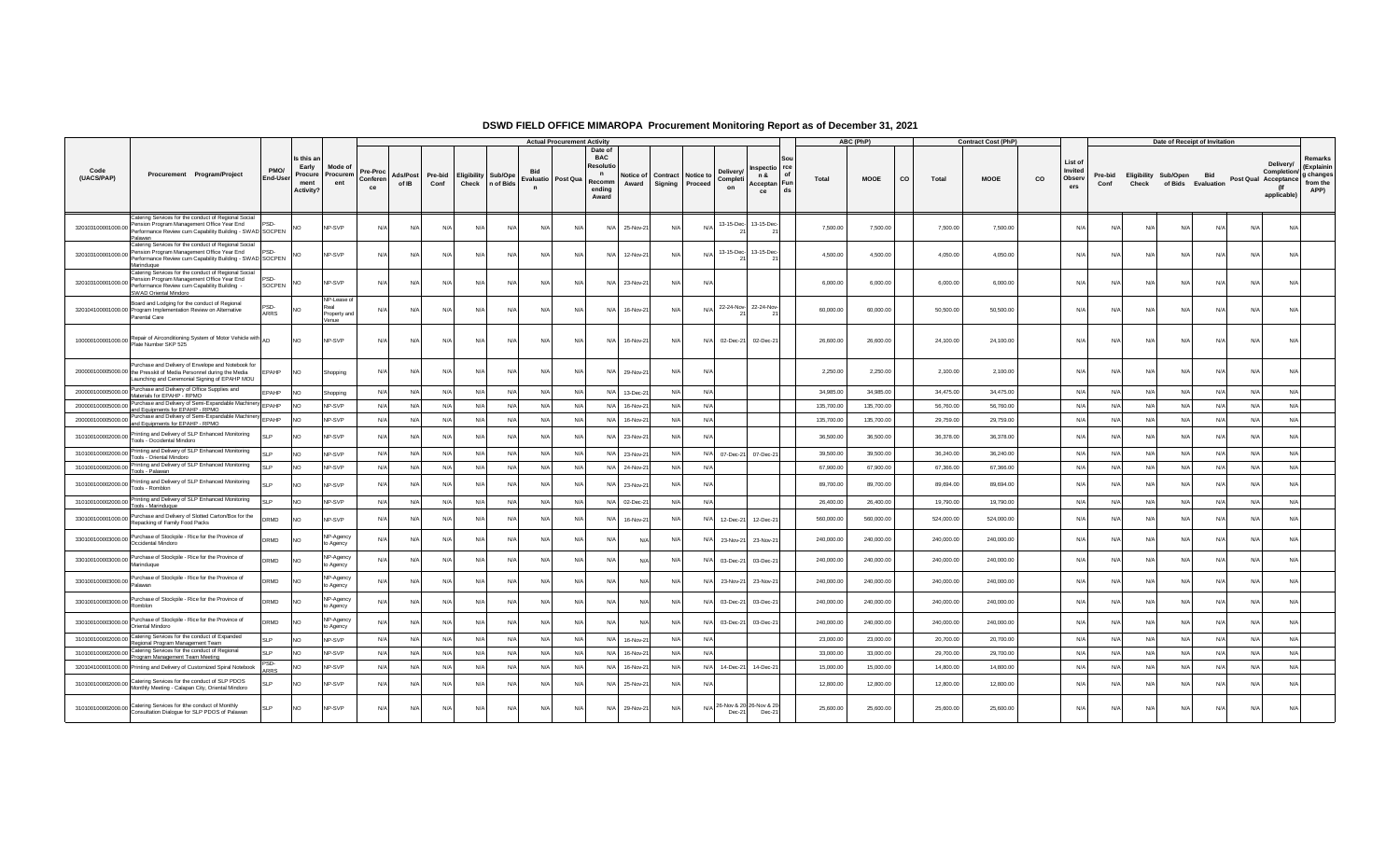|                    |                                                                                                                                                                              |                         |                                                    |                                                     |                            |                   |                 |                            |                   |                                   | <b>Actual Procurement Activity</b> |                                                                                |                    |            |                                                                     |                                                 |                    | ABC (PhP)   |    |            | <b>Contract Cost (PhP)</b> |    |                                     |                 |                               | Date of Receipt of Invitation |            |            |                                                                        |                                                        |
|--------------------|------------------------------------------------------------------------------------------------------------------------------------------------------------------------------|-------------------------|----------------------------------------------------|-----------------------------------------------------|----------------------------|-------------------|-----------------|----------------------------|-------------------|-----------------------------------|------------------------------------|--------------------------------------------------------------------------------|--------------------|------------|---------------------------------------------------------------------|-------------------------------------------------|--------------------|-------------|----|------------|----------------------------|----|-------------------------------------|-----------------|-------------------------------|-------------------------------|------------|------------|------------------------------------------------------------------------|--------------------------------------------------------|
| Code<br>(UACS/PAP) | Procurement Program/Project                                                                                                                                                  | PMO/<br><b>End-User</b> | Is this a<br>Early<br>Procure<br>ment<br>Activity? | Mode of<br>Procurem<br>ent                          | Pre-Proc<br>Conferen<br>ce | Ads/Post<br>of IB | Pre-bid<br>Conf | <b>Eligibility Sub/Ope</b> | Check   n of Bids | Evaluatio Post Qua<br>$\mathbf n$ |                                    | Date of<br><b>BAC</b><br>Resoluti<br>$\mathsf{n}$<br>Recomm<br>endina<br>Award | Notice of<br>Award |            | Deliverv<br>Contract Notice to<br>Completi<br>Signing Proceed<br>on | nspectio<br>n &<br>Acceptan Fun<br>ce           | rce<br>Total<br>ds | <b>MOOE</b> | co | Total      | <b>MOOE</b>                | co | List of<br>Invited<br>Observ<br>ers | Pre-bid<br>Conf | Eligibility Sub/Open<br>Check | of Bids Evaluation            | <b>Bid</b> |            | Delivery/<br>Completion/<br>Post Qual Acceptance<br>(lf<br>applicable) | Remarks<br>(Explainin<br>g changes<br>from the<br>APP) |
| 320103100001000.00 | Catering Services for the conduct of Regional Social<br>Pension Program Management Office Year End<br>Performance Review cum Capability Building - SWAD SOCPEN<br>Palawan    | PSD.                    | NO.                                                | NP-SVP                                              | N/A                        | N/A               | N/A             | N/A                        | N/A               | N/                                | N/A                                | N/A                                                                            | 25-Nov-21          | N/A        | N/l                                                                 | 13-15-Dec- 13-15-Dec-                           | 7,500.00           | 7,500.00    |    | 7,500.00   | 7,500.00                   |    | N/A                                 | N               | N/A                           | N                             | N/A        | N/A        | N/A                                                                    |                                                        |
| 320103100001000.00 | Catering Services for the conduct of Regional Social<br>Pension Program Management Office Year End<br>Performance Review cum Capability Building - SWAD SOCPEN<br>Marinduque | PSD-                    | <b>NO</b>                                          | NP-SVP                                              | N/A                        | N/A               | N/A             | N/l                        | N/l               | N                                 | N/l                                | N/A                                                                            | 12-Nov-21          | N/A        | N/L                                                                 | 13-15-Dec- 13-15-Dec-                           | 4,500.00           | 4,500.00    |    | 4,050.00   | 4,050.00                   |    | N/A                                 |                 | N/l                           | N                             | N/l        | N/A        | N/A                                                                    |                                                        |
| 320103100001000.00 | Catering Services for the conduct of Regional Social<br>Pension Program Management Office Year End<br>Performance Review cum Capability Building<br>SWAD Oriental Mindoro    | PSD.<br><b>SOCPEN</b>   | NO.                                                | NP-SVP                                              | N/A                        | N/A               | N/A             | N/A                        | N/A               | N/A                               | N/A                                | N/A                                                                            | 23-Nov-21          | N/A        | N/f                                                                 |                                                 | 6,000.00           | 6,000.00    |    | 6,000.00   | 6,000.00                   |    | N/A                                 | N               | N/A                           | $N$ /                         | N/A        | N/A        | N/A                                                                    |                                                        |
|                    | Board and Lodging for the conduct of Regional<br>320104100001000.00 Program Implementation Review on Alternative<br>Parental Care                                            | 'SD-<br>ARRS            | NO                                                 | <b>IP-Lease of</b><br>'eal<br>Property and<br>/enue | N/f                        | N/A               | N/l             | N/l                        | N/4               | N                                 | N/l                                | N/A                                                                            | 16-Nov-21          | N/A        | N/l                                                                 | 22-24-Nov-22-24-Nov-                            | 60,000.00          | 60,000.00   |    | 50,500.00  | 50,500.00                  |    | N/A                                 |                 | N/l                           | N                             | N/l        | N/4        | N/A                                                                    |                                                        |
|                    | 100000100001000.00 Repair of Airconditioning System of Motor Vehicle with AD                                                                                                 |                         | NO                                                 | NP-SVP                                              | N/A                        | N/A               | N/A             | N/A                        | N/A               | N/A                               | N/A                                | N/A                                                                            | 16-Nov-21          | N/A        | N/A                                                                 | 02-Dec-21 02-Dec-21                             | 26,600.00          | 26,600.00   |    | 24,100.00  | 24,100.00                  |    | N/A                                 | N               | N/A                           | N                             | N/A        | N/A        | N/A                                                                    |                                                        |
|                    | Purchase and Delivery of Envelope and Notebook for<br>200000100005000.00 the Presskit of Media Personnel during the Media<br>Launching and Ceremonial Signing of EPAHP MOU   | <b>EPAHP</b>            | <b>NO</b>                                          | Shopping                                            | N/A                        | N/A               | $N/\Delta$      | $N/\Delta$                 | N/A               | $N$ /                             | N/A                                |                                                                                | N/A 29-Nov-2       | $N/\Delta$ | N/A                                                                 |                                                 | 2,250.00           | 2,250.00    |    | 2,100.00   | 2,100.00                   |    | N/A                                 | N/4             | $N/\Delta$                    | N/4                           | $N/\Delta$ | N/A        | N/A                                                                    |                                                        |
|                    | 200000100005000.00 Purchase and Delivery of Office Supplies and<br>Materials for EPAHP - RPMO                                                                                | EPAHP                   | N <sub>O</sub>                                     | Shopping                                            | N/A                        | N/A               | N/A             | N/A                        | N/A               | N/                                | N/A                                | N/A                                                                            | 13-Dec-21          | N/A        | N/A                                                                 |                                                 | 34,985.00          | 34,985.00   |    | 34,475.00  | 34.475.00                  |    | N/A                                 | N/              | N/A                           | N/A                           | N/A        | N/A        | N/A                                                                    |                                                        |
| 200000100005000.00 | Purchase and Delivery of Semi-Expandable Machinery EPAHP<br>and Equipments for EPAHP - RPMO                                                                                  |                         | NO <sub>1</sub>                                    | NP-SVP                                              | N/A                        | N/A               | N/A             | N/A                        | N/A               | N                                 | N/A                                | N/A                                                                            | 16-Nov-2           | N/A        | N/A                                                                 |                                                 | 135,700.00         | 135,700.00  |    | 56,760.00  | 56,760.00                  |    | N/A                                 | N               | N/A                           | N                             | N/A        | N/A        | N/A                                                                    |                                                        |
| 200000100005000.00 | Purchase and Delivery of Semi-Expandable Machinery                                                                                                                           |                         | N <sub>O</sub>                                     | NP-SVP                                              | N/A                        | N/A               | N/A             | N/A                        | N/A               | N/A                               | N/A                                | N/A                                                                            | 16-Nov-21          | N/A        | N/A                                                                 |                                                 | 135,700.00         | 135,700.00  |    | 29,759.00  | 29,759.00                  |    | N/A                                 | N               | N/A                           | N/                            | N/A        | N/A        | N/A                                                                    |                                                        |
| 310100100002000.00 | and Equipments for EPAHP - RPMO<br>Printing and Delivery of SLP Enhanced Monitoring<br>Tools - Occidental Mindoro                                                            | $\blacksquare$          | N <sub>O</sub>                                     | <b>NP-SVP</b>                                       | N/A                        | N/A               | N/l             | N/A                        | N/A               | $N$ /                             | N/A                                | N/A                                                                            | 23-Nov-2           | N/A        | N/                                                                  |                                                 | 36,500.00          | 36,500.00   |    | 36,378.00  | 36,378.00                  |    | N/A                                 | N/4             | N/l                           | N                             | N/I        | N/A        | N/A                                                                    |                                                        |
|                    | 310100100002000.00 Printing and Delivery of SLP Enhanced Monitoring<br>Tools - Oriental Mindoro                                                                              | SI P                    | NO                                                 | NP-SVP                                              | N/A                        | N/A               | N/A             | N/A                        | N/A               | $N$ /                             | N/A                                | N/A                                                                            | 23-Nov-2           | N/A        | N/A                                                                 | 07-Dec-21 07-Dec-21                             | 39,500.00          | 39,500.00   |    | 36,240.00  | 36,240.00                  |    | N/A                                 | N/              | N/A                           | $N$ /                         | N/A        | N/A        | N/A                                                                    |                                                        |
|                    | 310100100002000.00 Printing and Delivery of SLP Enhanced Monitoring<br>Tools - Palawan                                                                                       | SLP.                    | NO <sub>1</sub>                                    | NP-SVP                                              | N/A                        | N/A               | N/A             | N/A                        | N/A               | N/A                               | N/A                                | N/A                                                                            | 24-Nov-2           | $N/\Delta$ | N/A                                                                 |                                                 | 67,900.00          | 67,900.00   |    | 67,366.00  | 67,366.00                  |    | N/A                                 | N/4             | $N/\Delta$                    | N                             | $N/\Delta$ | N/A        | N/A                                                                    |                                                        |
| 310100100002000.00 | Printing and Delivery of SLP Enhanced Monitoring<br>Tools - Romblon                                                                                                          | SI P                    | <b>NO</b>                                          | NP-SVP                                              | N/A                        | N/A               | N/A             | N/A                        | N/A               | N/l                               | N/A                                | N/A                                                                            | 23-Nov-2           | N/A        | N/A                                                                 |                                                 | 89,700.00          | 89,700.00   |    | 89,694.00  | 89,694.00                  |    | N/A                                 | N/4             | N/A                           | N                             | N/A        | N/A        | N/A                                                                    |                                                        |
| 310100100002000.00 | Printing and Delivery of SLP Enhanced Monitoring<br>Tools - Marinduque                                                                                                       | <b>SLP</b>              | NO <sub>1</sub>                                    | NP-SVP                                              | N/A                        | N/A               | N/A             | N/A                        | N/A               | N/A                               | N/A                                |                                                                                | N/A 02-Dec-21      | N/A        | N/A                                                                 |                                                 | 26,400.00          | 26,400.00   |    | 19,790.00  | 19,790.00                  |    | N/A                                 | N               | N/A                           | N/A                           | N/A        | N/A        | N/A                                                                    |                                                        |
| 330100100001000.00 | Purchase and Delivery of Slotted Carton/Box for the<br>Repacking of Family Food Packs                                                                                        | DRMD                    | NO <sub>1</sub>                                    | NP-SVP                                              | N/A                        | N/A               | N/l             | $N/\Delta$                 | N/A               | N                                 | N/A                                | N/A                                                                            | 16-Nov-2           | N/A        | N/f<br>12-Dec-21                                                    | 12-Dec-21                                       | 560,000.00         | 560,000.00  |    | 524,000.00 | 524,000.00                 |    | N/A                                 | N/4             | N/l                           | N                             | $N/\Delta$ | N/A        | N/A                                                                    |                                                        |
|                    | 330100100003000.00 Purchase of Stockpile - Rice for the Province of<br>Occidental Mindoro                                                                                    | DRMD                    | NO <sub>1</sub>                                    | NP-Agency<br>to Agency                              | N/A                        | N/A               | N/A             | N/A                        | N/A               | $N$ /                             | N/A                                | N/A                                                                            |                    | N/A        | N/A<br>23-Nov-21                                                    | 23-Nov-21                                       | 240,000,00         | 240,000.00  |    | 240,000.00 | 240,000.00                 |    | N/A                                 | N/              | N/A                           | N                             | N/A        | N/A        | N/A                                                                    |                                                        |
| 330100100003000.00 | Purchase of Stockpile - Rice for the Province of<br>Marinduque                                                                                                               | <b>ORMD</b>             | NO <sub>1</sub>                                    | NP-Agency<br>o Agency                               | N/L                        | N/A               | N/              | N/l                        | N/l               | N/                                | N/l                                | N/A                                                                            |                    |            | N/<br>03-Dec-21                                                     | 03-Dec-2                                        | 240,000.00         | 240,000.00  |    | 240,000.00 | 240,000.00                 |    | N/A                                 |                 |                               |                               |            | N/         | N/A                                                                    |                                                        |
| 330100100003000.00 | Purchase of Stockpile - Rice for the Province of<br>Palawan                                                                                                                  | DRMD                    | N <sub>O</sub>                                     | NP-Agency<br>o Agency                               | N/A                        | N/A               | N/l             | $N/\Delta$                 | N/L               | N/l                               | $N/\Delta$                         | N/A                                                                            |                    | $N/\Delta$ | $N/\Delta$<br>23-Nov-21                                             | 23-Nov-2                                        | 240,000.00         | 240,000.00  |    | 240,000.00 | 240,000.00                 |    | $N/\Delta$                          | N/4             | N/I                           | N                             | $N/\Delta$ | $N/\Delta$ | N/A                                                                    |                                                        |
| 330100100003000.00 | Purchase of Stockpile - Rice for the Province of<br>Romblon                                                                                                                  | RMD                     | NO <sub>1</sub>                                    | NP-Agency<br>o Agency                               | N/A                        | N/A               | N/A             | N/A                        | N/A               | N/                                | N/A                                | N/A                                                                            |                    | N/A        | N/A<br>03-Dec-21                                                    | 03-Dec-2                                        | 240,000.00         | 240,000.00  |    | 240,000.00 | 240,000.00                 |    | N/A                                 | N               | N/A                           | N                             | N/A        | N/A        | N/A                                                                    |                                                        |
| 330100100003000.00 | Purchase of Stockpile - Rice for the Province of<br>Oriental Mindoro                                                                                                         | <b>DRMD</b>             | NO <sub>1</sub>                                    | NP-Agency<br>o Agency                               | N/L                        | N/A               | N/l             | $N/\Delta$                 | N/A               | N                                 | N/A                                | N/A                                                                            |                    | N/l        | N/A<br>03-Dec-21                                                    | 03-Dec-2                                        | 240,000.00         | 240,000.00  |    | 240,000.00 | 240,000.00                 |    | N/A                                 | N/4             | $N/\Delta$                    | N                             | N/A        | $N/\Delta$ | N/A                                                                    |                                                        |
|                    | 310100100002000.00 Catering Services for the conduct of Expanded<br>Regional Program Management Team                                                                         | SLP                     | NO.                                                | NP-SVP                                              | N/A                        | N/A               | N/A             | N/A                        | N/A               | $N$ /                             | N/A                                | N/A                                                                            | 16-Nov-2           | $N/\Delta$ | N/A                                                                 |                                                 | 23,000.00          | 23,000.00   |    | 20,700.00  | 20,700.00                  |    | N/A                                 | N/4             | $N/\Delta$                    | N/4                           | $N/\Delta$ | N/A        | N/A                                                                    |                                                        |
| 310100100002000.00 | Catering Services for the conduct of Regional<br>Program Management Team Meeting                                                                                             | <b>SLP</b>              | N <sub>O</sub>                                     | NP-SVP                                              | N/A                        | N/A               | N/A             | N/A                        | N/A               | $N$ /                             | N/A                                | N/A                                                                            | 16-Nov-2           | N/A        | N/A                                                                 |                                                 | 33,000.00          | 33,000.00   |    | 29,700.0   | 29,700.00                  |    | N/A                                 | N/              | N/A                           | N                             | N/A        | N/A        | N/A                                                                    |                                                        |
|                    | 320104100001000.00 Printing and Delivery of Customized Spiral Notebook                                                                                                       | SD.<br><b>ARRS</b>      | NO                                                 | NP-SVP                                              | N/A                        | N/A               | N/A             | N/A                        | N/A               | N/A                               | N/A                                | N/A                                                                            | 16-Nov-21          | N/A        | N/A                                                                 | 14-Dec-21 14-Dec-21                             | 15,000.00          | 15,000.00   |    | 14,800.00  | 14,800.00                  |    | N/A                                 | N               | N/A                           | N/A                           | N/A        | N/A        | N/A                                                                    |                                                        |
| 310100100002000.00 | Catering Services for the conduct of SLP PDOS<br>Monthly Meeting - Calapan City, Oriental Mindoro                                                                            | <b>SLP</b>              | <b>NO</b>                                          | NP-SVP                                              | N/A                        | N/A               |                 | N/l                        | N/l               | $N$ /                             | N/A                                | N/A                                                                            | 25-Nov-2           | N/A        | N/                                                                  |                                                 | 12,800.00          | 12,800.00   |    | 12,800.00  | 12,800.00                  |    | N/L                                 |                 | N/l                           | N.                            | N/l        | N/A        | N/A                                                                    |                                                        |
|                    | 310100100002000.00 Catering Services for the conduct of Monthly<br>Consultation Dialogue for SLP PDOS of Palawan                                                             | <b>SLP</b>              | <b>NO</b>                                          | NP-SVP                                              | N/A                        | N/A               | N/A             | N/A                        | N/A               | N/A                               | N/A                                | N/A                                                                            | 29-Nov-21          | N/A        |                                                                     | N/A 26-Nov & 20 26-Nov & 20<br>Dec-21<br>Dec-21 | 25,600.00          | 25,600.00   |    | 25,600.0   | 25,600.00                  |    | N/A                                 | N/              | N/A                           | N/A                           | N/A        | N/A        | N/A                                                                    |                                                        |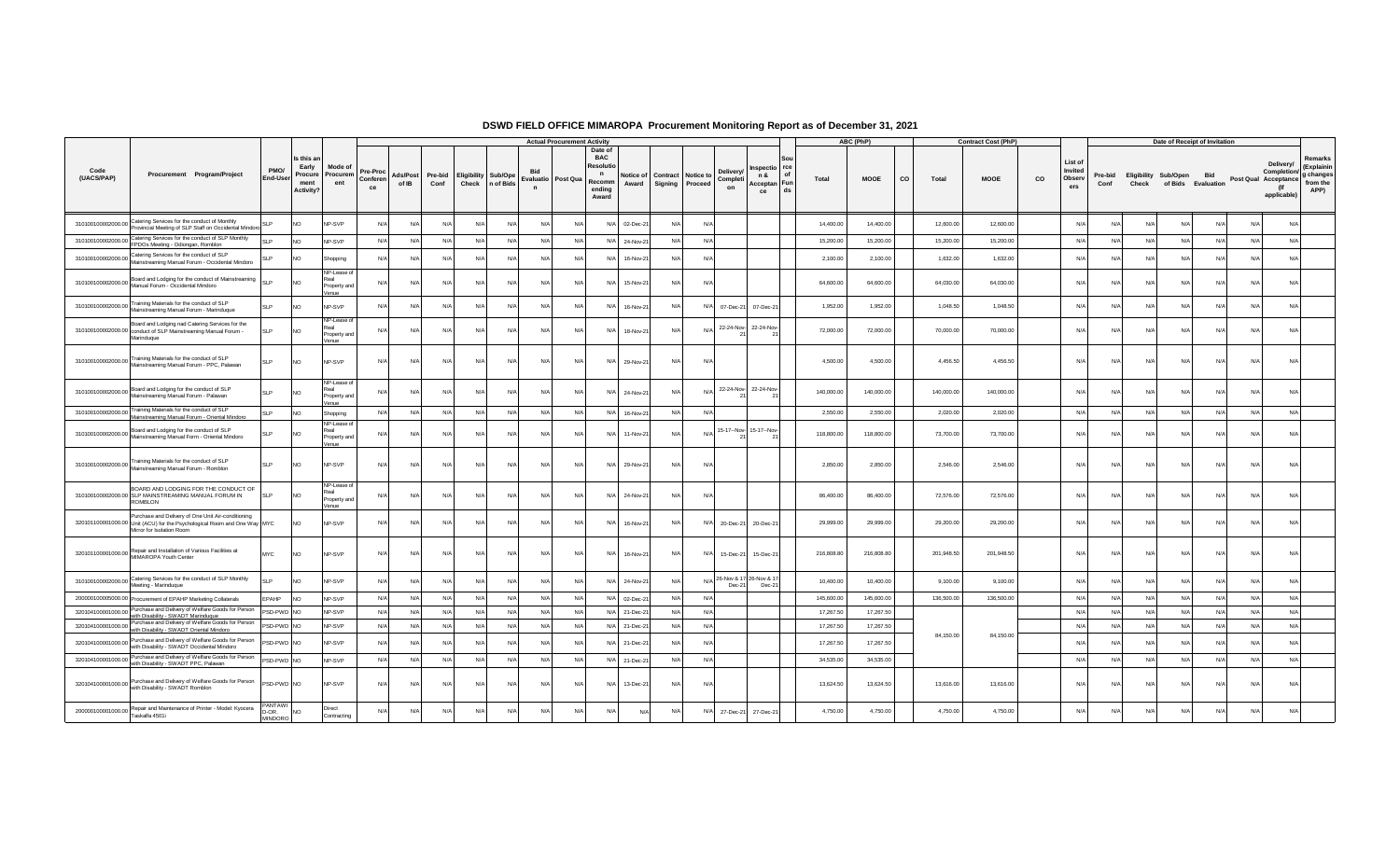|                    |                                                                                                                                                             |                                           |                                                     |                                              |                            |                   |                 |                            |                   |                                    | <b>Actual Procurement Activity</b> |                                                                                                    |            |                                              |                            |                                               |                   | ABC (PhP)   |      |            | <b>Contract Cost (PhP)</b> |    |                                     |                 |       | Date of Receipt of Invitation              |            |            |                                                                        |                                                        |
|--------------------|-------------------------------------------------------------------------------------------------------------------------------------------------------------|-------------------------------------------|-----------------------------------------------------|----------------------------------------------|----------------------------|-------------------|-----------------|----------------------------|-------------------|------------------------------------|------------------------------------|----------------------------------------------------------------------------------------------------|------------|----------------------------------------------|----------------------------|-----------------------------------------------|-------------------|-------------|------|------------|----------------------------|----|-------------------------------------|-----------------|-------|--------------------------------------------|------------|------------|------------------------------------------------------------------------|--------------------------------------------------------|
| (UACS/PAP)         | Procurement Program/Project                                                                                                                                 | PMO/<br>End-Use                           | Is this ar<br>Early<br>Procure<br>ment<br>Activity? | Mode of<br>Procurem<br>ent                   | Pre-Proc<br>Conferen<br>ce | Ads/Post<br>of IB | Pre-bid<br>Conf | <b>Eligibility Sub/Ope</b> | Check   n of Bids | Evaluatio Post Qua<br>$\mathsf{n}$ |                                    | Date of<br><b>BAC</b><br>Resolut<br>$\mathbf n$<br>Notice of<br>Recomm<br>Award<br>ending<br>Award |            | <b>Contract</b> Notice to<br>Signing Proceed | Deliverv<br>Completi<br>on | Inspectio rce<br>n &<br>Acceptan Fun<br>ce    | of<br>Total<br>ds | <b>MOOE</b> | co l | Total      | <b>MOOE</b>                | co | List of<br>Invited<br>Observ<br>ers | Pre-bid<br>Conf | Check | Eligibility Sub/Open<br>of Bids Evaluation | Bid        |            | Delivery/<br>Completion/<br>Post Qual Acceptance<br>(If<br>applicable) | Remarks<br>(Explainin<br>g changes<br>from the<br>APP) |
| 310100100002000.00 | Catering Services for the conduct of Monthly<br>Provincial Meeting of SLP Staff on Occidental Mindoro                                                       |                                           | <b>NO</b>                                           | <b>VP-SVP</b>                                | N/A                        | N/f               | N/A             | N/A                        | N/A               | N/A                                | N                                  | N/A<br>02-Dec-2                                                                                    | N/A        | N/                                           |                            |                                               | 14,400.00         | 14,400.00   |      | 12,600.00  | 12,600.00                  |    | N/                                  | N/4             | N/    | N/A                                        | N/A        | N/I        | N/A                                                                    |                                                        |
| 310100100002000.00 | Catering Services for the conduct of SLP Monthly<br>FPDOs Meeting - Odiongan, Romblon                                                                       | <b>SLP</b>                                | <b>NO</b>                                           | NP-SVP                                       | N/A                        | N/A               | N/A             | N/A                        | N/A               | N/A                                | $N/\ell$                           | N/A 24-Nov-21                                                                                      | N/A        | N/A                                          |                            |                                               | 15,200.00         | 15,200.00   |      | 15,200.00  | 15,200.00                  |    | N/A                                 | N/A             | N/A   | N/A                                        | N/A        | N/A        | N/A                                                                    |                                                        |
|                    | 310100100002000.00 Catering Services for the conduct of SLP<br>Mainstreaming Manual Forum - Occidental Mindoro                                              |                                           | <b>NO</b>                                           | Shopping                                     | N/A                        | N/A               | N/A             | N/A                        | N/A               | N/A                                | N/                                 | N/A<br>16-Nov-21                                                                                   | N/A        | N/                                           |                            |                                               | 2,100.00          | 2,100.00    |      | 1,632.00   | 1,632.00                   |    | N/A                                 | N/f             | N/A   | N/A                                        | N/A        | N/A        | N/A                                                                    |                                                        |
|                    | 310100100002000.00 Board and Lodging for the conduct of Mainstreaming SLP                                                                                   |                                           | <b>NO</b>                                           | NP-Lease of<br>Property and<br>/enue         | N/A                        | N/f               | N/A             | N/A                        | N/A               | N/A                                | N                                  | 15-Nov-21<br>N/A                                                                                   | N/A        | N/                                           |                            |                                               | 64,600.00         | 64,600.00   |      | 64,030.00  | 64,030.00                  |    | N/                                  | N/              | N/    | N/A                                        | N/A        | N/A        | N/A                                                                    |                                                        |
| 310100100002000.00 | Training Materials for the conduct of SLP<br>Mainstreaming Manual Forum - Marinduque                                                                        | SI P                                      | <b>NO</b>                                           | <b>VP-SVP</b>                                | N/A                        | N/f               | N/A             | N/A                        | N/                | N/A                                | N                                  | 16-Nov-21<br>N/A                                                                                   | N/A        | N/                                           | 07-Dec-21                  | 07-Dec-21                                     | 1.952.00          | 1,952.00    |      | 1,048.50   | 1,048.50                   |    | N/                                  |                 | N     | N/                                         |            |            | N/A                                                                    |                                                        |
|                    | Board and Lodging nad Catering Services for the<br>310100100002000.00 conduct of SLP Mainstreaming Manual Forum -<br>Marinduque                             | <b>SLP</b>                                | <b>NO</b>                                           | NP-Lease of<br>Real<br>Property and<br>/enue | N/A                        | N/A               | N/A             | N/A                        | N/A               | N/A                                | N                                  | N/A<br>18-Nov-21                                                                                   | N/A        | $N$ /                                        |                            | 22-24-Nov- 22-24-Nov-                         | 72,000.00         | 72,000.00   |      | 70,000.00  | 70,000.00                  |    | N/A                                 | N/L             | N/A   | N/A                                        | N/A        | N/A        | N/A                                                                    |                                                        |
|                    | 310100100002000.00 Training Materials for the conduct of SLP<br>Mainstreaming Manual Forum - PPC, Palawan                                                   | <b>SLP</b>                                | NO                                                  | NP-SVP                                       | N/A                        | N/A               | N/A             | N/A                        | N/l               | N/A                                | N                                  | N/A<br>29-Nov-21                                                                                   | N/A        | N/                                           |                            |                                               | 4,500.00          | 4,500.00    |      | 4,456.50   | 4,456.50                   |    | N/A                                 | N               | N/l   | N/A                                        | N/A        | N/A        | N/A                                                                    |                                                        |
|                    | 310100100002000.00 Board and Lodging for the conduct of SLP<br>Mainstreaming Manual Forum - Palawan                                                         | SI <sub>P</sub>                           | <b>NO</b>                                           | NP-Lease of<br>Property and<br>/enue         | N/A                        | N/L               | N/A             | N/A                        | N/                | N/A                                | N                                  | N/A<br>24-Nov-21                                                                                   | N/A        | N/                                           |                            | 22-24-Nov-22-24-Nov-                          | 140,000.00        | 140,000.00  |      | 140,000.00 | 140,000.00                 |    | N/                                  | N               | N/    | N/A                                        |            | N/l        | N/A                                                                    |                                                        |
|                    | 310100100002000.00 Training Materials for the conduct of SLP<br>Mainstreaming Manual Forum - Oriental Mindoro                                               | <b>SLP</b>                                | <b>NO</b>                                           | Shopping                                     | N/A                        | N/A               | N/A             | N/A                        | N/A               | N/A                                | $N/\ell$                           | N/A<br>16-Nov-21                                                                                   | N/A        | N/l                                          |                            |                                               | 2,550.00          | 2,550.00    |      | 2,020.00   | 2,020.00                   |    | N/A                                 | N/A             | N/A   | N/A                                        | N/A        | N/A        | N/A                                                                    |                                                        |
|                    | 310100100002000.00 Board and Lodging for the conduct of SLP<br>Mainstreaming Manual Form - Oriental Mindoro                                                 | <b>SLP</b>                                | <b>NO</b>                                           | NP-Lease of<br>Real<br>Property and<br>/enue | N/A                        | N/f               | N/A             | N/A                        | N/                | N/f                                | N                                  | N/A<br>11-Nov-21                                                                                   | N/A        | N/l                                          |                            | 15-17--Nov- 15-17--Nov-                       | 118,800.00        | 118,800.00  |      | 73,700.00  | 73,700.00                  |    | N/                                  | N/              | N/    | N/A                                        | N/A        | N/I        | N/A                                                                    |                                                        |
|                    | 310100100002000.00 Training Materials for the conduct of SLP<br>Mainstreaming Manual Forum - Romblon                                                        | <b>SLP</b>                                | NO                                                  | NP-SVP                                       | N/A                        | N/A               | $N/\Delta$      | N/A                        | N/A               | N/f                                | N                                  | N/A<br>29-Nov-21                                                                                   | N/A        | N/                                           |                            |                                               | 2,850.00          | 2,850.00    |      | 2,546.00   | 2,546.00                   |    | N/A                                 | N/4             | N/l   | $N/\Delta$                                 | N/A        | N/A        | N/A                                                                    |                                                        |
|                    | BOARD AND LODGING FOR THE CONDUCT OF<br>310100100002000.00 SLP MAINSTREAMING MANUAL FORUM IN<br><b>ROMBLON</b>                                              | <b>SIP</b>                                | <b>NO</b>                                           | NP-Lease of<br>Real<br>Property and<br>/enue | N/A                        | N/A               | $N/\Delta$      | $N/\Delta$                 | $N/\Delta$        | N/L                                | N/L                                | 24-Nov-21<br>$N/\Delta$                                                                            | $N/\Delta$ | N/                                           |                            |                                               | 86,400.00         | 86,400.00   |      | 72,576.00  | 72,576.00                  |    | Nl                                  | N/I             | N/I   | $N/\Delta$                                 | $N/\Delta$ | $N/\Delta$ | $N/\Delta$                                                             |                                                        |
|                    | Purchase and Delivery of One Unit Air-conditioning<br>320101100001000.00 Unit (ACU) for the Psychological Room and One Way MYC<br>Mirror for Isolation Room |                                           | <b>NO</b>                                           | NP-SVP                                       | N/A                        | N/A               | N/A             | N/A                        | N/A               | N/A                                | N                                  | $N/\Delta$<br>16-Nov-21                                                                            | N/A        | N/                                           | 20-Dec-21                  | 20-Dec-21                                     | 29,999.00         | 29,999.00   |      | 29,200.00  | 29,200.00                  |    | N/A                                 | N/4             | N/l   | $N/\Delta$                                 | N/A        | N/A        | N/A                                                                    |                                                        |
|                    | 320101100001000.00 Repair and Installation of Various Facilities at<br>MIMAROPA Youth Center                                                                | <b>MYC</b>                                | <b>NO</b>                                           | NP-SVP                                       | N/A                        | N/A               | N/A             | N/A                        | N/A               | N/A                                | $N/\ell$                           | 16-Nov-21<br>N/A                                                                                   | N/A        | N/l                                          | 15-Dec-21                  | 15-Dec-21                                     | 216,808.80        | 216,808.80  |      | 201.948.50 | 201,948.50                 |    | N/A                                 | N               | N/A   | N/A                                        | N/A        | N/A        | N/A                                                                    |                                                        |
|                    | 310100100002000.00 Catering Services for the conduct of SLP Monthly<br>Meeting - Marinduque                                                                 | SI <sub>P</sub>                           | <b>NO</b>                                           | NP-SVP                                       | N/A                        | N/A               | N/A             | N/A                        | N/A               | N/f                                | N                                  | N/A 24-Nov-21                                                                                      | N/A        | N/                                           |                            | 26-Nov & 17 26-Nov & 17<br>$Dec-21$<br>Dec-21 | 10,400.00         | 10,400.00   |      | 9,100.00   | 9,100.00                   |    | N/                                  | N/4             | N/L   | N/I                                        | $N/\Delta$ | Nl         | N/A                                                                    |                                                        |
|                    | 200000100005000.00 Procurement of EPAHP Marketing Collaterals                                                                                               | EPAHP                                     | NO                                                  | NP-SVP                                       | N/A                        | N/A               | N/A             | N/A                        | N/A               | N/A                                | N                                  | N/A 02-Dec-21                                                                                      | N/A        | N                                            |                            |                                               | 145,600.00        | 145,600.00  |      | 136,500.00 | 136,500.00                 |    | N/                                  | N/A             | N/A   | N/A                                        | N/A        | N/A        | N/A                                                                    |                                                        |
|                    | 320104100001000.00 Purchase and Delivery of Welfare Goods for Person<br>with Disability - SWADT Marinduque                                                  | PSD-PWD NO                                |                                                     | NP-SVP                                       | N/A                        | N/A               | N/A             | N/A                        | N/A               | N/A                                | N/                                 | N/A 21-Dec-21                                                                                      | N/A        | N                                            |                            |                                               | 17,267.50         | 17,267.50   |      |            |                            |    | N/                                  | N               | N/    | N/A                                        | N/A        | N/l        | N/A                                                                    |                                                        |
|                    | 320104100001000.00 Purchase and Delivery of Welfare Goods for Person<br>with Disability - SWADT Oriental Mindoro                                            | PSD-PWD NO                                |                                                     | NP-SVP                                       | N/A                        | N/A               | N/A             | N/A                        | N/A               | N/A                                | N/f                                | N/A 21-Dec-21                                                                                      | N/A        | N/                                           |                            |                                               | 17,267.50         | 17,267.50   |      |            |                            |    | N/A                                 | N/A             | N/A   | N/A                                        | N/A        | N/A        | N/A                                                                    |                                                        |
|                    | 320104100001000.00 Purchase and Delivery of Welfare Goods for Person<br>with Disability - SWADT Occidental Mindoro                                          | PSD-PWD NO                                |                                                     | NP-SVP                                       | N/A                        | N/A               | N/A             | N/A                        | N/A               | N/A                                | N/                                 | N/A<br>21-Dec-21                                                                                   | N/A        | N/                                           |                            |                                               | 17,267.50         | 17,267.50   |      | 84,150.00  | 84,150.00                  |    | N/                                  | N/f             | N/l   | N/A                                        | N/A        | N/I        | N/A                                                                    |                                                        |
|                    | 320104100001000.00 Purchase and Delivery of Welfare Goods for Person<br>with Disability - SWADT PPC, Palawan                                                | PSD-PWD NO                                |                                                     | NP-SVP                                       | N/A                        | N/A               | N/A             | N/A                        | N/A               | N/A                                | N/f                                | N/A 21-Dec-21                                                                                      | N/A        | N/A                                          |                            |                                               | 34,535.00         | 34,535.00   |      |            |                            |    | N/A                                 | N/A             | N/A   | N/A                                        | N/A        | N/A        | N/A                                                                    |                                                        |
|                    | 320104100001000.00 Purchase and Delivery of Welfare Goods for Person<br>with Disability - SWADT Romblon                                                     | PSD-PWD NO                                |                                                     | NP-SVP                                       | N/A                        | N/A               | N/A             | N/A                        | N/A               | N/f                                | N                                  | N/A<br>13-Dec-21                                                                                   | N/A        | N/                                           |                            |                                               | 13,624.50         | 13,624.50   |      | 13,616.00  | 13,616.00                  |    | $N/\ell$                            | N               | N/l   | N/A                                        | N/A        | N/A        | N/A                                                                    |                                                        |
| 200000100001000.00 | Repair and Maintenance of Printer - Model: Kyocera<br>Taskalfa 4501i                                                                                        | <b>PANTAWI</b><br>D-OR.<br><b>MINDORO</b> | <b>NO</b>                                           | Direct<br>Contracting                        | N/A                        | N/A               | N/A             | N/A                        | N/l               | N/f                                | N/                                 | N/A                                                                                                | N/A<br>N/A | N/                                           | 27-Dec-21                  | 27-Dec-21                                     | 4,750.00          | 4,750.00    |      | 4,750.00   | 4,750.00                   |    | N/                                  | N               | N/    | N/                                         |            |            | N/A                                                                    |                                                        |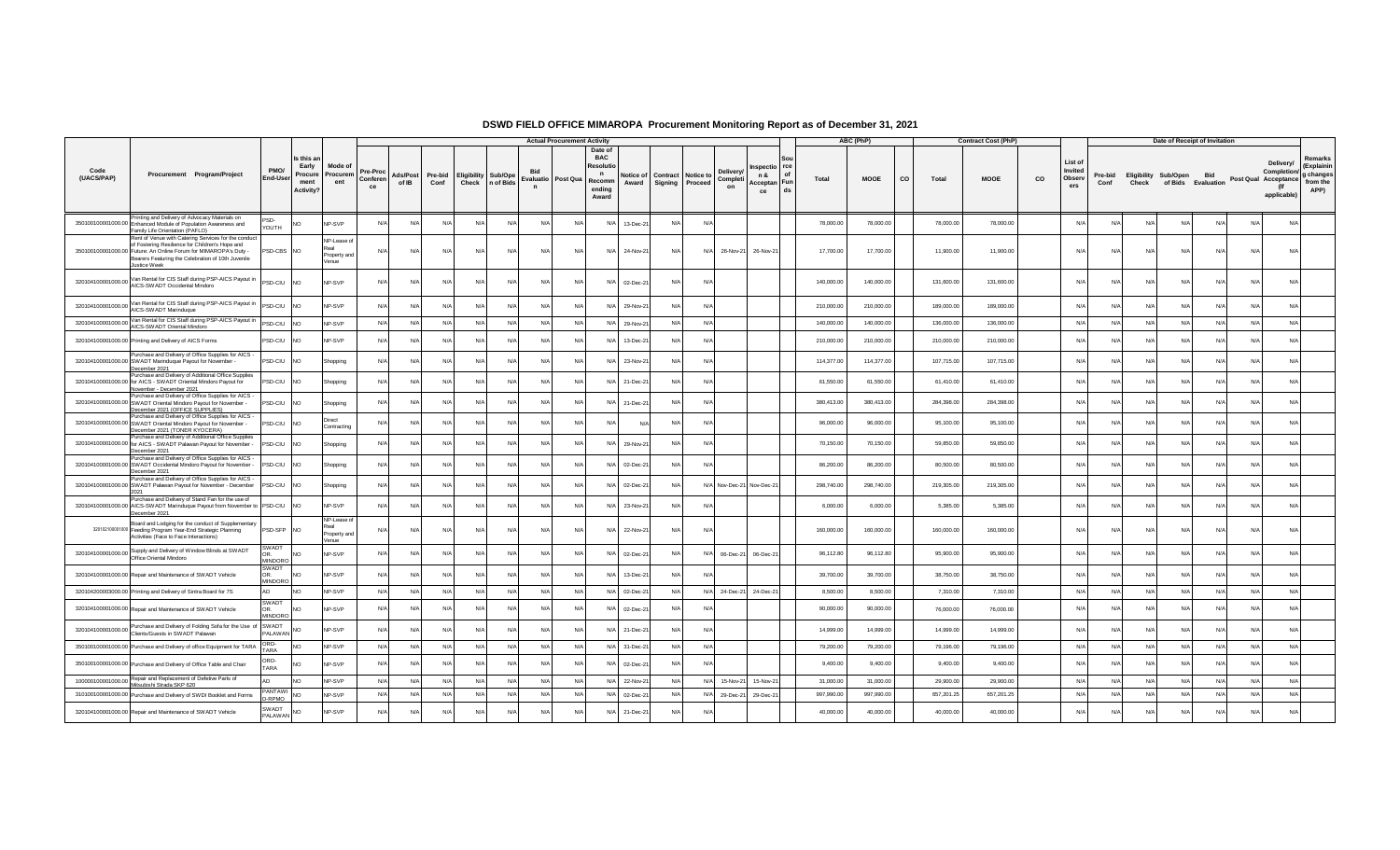|                    |                                                                                                                                                                                                                                                   |                                           |                                                    |                                                     |                            |                   |                 |            |                                         |                    | <b>Actual Procurement Activity</b> |                                                                               |                    |            |                                                                     |                                                    |            | ABC (PhP)   |    |            | <b>Contract Cost (PhP)</b> |    |                                     |                 |                                      |          | Date of Receipt of Invitation    |            |                                                                 |                                                        |
|--------------------|---------------------------------------------------------------------------------------------------------------------------------------------------------------------------------------------------------------------------------------------------|-------------------------------------------|----------------------------------------------------|-----------------------------------------------------|----------------------------|-------------------|-----------------|------------|-----------------------------------------|--------------------|------------------------------------|-------------------------------------------------------------------------------|--------------------|------------|---------------------------------------------------------------------|----------------------------------------------------|------------|-------------|----|------------|----------------------------|----|-------------------------------------|-----------------|--------------------------------------|----------|----------------------------------|------------|-----------------------------------------------------------------|--------------------------------------------------------|
| Code<br>(UACS/PAP) | Procurement Program/Project                                                                                                                                                                                                                       | PMO/<br><b>End-User</b>                   | Is this a<br>Early<br>Procure<br>ment<br>Activity? | Mode o<br>Procurem<br>ent                           | Pre-Proc<br>Conferen<br>ce | Ads/Post<br>of IB | Pre-bid<br>Conf | Check      | <b>Eligibility Sub/Ope</b><br>n of Bids | Evaluatio Post Qua |                                    | Date of<br><b>BAC</b><br>Resoluti<br>$\mathbf n$<br>Recomm<br>ending<br>Award | Notice of<br>Award |            | Deliverv<br>Contract Notice to<br>Completi<br>Signing Proceed<br>on | rce<br>nspectio<br>n &<br>Acceptan Fun<br>ds<br>ce | Total      | <b>MOOE</b> | co | Total      | <b>MOOE</b>                | CO | List of<br>Invited<br>Observ<br>ers | Pre-bid<br>Conf | <b>Eligibility Sub/Open</b><br>Check |          | <b>Bid</b><br>of Bids Evaluation |            | Delivery/<br>Completion/<br>Post Qual Acceptance<br>applicable) | Remarks<br>(Explainin<br>g changes<br>from the<br>APP) |
|                    | Printing and Delivery of Advocacy Materials on<br>350100100001000.00 Enhanced Module of Population Awareness and<br>Family Life Orientation (PAFLO)                                                                                               | PSD-<br>YOUTH                             |                                                    | NP-SVP                                              | N/A                        | N/A               | N/l             | N/L        | N/A                                     | N/l                | N/l                                | N/A                                                                           | 13-Dec-2           |            | N/6                                                                 |                                                    | 78,000.00  | 78,000.00   |    | 78,000.00  | 78,000.00                  |    | N/A                                 |                 | N/L                                  | N        | N/A                              |            | N                                                               |                                                        |
|                    | Rent of Venue with Catering Services for the conduct<br>of Fostering Resilience for Children's Hope and<br>350100100001000.00 Future: An Online Forum for MIMAROPA's Duty -<br>Bearers Featuring the Celebration of 10th Juvenile<br>Justice Week | PSD-CBS NO                                |                                                    | NP-Lease of<br><b>ceal</b><br>Property and<br>/enue | N/A                        | N/A               | N/A             | N/A        | N/A                                     | N/A                | N/A                                | N/A                                                                           | 24-Nov-21          | N/A        | N/A<br>26-Nov-21                                                    | 26-Nov-21                                          | 17,700.00  | 17,700.00   |    | 11,900.00  | 11,900.00                  |    | N/A                                 | N/A             | N/A                                  | N/       | N/A                              | N/A        | N/A                                                             |                                                        |
| 320104100001000.00 | Van Rental for CIS Staff during PSP-AICS Payout in<br>AICS-SWADT Occidental Mindoro                                                                                                                                                               | PSD-CIU                                   | <b>NO</b>                                          | NP-SVP                                              | N/A                        | N/A               | N/A             | N/A        | N/A                                     | N/A                | N/A                                |                                                                               | N/A 02-Dec-21      | N/A        | N/                                                                  |                                                    | 140,000.00 | 140,000.00  |    | 131,600.00 | 131,600.00                 |    | N/A                                 | N/A             | N/A                                  | N        | N/A                              | N/A        | N/A                                                             |                                                        |
| 320104100001000.00 | Van Rental for CIS Staff during PSP-AICS Payout in<br>AICS-SWADT Marinduque                                                                                                                                                                       | PSD-CIU                                   | N <sub>O</sub>                                     | NP-SVP                                              | N/A                        | N/A               | N/A             | N/A        | N/A                                     | $N$ /              | N/A                                | N/A                                                                           | 29-Nov-2           | N/A        | N/l                                                                 |                                                    | 210,000.00 | 210,000.00  |    | 189,000.00 | 189,000.00                 |    | N/A                                 | N/l             | N                                    | N        | N/A                              | N/I        | N/                                                              |                                                        |
| 320104100001000.00 | Van Rental for CIS Staff during PSP-AICS Payout in<br>AICS-SWADT Oriental Mindoro                                                                                                                                                                 | PSD-CIU                                   | <b>NO</b>                                          | NP-SVP                                              | N/A                        | N/A               | N/A             | N/A        | N/A                                     | $N/\rho$           | N/A                                |                                                                               | N/A 29-Nov-21      | N/A        | N/A                                                                 |                                                    | 140,000.00 | 140,000.00  |    | 136,000.00 | 136,000.00                 |    | N/A                                 | N/A             | N/A                                  | N/A      | N/A                              | N/A        | N/A                                                             |                                                        |
|                    | 320104100001000.00 Printing and Delivery of AICS Forms                                                                                                                                                                                            | PSD-CIU                                   | <b>NO</b>                                          | NP-SVP                                              | N/A                        | N/A               | N/l             | N/A        | N/A                                     | N/l                | N/A                                | N/A                                                                           | 13-Dec-2           | N/         | N/                                                                  |                                                    | 210,000.00 | 210,000.00  |    | 210,000.00 | 210,000.00                 |    | N/l                                 | N/l             | N                                    | N        | N/                               |            | N                                                               |                                                        |
|                    | Purchase and Delivery of Office Supplies for AICS<br>320104100001000.00 SWADT Marinduque Payout for November -<br>December 2021                                                                                                                   | PSD-CIU                                   | N <sub>O</sub>                                     | Shopping                                            | N/A                        | N/A               | N/A             | $N/\Delta$ | N/A                                     | $N$ /              | N/A                                | N/A                                                                           | 23-Nov-2           | N/A        | N/                                                                  |                                                    | 114,377.00 | 114,377.00  |    | 107,715.00 | 107,715.00                 |    | N/l                                 | N/l             | N                                    | N        | N/A                              |            | N                                                               |                                                        |
|                    | Purchase and Delivery of Additional Office Supplies<br>320104100001000.00 for AICS - SWADT Oriental Mindoro Payout for<br>November - December 2021                                                                                                | PSD-CIU                                   | <b>NO</b>                                          | Shopping                                            | N/A                        | N/A               | N/A             | N/A        | N/A                                     | N/l                | N/l                                | N/A                                                                           | 21-Dec-2           | N/A        | N/A                                                                 |                                                    | 61,550.00  | 61,550.00   |    | 61,410.00  | 61,410.00                  |    | N/l                                 | N/l             | N                                    | N        | N/L                              | N          | N/                                                              |                                                        |
|                    | Purchase and Delivery of Office Supplies for AICS<br>320104100001000.00 SWADT Oriental Mindoro Payout for November -<br>December 2021 (OFFICE SUPPLIES)                                                                                           | PSD-CIU                                   | N <sub>O</sub>                                     | Shopping                                            | N/A                        | N/A               | N/A             | $N/\Delta$ | N/A                                     | $N$ /              | N/A                                | N/A                                                                           | $21 - Dec - 2$     | $N/\Delta$ | N/f                                                                 |                                                    | 380,413.00 | 380,413.00  |    | 284,398.00 | 284,398.00                 |    | N/A                                 | $N/\Delta$      | $N/\ell$                             | N        | N/A                              |            | N/                                                              |                                                        |
|                    | Purchase and Delivery of Office Supplies for AICS<br>320104100001000.00 SWADT Oriental Mindoro Payout for November -<br>December 2021 (TONER KYOCERA)                                                                                             | PSD-CIU                                   | NO.                                                | Direct<br>Contracting                               | N/A                        | N/A               | N/A             | N/A        | N/A                                     | N/4                | N/A                                | N/A                                                                           |                    | N/l        | N/6                                                                 |                                                    | 96,000.00  | 96,000.00   |    | 95,100.00  | 95,100.00                  |    | N/l                                 | N/l             | N                                    | N        | N/A                              | <b>N/</b>  | N                                                               |                                                        |
|                    | Purchase and Delivery of Additional Office Supplies<br>320104100001000.00 for AICS - SWADT Palawan Payout for November -<br>December 2021                                                                                                         | PSD-CIU                                   | N <sub>O</sub>                                     | Shopping                                            | N/A                        | N/A               | N/A             | N/A        | N/A                                     | $N$ /              | N/l                                | N/A                                                                           | 29-Nov-2           | N/l        | N                                                                   |                                                    | 70,150.00  | 70,150.00   |    | 59,850.00  | 59,850.00                  |    | N/4                                 | N/l             | N                                    | N        | N/f                              |            | N/                                                              |                                                        |
|                    | Purchase and Delivery of Office Supplies for AICS -<br>320104100001000.00 SWADT Occidental Mindoro Payout for November -<br>December 2021                                                                                                         | PSD-CIU                                   | <b>NO</b>                                          | Shopping                                            | N/A                        | N/A               | N/A             | N/A        | N/A                                     | N/4                | N/A                                |                                                                               | N/A 02-Dec-2       | N/A        | N/f                                                                 |                                                    | 86,200.00  | 86,200.00   |    | 80,500.00  | 80,500.00                  |    | N/A                                 | N/A             | N/L                                  | N        | N/A                              | N/I        | N                                                               |                                                        |
|                    | Purchase and Delivery of Office Supplies for AICS -<br>320104100001000.00 SWADT Palawan Payout for November - December<br>2021                                                                                                                    | PSD-CIU                                   | NO.                                                | Shopping                                            | N/A                        | N/A               | N/A             | N/A        | N/A                                     | $N$ /              | N/l                                | N/A                                                                           | 02-Dec-2           | N/         | N/A Nov-Dec-21 Nov-Dec-21                                           |                                                    | 298,740.00 | 298,740.00  |    | 219,305.00 | 219,305.00                 |    | N/l                                 | N/l             | N/                                   | N        | N/L                              |            | N                                                               |                                                        |
|                    | Purchase and Delivery of Stand Fan for the use of<br>320104100001000.00 AICS-SWADT Marinduque Payout from November to PSD-CIU<br>December 2021                                                                                                    |                                           | <b>NO</b>                                          | NP-SVP                                              | N/A                        | N/A               | N/A             | $N/\Delta$ | N/L                                     | N/                 | N/l                                | N/A                                                                           | 23-Nov-2           | $N/\Delta$ | N/                                                                  |                                                    | 6,000.00   | 6,000.00    |    | 5,385.00   | 5,385.00                   |    | N/4                                 | N/l             | N/4                                  | N        | N/A                              |            | N/                                                              |                                                        |
|                    | Board and Lodging for the conduct of Supplementary<br>320102100001000 Feeding Program Year-End Strategic Planning<br>Activities (Face to Face Interactions)                                                                                       | PSD-SFP NO                                |                                                    | NP-Lease o<br>leos<br>Property and                  | N/A                        | N/A               | N/A             | N/A        | N/A                                     | N/A                | N/A                                |                                                                               | N/A 22-Nov-21      | N/A        | N/A                                                                 |                                                    | 160,000.00 | 160,000.00  |    | 160,000.00 | 160,000.00                 |    | N/A                                 | N/A             | N/L                                  | N        | N/A                              | N/A        | N/A                                                             |                                                        |
|                    | 320104100001000.00 Supply and Delivery of Window Blinds at SWADT<br>Office Oriental Mindoro                                                                                                                                                       | <b>SWADT</b><br>OR<br><b>MINDORO</b>      |                                                    | /enue<br>NP-SVP                                     | N/A                        | N/A               | N/A             | N/A        | N/A                                     | $N$ /              | N/l                                | N/A                                                                           | 02-Dec-2           | N/A        | N/A<br>06-Dec-21                                                    | 06-Dec-21                                          | 96.112.80  | 96,112.80   |    | 95,900.00  | 95,900.00                  |    | N/4                                 | N/A             | N/A                                  | N/       | N/A                              | N/L        | N                                                               |                                                        |
|                    | 320104100001000.00 Repair and Maintenance of SWADT Vehicle                                                                                                                                                                                        | SWAD <sub>1</sub><br>OR<br><b>MINDORO</b> | NO.                                                | NP-SVP                                              | N/A                        | N/A               | N/A             | $N/\Delta$ | N/A                                     | $N$ /              | N/A                                | N/A                                                                           | 13-Dec-2           | $N/\Delta$ | N/                                                                  |                                                    | 39,700.00  | 39,700.00   |    | 38,750.00  | 38,750.00                  |    | N/A                                 | $N/\Delta$      | $N/\ell$                             | N        | N/L                              |            | N                                                               |                                                        |
|                    | 320104200003000.00 Printing and Delivery of Sintra Board for 7S                                                                                                                                                                                   | AD                                        | <b>NO</b>                                          | NP-SVP                                              | N/A                        | N/A               | N/A             | N/A        | N/A                                     | N/4                | N/A                                |                                                                               | N/A 02-Dec-2       | $N/\Delta$ | N/A 24-Dec-21 24-Dec-21                                             |                                                    | 8,500.00   | 8,500.00    |    | 7,310.00   | 7,310.00                   |    | N/A                                 | $N/\Delta$      | N/A                                  | N        | N/A                              | N/L        | N/A                                                             |                                                        |
|                    | 320104100001000.00 Repair and Maintenance of SWADT Vehicle                                                                                                                                                                                        | SWADT<br>OR.<br>MINDORO                   | NO.                                                | NP-SVP                                              | N/A                        | N/A               | N/A             | N/A        | N/A                                     | N/4                | N/A                                |                                                                               | N/A 02-Dec-2       | N/A        | N/A                                                                 |                                                    | 90,000.00  | 90,000.00   |    | 76,000.00  | 76,000.00                  |    | N/A                                 | N/A             | N/A                                  | N        | N/A                              | N/A        | N/A                                                             |                                                        |
|                    | 320104100001000.00 Purchase and Delivery of Folding Sofa for the Use of SWADT<br>Clients/Guests in SWADT Palawan                                                                                                                                  | <b>PALAWAN</b>                            |                                                    | NP-SVP                                              | N/A                        | N/A               | N/A             | N/A        | N/A                                     | $N$ /              | N/A                                | N/A                                                                           | 21-Dec-2           | N/A        | N/f                                                                 |                                                    | 14,999.00  | 14,999.00   |    | 14,999.00  | 14,999.00                  |    | N/A                                 | N/A             | $N/\ell$                             | N        | N/A                              | N/I        | N                                                               |                                                        |
|                    | 350100100001000.00 Purchase and Delivery of office Equipment for TARA                                                                                                                                                                             | ORD-<br>TARA                              | N <sub>O</sub>                                     | NP-SVP                                              | N/A                        | N/A               | N/A             | N/A        | N/A                                     | N/A                | N/A                                |                                                                               | N/A 31-Dec-2       | N/A        | N/A                                                                 |                                                    | 79,200.00  | 79,200.00   |    | 79.196.00  | 79,196.00                  |    | N/A                                 | $N/\Delta$      | N/A                                  | N/A      | N/A                              | $N/\Delta$ | N/A                                                             |                                                        |
|                    | 350100100001000.00 Purchase and Delivery of Office Table and Chair                                                                                                                                                                                | ORD-<br>TARA                              |                                                    | NP-SVP                                              | N/A                        | N/A               | N/A             | N/A        | N/A                                     | N/4                | $N/\Delta$                         |                                                                               | N/A 02-Dec-2       | N/A        | N/A                                                                 |                                                    | 9,400.00   | 9,400.00    |    | 9,400.00   | 9,400.00                   |    | N/l                                 | N/A             | $N/\ell$                             | N        | N/A                              | N/I        | N/A                                                             |                                                        |
|                    | 100000100001000.00 Repair and Replacement of Defetive Parts of<br>Mitsubishi Strada SKP 620                                                                                                                                                       | ΔD                                        | <b>NO</b>                                          | NP-SVP                                              | N/A                        | N/A               | N/A             | N/A        | N/A                                     | N/A                | N/A                                |                                                                               | N/A 22-Nov-21      | N/A        | N/A<br>15-Nov-21                                                    | 15-Nov-21                                          | 31,000.00  | 31,000.00   |    | 29,900.00  | 29,900.00                  |    | N/A                                 | N/A             | N/A                                  | N        | N/A                              | N/L        | N/A                                                             |                                                        |
|                    | 310100100001000.00 Purchase and Delivery of SWDI Booklet and Forms                                                                                                                                                                                | PANTAWI<br>D-RPMO                         | N <sub>O</sub>                                     | NP-SVP                                              | N/A                        | N/A               | N/A             | N/A        | N/A                                     | N/l                | N/A                                |                                                                               | N/A 02-Dec-2       | N/A        | N/A 29-Dec-21                                                       | 29-Dec-21                                          | 997,990.00 | 997,990.00  |    | 657,201.25 | 657,201.25                 |    | N/A                                 | N/A             | N/A                                  | $N/\ell$ | N/A                              | N/A        | N/A                                                             |                                                        |
|                    | 320104100001000.00 Repair and Maintenance of SWADT Vehicle                                                                                                                                                                                        | SWADT<br><b>PALAWAN</b>                   | NO                                                 | NP-SVP                                              | N/A                        | N/A               | N/A             | N/A        | N/A                                     | $N$ /              | N/A                                | N/A                                                                           | 21-Dec-21          | N/A        | N/A                                                                 |                                                    | 40,000.00  | 40,000.00   |    | 40,000.00  | 40,000.00                  |    | N/A                                 | N/A             | N/A                                  | N        | N/A                              |            | N/A                                                             |                                                        |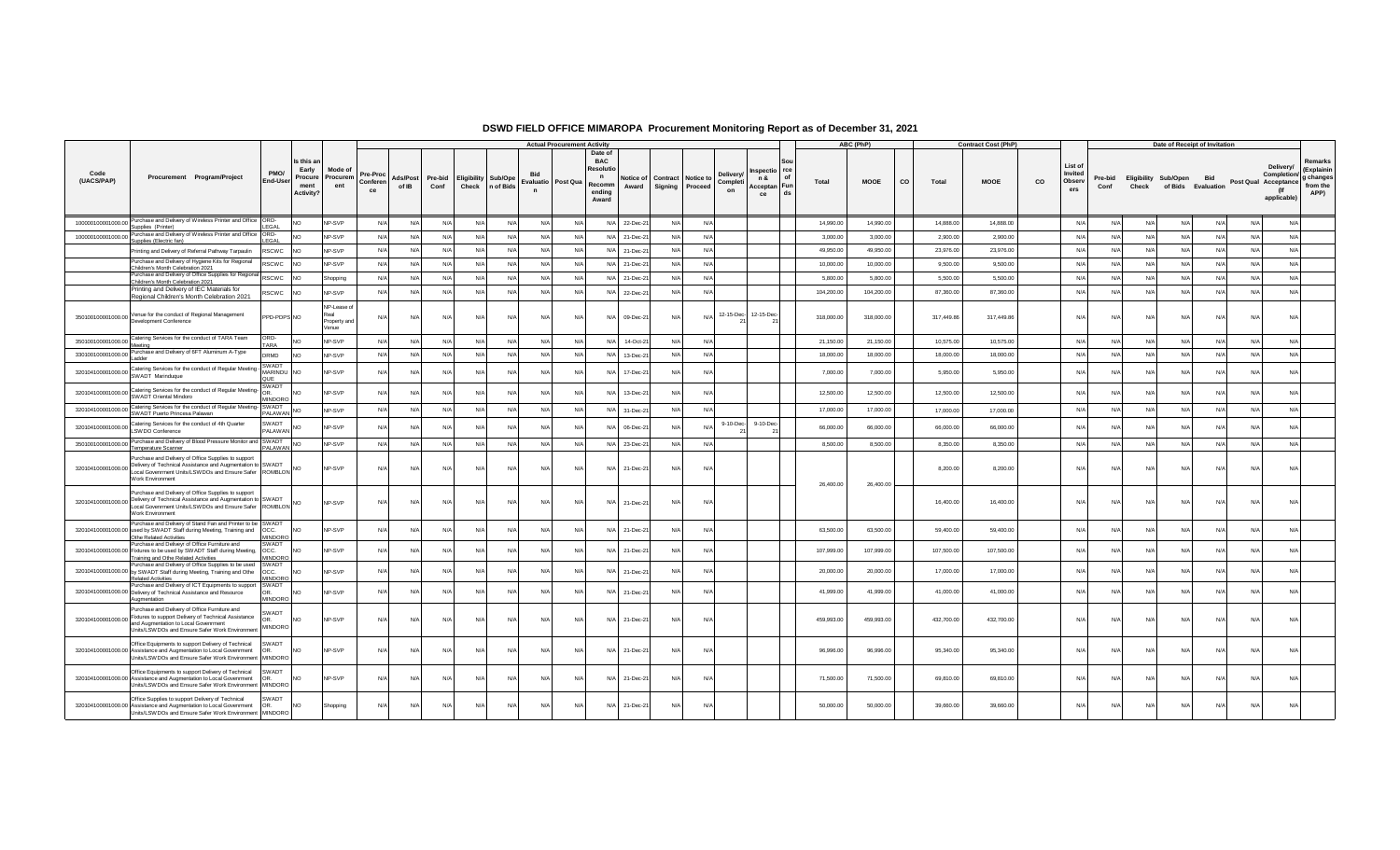|                    |                                                                                                                                                                                                                       |                                       |                                                    |                                             |                            |                          |                 |                      |                      |                                    | <b>Actual Procurement Activity</b>                                          |                    |         |            |                                                                      |                                                                              |            | ABC (PhP)   |    |            | <b>Contract Cost (PhP)</b> |    |                                    |                 |          | Date of Receipt of Invitation                     |            |            |                                                                        |                                                        |
|--------------------|-----------------------------------------------------------------------------------------------------------------------------------------------------------------------------------------------------------------------|---------------------------------------|----------------------------------------------------|---------------------------------------------|----------------------------|--------------------------|-----------------|----------------------|----------------------|------------------------------------|-----------------------------------------------------------------------------|--------------------|---------|------------|----------------------------------------------------------------------|------------------------------------------------------------------------------|------------|-------------|----|------------|----------------------------|----|------------------------------------|-----------------|----------|---------------------------------------------------|------------|------------|------------------------------------------------------------------------|--------------------------------------------------------|
| Code<br>(UACS/PAP) | Procurement Program/Project                                                                                                                                                                                           | PMO/<br>End-User                      | Is this a<br>Early<br>Procure<br>ment<br>Activity? | Mode of<br>Procurem<br>ent                  | Pre-Proc<br>Conferen<br>ce | <b>Ads/Post</b><br>of IB | Pre-bid<br>Conf | Eligibility<br>Check | Sub/Ope<br>n of Bids | Evaluatio Post Qua<br>$\mathsf{n}$ | Date o<br><b>BAC</b><br>Resolut<br>$\mathbf n$<br>Recomm<br>ending<br>Award | Notice of<br>Award | Signing |            | Delivery<br><b>Contract   Notice to</b><br>Completi<br>Proceed<br>on | <b>rce</b><br><b>ispectio</b><br>$\Omega$<br>n &<br>Acceptan Fun<br>ds<br>ce | Total      | <b>MOOE</b> | CO | Total      | <b>MOOE</b>                | CO | List o<br>Invited<br>Observ<br>ers | Pre-bid<br>Conf | Check    | <b>Eligibility Sub/Open</b><br>of Bids Evaluation | Rid        |            | Delivery/<br>Completion/<br>Post Qual Acceptance<br>(lf<br>applicable) | Remarks<br>(Explainin<br>g changes<br>from the<br>APP) |
| 100000100001000.00 | Purchase and Delivery of Wireless Printer and Office ORD-<br>Supplies (Printer)                                                                                                                                       | FGAI                                  | <b>NO</b>                                          | NP-SVP                                      | N/A                        | N/A                      | N/A             | N/A                  | N/A                  | N/A                                | N/A                                                                         | N/A<br>22-Dec-21   |         | N/A        | N/A                                                                  |                                                                              | 14,990.00  | 14,990.00   |    | 14,888.00  | 14,888.00                  |    | N/A                                | N/A             | N        | N/A                                               | N/L        | N/A        | N/A                                                                    |                                                        |
|                    | 100000100001000.00 Purchase and Delivery of Wireless Printer and Office<br>Supplies (Electric fan)                                                                                                                    | ORD-<br>FGAI                          | <b>NO</b>                                          | NP-SVP                                      | N/L                        | N/A                      | N/A             | N/A                  | N/A                  | N/A                                | N/A                                                                         | N/A 21-Dec-21      |         | N/A        | N/A                                                                  |                                                                              | 3,000.00   | 3,000.00    |    | 2,900.00   | 2,900.00                   |    | N/A                                | N/A             | N/L      | N/A                                               | N/L        | N/A        | N/A                                                                    |                                                        |
|                    | Printing and Delivery of Referral Pathway Tarpaulin                                                                                                                                                                   | <b>RSCWC</b>                          | <b>NO</b>                                          | NP-SVP                                      | N/A                        | N/A                      | N/A             | N/A                  | $N/\beta$            | N/A                                | N/A                                                                         | N/A<br>21-Dec-2    |         | N/l        | N/A                                                                  |                                                                              | 49,950.00  | 49,950.00   |    | 23,976.00  | 23,976.00                  |    | N/A                                | N/A             | N        | N/A                                               | N/         | N/A        | N/A                                                                    |                                                        |
|                    | Purchase and Delivery of Hygiene Kits for Regional<br>Children's Month Celebration 2021                                                                                                                               | <b>RSCWC</b>                          | <b>INO</b>                                         | NP-SVP                                      | N/A                        | N/A                      | N/A             | N/A                  | N/A                  | N/A                                | N/A                                                                         | N/A 21-Dec-21      |         | N/A        | N/A                                                                  |                                                                              | 10,000.00  | 10,000.00   |    | 9,500.00   | 9,500.00                   |    | N/A                                | N/A             | N        | N/A                                               | N/L        | N/A        | N/A                                                                    |                                                        |
|                    | Purchase and Delivery of Office Supplies for Regiona<br>Children's Month Celebration 2021                                                                                                                             | <b>RSCWC</b>                          | <b>NO</b>                                          | Shopping                                    | N/A                        | N/A                      | N/A             | N/A                  | N/A                  | N/A                                | N/A                                                                         | N/A<br>21-Dec-21   |         |            | N/A                                                                  |                                                                              | 5,800.00   | 5,800.00    |    | 5,500.00   | 5,500.00                   |    | N/A                                | N/A             | N        | N/A                                               | $N/\ell$   | N/A        | N/A                                                                    |                                                        |
|                    | Printing and Delivery of IEC Materials for                                                                                                                                                                            | <b>RSCWC</b>                          | <b>INO</b>                                         | NP-SVP                                      | N/L                        | N/A                      | N/A             | N/A                  | N/A                  | N/A                                | N/A                                                                         | N/A<br>22-Dec-21   |         | N/A        | N/A                                                                  |                                                                              | 104,200.00 | 104,200.00  |    | 87,360.00  | 87,360.00                  |    | N/A                                | N/A             | N        | N/A                                               | $N/\ell$   | N/A        | N/A                                                                    |                                                        |
|                    | Regional Children's Month Celebration 2021<br>350100100001000.00 Venue for the conduct of Regional Management<br>Development Conference                                                                               | PPD-PDPS NO                           |                                                    | NP-Lease o<br>Real<br>Property and<br>Venue | N/                         | N/A                      | N/A             | N/A                  | N/A                  | N/A                                | N/A                                                                         | N/A 09-Dec-21      |         | N/A        | N/A 12-15-Dec- 12-15-Dec-                                            |                                                                              | 318,000.00 | 318,000.00  |    | 317,449.86 | 317,449.86                 |    | N/A                                | N/l             | N        | N/A                                               | N/A        | N/A        | N/A                                                                    |                                                        |
|                    | 350100100001000.00 Catering Services for the conduct of TARA Team<br>Meeting                                                                                                                                          | ORD-<br><b>TARA</b>                   | <b>NO</b>                                          | NP-SVP                                      | $N/\ell$                   | N/A                      | N/A             | N/A                  | N/A                  | N/A                                | N/A                                                                         | 14-Oct-21<br>N/A   |         | N/l        | N/A                                                                  |                                                                              | 21,150.00  | 21,150.00   |    | 10,575.00  | 10,575.00                  |    | N/A                                | N/A             | N/       | N/A                                               | N/L        | N/A        | N/A                                                                    |                                                        |
| 330100100001000.00 | Purchase and Delivery of 6FT Aluminum A-Type<br>Ladder                                                                                                                                                                | DRMD                                  | <b>NO</b>                                          | NP-SVP                                      | N/L                        | N/A                      | N/A             | N/A                  | N/A                  | N/A                                | N/A                                                                         | N/A<br>13-Dec-21   |         | $N/\Delta$ | N/A                                                                  |                                                                              | 18,000.00  | 18,000.00   |    | 18,000.00  | 18,000.00                  |    | N/A                                | N/A             | $N/\ell$ | N/A                                               | $N/\Delta$ | N/A        | N/A                                                                    |                                                        |
|                    | 320104100001000.00 Catering Services for the conduct of Regular Meeting -                                                                                                                                             | SWADT<br>MARINDU NO<br>OUE            |                                                    | NP-SVP                                      | N                          | N/A                      | N/A             | N/l                  | N                    | N/A                                | N/A                                                                         | 17-Dec-21<br>N/A   |         | N/l        | N/A                                                                  |                                                                              | 7,000.00   | 7,000.00    |    | 5,950.00   | 5,950.00                   |    | N                                  |                 | N/       | N/A                                               | N.         | N/A        | N/A                                                                    |                                                        |
|                    | 320104100001000.00 Catering Services for the conduct of Regular Meeting-<br>SWADT Oriental Mindoro                                                                                                                    | SWADT<br>OR.<br><b>MINDORC</b>        | <b>NO</b>                                          | <b>NP-SVP</b>                               | N                          | N/l                      | N/A             | N/A                  | N                    | N/A                                | N/A                                                                         | N/A<br>13-Dec-21   |         |            | N/A                                                                  |                                                                              | 12,500.00  | 12,500.00   |    | 12,500.00  | 12,500.00                  |    | N/l                                |                 |          | N/A                                               |            | N/A        | N/A                                                                    |                                                        |
|                    | 320104100001000.00 Catering Services for the conduct of Regular Meeting-<br>SWADT Puerto Princesa Palawan                                                                                                             | SWADT<br><b>PALAWAN</b>               | N <sub>O</sub>                                     | NP-SVP                                      | N/A                        | N/A                      | N/A             | N/A                  | N/A                  | N/A                                | N/A                                                                         | N/A<br>31-Dec-21   |         | N/A        | N/A                                                                  |                                                                              | 17,000.00  | 17,000.00   |    | 17,000.00  | 17,000.00                  |    | N/A                                | N/A             | N        | N/A                                               | N/L        | N/A        | N/A                                                                    |                                                        |
|                    | 320104100001000.00 Catering Services for the conduct of 4th Quarter<br>LSWDO Conference                                                                                                                               | SWADT<br>PAI AWAN                     | <b>NC</b>                                          | NP-SVP                                      | N/                         | N/A                      | N/A             | $N/\Delta$           | N/4                  | N/A                                | $N/\Delta$                                                                  | N/A<br>06-Dec-21   |         |            | 9-10-Dec-<br>N/L                                                     | 9-10-Dec-                                                                    | 66,000.00  | 66,000.00   |    | 66,000.00  | 66,000.00                  |    | N                                  | N/              | N        | $N/\Delta$                                        |            | $N/\Delta$ | N/A                                                                    |                                                        |
|                    | 350100100001000.00 Purchase and Delivery of Blood Pressure Monitor and SWADT<br>Temperature Scanner                                                                                                                   | <b>PALAWAN</b>                        | NO.                                                | NP-SVP                                      | N/A                        | N/A                      | N/A             | N/A                  | N/L                  | N/A                                | N/A                                                                         | N/A<br>23-Dec-21   |         | N/A        | N/A                                                                  |                                                                              | 8,500.00   | 8,500.00    |    | 8,350.00   | 8,350.00                   |    | N/A                                | N/A             | N        | N/A                                               | N/L        | N/A        | N/A                                                                    |                                                        |
|                    | Purchase and Delivery of Office Supplies to support<br>320104100001000.00 Belivery of Technical Assistance and Augmentation to SWADT<br>Local Govenrment Units/LSWDOs and Ensure Safer ROMBLON<br>Work Environment    |                                       | <b>NO</b>                                          | NP-SVP                                      | N/A                        | N/A                      | N/A             | N/A                  | N                    | N/A                                | N/A                                                                         | 21-Dec-21<br>N/A   |         | N/A        | N/A                                                                  |                                                                              | 26,400.00  | 26,400.00   |    | 8,200.00   | 8,200.00                   |    | N/L                                | N/l             | N        | N/A                                               | N/A        | N/A        | N/A                                                                    |                                                        |
|                    | Purchase and Delivery of Office Supplies to support<br>320104100001000.00 Delivery of Technical Assistance and Augmentation to SWADT<br>Local Government Units/LSWDOs and Ensure Safer ROMBLON NO<br>Work Environment |                                       |                                                    | NP-SVP                                      | N/A                        | $N/\Delta$               | N/A             | $N/\Delta$           | N/A                  | N/A                                | $N/\Delta$                                                                  | N/A<br>21-Dec-21   |         | N/A        | $N/\Delta$                                                           |                                                                              |            |             |    | 16,400.00  | 16,400.00                  |    | $N/\Delta$                         | $N/\Delta$      | N/L      | N/A                                               | $N/\Delta$ | $N/\Delta$ | N/A                                                                    |                                                        |
|                    | Purchase and Delivery of Stand Fan and Printer to be SWADT<br>320104100001000.00 used by SWADT Staff during Meeting, Training and<br>Othe Related Activities                                                          | OCC.<br>MINDORC                       | <b>NO</b>                                          | NP-SVP                                      | N                          | N/A                      | N/A             | N/A                  | N/A                  | N/A                                | N/A                                                                         | N/A<br>21-Dec-21   |         | N/l        | N/A                                                                  |                                                                              | 63,500.00  | 63,500.00   |    | 59,400.00  | 59,400.00                  |    | N/A                                | N/A             | N        | N/A                                               | N          | N/A        | N/A                                                                    |                                                        |
|                    | Purchase and Deliveyr of Office Furniture and<br>320104100001000.00 Fixtures to be used by SWADT Staff during Meeting,<br>Training and Othe Related Activities                                                        | SWAD <sup>®</sup><br>locc.<br>MINDORC | <b>NO</b>                                          | NP-SVP                                      | N/                         | N/A                      | N/A             | N/A                  | N                    | N/A                                | N/A                                                                         | N/A<br>21-Dec-21   |         | N/         | N/A                                                                  |                                                                              | 107,999.00 | 107,999.00  |    | 107,500.00 | 107.500.00                 |    | N/L                                | N/              | N/       | N/A                                               | N.         | N/A        | N/A                                                                    |                                                        |
|                    | Purchase and Delivery of Office Supplies to be used<br>320104100001000.00 by SWADT Staff during Meeting, Training and Othe<br><b>Related Activities</b>                                                               | SWADT<br>OCC.<br><b>MINDORC</b>       | <b>NO</b>                                          | <b>NP-SVP</b>                               | N                          | N/A                      | N/A             | N/l                  | N                    | N/A                                | N/A                                                                         | N/A<br>21-Dec-21   |         | N/l        | N/A                                                                  |                                                                              | 20,000.00  | 20,000.00   |    | 17,000.00  | 17,000.00                  |    | N/l                                |                 | N/       | N/A                                               |            | N/A        | N/A                                                                    |                                                        |
|                    | Purchase and Delivery of ICT Equipments to support<br>320104100001000.00 Delivery of Technical Assistance and Resource<br>Augmentation                                                                                | SWADT<br>O <sub>R</sub><br>MINDORC    | <b>NO</b>                                          | NP-SVP                                      | N/f                        | N/A                      | N/A             | N/A                  | N                    | N/A                                | N/A                                                                         | N/A<br>21-Dec-21   |         | N/l        | N/A                                                                  |                                                                              | 41,999.00  | 41,999.00   |    | 41,000.00  | 41,000.00                  |    | $N/\Delta$                         | N/A             | N        | N/A                                               | N          | N/A        | N/A                                                                    |                                                        |
|                    | Purchase and Delivery of Office Furniture and<br>320104100001000.00 Fixtures to support Delivery of Technical Assistance<br>and Augmentation to Local Govenrment<br>Units/LSWDOs and Ensure Safer Work Environment    | SWADT<br>OR<br>MINDORO                | <b>NO</b>                                          | NP-SVP                                      | N                          | N/A                      | N/A             | N/A                  | N                    | N/A                                | N/A                                                                         | N/A<br>21-Dec-21   |         | N/A        | N/A                                                                  |                                                                              | 459,993.00 | 459,993.00  |    | 432,700.00 | 432,700.00                 |    | N/A                                | N/A             | N        | N/A                                               | N/A        | N/A        | N/A                                                                    |                                                        |
|                    | Office Equipments to support Delivery of Technical<br>320104100001000.00 Assistance and Augmentation to Local Govenrment<br>Units/LSWDOs and Ensure Safer Work Environment MINDORO                                    | SWADT<br>ገR                           | <b>NO</b>                                          | NP-SVP                                      | N                          | N/A                      | N/A             | N/A                  | N/                   | N/A                                | N/A                                                                         | 21-Dec-21<br>N/A   |         | N/A        | N/A                                                                  |                                                                              | 96,996.00  | 96,996.00   |    | 95,340.00  | 95,340.00                  |    | N/A                                | N/l             | N        | N/A                                               | N/f        | N/A        | N/A                                                                    |                                                        |
|                    | Office Equipments to support Delivery of Technical<br>320104100001000.00 Assistance and Augmentation to Local Govenrment<br>Units/LSWDOs and Ensure Safer Work Environment                                            | <b>SWADT</b><br><b>MINDORO</b>        | <b>NO</b>                                          | NP-SVP                                      | N/                         | N/A                      | N/A             | N/A                  | N                    | N/A                                | N/A                                                                         | N/A<br>21-Dec-21   |         | N/A        | N/A                                                                  |                                                                              | 71,500.00  | 71,500.00   |    | 69,810.00  | 69,810.00                  |    | N/l                                | N/l             | N        | N/A                                               | N/A        | N/A        | N/A                                                                    |                                                        |
|                    | Office Supplies to support Delivery of Technical<br>320104100001000.00 Assistance and Augmentation to Local Govenrment<br>Units/LSWDOs and Ensure Safer Work Environment MINDORO                                      | SWADT<br>OR                           | <b>NO</b>                                          | Shopping                                    | N                          | N/A                      | N/A             | N/A                  | $N$ /                | N/A                                | N/A                                                                         | N/A<br>21-Dec-21   |         | N/A        | N/A                                                                  |                                                                              | 50,000.00  | 50,000.00   |    | 39,660.00  | 39,660.00                  |    | N/l                                | N/              | N/       | N/A                                               | N/L        | N/A        | N                                                                      |                                                        |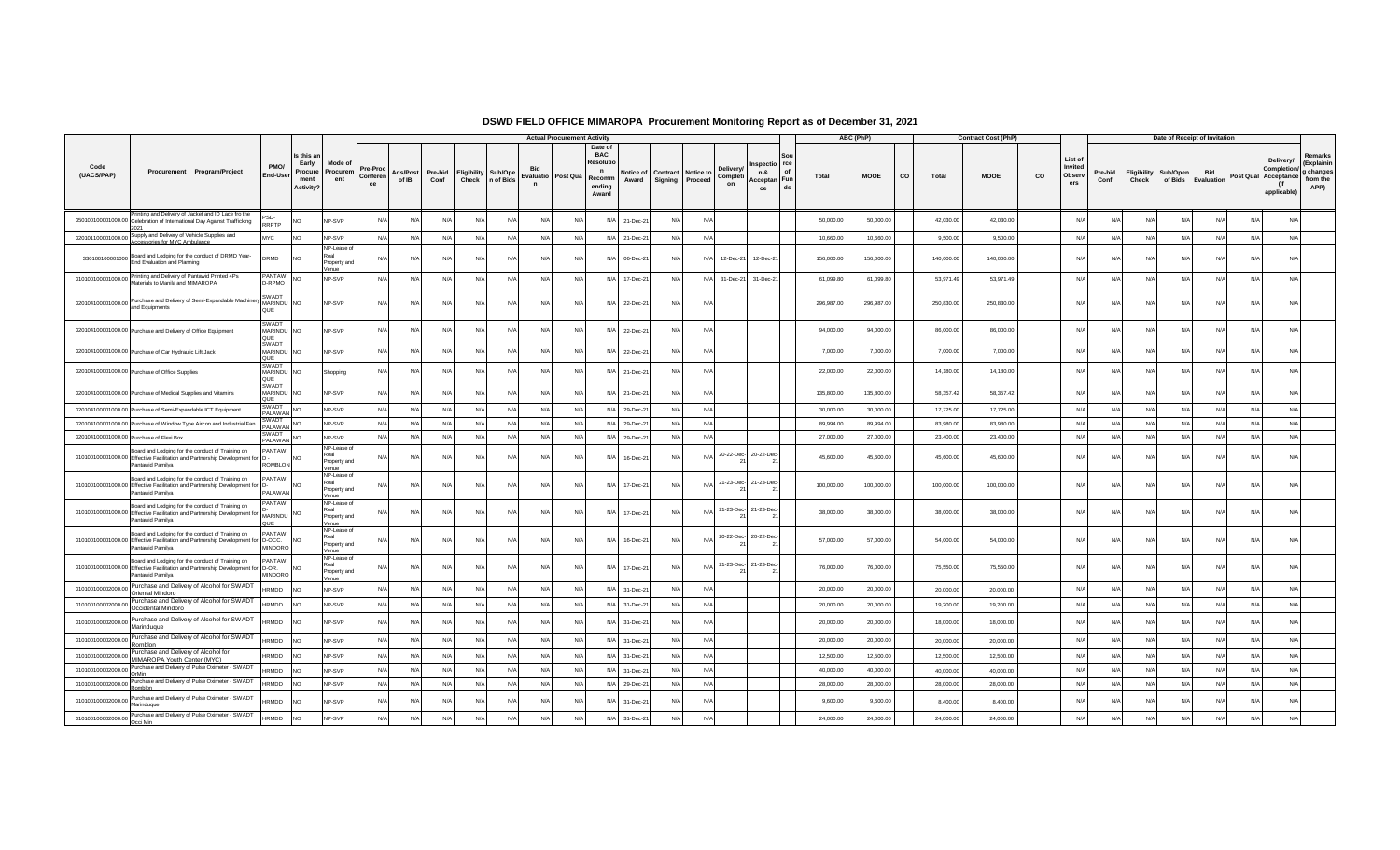|                             |                                                                                                                                                          |                                    |                                                     |                                              |                           |                   |                 |                              |           |                                         | <b>Actual Procurement Activity</b> |                                                                     |                    |                |                               |                           |                                                             |            | ABC (PhP)  |             | <b>Contract Cost (PhP)</b> |    |                                     |                 |            | Date of Receipt of Invitation                  |     |            |                                                                        |                                                        |
|-----------------------------|----------------------------------------------------------------------------------------------------------------------------------------------------------|------------------------------------|-----------------------------------------------------|----------------------------------------------|---------------------------|-------------------|-----------------|------------------------------|-----------|-----------------------------------------|------------------------------------|---------------------------------------------------------------------|--------------------|----------------|-------------------------------|---------------------------|-------------------------------------------------------------|------------|------------|-------------|----------------------------|----|-------------------------------------|-----------------|------------|------------------------------------------------|-----|------------|------------------------------------------------------------------------|--------------------------------------------------------|
| Code<br>(UACS/PAP)          | Procurement Program/Project                                                                                                                              | PMO/<br>End-User                   | Is this ar<br>Early<br>Procure<br>ment<br>Activity? | Mode o<br>Procurem<br>ent                    | Pre-Pro<br>Conferer<br>ce | Ads/Post<br>of IB | Pre-bid<br>Conf | Eligibility Sub/Ope<br>Check | n of Bids | <b>Bid</b><br>Evaluatio<br>$\mathsf{n}$ | Post Qua Recomm                    | Date of<br><b>BAC</b><br>Resoluti<br>$\mathbf n$<br>ending<br>Award | Notice of<br>Award | <b>Signing</b> | Contract Notice to<br>Proceed | Delivery<br>Complet<br>on | rce<br>nspectio<br>n &<br>of<br>Fun<br>Acceptan<br>ds<br>ce | Total      | MOOE       | co<br>Total | MOOE                       | CO | List of<br>Invited<br>Observ<br>ers | Pre-bid<br>Conf | Check      | Eligibility Sub/Open Bid<br>of Bids Evaluation |     |            | Delivery/<br>Completion/<br>Post Qual Acceptance<br>(lf<br>applicable) | Remarks<br>(Explainin<br>g changes<br>from the<br>APP) |
|                             | Printing and Delivery of Jacket and ID Lace fro the<br>350100100001000.00 Celebration of International Day Against Trafficking<br>2021                   | PSD-<br>RRPTP                      |                                                     | NP-SVP                                       | N                         | N/l               | N/L             | N/A                          | N/L       | N/A                                     | N/A                                | N/A                                                                 | $21 - Dec-2$       | N/A            | N/A                           |                           |                                                             | 50,000.00  | 50,000.00  | 42,030.00   | 42,030.00                  |    | Nl                                  |                 |            | N/A                                            |     | N/A<br>N/A | N/A                                                                    |                                                        |
|                             | 320101100001000.00 Supply and Delivery of Vehicle Supplies and<br>Accessories for MYC Ambulance                                                          | MYC                                | <b>NO</b>                                           | NP-SVP                                       | N/A                       | N/A               | N/A             | N/A                          | N/A       | N/A                                     | N/A                                |                                                                     | N/A 21-Dec-21      | N/A            | N/A                           |                           |                                                             | 10,660.00  | 10,660.00  | 9,500.00    | 9,500.00                   |    | N/A                                 | N/A             | N/A        | N/A                                            | N/A | N/A        | N/A                                                                    |                                                        |
|                             | 330100100001000 Board and Lodging for the conduct of DRMD Year-<br>End Evaluation and Planning                                                           | DRMD                               | <b>NO</b>                                           | NP-Lease of<br>Real<br>Property and<br>/enue | $N$ /                     | N/A               | N/A             | N/A                          | N         | N/A                                     | N/A                                | N/A                                                                 | 06-Dec-21          | N/A            | N/A                           | 12-Dec-21                 | 12-Dec-21                                                   | 156,000.00 | 156,000.00 | 140,000.00  | 140,000.00                 |    | N/L                                 | N/A             | N/A        | N/A                                            | N/A | N/A        | N/A                                                                    |                                                        |
|                             | 310100100001000.00 Printing and Delivery of Pantawid Printed 4Ps<br>Materials to Manila and MIMAROPA                                                     | PANTAWI<br>D-RPMO                  | <b>NO</b>                                           | NP-SVP                                       | $N/\ell$                  | N/A               | N/A             | N/A                          | N/A       | N/A                                     | N/A                                | N/A                                                                 | 17-Dec-21          | N/A            |                               | N/A 31-Dec-21             | 31-Dec-21                                                   | 61.099.80  | 61,099.80  | 53,971.49   | 53,971.49                  |    | N/A                                 | N/A             | N/A        | N/A                                            | N/A | N/A        | N/A                                                                    |                                                        |
|                             | 320104100001000.00 Purchase and Delivery of Semi-Expandable Machinery MARINDU NO<br>and Equipments                                                       | SWADT<br>QUE                       |                                                     | NP-SVP                                       | N/A                       | N/A               | N/A             | N/A                          | N/A       | N/A                                     | N/A                                | N/A                                                                 | 22-Dec-21          | N/A            | N/A                           |                           |                                                             | 296,987.00 | 296,987.00 | 250,830.00  | 250,830.00                 |    | N/A                                 | N/A             | N/A        | N/A                                            |     | N/A<br>N/A | N/A                                                                    |                                                        |
|                             | 320104100001000.00 Purchase and Delivery of Office Equipment                                                                                             | SWADT<br>MARINDU NO<br>OUF         |                                                     | NP-SVP                                       | N                         | N/A               | N/A             | N/A                          | N         | N/A                                     | N/A                                | N/A                                                                 | 22-Dec-21          | N/A            | N/A                           |                           |                                                             | 94,000.00  | 94,000.00  | 86,000.00   | 86,000.00                  |    | N/L                                 | N/A             | N/A        | N/A                                            |     | N/A<br>N/A | N/A                                                                    |                                                        |
|                             | 320104100001000.00 Purchase of Car Hydraulic Lift Jack                                                                                                   | SWADT<br>MARINDU NO<br>QUE         |                                                     | NP-SVP                                       | N                         | N/A               | N/A             | N/A                          | N/L       | N/A                                     | N/A                                | N/A                                                                 | 22-Dec-21          | N/A            | N/A                           |                           |                                                             | 7,000.00   | 7,000.00   | 7,000.00    | 7,000.00                   |    | N/I                                 | $N/\Delta$      | $N/\Delta$ | N/A                                            | N/A | N/A        | N/A                                                                    |                                                        |
|                             | 320104100001000.00 Purchase of Office Supplies                                                                                                           | SWADT<br>MARINDU NO<br>QUE         |                                                     | Shopping                                     | N                         |                   | N/A             | N/A                          | N/4       | N/A                                     | N/A                                | N/L                                                                 | 21-Dec-21          | N/A            | N/A                           |                           |                                                             | 22,000.00  | 22,000.00  | 14,180.00   | 14,180.00                  |    | N/                                  |                 |            | N/A                                            | N/A | N/A        | N/A                                                                    |                                                        |
|                             | 320104100001000.00 Purchase of Medical Supplies and Vitamins                                                                                             | SWADT<br>MARINDU NO<br><b>TILC</b> |                                                     | NP-SVP                                       | N                         | N/l               | N/L             | N/A                          | N/I       | N/A                                     | N/A                                | N/A                                                                 | 21-Dec-21          | N/A            | N/A                           |                           |                                                             | 135,800.00 | 135,800.00 | 58.357.42   | 58,357.42                  |    | N                                   | N/L             | $N/\Delta$ | N/A                                            | N/A | N/A        | N/A                                                                    |                                                        |
|                             | 320104100001000.00 Purchase of Semi-Expandable ICT Equipment                                                                                             | SWADT<br>PALAWAN <sup>"</sup>      | <b>NO</b>                                           | NP-SVP                                       | N/A                       | N/A               | N/A             | N/A                          | N/A       | N/A                                     | N/A                                |                                                                     | N/A 29-Dec-21      | N/A            | N/A                           |                           |                                                             | 30,000.00  | 30,000.00  | 17,725.00   | 17,725.00                  |    | N/A                                 | N/A             | N/A        | N/A                                            |     | N/A<br>N/A | N/A                                                                    |                                                        |
|                             | 320104100001000.00 Purchase of Window Type Aircon and Industrial Fan                                                                                     | SWADT<br><b>PALAWAN</b>            | <b>NO</b>                                           | NP-SVP                                       | N                         | N/A               | N/A             | N/A                          | $N/\ell$  | N/A                                     | N/A                                | N/A                                                                 | 29-Dec-2           | N/A            | N/A                           |                           |                                                             | 89,994.00  | 89,994.00  | 83,980.00   | 83,980.00                  |    | N/I                                 | N/A             | N/A        | N/A                                            |     | N/A<br>N/A | N/A                                                                    |                                                        |
|                             | 320104100001000.00 Purchase of Flexi Box                                                                                                                 | SWADT<br>SWADT NO                  |                                                     | NP-SVP                                       | $N/\ell$                  | N/A               | N/A             | N/A                          | N/A       | N/A                                     | N/A                                | N/A                                                                 | 29-Dec-21          | N/A            | N/A                           |                           |                                                             | 27,000.00  | 27,000.00  | 23,400.00   | 23,400.00                  |    | N/A                                 | N/A             | N/A        | N/A                                            |     | N/A<br>N/A | N/A                                                                    |                                                        |
|                             | Board and Lodging for the conduct of Training on<br>310100100001000.00 Effective Facilitation and Partnership Development for<br>Pantawid Pamilya        | PANTAWI<br><b>ROMBLON</b>          | <b>NO</b>                                           | NP-Lease o<br>Real<br>Property and<br>Venue  | $N$ /                     | N/A               | N/A             | N/A                          | N         | N/A                                     | N/A                                | N/f                                                                 | 16-Dec-21          | N/A            | N/A                           | 20-22-Dec- 20-22-Dec-     |                                                             | 45,600.00  | 45,600.00  | 45,600.00   | 45,600.00                  |    | N/L                                 | N/A             | N/A        | N/A                                            | N/A | N/A        | N/A                                                                    |                                                        |
|                             | Board and Lodging for the conduct of Training on<br>310100100001000.00 Effective Facilitation and Partnership Development for D-<br>Pantawid Pamilya     | PANTAWI<br>PAI AWAN                |                                                     | NP-Lease of<br>Real<br>Property and<br>Venue | N/                        | N/A               | N/A             | N/A                          | N/A       | N/A                                     | N/A                                | N/A                                                                 | 17-Dec-21          | N/A            | NI/A                          | 21-23-Dec- 21-23-Dec-     |                                                             | 100,000.00 | 100,000.00 | 100,000.00  | 100,000.00                 |    | $N/\Delta$                          | N/A             | N/A        | N/A                                            |     | N/A<br>N/A | N/A                                                                    |                                                        |
|                             | Board and Lodging for the conduct of Training on<br>310100100001000.00 Effective Facilitation and Partnership Development for<br>Pantawid Pamilya        | PANTAWI<br>MARINDU                 |                                                     | NP-Lease of<br>Real<br>Property and<br>Venue | N                         | $N/\Delta$        | N/A             | N/A                          | N/I       | N/A                                     | $N/\Delta$                         | N/A                                                                 | 17-Dec-21          | N/A            | $N/\Delta$                    | 21-23-Dec- 21-23-Dec-     |                                                             | 38,000.00  | 38,000.00  | 38,000.00   | 38,000.00                  |    | N/L                                 | N/A             | N/A        | N/A                                            | N/A | N/A        | $N/\Delta$                                                             |                                                        |
|                             | Board and Lodging for the conduct of Training on<br>310100100001000.00 Effective Facilitation and Partnership Development for D-OCC.<br>Pantawid Pamilya | PANTAWI<br>MINDORO                 | <b>INO</b>                                          | NP-Lease o<br>Real<br>Property and<br>Venue  |                           | N/l               | N/A             | N/A                          | N/A       | N/A                                     | N/A                                | N/A                                                                 | 16-Dec-21          | N/A            |                               |                           | 20-22-Dec- 20-22-Dec-                                       | 57,000.00  | 57,000.00  | 54,000.00   | 54,000.00                  |    | N/A                                 | N/A             | N/A        | N/A                                            | N/A | N/A        | N/A                                                                    |                                                        |
|                             | Board and Lodging for the conduct of Training on<br>310100100001000.00 Effective Facilitation and Partnership Development for D-OR.<br>Pantawid Pamilya  | PANTAWI<br>MINDORO                 | <b>INO</b>                                          | NP-Lease of<br>Property and<br>Venue         | N/L                       | N/A               | N/A             | N/A                          | N/A       | N/A                                     | N/A                                | N/A                                                                 | 17-Dec-21          | N/A            |                               | N/A 21-23-Dec- 21-23-Dec- |                                                             | 76,000.00  | 76,000.00  | 75,550.00   | 75,550.00                  |    | N/A                                 | N/A             | N/A        | N/A                                            |     | N/A<br>N/A | N/A                                                                    |                                                        |
| 310100100002000.00          | Purchase and Delivery of Alcohol for SWADT<br>Oriental Mindord                                                                                           | <b>HRMDD</b>                       | <b>NO</b>                                           | NP-SVP                                       | N                         | N/A               | N/A             | N/A                          | N/L       | N/A                                     | N/A                                | N/A                                                                 | 31-Dec-21          | N/A            | N/A                           |                           |                                                             | 20,000.00  | 20,000.00  | 20,000.00   | 20,000.00                  |    | N/L                                 | N/A             | N/A        | N/A                                            |     | N/A<br>N/A | N/A                                                                    |                                                        |
| 310100100002000.00          | Purchase and Delivery of Alcohol for SWADT<br>Occidental Mindoro                                                                                         | <b>HRMDD</b>                       | <b>NO</b>                                           | NP-SVP                                       | N                         | N/A               | N/A             | N/A                          | N/A       | N/A                                     | N/A                                | N/A                                                                 | 31-Dec-21          | N/A            | N/A                           |                           |                                                             | 20,000.00  | 20,000.00  | 19,200.00   | 19,200.00                  |    | N/A                                 | N/A             | N/A        | N/A                                            |     | N/A<br>N/A | N/A                                                                    |                                                        |
| 310100100002000.00          | Purchase and Delivery of Alcohol for SWADT<br>Marinduque                                                                                                 | <b>HRMDD</b>                       | <b>NO</b>                                           | NP-SVP                                       | N                         | N/A               | N/A             | N/A                          | N/L       | N/A                                     | N/A                                | N/A                                                                 | 31-Dec-2           | N/A            | N/A                           |                           |                                                             | 20,000.00  | 20,000.00  | 18,000.00   | 18,000.00                  |    | N/I                                 | N/L             | $N/\Delta$ | N/A                                            |     | N/A<br>N/A | N/A                                                                    |                                                        |
| 310100100002000.00          | Purchase and Delivery of Alcohol for SWADT<br>Romblon                                                                                                    | HRMDD                              | <b>NO</b>                                           | NP-SVP                                       | N                         | N/A               | N/A             | N/A                          | $N/\ell$  | N/A                                     | N/A                                | N/A                                                                 | 31-Dec-21          | N/A            | N/A                           |                           |                                                             | 20,000.00  | 20,000.00  | 20,000.00   | 20,000.00                  |    | N/A                                 | N/A             | N/A        | N/A                                            | N/A | N/A        | N/A                                                                    |                                                        |
| 310100100002000.00          | Purchase and Delivery of Alcohol for<br>MIMAROPA Youth Center (MYC)                                                                                      | HRMDD                              | <b>INO</b>                                          | NP-SVP                                       | $N/\ell$                  | N/A               | N/A             | N/A                          | N/A       | N/A                                     | N/A                                | N/A                                                                 | 31-Dec-21          | N/A            | N/A                           |                           |                                                             | 12,500.00  | 12,500.00  | 12,500.00   | 12,500.00                  |    | N/I                                 | N/A             | N/A        | N/A                                            | N/A | N/A        | N/A                                                                    |                                                        |
| 310100100002000.00          | Purchase and Delivery of Pulse Oximeter - SWADT<br>OrMin                                                                                                 | <b>HRMDD</b>                       | <b>NO</b>                                           | NP-SVP                                       | N/                        | N/A               | N/A             | N/A                          | N/A       | N/A                                     | N/A                                | N/A                                                                 | 31-Dec-2           | N/A            | N/A                           |                           |                                                             | 40,000.00  | 40,000.00  | 40,000.00   | 40,000.00                  |    | $N/\Delta$                          | $N/\Delta$      | N/A        | N/A                                            |     | N/A<br>N/A | N/A                                                                    |                                                        |
| 310100100002000.00          | Purchase and Delivery of Pulse Oximeter - SWADT<br>Romblon                                                                                               | HRMDD                              | <b>NO</b>                                           | NP-SVP                                       | $N/\ell$                  | N/A               | N/A             | N/A                          | N/A       | N/A                                     | N/A                                | N/A                                                                 | 29-Dec-21          | N/A            | N/A                           |                           |                                                             | 28,000.00  | 28,000.00  | 28,000.00   | 28,000.00                  |    | N/A                                 | N/A             | N/A        | N/A                                            |     | N/A<br>N/A | N/A                                                                    |                                                        |
|                             | 310100100002000.00 Purchase and Delivery of Pulse Oximeter - SWADT<br>Marinduque                                                                         | <b>HRMDD</b>                       | <b>NO</b>                                           | NP-SVP                                       | N/                        | N/A               | N/A             | N/A                          | $N/\ell$  | N/A                                     | N/A                                | N/A                                                                 | 31-Dec-21          | N/A            | N/A                           |                           |                                                             | 9,600.00   | 9,600.00   | 8,400.00    | 8,400.00                   |    | N/4                                 | N/A             | N/A        | N/A                                            | N/A | N/A        | N/A                                                                    |                                                        |
| 310100100002000.00 Purchase | Purchase and Delivery of Pulse Oximeter - SWADT                                                                                                          | HRMDD                              | N <sub>O</sub>                                      | NP-SVP                                       | N/                        | N/A               | N/A             | N/A                          | N/L       | N/A                                     | N/A                                | N/A                                                                 | 31-Dec-21          | N/A            | N/A                           |                           |                                                             | 24,000.00  | 24,000.00  | 24,000.00   | 24,000.00                  |    | N/A                                 | N/A             | N/A        | N/A                                            |     | N/A<br>N/A | N/A                                                                    |                                                        |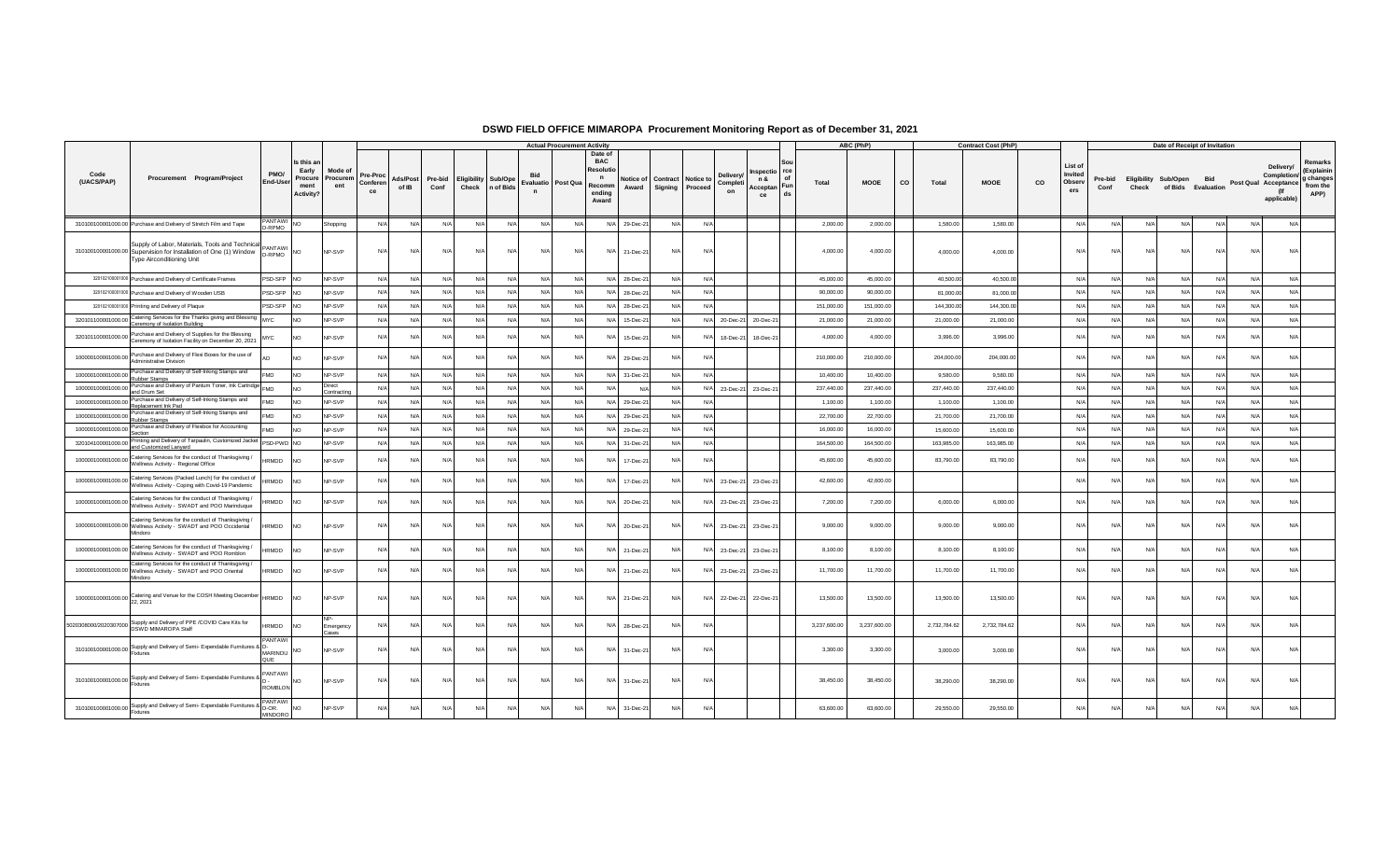|                    |                                                                                                                                                           |                                         |                                                    |                            |                            |                   |                 |                      |                      |                | <b>Actual Procurement Activity</b>                                                               |     |                    |            |                                                                    |           |                                                          |              | ABC (PhP)    |    |              | <b>Contract Cost (PhP)</b> |    |                                    |                 |       | Date of Receipt of Invitation                     |            |     |                                                                 |                                                        |
|--------------------|-----------------------------------------------------------------------------------------------------------------------------------------------------------|-----------------------------------------|----------------------------------------------------|----------------------------|----------------------------|-------------------|-----------------|----------------------|----------------------|----------------|--------------------------------------------------------------------------------------------------|-----|--------------------|------------|--------------------------------------------------------------------|-----------|----------------------------------------------------------|--------------|--------------|----|--------------|----------------------------|----|------------------------------------|-----------------|-------|---------------------------------------------------|------------|-----|-----------------------------------------------------------------|--------------------------------------------------------|
| Code<br>(UACS/PAP) | Procurement Program/Project                                                                                                                               | PMO/<br>End-User                        | Is this a<br>Early<br>Procure<br>ment<br>Activity? | Mode of<br>Procurem<br>ent | Pre-Proc<br>Conferen<br>ce | Ads/Post<br>of IB | Pre-bid<br>Conf | Eligibility<br>Check | Sub/Ope<br>n of Bids | Evaluatio<br>n | Date of<br><b>BAC</b><br><b>Resoluti</b><br>$\mathbf n$<br>Post Qua<br>Recomm<br>ending<br>Award |     | Notice of<br>Award | Signing    | <b>Delivery</b><br>Contract Notice to<br>Completi<br>Proceed<br>on |           | rce<br>nspectio<br>n &<br>of<br>Acceptan Fun<br>ds<br>ce | Total        | <b>MOOE</b>  | co | Total        | <b>MOOE</b>                | co | List o<br>Invited<br>Observ<br>ers | Pre-bid<br>Conf | Check | <b>Eligibility Sub/Open</b><br>of Bids Evaluation | <b>Bid</b> |     | Delivery/<br>Completion/<br>Post Qual Acceptance<br>applicable) | Remarks<br>(Explainin<br>g changes<br>from the<br>APP) |
|                    | 310100100001000.00 Purchase and Delivery of Stretch Film and Tape                                                                                         | PANTAWI NO<br>-RPMO                     |                                                    | Shopping                   | N/A                        | N/A               | N/A             | N/A                  | N/A                  | N/A            | N/A                                                                                              | N/A | 29-Dec-21          | N/A        | N/A                                                                |           |                                                          | 2,000.00     | 2,000.00     |    | 1,580.00     | 1,580.00                   |    | N/A                                | N/A             | N/A   | N/A                                               | N/A        | N/A | N/A                                                             |                                                        |
|                    | Supply of Labor, Materials, Tools and Technical PANTAWI<br>310100100001000.00 Supervision for Installation of One (1) Window<br>Type Airconditioning Unit | D-RPMO                                  | <b>NO</b>                                          | NP-SVP                     | $N/\ell$                   | N/A               | N/A             | N/A                  | N/L                  | N/A            | N/A                                                                                              | N/A | 21-Dec-21          | N/A        | N/A                                                                |           |                                                          | 4,000.00     | 4,000.00     |    | 4,000.00     | 4,000.00                   |    | N/A                                | N/A             | N/L   | N/A                                               | N/A        | N/A | N/A                                                             |                                                        |
|                    | 320102100001000 Purchase and Delivery of Certificate Frames                                                                                               | PSD-SFP NO                              |                                                    | NP-SVP                     | $N/\ell$                   | N/A               | N/A             | N/A                  | $N/\beta$            | N/A            | N/A                                                                                              | N/A | 28-Dec-2           | $N/\Delta$ | N/A                                                                |           |                                                          | 45,000.00    | 45,000.00    |    | 40,500.00    | 40,500.00                  |    | N/A                                | N/A             | N/    | N/A                                               | N/L        | N/A | N/A                                                             |                                                        |
|                    | 320102100001000 Purchase and Delivery of Wooden USB                                                                                                       | PSD-SFP NO                              |                                                    | NP-SVP                     | N/L                        | N/A               | N/A             | N/A                  | N/A                  | N/A            | N/A                                                                                              | N/A | 28-Dec-2           | $N/\Delta$ | N/A                                                                |           |                                                          | 90,000.00    | 90,000.00    |    | 81,000.00    | 81,000.00                  |    | N/A                                | N/A             | N/L   | N/A                                               | $N/\Delta$ | N/A | N/A                                                             |                                                        |
|                    | 320102100001000 Printing and Delivery of Plaque                                                                                                           | PSD-SFP                                 | <b>INO</b>                                         | NP-SVP                     | N                          | N/A               | N/A             | N/A                  | $N/\beta$            | N/A            | N/A                                                                                              | N/A | 28-Dec-2           | N/l        | N/A                                                                |           |                                                          | 151,000.00   | 151,000.00   |    | 144,300.00   | 144,300.00                 |    | N/A                                | N/A             | N/    | N/A                                               | N/L        | N/A | N/A                                                             |                                                        |
| 320101100001000.00 | Catering Services for the Thanks giving and Blessing<br>Ceremony of Isolation Building                                                                    | <b>MYC</b>                              | <b>NO</b>                                          | NP-SVP                     | N/L                        | N/A               | N/A             | N/A                  | N/A                  | N/A            | N/A                                                                                              | N/A | 15-Dec-21          | N/l        | N/A 20-Dec-21                                                      |           | 20-Dec-21                                                | 21,000.00    | 21,000.00    |    | 21,000.00    | 21,000.00                  |    | N/A                                | N/A             | N     | N/A                                               | N/L        | N/A | N/A                                                             |                                                        |
|                    | Purchase and Delivery of Supplies for the Blessing<br>320101100001000.00 Ceremony of Isolation Facility on December 20, 2021                              | ИYС                                     | <b>NO</b>                                          | NP-SVP                     | N                          | N/A               | N/A             | N/A                  | $N$ /                | N/A            | N/A                                                                                              | N/A | 15-Dec-2           | N/l        | N/A<br>18-Dec-21                                                   |           | 18-Dec-21                                                | 4,000.00     | 4,000.00     |    | 3,996.00     | 3,996.00                   |    | N/L                                | N/l             | N     | N/A                                               | N/L        | N/A | N/A                                                             |                                                        |
|                    | 100000100001000.00 Purchase and Delivery of Flexi Boxes for the use of<br><b>Administrative Division</b>                                                  |                                         | <b>NO</b>                                          | <b>NP-SVP</b>              | N                          | N/l               | N/A             |                      | N                    | $N/\rho$       | N/A                                                                                              | N/A | 29-Dec-21          |            | $N$ /                                                              |           |                                                          | 210,000.00   | 210,000.00   |    | 204,000.00   | 204,000.00                 |    | N/l                                |                 | N.    | N                                                 |            | N/L | $N/\ell$                                                        |                                                        |
|                    | 100000100001000.00 Purchase and Delivery of Self-Inking Stamps and<br>Rubber Stamps                                                                       | <b>FMD</b>                              | <b>NO</b>                                          | NP-SVP                     | N                          | N/A               | N/A             | N/A                  | $N/\ell$             | N/A            | N/A                                                                                              | N/A | 31-Dec-2           | N/A        | N/A                                                                |           |                                                          | 10,400.00    | 10,400.00    |    | 9,580.00     | 9,580.00                   |    | N/A                                | N/A             | N     | N/A                                               | N/f        | N/A | N/A                                                             |                                                        |
| 100000100001000.00 | Purchase and Delivery of Pantum Toner, Ink Cartridge FMD<br>and Drum Set                                                                                  |                                         | <b>NO</b>                                          | Direct<br>Contractin       | N                          | N/A               | N/A             | N/A                  | N/A                  | N/A            | N/A                                                                                              | N/A | N/f                | N/l        | N/A 23-Dec-21 23-Dec-21                                            |           |                                                          | 237,440.00   | 237,440.00   |    | 237,440.00   | 237,440.00                 |    | N/A                                | N/A             | N     | N/A                                               | N/L        | N/A | N/A                                                             |                                                        |
| 100000100001000.00 | Purchase and Delivery of Self-Inking Stamps and<br>Replacement Ink Pad                                                                                    | FMD                                     | <b>NO</b>                                          | NP-SVP                     | N                          | N/A               | N/A             | N/A                  | N                    | N/A            | N/A                                                                                              | N/A | 29-Dec-2           | N/A        | N/A                                                                |           |                                                          | 1,100.00     | 1,100.00     |    | 1,100.00     | 1,100.00                   |    | N/A                                | N/l             | N/    | N/A                                               | N/L        | N/A | N/A                                                             |                                                        |
| 100000100001000.00 | Purchase and Delivery of Self-Inking Stamps and<br>Rubber Stamp                                                                                           | MD <sup>-</sup>                         | N <sub>O</sub>                                     | NP-SVP                     | N/A                        | N/A               | N/A             | N/A                  | N/A                  | N/A            | N/A                                                                                              |     | N/A 29-Dec-21      | N/l        | N/A                                                                |           |                                                          | 22,700.00    | 22,700.00    |    | 21,700.00    | 21,700.00                  |    | N/A                                | N/l             | N/    | N/A                                               | N          | N/A | N/A                                                             |                                                        |
| 100000100001000.00 | Purchase and Delivery of Flexibox for Accounting<br>Section                                                                                               | -MD                                     | <b>NO</b>                                          | NP-SVP                     | N                          | N/A               | N/A             | N/A                  | N/A                  | N/A            | N/A                                                                                              | N/A | 29-Dec-2           | N/l        | N/A                                                                |           |                                                          | 16,000.00    | 16,000.00    |    | 15,600.00    | 15,600.00                  |    | N/A                                | N/A             | N/    | N/A                                               | N/L        | N/A | N/A                                                             |                                                        |
| 320104100001000.00 | Printing and Delivery of Tarpaulin, Customized Jacket<br>and Customized Lanyard                                                                           | PSD-PWD NO                              |                                                    | NP-SVP                     | $N/\ell$                   | N/A               | N/A             | N/A                  | N/A                  | N/A            | N/A                                                                                              | N/A | 31-Dec-21          | N/A        | N/A                                                                |           |                                                          | 164,500.00   | 164,500.00   |    | 163,985.00   | 163,985.00                 |    | N/A                                | N/A             | N     | N/A                                               | $N/\ell$   | N/A | N/A                                                             |                                                        |
|                    | 100000100001000.00 Catering Services for the conduct of Thanksgiving /<br>Wellness Activity - Regional Office                                             | <b>HRMDD</b>                            | <b>INO</b>                                         | <b>NP-SVP</b>              | N                          | N/A               | N/A             | N/A                  | $N$ /                | N/A            | N/A                                                                                              | N/A | 17-Dec-21          |            | N/A                                                                |           |                                                          | 45,600.00    | 45,600.00    |    | 83,790.00    | 83,790.00                  |    | N/4                                | N/              | N     | N/A                                               | N/         | N/A | N/A                                                             |                                                        |
|                    | 100000100001000.00 Catering Services (Packed Lunch) for the conduct of<br>Wellness Activity - Coping with Covid-19 Pandemic                               | <b>IRMDD</b>                            | <b>NO</b>                                          | <b>NP-SVP</b>              | N                          | N/A               | N/A             | N/l                  | N/                   | N/A            | N/A                                                                                              | N/A | 17-Dec-21          | N/         | N/A                                                                | 23-Dec-21 | 23-Dec-21                                                | 42,600.00    | 42,600.00    |    |              |                            |    | N/L                                | N/l             | N/    | N/A                                               | N/L        | N/A | N/A                                                             |                                                        |
|                    | 100000100001000.00 Catering Services for the conduct of Thanksgiving /<br>Wellness Activity - SWADT and POO Marinduque                                    | <b>IRMDD</b>                            | <b>INO</b>                                         | NP-SVP                     | N                          | N/A               | N/A             | N/l                  | N                    | N/A            | N/A                                                                                              | N/A | 20-Dec-21          | N/A        | N/A<br>23-Dec-21                                                   |           | 23-Dec-21                                                | 7,200.00     | 7,200.00     |    | 6,000.00     | 6,000.00                   |    | N/L                                | N/              | N/    | N/A                                               | N/         | N/A | N/A                                                             |                                                        |
|                    | Catering Services for the conduct of Thanksgiving.<br>100000100001000.00 Wellness Activity - SWADT and POO Occidental<br>Mindoro                          | <b>HRMDD</b>                            | <b>NO</b>                                          | NP-SVP                     | N/                         | N/A               | N/A             | $N/\Delta$           | N                    | N/A            | $N/\Delta$                                                                                       | N/A | 20-Dec-21          | N/A        | N/A<br>23-Dec-21                                                   |           | 23-Dec-21                                                | 9,000.00     | 9,000.00     |    | 9,000.00     | 9,000.00                   |    | N/L                                | N/l             | N/    | N/A                                               | <b>NI/</b> | N/A | N/A                                                             |                                                        |
|                    | 100000100001000.00 Catering Services for the conduct of Thanksgiving /<br>Wellness Activity - SWADT and POO Romblon                                       | <b>HRMDD</b>                            | <b>INO</b>                                         | NP-SVP                     | N/                         | N/l               | N/A             | N/l                  | N                    | N/A            | N/A                                                                                              | N/A | 21-Dec-21          | N/l        | N/A<br>23-Dec-21                                                   |           | 23-Dec-21                                                | 8,100.00     | 8,100.00     |    | 8,100.00     | 8,100.00                   |    | N/l                                |                 | N/    | N/A                                               |            | N/A | N/A                                                             |                                                        |
|                    | Catering Services for the conduct of Thanksgiving /<br>100000100001000.00 Wellness Activity - SWADT and POO Oriental<br>Mindoro                           | <b>HRMDD</b>                            | <b>NO</b>                                          | <b>NP-SVP</b>              | N                          | N/A               | N/A             | N/l                  | N/                   | N/A            | N/A                                                                                              | N/A | 21-Dec-21          |            | N/A                                                                | 23-Dec-21 | 23-Dec-21                                                | 11,700.00    | 11,700.00    |    | 11,700.00    | 11,700.00                  |    | N/L                                | N/l             | N/    | N/A                                               | N/         | N/A | N/A                                                             |                                                        |
|                    | 100000100001000.00 Catering and Venue for the COSH Meeting December<br>22, 2021                                                                           | <b>HRMDD</b>                            | <b>NO</b>                                          | NP-SVP                     | N                          | N/A               | N/A             | N/A                  | N                    | N/A            | N/A                                                                                              | N/A | 21-Dec-21          | N/A        | N/A                                                                | 22-Dec-21 | 22-Dec-21                                                | 13,500.00    | 13,500.00    |    | 13,500.00    | 13,500.00                  |    | N/L                                | N/l             | N/    | N/A                                               | N/L        | N/A | N/A                                                             |                                                        |
|                    | 5020308000/2020307000 Supply and Delivery of PPE /COVID Care Kits for                                                                                     | <b>HRMDD</b>                            | <b>NO</b>                                          | Emergency<br>Cases         | N                          | N/A               | N/A             | N/                   | N                    | N/A            | N/A                                                                                              | N/A | 28-Dec-21          | N/l        | N/L                                                                |           |                                                          | 3,237,600.00 | 3,237,600.00 |    | 2,732,784.62 | 2,732,784.62               |    | N/L                                | N/              | N/    | N/A                                               | N          | N/A | N/A                                                             |                                                        |
|                    | 310100100001000.00 Supply and Delivery of Semi- Expendable Furnitures & D<br><b>Fixtures</b>                                                              | <b>PANTAWI</b><br>MARINDU<br><b>QUE</b> | <b>NO</b>                                          | NP-SVP                     | N                          | N/A               | N/A             | N/l                  | N                    | N/A            | $N/\Delta$                                                                                       | N/A | 31-Dec-21          | N/l        | N/A                                                                |           |                                                          | 3,300.00     | 3,300.00     |    | 3,000.00     | 3,000.00                   |    | $N/\Delta$                         | $N/\Delta$      | N/    | N/A                                               | N/L        | N/A | N/A                                                             |                                                        |
|                    | 310100100001000.00 Supply and Delivery of Semi- Expendable Furnitures &<br>Fixtures                                                                       | PANTAWI<br><b>ROMBLON</b>               | <b>NO</b>                                          | NP-SVP                     | N/                         | N/A               | N/A             | $N/\Delta$           | $N$ /                | N/A            | N/A                                                                                              | N/A | 31-Dec-21          | N/A        | N/A                                                                |           |                                                          | 38,450.00    | 38,450.00    |    | 38,290.00    | 38,290.00                  |    | N/A                                | N/A             | N/    | N/A                                               | N/A        | N/A | N/A                                                             |                                                        |
|                    | 310100100001000.00 Supply and Delivery of Semi- Expendable Furnitures &<br>Fixtures                                                                       | PANTAW<br>D-OR.<br><b>MINDORO</b>       | <b>NO</b>                                          | <b>NP-SVP</b>              | N                          | N/A               | N/A             | N/A                  | N                    | N/A            | N/A                                                                                              | N/A | 31-Dec-21          | N/A        | N/A                                                                |           |                                                          | 63,600.00    | 63,600.00    |    | 29,550.00    | 29,550.00                  |    | N/l                                | N/l             | N/    | N/A                                               |            | N/A | N/A                                                             |                                                        |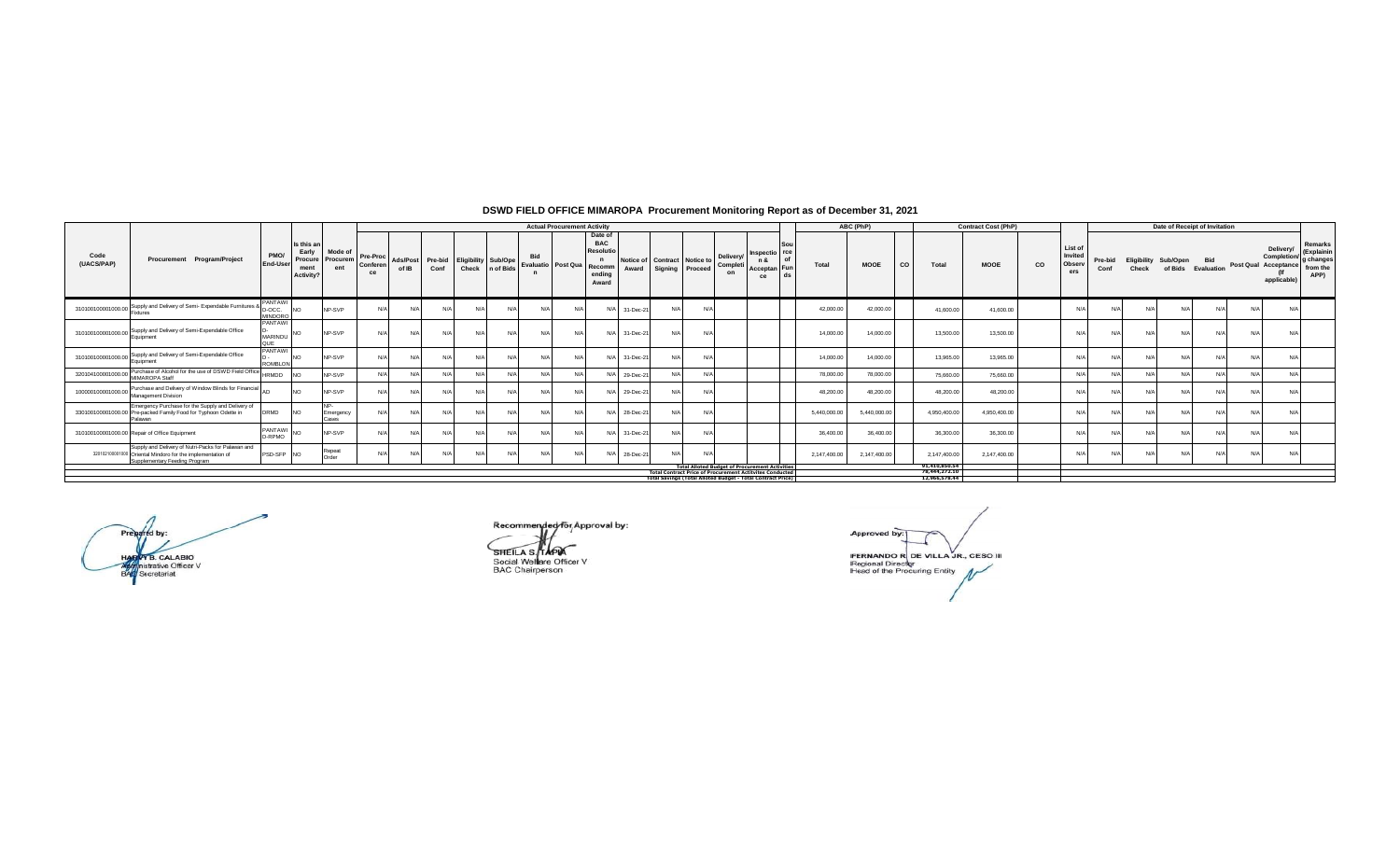|                    |                                                                                                                                                   |                                                |                                                     |                            |                            |                   |                 |                            |                   |                                         | <b>Actual Procurement Activity</b> |                                                              |                    |                                              |                             |                                                                                                                                 |              | ABC (PhP)    |                                | <b>Contract Cost (PhP)</b> |    |                                     |                 |                      | Date of Receipt of Invitation  |            |                      |                                        |                                                       |
|--------------------|---------------------------------------------------------------------------------------------------------------------------------------------------|------------------------------------------------|-----------------------------------------------------|----------------------------|----------------------------|-------------------|-----------------|----------------------------|-------------------|-----------------------------------------|------------------------------------|--------------------------------------------------------------|--------------------|----------------------------------------------|-----------------------------|---------------------------------------------------------------------------------------------------------------------------------|--------------|--------------|--------------------------------|----------------------------|----|-------------------------------------|-----------------|----------------------|--------------------------------|------------|----------------------|----------------------------------------|-------------------------------------------------------|
| Code<br>(UACS/PAP) | Procurement Program/Project                                                                                                                       | PMO/<br><b>End-User</b>                        | Is this an<br>Early<br>Procure<br>ment<br>Activity? | Mode of<br>Procuren<br>ent | Pre-Proc<br>Conferen<br>ce | Ads/Post<br>of IB | Pre-bid<br>Conf | <b>Eligibility Sub/Ope</b> | Check   n of Bids | <b>Bid</b><br>Evaluatio Post Qua Recomm |                                    | Date of<br><b>BAC</b><br><b>Resolutio</b><br>ending<br>Award | Notice of<br>Award | <b>Contract</b> Notice to<br>Signing Proceed | Delivery/<br>Completi<br>on | Inspectio<br>of<br>n &<br><b>Fun</b><br>Acceptan<br>ds<br>ce                                                                    | Total        | <b>MOOE</b>  | CO<br>Total                    | <b>MOOE</b>                | CO | List of<br>Invited<br>Observ<br>ers | Pre-bid<br>Conf | Eligibility<br>Check | Sub/Open<br>of Bids Evaluation | <b>Bid</b> | Post Qual Acceptance | Delivery<br>Completion/<br>applicable) | Remarks<br>(Explainir<br>g change<br>from the<br>APP) |
|                    | 310100100001000.00 Supply and Delivery of Semi- Expendable Furnitures<br>Fixtures                                                                 | <b>PANTAWI</b><br>$^{\circ}$ D-OCC.<br>MINDORO | <b>NO</b>                                           | NP-SVP                     |                            | N/A               | N/A             | N/A                        |                   | N/A                                     |                                    | N/A                                                          | 31-Dec-21          | N/A                                          |                             |                                                                                                                                 | 42.000.00    | 42,000.00    | 41,600.00                      | 41,600.00                  |    | N/A                                 |                 |                      |                                |            | $N/\Delta$           | N/A                                    |                                                       |
|                    | 310100100001000.00 Supply and Delivery of Semi-Expendable Office<br>Equipment                                                                     | <b>PANTAWI</b><br>MARINDU<br>QUE               |                                                     | NP-SVP                     | N/A                        | N/A               | N/A             | N/A                        | N/A               | N/A                                     | $N/\ell$                           | N/A                                                          | 31-Dec-21          | N/A                                          |                             |                                                                                                                                 | 14,000.00    | 14,000.00    | 13,500.00                      | 13,500.00                  |    | N/A                                 | N               | N/L                  | N/A                            |            | $N/\Delta$           | N/A                                    |                                                       |
|                    | 310100100001000.00 Supply and Delivery of Semi-Expendable Office<br>Equipment                                                                     | <b>PANTAWI</b><br><b>ROMBLON</b>               | NΩ                                                  | NP-SVP                     | N/A                        | N/A               | N/A             | N/A                        | N/A               | N/A                                     |                                    | N/A                                                          | 31-Dec-21          | N/A                                          |                             |                                                                                                                                 | 14,000.00    | 14,000.00    | 13,965.00                      | 13,965,00                  |    | N/A                                 | N               | N/                   | N/A                            |            | $N/\Delta$           | N/A                                    |                                                       |
| 320104100001000.00 | Purchase of Alcohol for the use of DSWD Field Office HRMDD<br>MIMAROPA Staff                                                                      |                                                |                                                     | NP-SVP                     |                            | N/A               | N/l             | N/A                        | N/A               | N/A                                     | N/L                                | N/A                                                          | 29-Dec-21          | N/A                                          |                             |                                                                                                                                 | 78,000.00    | 78,000.00    | 75,660.00                      | 75,660,00                  |    | N/A                                 |                 |                      |                                |            |                      | N/A                                    |                                                       |
|                    | 100000100001000.00 Purchase and Delivery of Window Blinds for Financial An<br>Management Division                                                 |                                                | NO.                                                 | NP-SVP                     |                            | N/A               | N/A             | N/A                        | N/A               | N/A                                     | $N/\ell$                           | N/A                                                          | 29-Dec-21          | N/A                                          |                             |                                                                                                                                 | 48,200.00    | 48,200.00    | 48,200.00                      | 48,200.00                  |    | N/A                                 | N               | N/L                  | N/A                            |            |                      | N/A                                    |                                                       |
|                    | Emergency Purchase for the Supply and Delivery of<br>330100100001000.00 Pre-packed Family Food for Typhoon Odette in<br>Palawan                   | <b>DRMD</b>                                    | <b>INO</b>                                          | NP.<br>Emergency<br>Cases  |                            | N/A               | N/A             | N/A                        | N/A               | N/A                                     |                                    | N/A                                                          | 28-Dec-21          | N/A                                          |                             |                                                                                                                                 | 5.440.000.00 | 5,440,000.00 | 4,950,400.00                   | 4.950.400.00               |    | N/A                                 | $N$ /           | N/L                  | N/A                            |            | $N/\Delta$           | N/A                                    |                                                       |
|                    | 310100100001000.00 Repair of Office Equipment                                                                                                     | <b>PANTAWI</b><br>D-RPMO                       | <b>NO</b>                                           | NP-SVP                     |                            | N/A               | N/A             | N/A                        | N/A               | N/A                                     |                                    | N/A                                                          | 31-Dec-21          | N/A                                          |                             |                                                                                                                                 | 36,400.00    | 36,400.00    | 36,300.00                      | 36,300.00                  |    | N/A                                 | $N$ /           | N/L                  | N/A                            |            |                      | N/A                                    |                                                       |
|                    | Supply and Delivery of Nutri-Packs for Palawan and<br>320102100001000 Oriental Mindoro for the implementation of<br>Supplementary Feeding Program | PSD-SFP                                        | <b>INO</b>                                          | Repeat<br>Order            |                            | N/A               | N/l             | N/A                        | N/A               | N/A                                     |                                    | N/A                                                          | 28-Dec-21          | N/A                                          |                             |                                                                                                                                 | 2.147.400.00 | 2,147,400.00 | 2.147.400.00                   | 2.147.400.00               |    | N/A                                 | $N$ /           | $N/\ell$             | N/A                            |            | $N/\Delta$           | N/A                                    |                                                       |
|                    |                                                                                                                                                   |                                                |                                                     |                            |                            |                   |                 |                            |                   |                                         |                                    |                                                              |                    |                                              |                             | <b>Total Alloted Budget of Procurement Activities</b>                                                                           |              |              | 91,410,850.54<br>78.444.272.10 |                            |    |                                     |                 |                      |                                |            |                      |                                        |                                                       |
|                    |                                                                                                                                                   |                                                |                                                     |                            |                            |                   |                 |                            |                   |                                         |                                    |                                                              |                    |                                              |                             | <b>Total Contract Price of Procurement Actitvites Conducted<br/>Total Savings (Total Alloted Budget - Total Contract Price)</b> |              |              | 12,966,578.44                  |                            |    |                                     |                 |                      |                                |            |                      |                                        |                                                       |
|                    |                                                                                                                                                   |                                                |                                                     |                            |                            |                   |                 |                            |                   |                                         |                                    |                                                              |                    |                                              |                             |                                                                                                                                 |              |              |                                |                            |    |                                     |                 |                      |                                |            |                      |                                        |                                                       |

Prepared by: HARVY B. CALABIO<br>Agginistrative Officer V<br>BAG Secretariat

Recommended for Approval by:

SHEILA S. TAPA Social Welfare Officer V<br>BAC Chairperson

Approved by FERNANDO R DE VILLA JR., CESO III<br>Regional Director<br>Head of the Procuring Entity